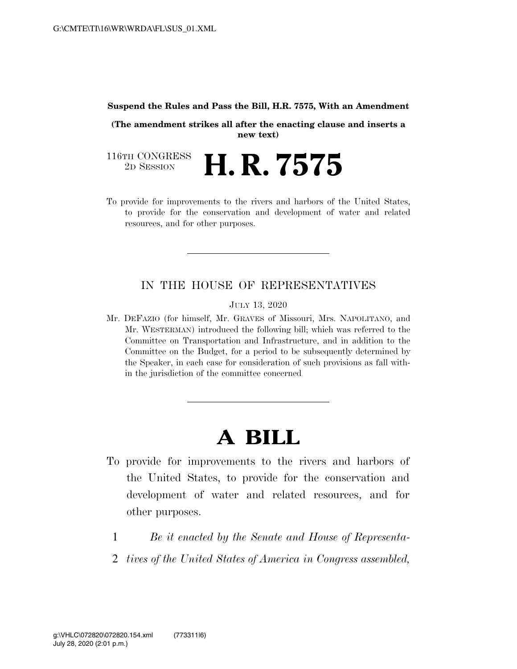#### **Suspend the Rules and Pass the Bill, H.R. 7575, With an Amendment**

**(The amendment strikes all after the enacting clause and inserts a new text)** 

116TH CONGRESS<br>2D SESSION 2D SESSION **H. R. 7575** 

To provide for improvements to the rivers and harbors of the United States, to provide for the conservation and development of water and related resources, and for other purposes.

## IN THE HOUSE OF REPRESENTATIVES

JULY 13, 2020

Mr. DEFAZIO (for himself, Mr. GRAVES of Missouri, Mrs. NAPOLITANO, and Mr. WESTERMAN) introduced the following bill; which was referred to the Committee on Transportation and Infrastructure, and in addition to the Committee on the Budget, for a period to be subsequently determined by the Speaker, in each case for consideration of such provisions as fall within the jurisdiction of the committee concerned

# **A BILL**

- To provide for improvements to the rivers and harbors of the United States, to provide for the conservation and development of water and related resources, and for other purposes.
	- 1 *Be it enacted by the Senate and House of Representa-*
	- 2 *tives of the United States of America in Congress assembled,*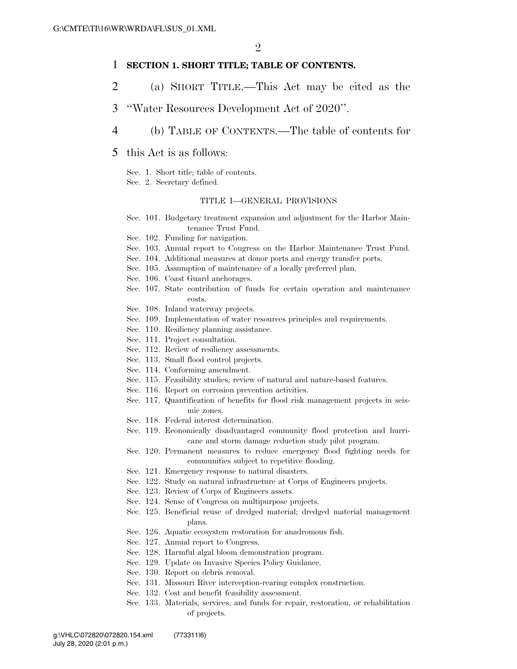#### 1 **SECTION 1. SHORT TITLE; TABLE OF CONTENTS.**

- 2 (a) SHORT TITLE.—This Act may be cited as the
- 3 ''Water Resources Development Act of 2020''.
- 4 (b) TABLE OF CONTENTS.—The table of contents for
- 5 this Act is as follows:
	- Sec. 1. Short title; table of contents.
	- Sec. 2. Secretary defined.

#### TITLE I—GENERAL PROVISIONS

- Sec. 101. Budgetary treatment expansion and adjustment for the Harbor Maintenance Trust Fund.
- Sec. 102. Funding for navigation.
- Sec. 103. Annual report to Congress on the Harbor Maintenance Trust Fund.
- Sec. 104. Additional measures at donor ports and energy transfer ports.
- Sec. 105. Assumption of maintenance of a locally preferred plan.
- Sec. 106. Coast Guard anchorages.
- Sec. 107. State contribution of funds for certain operation and maintenance costs.
- Sec. 108. Inland waterway projects.
- Sec. 109. Implementation of water resources principles and requirements.
- Sec. 110. Resiliency planning assistance.
- Sec. 111. Project consultation.
- Sec. 112. Review of resiliency assessments.
- Sec. 113. Small flood control projects.
- Sec. 114. Conforming amendment.
- Sec. 115. Feasibility studies; review of natural and nature-based features.
- Sec. 116. Report on corrosion prevention activities.
- Sec. 117. Quantification of benefits for flood risk management projects in seismic zones.
- Sec. 118. Federal interest determination.
- Sec. 119. Economically disadvantaged community flood protection and hurricane and storm damage reduction study pilot program.
- Sec. 120. Permanent measures to reduce emergency flood fighting needs for communities subject to repetitive flooding.
- Sec. 121. Emergency response to natural disasters.
- Sec. 122. Study on natural infrastructure at Corps of Engineers projects.
- Sec. 123. Review of Corps of Engineers assets.
- Sec. 124. Sense of Congress on multipurpose projects.
- Sec. 125. Beneficial reuse of dredged material; dredged material management plans.
- Sec. 126. Aquatic ecosystem restoration for anadromous fish.
- Sec. 127. Annual report to Congress.
- Sec. 128. Harmful algal bloom demonstration program.
- Sec. 129. Update on Invasive Species Policy Guidance.
- Sec. 130. Report on debris removal.
- Sec. 131. Missouri River interception-rearing complex construction.
- Sec. 132. Cost and benefit feasibility assessment.
- Sec. 133. Materials, services, and funds for repair, restoration, or rehabilitation of projects.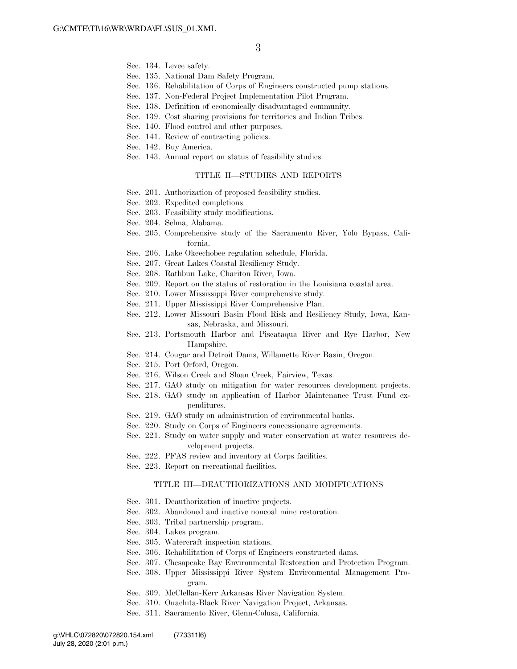- Sec. 134. Levee safety.
- Sec. 135. National Dam Safety Program.
- Sec. 136. Rehabilitation of Corps of Engineers constructed pump stations.
- Sec. 137. Non-Federal Project Implementation Pilot Program.
- Sec. 138. Definition of economically disadvantaged community.
- Sec. 139. Cost sharing provisions for territories and Indian Tribes.
- Sec. 140. Flood control and other purposes.
- Sec. 141. Review of contracting policies.
- Sec. 142. Buy America.
- Sec. 143. Annual report on status of feasibility studies.

#### TITLE II—STUDIES AND REPORTS

- Sec. 201. Authorization of proposed feasibility studies.
- Sec. 202. Expedited completions.
- Sec. 203. Feasibility study modifications.
- Sec. 204. Selma, Alabama.
- Sec. 205. Comprehensive study of the Sacramento River, Yolo Bypass, California.
- Sec. 206. Lake Okeechobee regulation schedule, Florida.
- Sec. 207. Great Lakes Coastal Resiliency Study.
- Sec. 208. Rathbun Lake, Chariton River, Iowa.
- Sec. 209. Report on the status of restoration in the Louisiana coastal area.
- Sec. 210. Lower Mississippi River comprehensive study.
- Sec. 211. Upper Mississippi River Comprehensive Plan.
- Sec. 212. Lower Missouri Basin Flood Risk and Resiliency Study, Iowa, Kansas, Nebraska, and Missouri.
- Sec. 213. Portsmouth Harbor and Piscataqua River and Rye Harbor, New Hampshire.
- Sec. 214. Cougar and Detroit Dams, Willamette River Basin, Oregon.
- Sec. 215. Port Orford, Oregon.
- Sec. 216. Wilson Creek and Sloan Creek, Fairview, Texas.
- Sec. 217. GAO study on mitigation for water resources development projects.
- Sec. 218. GAO study on application of Harbor Maintenance Trust Fund expenditures.
- Sec. 219. GAO study on administration of environmental banks.
- Sec. 220. Study on Corps of Engineers concessionaire agreements.
- Sec. 221. Study on water supply and water conservation at water resources development projects.
- Sec. 222. PFAS review and inventory at Corps facilities.
- Sec. 223. Report on recreational facilities.

#### TITLE III—DEAUTHORIZATIONS AND MODIFICATIONS

- Sec. 301. Deauthorization of inactive projects.
- Sec. 302. Abandoned and inactive noncoal mine restoration.
- Sec. 303. Tribal partnership program.
- Sec. 304. Lakes program.
- Sec. 305. Watercraft inspection stations.
- Sec. 306. Rehabilitation of Corps of Engineers constructed dams.
- Sec. 307. Chesapeake Bay Environmental Restoration and Protection Program.
- Sec. 308. Upper Mississippi River System Environmental Management Program.
- Sec. 309. McClellan-Kerr Arkansas River Navigation System.
- Sec. 310. Ouachita-Black River Navigation Project, Arkansas.
- Sec. 311. Sacramento River, Glenn-Colusa, California.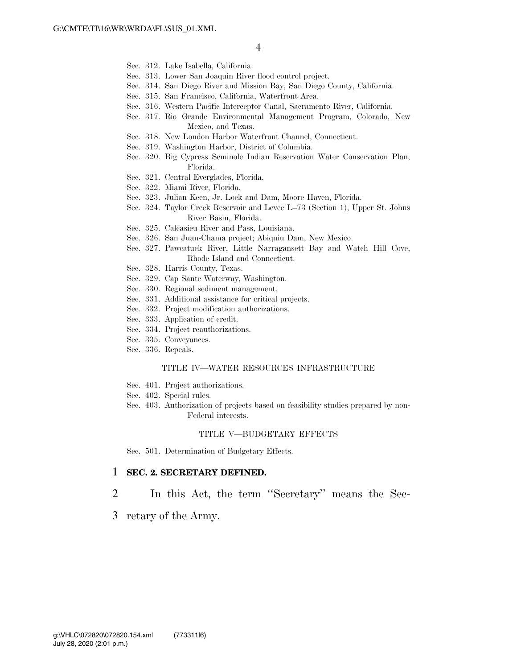- Sec. 312. Lake Isabella, California.
- Sec. 313. Lower San Joaquin River flood control project.
- Sec. 314. San Diego River and Mission Bay, San Diego County, California.
- Sec. 315. San Francisco, California, Waterfront Area.
- Sec. 316. Western Pacific Interceptor Canal, Sacramento River, California.
- Sec. 317. Rio Grande Environmental Management Program, Colorado, New Mexico, and Texas.
- Sec. 318. New London Harbor Waterfront Channel, Connecticut.
- Sec. 319. Washington Harbor, District of Columbia.
- Sec. 320. Big Cypress Seminole Indian Reservation Water Conservation Plan, Florida.
- Sec. 321. Central Everglades, Florida.
- Sec. 322. Miami River, Florida.
- Sec. 323. Julian Keen, Jr. Lock and Dam, Moore Haven, Florida.
- Sec. 324. Taylor Creek Reservoir and Levee L–73 (Section 1), Upper St. Johns River Basin, Florida.
- Sec. 325. Calcasieu River and Pass, Louisiana.
- Sec. 326. San Juan-Chama project; Abiquiu Dam, New Mexico.
- Sec. 327. Pawcatuck River, Little Narragansett Bay and Watch Hill Cove, Rhode Island and Connecticut.
- Sec. 328. Harris County, Texas.
- Sec. 329. Cap Sante Waterway, Washington.
- Sec. 330. Regional sediment management.
- Sec. 331. Additional assistance for critical projects.
- Sec. 332. Project modification authorizations.
- Sec. 333. Application of credit.
- Sec. 334. Project reauthorizations.
- Sec. 335. Conveyances.
- Sec. 336. Repeals.

#### TITLE IV—WATER RESOURCES INFRASTRUCTURE

- Sec. 401. Project authorizations.
- Sec. 402. Special rules.
- Sec. 403. Authorization of projects based on feasibility studies prepared by non-Federal interests.

#### TITLE V—BUDGETARY EFFECTS

Sec. 501. Determination of Budgetary Effects.

#### 1 **SEC. 2. SECRETARY DEFINED.**

- 2 In this Act, the term ''Secretary'' means the Sec-
- 3 retary of the Army.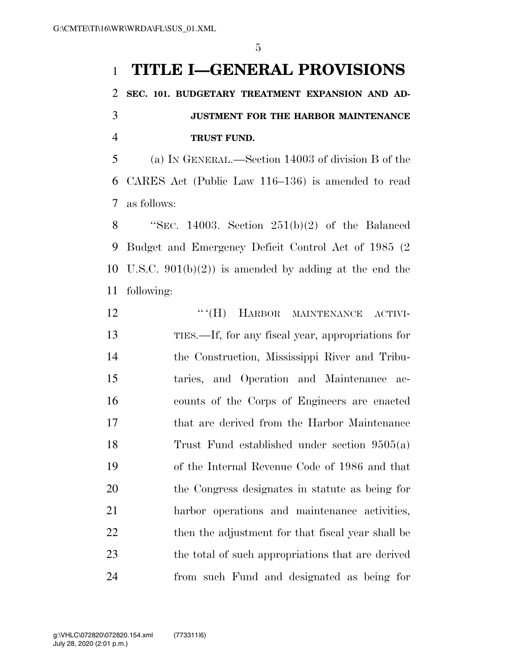# **TITLE I—GENERAL PROVISIONS**

 **SEC. 101. BUDGETARY TREATMENT EXPANSION AND AD- JUSTMENT FOR THE HARBOR MAINTENANCE TRUST FUND.** 

 (a) IN GENERAL.—Section 14003 of division B of the CARES Act (Public Law 116–136) is amended to read as follows:

 ''SEC. 14003. Section 251(b)(2) of the Balanced Budget and Emergency Deficit Control Act of 1985 (2 U.S.C. 901(b)(2)) is amended by adding at the end the following:

**''' (H)** HARBOR MAINTENANCE ACTIVI- TIES.—If, for any fiscal year, appropriations for the Construction, Mississippi River and Tribu- taries, and Operation and Maintenance ac- counts of the Corps of Engineers are enacted that are derived from the Harbor Maintenance Trust Fund established under section 9505(a) of the Internal Revenue Code of 1986 and that the Congress designates in statute as being for harbor operations and maintenance activities, 22 then the adjustment for that fiscal year shall be the total of such appropriations that are derived from such Fund and designated as being for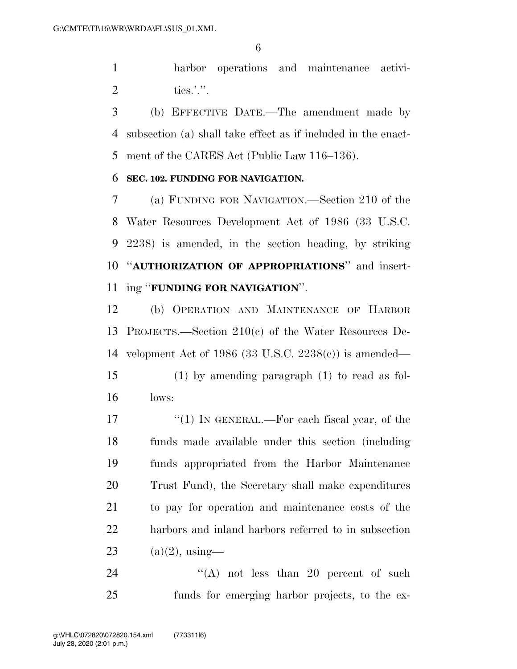harbor operations and maintenance activi-ties.'.''.

 (b) EFFECTIVE DATE.—The amendment made by subsection (a) shall take effect as if included in the enact-ment of the CARES Act (Public Law 116–136).

#### **SEC. 102. FUNDING FOR NAVIGATION.**

 (a) FUNDING FOR NAVIGATION.—Section 210 of the Water Resources Development Act of 1986 (33 U.S.C. 2238) is amended, in the section heading, by striking ''**AUTHORIZATION OF APPROPRIATIONS**'' and insert-ing ''**FUNDING FOR NAVIGATION**''.

 (b) OPERATION AND MAINTENANCE OF HARBOR PROJECTS.—Section 210(c) of the Water Resources De-velopment Act of 1986 (33 U.S.C. 2238(c)) is amended—

 (1) by amending paragraph (1) to read as fol-lows:

17 "(1) IN GENERAL.—For each fiscal year, of the funds made available under this section (including funds appropriated from the Harbor Maintenance Trust Fund), the Secretary shall make expenditures to pay for operation and maintenance costs of the harbors and inland harbors referred to in subsection 23 (a)(2), using—

24 "'(A) not less than 20 percent of such funds for emerging harbor projects, to the ex-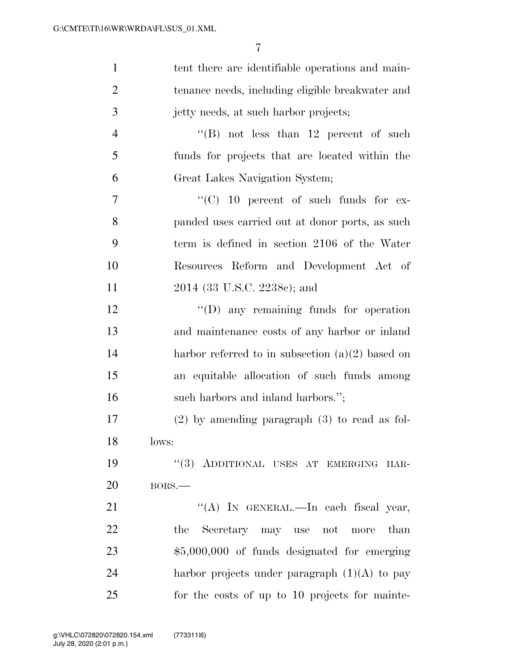| $\mathbf{1}$   | tent there are identifiable operations and main-   |
|----------------|----------------------------------------------------|
| $\overline{c}$ | tenance needs, including eligible breakwater and   |
| 3              | jetty needs, at such harbor projects;              |
| $\overline{4}$ | "(B) not less than 12 percent of such              |
| 5              | funds for projects that are located within the     |
| 6              | Great Lakes Navigation System;                     |
| 7              | "(C) $10$ percent of such funds for ex-            |
| 8              | panded uses carried out at donor ports, as such    |
| 9              | term is defined in section 2106 of the Water       |
| 10             | Resources Reform and Development Act of            |
| 11             | 2014 (33 U.S.C. 2238c); and                        |
| 12             | "(D) any remaining funds for operation             |
| 13             | and maintenance costs of any harbor or inland      |
| 14             | harbor referred to in subsection $(a)(2)$ based on |
| 15             | an equitable allocation of such funds among        |
| 16             | such harbors and inland harbors.";                 |
| 17             | $(2)$ by amending paragraph $(3)$ to read as fol-  |
| 18             | lows:                                              |
| 19             | "(3) ADDITIONAL USES AT EMERGING HAR-              |
| 20             | $BORS$ .                                           |
| 21             | "(A) IN GENERAL.—In each fiscal year,              |
| 22             | Secretary may use not<br>the<br>more<br>than       |
| 23             | $$5,000,000$ of funds designated for emerging      |
| 24             | harbor projects under paragraph $(1)(A)$ to pay    |
| 25             | for the costs of up to 10 projects for mainte-     |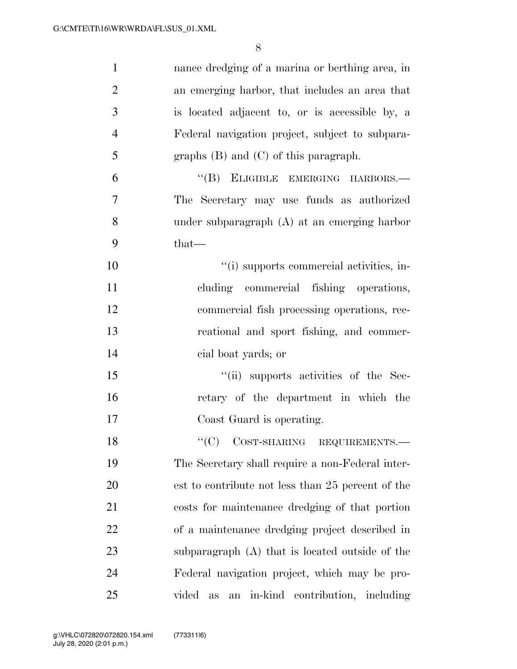| $\mathbf{1}$   | nance dredging of a marina or berthing area, in      |
|----------------|------------------------------------------------------|
| $\overline{2}$ | an emerging harbor, that includes an area that       |
| 3              | is located adjacent to, or is accessible by, a       |
| $\overline{4}$ | Federal navigation project, subject to subpara-      |
| 5              | graphs $(B)$ and $(C)$ of this paragraph.            |
| 6              | "(B) ELIGIBLE EMERGING HARBORS.-                     |
| 7              | The Secretary may use funds as authorized            |
| 8              | under subparagraph (A) at an emerging harbor         |
| 9              | $that$ —                                             |
| 10             | "(i) supports commercial activities, in-             |
| 11             | cluding commercial fishing operations,               |
| 12             | commercial fish processing operations, rec-          |
| 13             | reational and sport fishing, and commer-             |
| 14             | cial boat yards; or                                  |
| 15             | "(ii) supports activities of the Sec-                |
| 16             | retary of the department in which the                |
| 17             | Coast Guard is operating.                            |
| 18             | "(C) COST-SHARING REQUIREMENTS.-                     |
| 19             | The Secretary shall require a non-Federal inter-     |
| 20             | est to contribute not less than 25 percent of the    |
| 21             | costs for maintenance dredging of that portion       |
| 22             | of a maintenance dredging project described in       |
| 23             | subparagraph (A) that is located outside of the      |
| 24             | Federal navigation project, which may be pro-        |
| 25             | in-kind contribution, including<br>vided<br>as<br>an |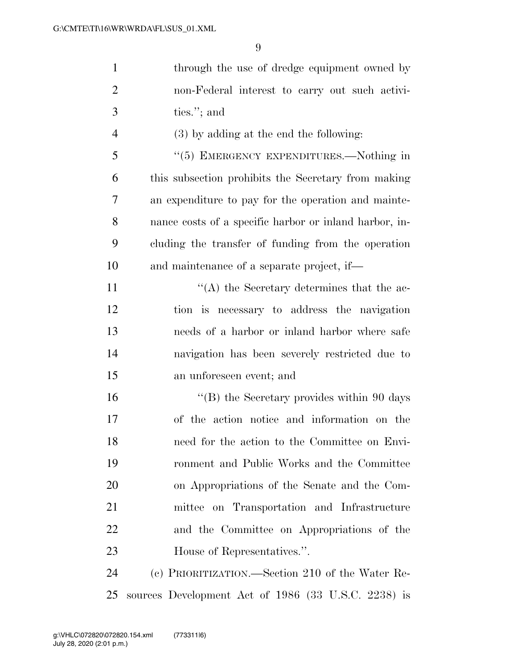| $\mathbf{1}$   | through the use of dredge equipment owned by           |
|----------------|--------------------------------------------------------|
| $\overline{2}$ | non-Federal interest to carry out such activi-         |
| 3              | ties."; and                                            |
| $\overline{4}$ | $(3)$ by adding at the end the following:              |
| 5              | "(5) EMERGENCY EXPENDITURES.—Nothing in                |
| 6              | this subsection prohibits the Secretary from making    |
| 7              | an expenditure to pay for the operation and mainte-    |
| $8\,$          | nance costs of a specific harbor or inland harbor, in- |
| 9              | cluding the transfer of funding from the operation     |
| 10             | and maintenance of a separate project, if—             |
| 11             | $\cdot$ (A) the Secretary determines that the ac-      |
| 12             | tion is necessary to address the navigation            |
| 13             | needs of a harbor or inland harbor where safe          |
| 14             | navigation has been severely restricted due to         |
| 15             | an unforeseen event; and                               |
| 16             | "(B) the Secretary provides within 90 days             |
| 17             | of the action notice and information on the            |
| 18             | need for the action to the Committee on Envi-          |
| 19             | ronment and Public Works and the Committee             |
| 20             | on Appropriations of the Senate and the Com-           |
| 21             | mittee on Transportation and Infrastructure            |
| 22             | and the Committee on Appropriations of the             |
| 23             | House of Representatives.".                            |
| 24             | (c) PRIORITIZATION.—Section 210 of the Water Re-       |

sources Development Act of 1986 (33 U.S.C. 2238) is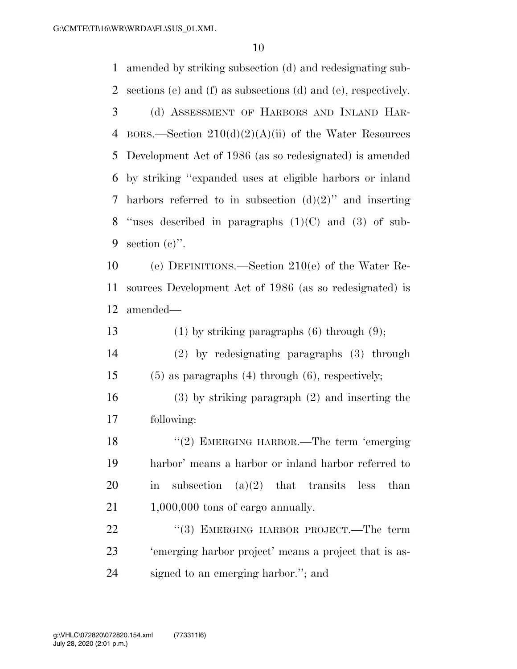amended by striking subsection (d) and redesignating sub- sections (e) and (f) as subsections (d) and (e), respectively. (d) ASSESSMENT OF HARBORS AND INLAND HAR-4 BORS.—Section  $210(d)(2)(A)(ii)$  of the Water Resources Development Act of 1986 (as so redesignated) is amended by striking ''expanded uses at eligible harbors or inland 7 harbors referred to in subsection  $(d)(2)$ " and inserting ''uses described in paragraphs (1)(C) and (3) of sub- section (c)''. (e) DEFINITIONS.—Section 210(e) of the Water Re- sources Development Act of 1986 (as so redesignated) is amended— (1) by striking paragraphs (6) through (9); (2) by redesignating paragraphs (3) through (5) as paragraphs (4) through (6), respectively; (3) by striking paragraph (2) and inserting the following: 18 "(2) EMERGING HARBOR.—The term 'emerging harbor' means a harbor or inland harbor referred to in subsection (a)(2) that transits less than 21 1,000,000 tons of cargo annually. 22 "(3) EMERGING HARBOR PROJECT.—The term 'emerging harbor project' means a project that is as-signed to an emerging harbor.''; and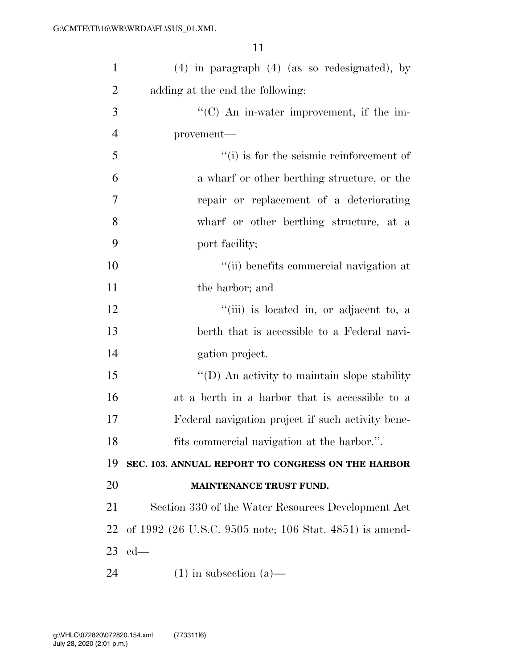| $\mathbf{1}$   | $(4)$ in paragraph $(4)$ (as so redesignated), by           |
|----------------|-------------------------------------------------------------|
| $\overline{2}$ | adding at the end the following:                            |
| 3              | $\lq\lq$ <sup>(C)</sup> An in-water improvement, if the im- |
| $\overline{4}$ | provement-                                                  |
| 5              | $``(i)$ is for the seismic reinforcement of                 |
| 6              | a wharf or other berthing structure, or the                 |
| 7              | repair or replacement of a deteriorating                    |
| 8              | wharf or other berthing structure, at a                     |
| 9              | port facility;                                              |
| 10             | "(ii) benefits commercial navigation at                     |
| 11             | the harbor; and                                             |
| 12             | "(iii) is located in, or adjacent to, a                     |
| 13             | berth that is accessible to a Federal navi-                 |
| 14             | gation project.                                             |
| 15             | "(D) An activity to maintain slope stability                |
| 16             | at a berth in a harbor that is accessible to a              |
| 17             | Federal navigation project if such activity bene-           |
| 18             | fits commercial navigation at the harbor.".                 |
| 19             | SEC. 103. ANNUAL REPORT TO CONGRESS ON THE HARBOR           |
| 20             | MAINTENANCE TRUST FUND.                                     |
| 21             | Section 330 of the Water Resources Development Act          |
| 22             | of 1992 (26 U.S.C. 9505 note; 106 Stat. 4851) is amend-     |
| 23             | $ed$ —                                                      |
| 24             | $(1)$ in subsection $(a)$ —                                 |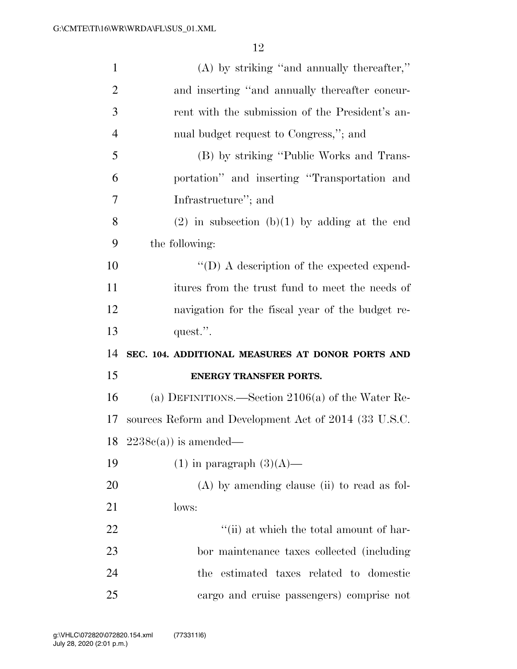| $\mathbf{1}$   | $(A)$ by striking "and annually thereafter,"          |
|----------------|-------------------------------------------------------|
| $\overline{2}$ | and inserting "and annually thereafter concur-        |
| 3              | rent with the submission of the President's an-       |
| $\overline{4}$ | nual budget request to Congress,"; and                |
| 5              | (B) by striking "Public Works and Trans-              |
| 6              | portation" and inserting "Transportation and          |
| 7              | Infrastructure"; and                                  |
| 8              | $(2)$ in subsection $(b)(1)$ by adding at the end     |
| 9              | the following:                                        |
| 10             | $\lq\lq$ (D) A description of the expected expend-    |
| 11             | itures from the trust fund to meet the needs of       |
| 12             | navigation for the fiscal year of the budget re-      |
|                |                                                       |
| 13             | quest.".                                              |
| 14             | SEC. 104. ADDITIONAL MEASURES AT DONOR PORTS AND      |
| 15             | ENERGY TRANSFER PORTS.                                |
| 16             | (a) DEFINITIONS.—Section $2106(a)$ of the Water Re-   |
| 17             | sources Reform and Development Act of 2014 (33 U.S.C. |
|                | 18 $2238c(a)$ is amended—                             |
| 19             | $(1)$ in paragraph $(3)(A)$ —                         |
| 20             | $(A)$ by amending clause (ii) to read as fol-         |
| 21             | lows:                                                 |
| 22             | "(ii) at which the total amount of har-               |
| 23             | bor maintenance taxes collected (including            |
| 24             | the estimated taxes related to domestic               |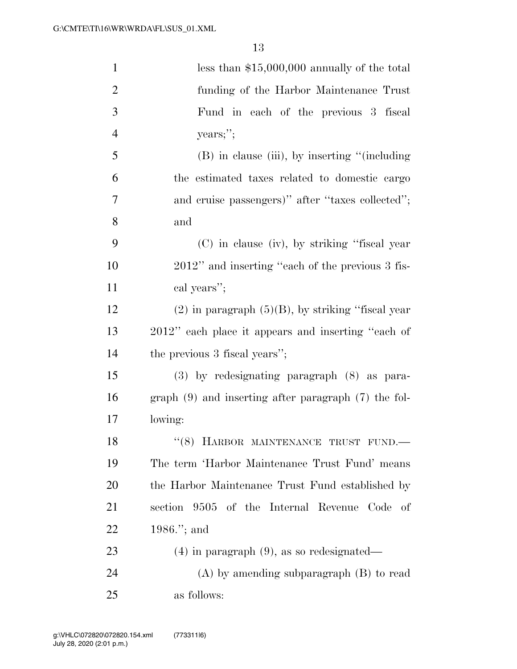| $\mathbf{1}$   | less than $$15,000,000$ annually of the total            |
|----------------|----------------------------------------------------------|
| $\overline{2}$ | funding of the Harbor Maintenance Trust                  |
| 3              | Fund in each of the previous 3 fiscal                    |
| $\overline{4}$ | years;";                                                 |
| 5              | $(B)$ in clause (iii), by inserting "(including)         |
| 6              | the estimated taxes related to domestic cargo            |
| 7              | and cruise passengers)" after "taxes collected";         |
| $8\,$          | and                                                      |
| 9              | (C) in clause (iv), by striking "fiscal year             |
| 10             | 2012" and inserting "each of the previous 3 fis-         |
| 11             | cal years";                                              |
| 12             | $(2)$ in paragraph $(5)(B)$ , by striking "fiscal year"  |
| 13             | 2012" each place it appears and inserting "each of       |
| 14             | the previous 3 fiscal years";                            |
| 15             | $(3)$ by redesignating paragraph $(8)$ as para-          |
| 16             | graph $(9)$ and inserting after paragraph $(7)$ the fol- |
| 17             | lowing:                                                  |
| 18             | "(8) HARBOR MAINTENANCE TRUST FUND.                      |
| 19             | The term 'Harbor Maintenance Trust Fund' means           |
| <b>20</b>      | the Harbor Maintenance Trust Fund established by         |
| 21             | section 9505 of the Internal Revenue Code<br>-of         |
| 22             | 1986."; and                                              |
| 23             | $(4)$ in paragraph $(9)$ , as so redesignated—           |
| 24             | $(A)$ by amending subparagraph $(B)$ to read             |
| 25             | as follows:                                              |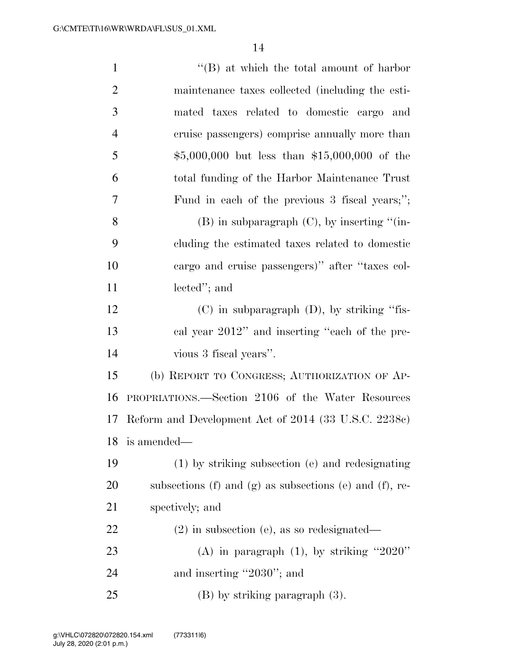| $\mathbf{1}$   | $\lq\lq (B)$ at which the total amount of harbor        |
|----------------|---------------------------------------------------------|
| $\overline{2}$ | maintenance taxes collected (including the esti-        |
| 3              | mated taxes related to domestic cargo and               |
| $\overline{4}$ | cruise passengers) comprise annually more than          |
| 5              | $$5,000,000$ but less than \$15,000,000 of the          |
| 6              | total funding of the Harbor Maintenance Trust           |
| 7              | Fund in each of the previous 3 fiscal years,";          |
| 8              | $(B)$ in subparagraph $(C)$ , by inserting "(in-        |
| 9              | cluding the estimated taxes related to domestic         |
| 10             | cargo and cruise passengers)" after "taxes col-         |
| 11             | lected"; and                                            |
| 12             | $(C)$ in subparagraph $(D)$ , by striking "fis-         |
| 13             | cal year 2012" and inserting "each of the pre-          |
| 14             | vious 3 fiscal years".                                  |
| 15             | (b) REPORT TO CONGRESS; AUTHORIZATION OF AP-            |
| 16             | PROPRIATIONS.—Section 2106 of the Water Resources       |
| 17             | Reform and Development Act of 2014 (33 U.S.C. 2238c)    |
|                | 18 is amended—                                          |
| 19             | (1) by striking subsection (e) and redesignating        |
| 20             | subsections (f) and (g) as subsections (e) and (f), re- |
| 21             | spectively; and                                         |
| 22             | $(2)$ in subsection (e), as so redesignated—            |
| 23             | (A) in paragraph $(1)$ , by striking "2020"             |
| 24             | and inserting "2030"; and                               |
| 25             | $(B)$ by striking paragraph $(3)$ .                     |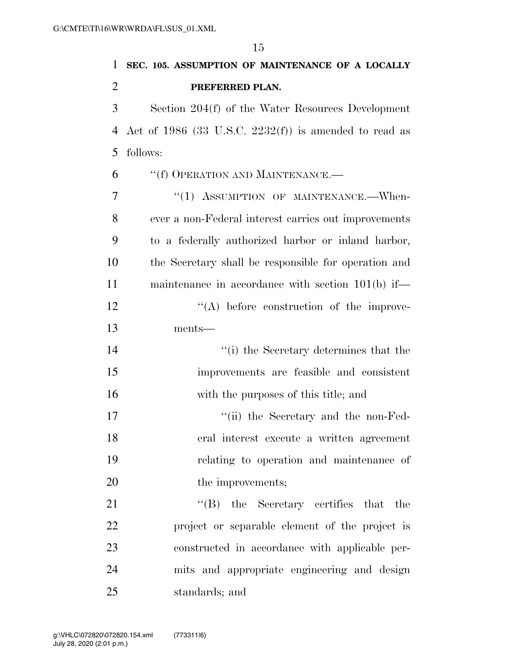**SEC. 105. ASSUMPTION OF MAINTENANCE OF A LOCALLY PREFERRED PLAN.**  Section 204(f) of the Water Resources Development Act of 1986 (33 U.S.C. 2232(f)) is amended to read as follows: ''(f) OPERATION AND MAINTENANCE.— 7 "(1) ASSUMPTION OF MAINTENANCE.—When- ever a non-Federal interest carries out improvements to a federally authorized harbor or inland harbor, the Secretary shall be responsible for operation and maintenance in accordance with section 101(b) if—  $\langle (A) \rangle$  before construction of the improve- ments— 14 ''(i) the Secretary determines that the improvements are feasible and consistent with the purposes of this title; and 17 ''(ii) the Secretary and the non-Fed- eral interest execute a written agreement relating to operation and maintenance of 20 the improvements; 21 ''(B) the Secretary certifies that the project or separable element of the project is constructed in accordance with applicable per- mits and appropriate engineering and design standards; and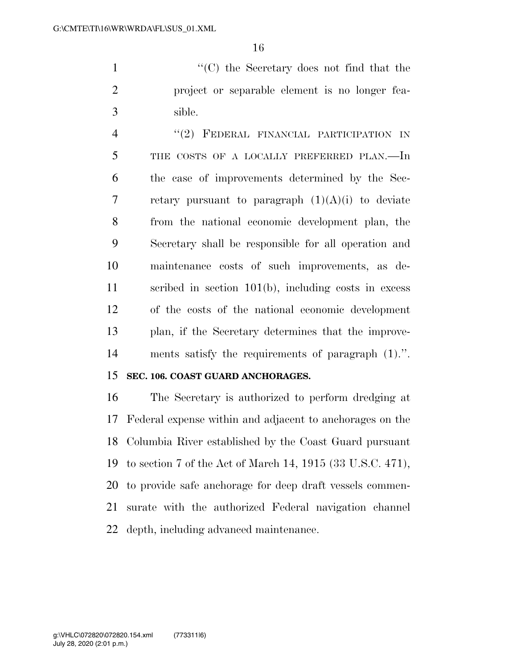1 ''(C) the Secretary does not find that the project or separable element is no longer fea-sible.

4 "(2) FEDERAL FINANCIAL PARTICIPATION IN 5 THE COSTS OF A LOCALLY PREFERRED PLAN.—In the case of improvements determined by the Sec-7 retary pursuant to paragraph  $(1)(A)(i)$  to deviate from the national economic development plan, the Secretary shall be responsible for all operation and maintenance costs of such improvements, as de- scribed in section 101(b), including costs in excess of the costs of the national economic development plan, if the Secretary determines that the improve-ments satisfy the requirements of paragraph (1).''.

## **SEC. 106. COAST GUARD ANCHORAGES.**

 The Secretary is authorized to perform dredging at Federal expense within and adjacent to anchorages on the Columbia River established by the Coast Guard pursuant to section 7 of the Act of March 14, 1915 (33 U.S.C. 471), to provide safe anchorage for deep draft vessels commen- surate with the authorized Federal navigation channel depth, including advanced maintenance.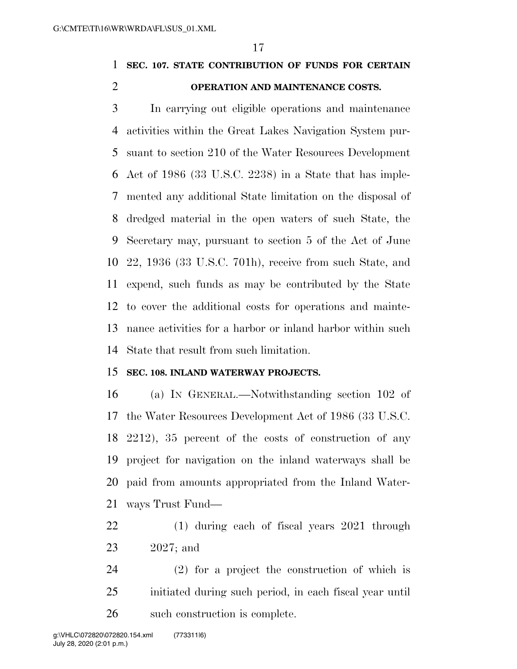# **SEC. 107. STATE CONTRIBUTION OF FUNDS FOR CERTAIN**

## **OPERATION AND MAINTENANCE COSTS.**

 In carrying out eligible operations and maintenance activities within the Great Lakes Navigation System pur- suant to section 210 of the Water Resources Development Act of 1986 (33 U.S.C. 2238) in a State that has imple- mented any additional State limitation on the disposal of dredged material in the open waters of such State, the Secretary may, pursuant to section 5 of the Act of June 22, 1936 (33 U.S.C. 701h), receive from such State, and expend, such funds as may be contributed by the State to cover the additional costs for operations and mainte- nance activities for a harbor or inland harbor within such State that result from such limitation.

#### **SEC. 108. INLAND WATERWAY PROJECTS.**

 (a) IN GENERAL.—Notwithstanding section 102 of the Water Resources Development Act of 1986 (33 U.S.C. 2212), 35 percent of the costs of construction of any project for navigation on the inland waterways shall be paid from amounts appropriated from the Inland Water-ways Trust Fund—

 (1) during each of fiscal years 2021 through 2027; and

 (2) for a project the construction of which is initiated during such period, in each fiscal year until such construction is complete.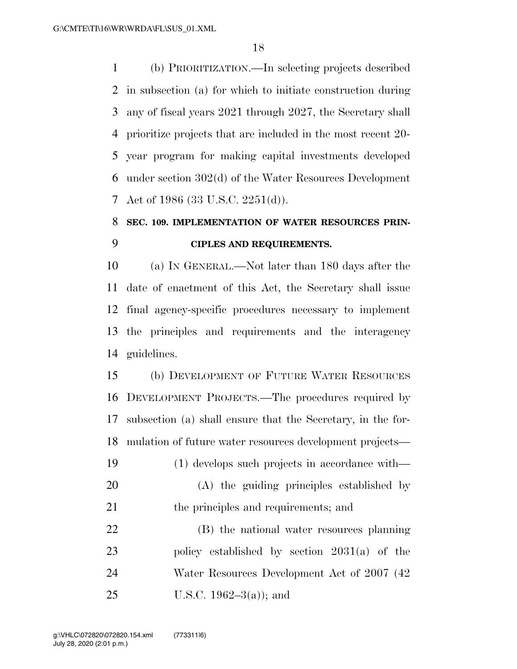(b) PRIORITIZATION.—In selecting projects described in subsection (a) for which to initiate construction during any of fiscal years 2021 through 2027, the Secretary shall prioritize projects that are included in the most recent 20- year program for making capital investments developed under section 302(d) of the Water Resources Development Act of 1986 (33 U.S.C. 2251(d)).

# **SEC. 109. IMPLEMENTATION OF WATER RESOURCES PRIN-CIPLES AND REQUIREMENTS.**

 (a) IN GENERAL.—Not later than 180 days after the date of enactment of this Act, the Secretary shall issue final agency-specific procedures necessary to implement the principles and requirements and the interagency guidelines.

 (b) DEVELOPMENT OF FUTURE WATER RESOURCES DEVELOPMENT PROJECTS.—The procedures required by subsection (a) shall ensure that the Secretary, in the for- mulation of future water resources development projects— (1) develops such projects in accordance with—

 (A) the guiding principles established by 21 the principles and requirements; and

22 (B) the national water resources planning policy established by section 2031(a) of the 24 Water Resources Development Act of 2007 (42) U.S.C. 1962–3(a)); and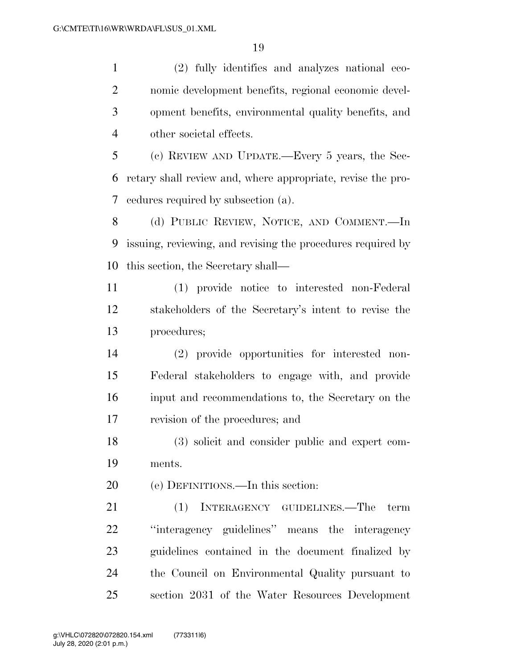(2) fully identifies and analyzes national eco- nomic development benefits, regional economic devel- opment benefits, environmental quality benefits, and other societal effects.

 (c) REVIEW AND UPDATE.—Every 5 years, the Sec- retary shall review and, where appropriate, revise the pro-cedures required by subsection (a).

 (d) PUBLIC REVIEW, NOTICE, AND COMMENT.—In issuing, reviewing, and revising the procedures required by this section, the Secretary shall—

 (1) provide notice to interested non-Federal stakeholders of the Secretary's intent to revise the procedures;

 (2) provide opportunities for interested non- Federal stakeholders to engage with, and provide input and recommendations to, the Secretary on the revision of the procedures; and

 (3) solicit and consider public and expert com-ments.

(e) DEFINITIONS.—In this section:

 (1) INTERAGENCY GUIDELINES.—The term ''interagency guidelines'' means the interagency guidelines contained in the document finalized by the Council on Environmental Quality pursuant to section 2031 of the Water Resources Development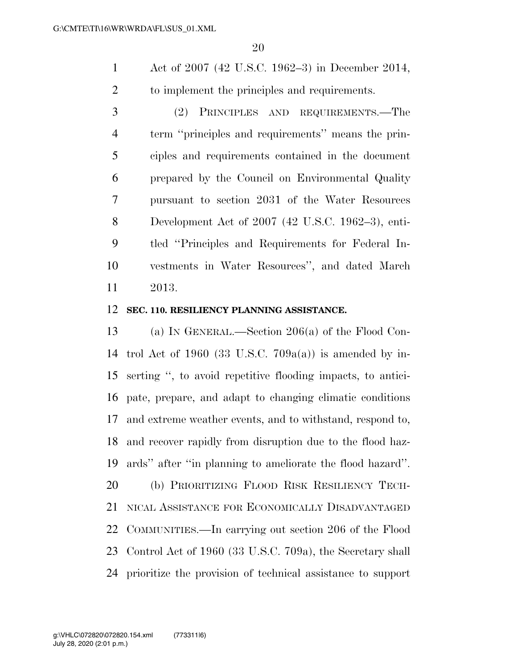Act of 2007 (42 U.S.C. 1962–3) in December 2014, to implement the principles and requirements.

 (2) PRINCIPLES AND REQUIREMENTS.—The term ''principles and requirements'' means the prin- ciples and requirements contained in the document prepared by the Council on Environmental Quality pursuant to section 2031 of the Water Resources Development Act of 2007 (42 U.S.C. 1962–3), enti- tled ''Principles and Requirements for Federal In- vestments in Water Resources'', and dated March 2013.

#### **SEC. 110. RESILIENCY PLANNING ASSISTANCE.**

 (a) IN GENERAL.—Section 206(a) of the Flood Con- trol Act of 1960 (33 U.S.C. 709a(a)) is amended by in- serting '', to avoid repetitive flooding impacts, to antici- pate, prepare, and adapt to changing climatic conditions and extreme weather events, and to withstand, respond to, and recover rapidly from disruption due to the flood haz- ards'' after ''in planning to ameliorate the flood hazard''. (b) PRIORITIZING FLOOD RISK RESILIENCY TECH- NICAL ASSISTANCE FOR ECONOMICALLY DISADVANTAGED COMMUNITIES.—In carrying out section 206 of the Flood Control Act of 1960 (33 U.S.C. 709a), the Secretary shall prioritize the provision of technical assistance to support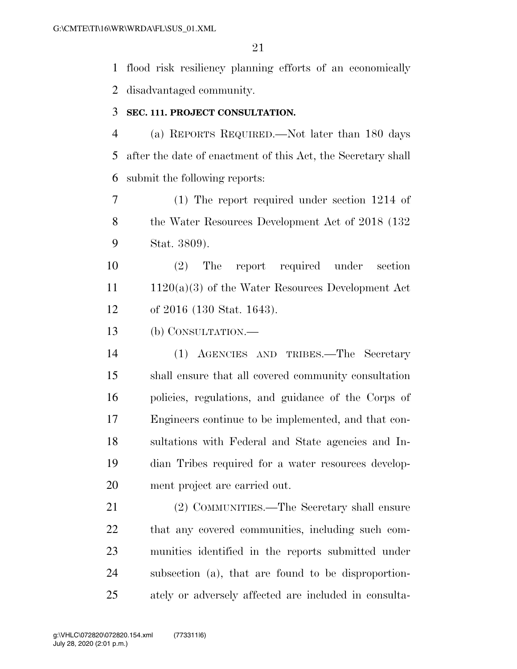flood risk resiliency planning efforts of an economically disadvantaged community.

#### **SEC. 111. PROJECT CONSULTATION.**

 (a) REPORTS REQUIRED.—Not later than 180 days after the date of enactment of this Act, the Secretary shall submit the following reports:

 (1) The report required under section 1214 of 8 the Water Resources Development Act of 2018 (132) Stat. 3809).

 (2) The report required under section 1120(a)(3) of the Water Resources Development Act of 2016 (130 Stat. 1643).

(b) CONSULTATION.—

 (1) AGENCIES AND TRIBES.—The Secretary shall ensure that all covered community consultation policies, regulations, and guidance of the Corps of Engineers continue to be implemented, and that con- sultations with Federal and State agencies and In- dian Tribes required for a water resources develop-ment project are carried out.

 (2) COMMUNITIES.—The Secretary shall ensure that any covered communities, including such com- munities identified in the reports submitted under subsection (a), that are found to be disproportion-ately or adversely affected are included in consulta-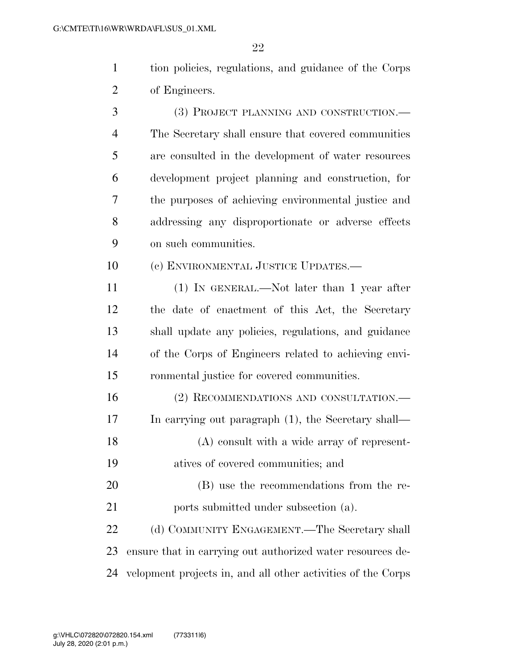| $\mathbf{1}$   | tion policies, regulations, and guidance of the Corps        |
|----------------|--------------------------------------------------------------|
| $\overline{2}$ | of Engineers.                                                |
| 3              | (3) PROJECT PLANNING AND CONSTRUCTION.—                      |
| 4              | The Secretary shall ensure that covered communities          |
| 5              | are consulted in the development of water resources          |
| 6              | development project planning and construction, for           |
| 7              | the purposes of achieving environmental justice and          |
| 8              | addressing any disproportionate or adverse effects           |
| 9              | on such communities.                                         |
| 10             | (c) ENVIRONMENTAL JUSTICE UPDATES.—                          |
| 11             | (1) IN GENERAL.—Not later than 1 year after                  |
| 12             | the date of enactment of this Act, the Secretary             |
| 13             | shall update any policies, regulations, and guidance         |
| 14             | of the Corps of Engineers related to achieving envi-         |
| 15             | ronmental justice for covered communities.                   |
| 16             | (2) RECOMMENDATIONS AND CONSULTATION.—                       |
| 17             | In carrying out paragraph (1), the Secretary shall—          |
| 18             | $(A)$ consult with a wide array of represent-                |
| 19             | atives of covered communities; and                           |
| 20             | (B) use the recommendations from the re-                     |
| 21             | ports submitted under subsection (a).                        |
| 22             | (d) COMMUNITY ENGAGEMENT.—The Secretary shall                |
| 23             | ensure that in carrying out authorized water resources de-   |
| 24             | velopment projects in, and all other activities of the Corps |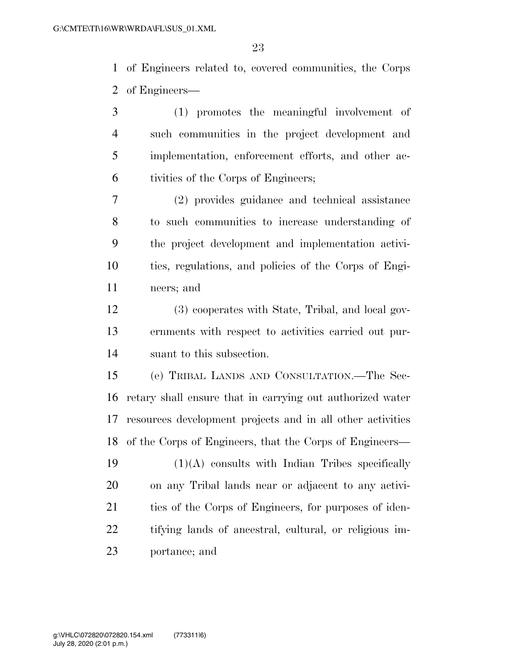of Engineers related to, covered communities, the Corps of Engineers—

- (1) promotes the meaningful involvement of such communities in the project development and implementation, enforcement efforts, and other ac-tivities of the Corps of Engineers;
- (2) provides guidance and technical assistance to such communities to increase understanding of the project development and implementation activi- ties, regulations, and policies of the Corps of Engi-neers; and
- (3) cooperates with State, Tribal, and local gov- ernments with respect to activities carried out pur-suant to this subsection.
- (e) TRIBAL LANDS AND CONSULTATION.—The Sec- retary shall ensure that in carrying out authorized water resources development projects and in all other activities of the Corps of Engineers, that the Corps of Engineers—
- $(1)(A)$  consults with Indian Tribes specifically on any Tribal lands near or adjacent to any activi-21 ties of the Corps of Engineers, for purposes of iden- tifying lands of ancestral, cultural, or religious im-portance; and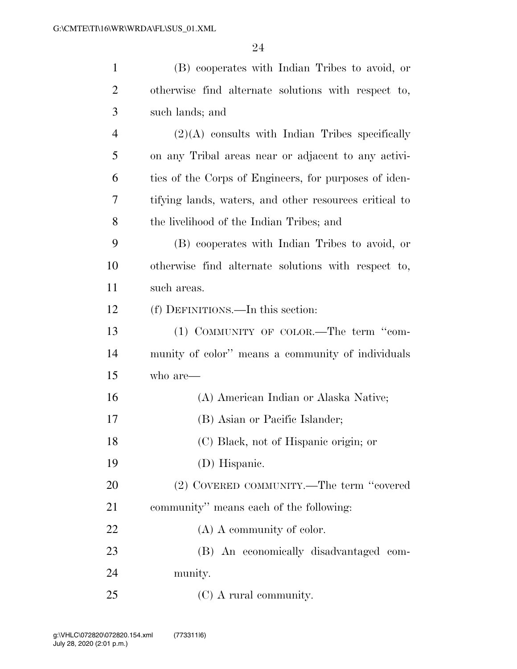| $\mathbf{1}$   | (B) cooperates with Indian Tribes to avoid, or         |
|----------------|--------------------------------------------------------|
| $\overline{2}$ | otherwise find alternate solutions with respect to,    |
| 3              | such lands; and                                        |
| $\overline{4}$ | $(2)(A)$ consults with Indian Tribes specifically      |
| 5              | on any Tribal areas near or adjacent to any activi-    |
| 6              | ties of the Corps of Engineers, for purposes of iden-  |
| 7              | tifying lands, waters, and other resources critical to |
| 8              | the livelihood of the Indian Tribes; and               |
| 9              | (B) cooperates with Indian Tribes to avoid, or         |
| 10             | otherwise find alternate solutions with respect to,    |
| 11             | such areas.                                            |
| 12             | (f) DEFINITIONS.—In this section:                      |
| 13             | (1) COMMUNITY OF COLOR.—The term "com-                 |
| 14             | munity of color" means a community of individuals      |
| 15             | who are—                                               |
| 16             | (A) American Indian or Alaska Native;                  |
| 17             | (B) Asian or Pacific Islander;                         |
| 18             | (C) Black, not of Hispanic origin; or                  |
| 19             | (D) Hispanic.                                          |
| 20             | (2) COVERED COMMUNITY.—The term "covered               |
| 21             | community" means each of the following:                |
| 22             | $(A)$ A community of color.                            |
| 23             | (B) An economically disadvantaged com-                 |
| 24             | munity.                                                |
| 25             | (C) A rural community.                                 |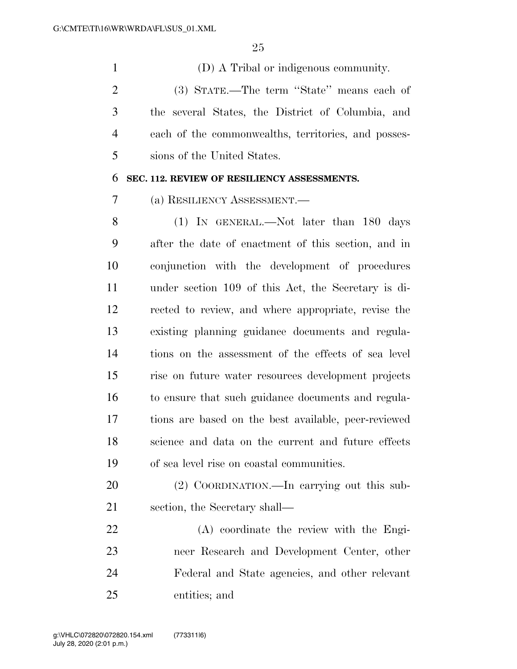(D) A Tribal or indigenous community.

 (3) STATE.—The term ''State'' means each of the several States, the District of Columbia, and each of the commonwealths, territories, and posses-sions of the United States.

#### **SEC. 112. REVIEW OF RESILIENCY ASSESSMENTS.**

(a) RESILIENCY ASSESSMENT.—

 (1) IN GENERAL.—Not later than 180 days after the date of enactment of this section, and in conjunction with the development of procedures under section 109 of this Act, the Secretary is di- rected to review, and where appropriate, revise the existing planning guidance documents and regula- tions on the assessment of the effects of sea level rise on future water resources development projects to ensure that such guidance documents and regula- tions are based on the best available, peer-reviewed science and data on the current and future effects of sea level rise on coastal communities.

 (2) COORDINATION.—In carrying out this sub-section, the Secretary shall—

 (A) coordinate the review with the Engi- neer Research and Development Center, other Federal and State agencies, and other relevant entities; and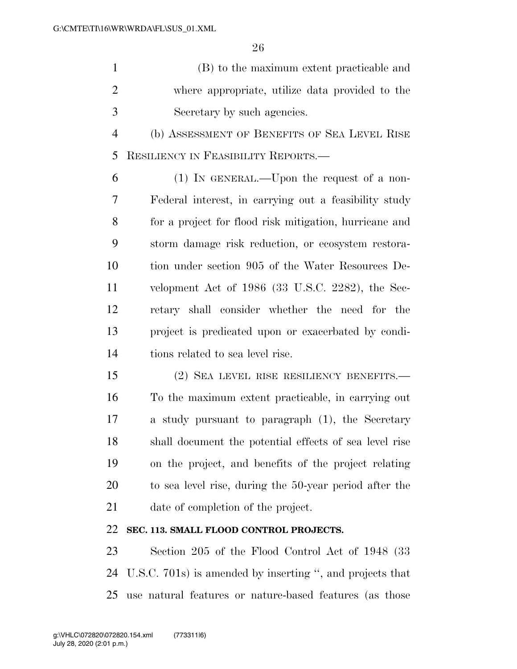(B) to the maximum extent practicable and where appropriate, utilize data provided to the Secretary by such agencies.

 (b) ASSESSMENT OF BENEFITS OF SEA LEVEL RISE RESILIENCY IN FEASIBILITY REPORTS.—

 (1) IN GENERAL.—Upon the request of a non- Federal interest, in carrying out a feasibility study for a project for flood risk mitigation, hurricane and storm damage risk reduction, or ecosystem restora- tion under section 905 of the Water Resources De- velopment Act of 1986 (33 U.S.C. 2282), the Sec- retary shall consider whether the need for the project is predicated upon or exacerbated by condi-tions related to sea level rise.

 (2) SEA LEVEL RISE RESILIENCY BENEFITS.— To the maximum extent practicable, in carrying out a study pursuant to paragraph (1), the Secretary shall document the potential effects of sea level rise on the project, and benefits of the project relating to sea level rise, during the 50-year period after the date of completion of the project.

## **SEC. 113. SMALL FLOOD CONTROL PROJECTS.**

 Section 205 of the Flood Control Act of 1948 (33 U.S.C. 701s) is amended by inserting '', and projects that use natural features or nature-based features (as those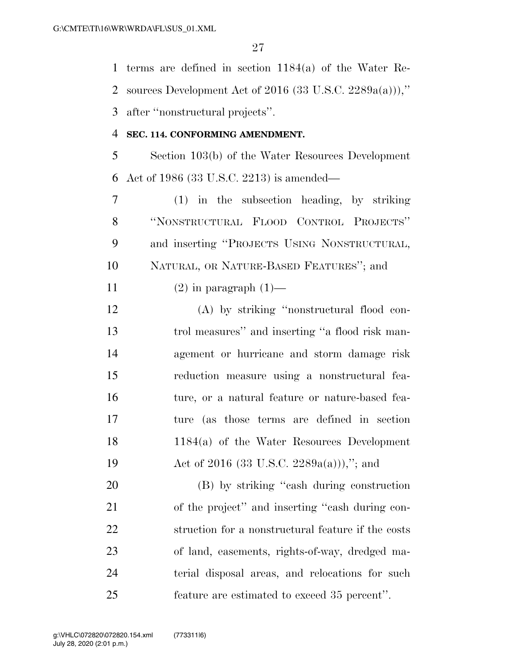terms are defined in section 1184(a) of the Water Re-2 sources Development Act of (33 U.S.C.  $2289a(a)$ ))," after ''nonstructural projects''.

# **SEC. 114. CONFORMING AMENDMENT.**

 Section 103(b) of the Water Resources Development Act of 1986 (33 U.S.C. 2213) is amended—

 (1) in the subsection heading, by striking ''NONSTRUCTURAL FLOOD CONTROL PROJECTS'' and inserting ''PROJECTS USING NONSTRUCTURAL, NATURAL, OR NATURE-BASED FEATURES''; and

11  $(2)$  in paragraph  $(1)$ —

 (A) by striking ''nonstructural flood con- trol measures'' and inserting ''a flood risk man- agement or hurricane and storm damage risk reduction measure using a nonstructural fea- ture, or a natural feature or nature-based fea- ture (as those terms are defined in section 18 1184(a) of the Water Resources Development 19 Act of 2016 (33 U.S.C. 2289a(a))),"; and

20 (B) by striking "cash during construction of the project'' and inserting ''cash during con- struction for a nonstructural feature if the costs of land, easements, rights-of-way, dredged ma- terial disposal areas, and relocations for such feature are estimated to exceed 35 percent''.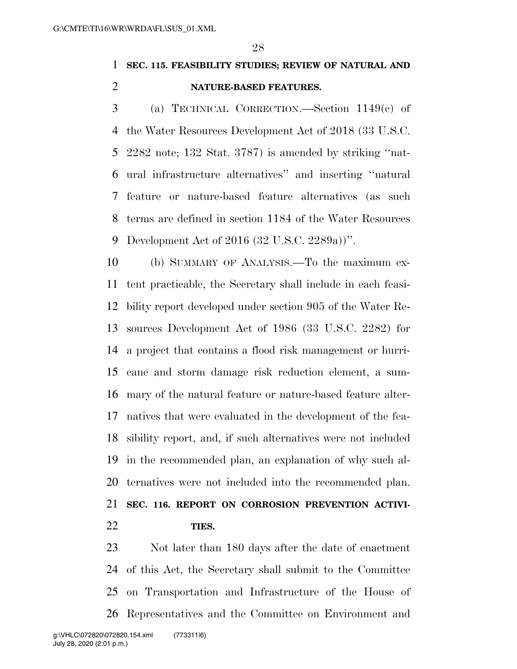# **SEC. 115. FEASIBILITY STUDIES; REVIEW OF NATURAL AND NATURE-BASED FEATURES.**

 (a) TECHNICAL CORRECTION.—Section 1149(c) of the Water Resources Development Act of 2018 (33 U.S.C. 2282 note; 132 Stat. 3787) is amended by striking ''nat- ural infrastructure alternatives'' and inserting ''natural feature or nature-based feature alternatives (as such terms are defined in section 1184 of the Water Resources Development Act of 2016 (32 U.S.C. 2289a))''.

 (b) SUMMARY OF ANALYSIS.—To the maximum ex- tent practicable, the Secretary shall include in each feasi- bility report developed under section 905 of the Water Re- sources Development Act of 1986 (33 U.S.C. 2282) for a project that contains a flood risk management or hurri- cane and storm damage risk reduction element, a sum- mary of the natural feature or nature-based feature alter- natives that were evaluated in the development of the fea- sibility report, and, if such alternatives were not included in the recommended plan, an explanation of why such al- ternatives were not included into the recommended plan. **SEC. 116. REPORT ON CORROSION PREVENTION ACTIVI-TIES.** 

 Not later than 180 days after the date of enactment of this Act, the Secretary shall submit to the Committee on Transportation and Infrastructure of the House of Representatives and the Committee on Environment and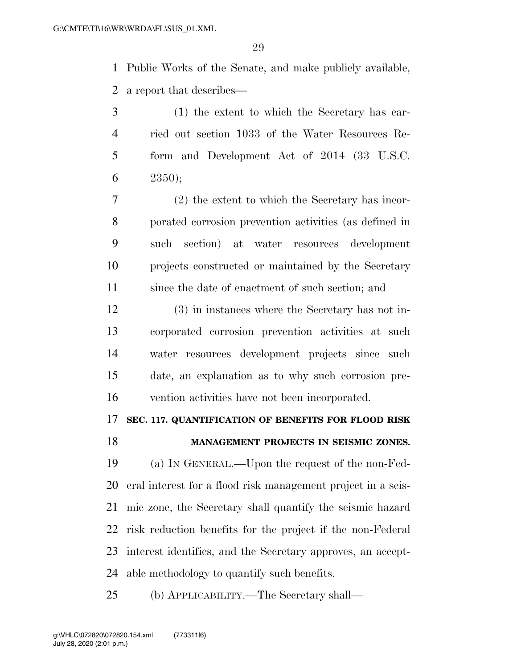Public Works of the Senate, and make publicly available, a report that describes—

 (1) the extent to which the Secretary has car- ried out section 1033 of the Water Resources Re- form and Development Act of 2014 (33 U.S.C. 6 ;

 (2) the extent to which the Secretary has incor- porated corrosion prevention activities (as defined in such section) at water resources development projects constructed or maintained by the Secretary since the date of enactment of such section; and

 (3) in instances where the Secretary has not in- corporated corrosion prevention activities at such water resources development projects since such date, an explanation as to why such corrosion pre-vention activities have not been incorporated.

## **SEC. 117. QUANTIFICATION OF BENEFITS FOR FLOOD RISK**

## **MANAGEMENT PROJECTS IN SEISMIC ZONES.**

 (a) IN GENERAL.—Upon the request of the non-Fed- eral interest for a flood risk management project in a seis- mic zone, the Secretary shall quantify the seismic hazard risk reduction benefits for the project if the non-Federal interest identifies, and the Secretary approves, an accept-able methodology to quantify such benefits.

(b) APPLICABILITY.—The Secretary shall—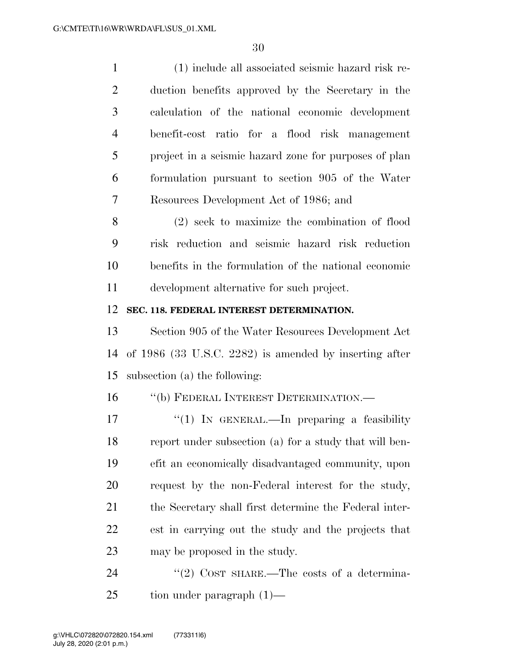| $\mathbf{1}$   | (1) include all associated seismic hazard risk re-       |
|----------------|----------------------------------------------------------|
| $\overline{2}$ | duction benefits approved by the Secretary in the        |
| 3              | calculation of the national economic development         |
| $\overline{4}$ | benefit-cost ratio for a flood risk management           |
| 5              | project in a seismic hazard zone for purposes of plan    |
| 6              | formulation pursuant to section 905 of the Water         |
| 7              | Resources Development Act of 1986; and                   |
| 8              | $(2)$ seek to maximize the combination of flood          |
| 9              | risk reduction and seismic hazard risk reduction         |
| 10             | benefits in the formulation of the national economic     |
| 11             | development alternative for such project.                |
| 12             | SEC. 118. FEDERAL INTEREST DETERMINATION.                |
| 13             | Section 905 of the Water Resources Development Act       |
| 14             | of $1986$ (33 U.S.C. 2282) is amended by inserting after |
| 15             | subsection (a) the following:                            |
| 16             | "(b) FEDERAL INTEREST DETERMINATION.—                    |
| 17             | "(1) IN GENERAL.—In preparing a feasibility              |
| 18             | report under subsection (a) for a study that will ben-   |
| 19             | efit an economically disadvantaged community, upon       |
| 20             | request by the non-Federal interest for the study,       |
| 21             | the Secretary shall first determine the Federal inter-   |
| 22             | est in carrying out the study and the projects that      |
| 23             | may be proposed in the study.                            |
| 24             | "(2) COST SHARE.—The costs of a determina-               |
| 25             | tion under paragraph $(1)$ —                             |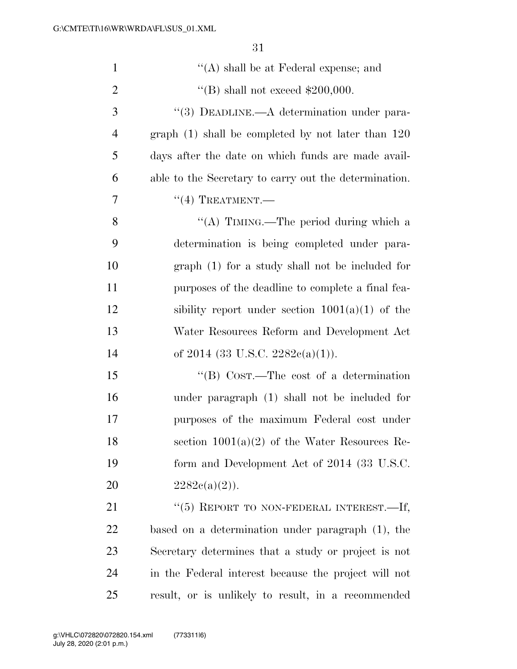| $\mathbf{1}$   | $\lq\lq$ shall be at Federal expense; and              |
|----------------|--------------------------------------------------------|
| $\overline{2}$ | "(B) shall not exceed $$200,000$ .                     |
| 3              | "(3) DEADLINE.—A determination under para-             |
| $\overline{4}$ | graph $(1)$ shall be completed by not later than $120$ |
| 5              | days after the date on which funds are made avail-     |
| 6              | able to the Secretary to carry out the determination.  |
| 7              | $``(4)$ TREATMENT.—                                    |
| 8              | "(A) TIMING.—The period during which a                 |
| 9              | determination is being completed under para-           |
| 10             | $graph(1)$ for a study shall not be included for       |
| 11             | purposes of the deadline to complete a final fea-      |
| 12             | sibility report under section $1001(a)(1)$ of the      |
| 13             | Water Resources Reform and Development Act             |
| 14             | of 2014 (33 U.S.C. 2282 $e(a)(1)$ ).                   |
| 15             | "(B) Cost.—The cost of a determination                 |
| 16             | under paragraph (1) shall not be included for          |
| $17\,$         | purposes of the maximum Federal cost under             |
| 18             | section $1001(a)(2)$ of the Water Resources Re-        |
| 19             | form and Development Act of 2014 (33 U.S.C.            |
| 20             | $2282c(a)(2)$ .                                        |
| 21             | "(5) REPORT TO NON-FEDERAL INTEREST.—If,               |
| 22             | based on a determination under paragraph (1), the      |
| 23             | Secretary determines that a study or project is not    |
| 24             | in the Federal interest because the project will not   |
| 25             | result, or is unlikely to result, in a recommended     |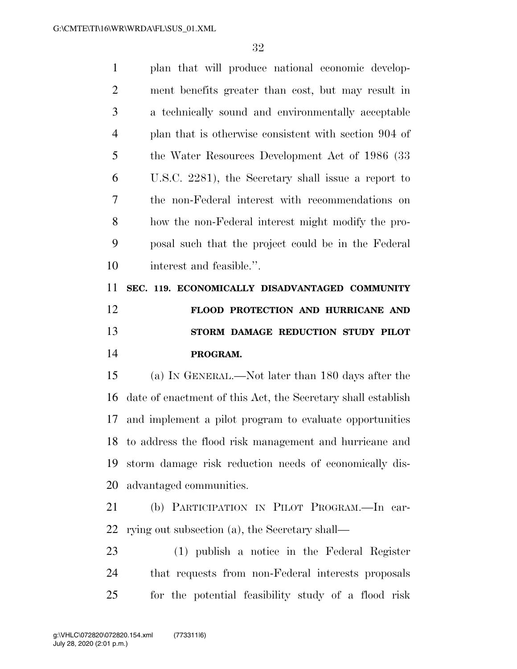| $\mathbf{1}$   | plan that will produce national economic develop-     |
|----------------|-------------------------------------------------------|
| 2              | ment benefits greater than cost, but may result in    |
| 3              | a technically sound and environmentally acceptable    |
| $\overline{4}$ | plan that is otherwise consistent with section 904 of |
| 5              | the Water Resources Development Act of 1986 (33)      |
| 6              | U.S.C. 2281), the Secretary shall issue a report to   |
| 7              | the non-Federal interest with recommendations on      |
| 8              | how the non-Federal interest might modify the pro-    |
| 9              | posal such that the project could be in the Federal   |
| 10             | interest and feasible.".                              |
| 11             | SEC. 119. ECONOMICALLY DISADVANTAGED COMMUNITY        |
| 12             | FLOOD PROTECTION AND HURRICANE AND                    |
| 13             | STORM DAMAGE REDUCTION STUDY PILOT                    |
|                |                                                       |

## **PROGRAM.**

 (a) IN GENERAL.—Not later than 180 days after the date of enactment of this Act, the Secretary shall establish and implement a pilot program to evaluate opportunities to address the flood risk management and hurricane and storm damage risk reduction needs of economically dis-advantaged communities.

 (b) PARTICIPATION IN PILOT PROGRAM.—In car-rying out subsection (a), the Secretary shall—

 (1) publish a notice in the Federal Register that requests from non-Federal interests proposals for the potential feasibility study of a flood risk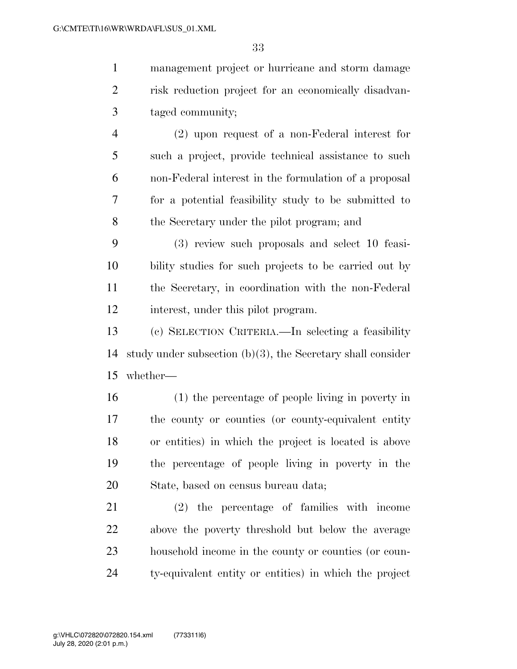management project or hurricane and storm damage risk reduction project for an economically disadvan-taged community;

 (2) upon request of a non-Federal interest for such a project, provide technical assistance to such non-Federal interest in the formulation of a proposal for a potential feasibility study to be submitted to the Secretary under the pilot program; and

 (3) review such proposals and select 10 feasi- bility studies for such projects to be carried out by the Secretary, in coordination with the non-Federal interest, under this pilot program.

 (c) SELECTION CRITERIA.—In selecting a feasibility study under subsection (b)(3), the Secretary shall consider whether—

 (1) the percentage of people living in poverty in the county or counties (or county-equivalent entity or entities) in which the project is located is above the percentage of people living in poverty in the State, based on census bureau data;

 (2) the percentage of families with income above the poverty threshold but below the average household income in the county or counties (or coun-ty-equivalent entity or entities) in which the project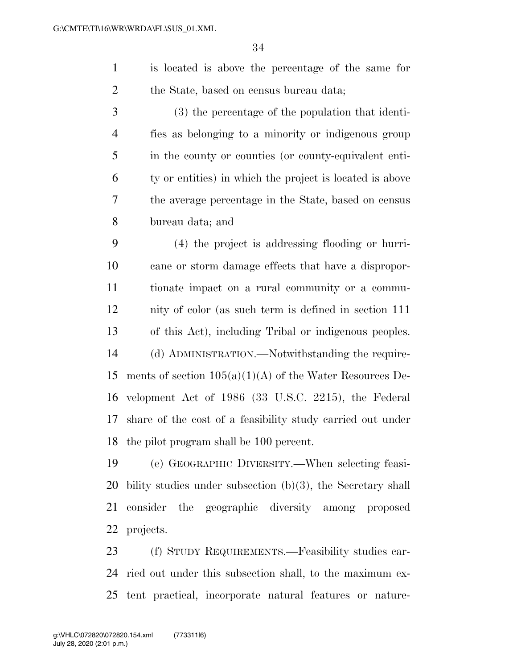is located is above the percentage of the same for 2 the State, based on census bureau data;

 (3) the percentage of the population that identi- fies as belonging to a minority or indigenous group in the county or counties (or county-equivalent enti- ty or entities) in which the project is located is above the average percentage in the State, based on census bureau data; and

 (4) the project is addressing flooding or hurri- cane or storm damage effects that have a dispropor- tionate impact on a rural community or a commu- nity of color (as such term is defined in section 111 of this Act), including Tribal or indigenous peoples. (d) ADMINISTRATION.—Notwithstanding the require-15 ments of section  $105(a)(1)(A)$  of the Water Resources De- velopment Act of 1986 (33 U.S.C. 2215), the Federal share of the cost of a feasibility study carried out under the pilot program shall be 100 percent.

 (e) GEOGRAPHIC DIVERSITY.—When selecting feasi- bility studies under subsection (b)(3), the Secretary shall consider the geographic diversity among proposed projects.

 (f) STUDY REQUIREMENTS.—Feasibility studies car- ried out under this subsection shall, to the maximum ex-tent practical, incorporate natural features or nature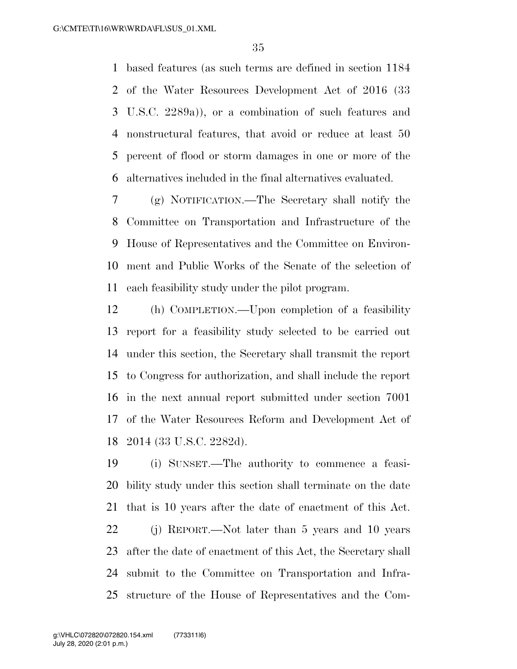based features (as such terms are defined in section 1184 of the Water Resources Development Act of 2016 (33 U.S.C. 2289a)), or a combination of such features and nonstructural features, that avoid or reduce at least 50 percent of flood or storm damages in one or more of the alternatives included in the final alternatives evaluated.

 (g) NOTIFICATION.—The Secretary shall notify the Committee on Transportation and Infrastructure of the House of Representatives and the Committee on Environ- ment and Public Works of the Senate of the selection of each feasibility study under the pilot program.

 (h) COMPLETION.—Upon completion of a feasibility report for a feasibility study selected to be carried out under this section, the Secretary shall transmit the report to Congress for authorization, and shall include the report in the next annual report submitted under section 7001 of the Water Resources Reform and Development Act of 2014 (33 U.S.C. 2282d).

 (i) SUNSET.—The authority to commence a feasi- bility study under this section shall terminate on the date that is 10 years after the date of enactment of this Act. (j) REPORT.—Not later than 5 years and 10 years after the date of enactment of this Act, the Secretary shall submit to the Committee on Transportation and Infra-structure of the House of Representatives and the Com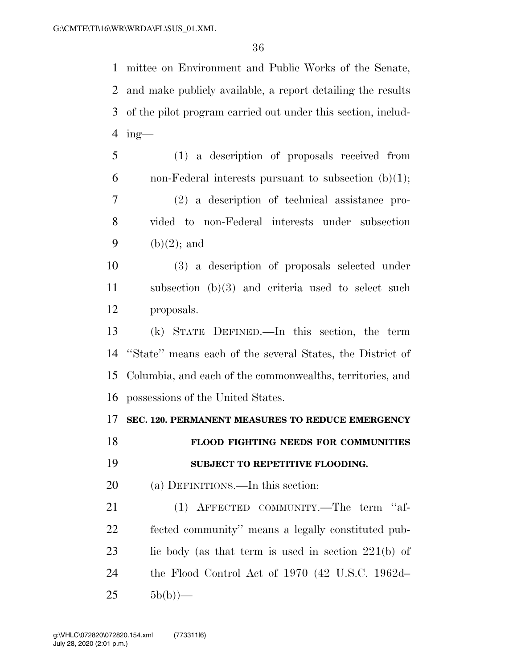mittee on Environment and Public Works of the Senate, and make publicly available, a report detailing the results of the pilot program carried out under this section, includ-ing—

 (1) a description of proposals received from 6 non-Federal interests pursuant to subsection  $(b)(1)$ ; (2) a description of technical assistance pro- vided to non-Federal interests under subsection 9 (b) $(2)$ ; and

 (3) a description of proposals selected under subsection (b)(3) and criteria used to select such proposals.

 (k) STATE DEFINED.—In this section, the term ''State'' means each of the several States, the District of Columbia, and each of the commonwealths, territories, and possessions of the United States.

#### **SEC. 120. PERMANENT MEASURES TO REDUCE EMERGENCY**

# **FLOOD FIGHTING NEEDS FOR COMMUNITIES SUBJECT TO REPETITIVE FLOODING.**

(a) DEFINITIONS.—In this section:

21 (1) AFFECTED COMMUNITY.—The term "af- fected community'' means a legally constituted pub-23 lic body (as that term is used in section 221(b) of the Flood Control Act of 1970 (42 U.S.C. 1962d–  $5b(b)$ )—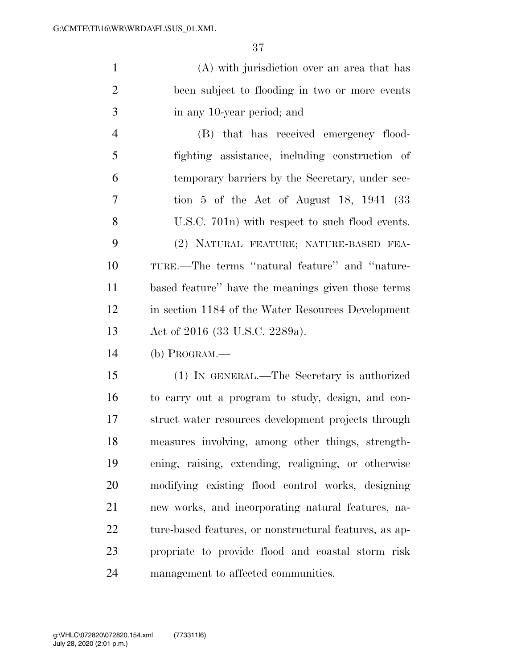(A) with jurisdiction over an area that has been subject to flooding in two or more events in any 10-year period; and

 (B) that has received emergency flood- fighting assistance, including construction of temporary barriers by the Secretary, under sec- tion 5 of the Act of August 18, 1941 (33 U.S.C. 701n) with respect to such flood events. (2) NATURAL FEATURE; NATURE-BASED FEA- TURE.—The terms ''natural feature'' and ''nature- based feature'' have the meanings given those terms in section 1184 of the Water Resources Development Act of 2016 (33 U.S.C. 2289a).

(b) PROGRAM.—

 (1) IN GENERAL.—The Secretary is authorized to carry out a program to study, design, and con- struct water resources development projects through measures involving, among other things, strength- ening, raising, extending, realigning, or otherwise modifying existing flood control works, designing new works, and incorporating natural features, na-22 ture-based features, or nonstructural features, as ap- propriate to provide flood and coastal storm risk management to affected communities.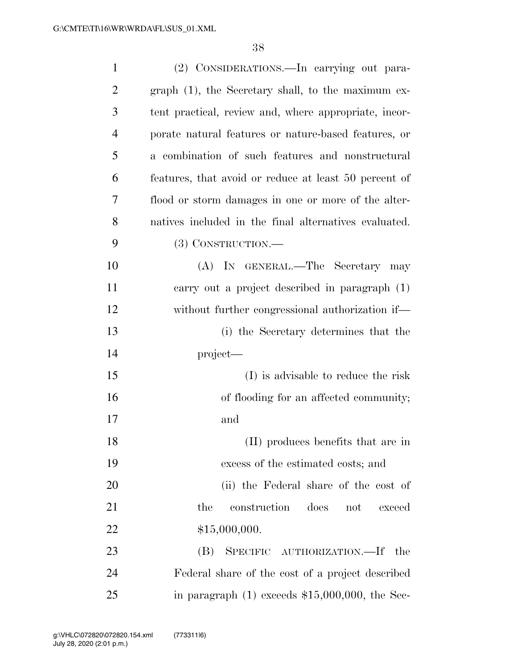| $\mathbf{1}$   | (2) CONSIDERATIONS.—In carrying out para-             |
|----------------|-------------------------------------------------------|
| $\overline{2}$ | graph (1), the Secretary shall, to the maximum ex-    |
| 3              | tent practical, review and, where appropriate, incor- |
| $\overline{4}$ | porate natural features or nature-based features, or  |
| 5              | a combination of such features and nonstructural      |
| 6              | features, that avoid or reduce at least 50 percent of |
| 7              | flood or storm damages in one or more of the alter-   |
| 8              | natives included in the final alternatives evaluated. |
| 9              | $(3)$ CONSTRUCTION.—                                  |
| 10             | (A) IN GENERAL.—The Secretary may                     |
| 11             | carry out a project described in paragraph (1)        |
| 12             | without further congressional authorization if—       |
| 13             | (i) the Secretary determines that the                 |
| 14             | project—                                              |
| 15             | (I) is advisable to reduce the risk                   |
| 16             | of flooding for an affected community;                |
| 17             | and                                                   |
| 18             | (II) produces benefits that are in                    |
| 19             | excess of the estimated costs; and                    |
| 20             | (ii) the Federal share of the cost of                 |
| 21             | construction<br>does<br>the<br>not<br>exceed          |
| 22             | \$15,000,000.                                         |
| 23             | (B)<br>SPECIFIC AUTHORIZATION.—If<br>the              |
| 24             | Federal share of the cost of a project described      |
| 25             | in paragraph $(1)$ exceeds \$15,000,000, the Sec-     |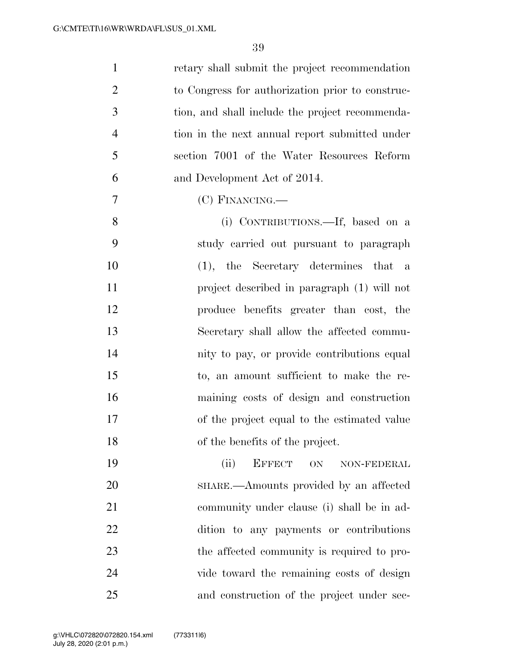| $\mathbf{1}$   | retary shall submit the project recommendation   |
|----------------|--------------------------------------------------|
| $\overline{2}$ | to Congress for authorization prior to construc- |
| 3              | tion, and shall include the project recommenda-  |
| $\overline{4}$ | tion in the next annual report submitted under   |
| 5              | section 7001 of the Water Resources Reform       |
| 6              | and Development Act of 2014.                     |
| 7              | (C) FINANCING.—                                  |
| 8              | (i) CONTRIBUTIONS.—If, based on a                |
| 9              | study carried out pursuant to paragraph          |
| 10             | (1), the Secretary determines that a             |
| 11             | project described in paragraph (1) will not      |
| 12             | produce benefits greater than cost, the          |
| 13             | Secretary shall allow the affected commu-        |
| 14             | nity to pay, or provide contributions equal      |
| 15             | to, an amount sufficient to make the re-         |
| 16             | maining costs of design and construction         |
| 17             | of the project equal to the estimated value      |
| 18             | of the benefits of the project.                  |
| 19             | <b>EFFECT</b><br>(ii)<br>ON<br>NON-FEDERAL       |
| 20             | SHARE.—Amounts provided by an affected           |
| 21             | community under clause (i) shall be in ad-       |
| 22             | dition to any payments or contributions          |
| 23             | the affected community is required to pro-       |
| 24             | vide toward the remaining costs of design        |
| 25             | and construction of the project under sec-       |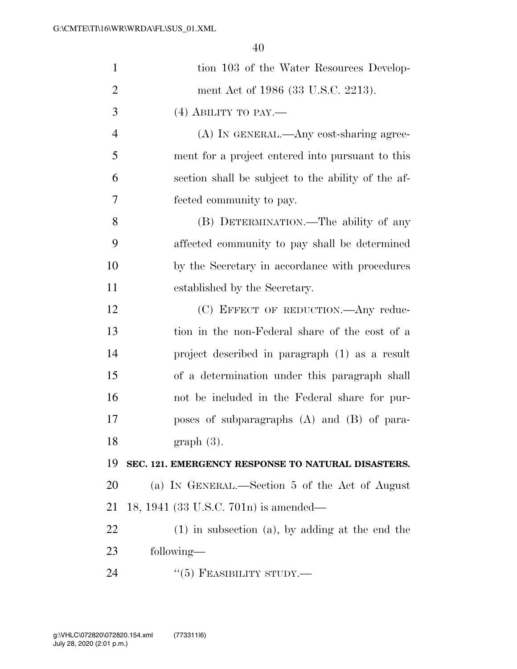| $\mathbf{1}$   | tion 103 of the Water Resources Develop-             |
|----------------|------------------------------------------------------|
| $\overline{2}$ | ment Act of 1986 (33 U.S.C. 2213).                   |
| 3              | $(4)$ ABILITY TO PAY.—                               |
| $\overline{4}$ | (A) IN GENERAL.—Any cost-sharing agree-              |
| 5              | ment for a project entered into pursuant to this     |
| 6              | section shall be subject to the ability of the af-   |
| 7              | fected community to pay.                             |
| 8              | (B) DETERMINATION.—The ability of any                |
| 9              | affected community to pay shall be determined        |
| 10             | by the Secretary in accordance with procedures       |
| 11             | established by the Secretary.                        |
| 12             | (C) EFFECT OF REDUCTION.—Any reduc-                  |
| 13             | tion in the non-Federal share of the cost of a       |
| 14             | project described in paragraph (1) as a result       |
| 15             | of a determination under this paragraph shall        |
| 16             | not be included in the Federal share for pur-        |
| 17             | poses of subparagraphs (A) and (B) of para-          |
| 18             | $graph(3)$ .                                         |
| 19             | SEC. 121. EMERGENCY RESPONSE TO NATURAL DISASTERS.   |
| 20             | (a) IN GENERAL.—Section 5 of the Act of August       |
| 21             | 18, 1941 (33 U.S.C. 701n) is amended—                |
| 22             | $(1)$ in subsection $(a)$ , by adding at the end the |
| 23             | following—                                           |
| 24             | $``(5)$ FEASIBILITY STUDY.—                          |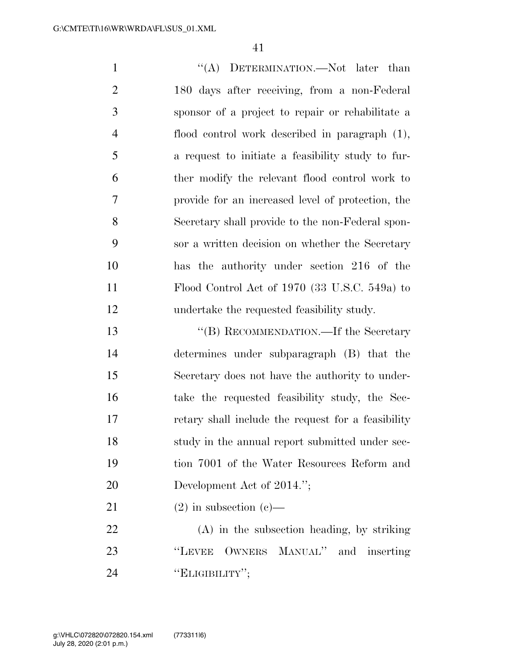1 ''(A) DETERMINATION.—Not later than 180 days after receiving, from a non-Federal sponsor of a project to repair or rehabilitate a flood control work described in paragraph (1), a request to initiate a feasibility study to fur- ther modify the relevant flood control work to provide for an increased level of protection, the Secretary shall provide to the non-Federal spon- sor a written decision on whether the Secretary has the authority under section 216 of the Flood Control Act of 1970 (33 U.S.C. 549a) to undertake the requested feasibility study.

 ''(B) RECOMMENDATION.—If the Secretary determines under subparagraph (B) that the Secretary does not have the authority to under- take the requested feasibility study, the Sec- retary shall include the request for a feasibility study in the annual report submitted under sec- tion 7001 of the Water Resources Reform and 20 Development Act of 2014.";

21 (2) in subsection (c)—

 (A) in the subsection heading, by striking 23 "LEVEE OWNERS MANUAL" and inserting **"ELIGIBILITY"**;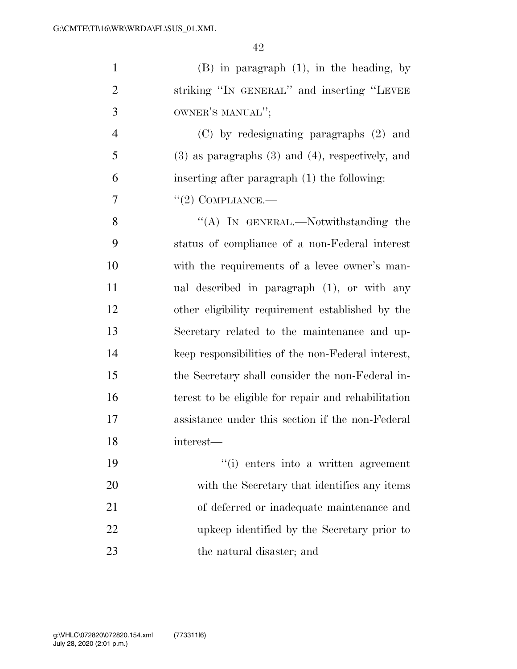| $\mathbf{1}$   | $(B)$ in paragraph $(1)$ , in the heading, by           |
|----------------|---------------------------------------------------------|
| $\overline{2}$ | striking "IN GENERAL" and inserting "LEVEE              |
| 3              | OWNER'S MANUAL";                                        |
| $\overline{4}$ | (C) by redesignating paragraphs (2) and                 |
| 5              | $(3)$ as paragraphs $(3)$ and $(4)$ , respectively, and |
| 6              | inserting after paragraph (1) the following:            |
| 7              | $\lq(2)$ COMPLIANCE.—                                   |
| 8              | "(A) IN GENERAL.—Notwithstanding the                    |
| 9              | status of compliance of a non-Federal interest          |
| 10             | with the requirements of a levee owner's man-           |
| 11             | ual described in paragraph (1), or with any             |
| 12             | other eligibility requirement established by the        |
| 13             | Secretary related to the maintenance and up-            |
| 14             | keep responsibilities of the non-Federal interest,      |
| 15             | the Secretary shall consider the non-Federal in-        |
| 16             | terest to be eligible for repair and rehabilitation     |
| 17             | assistance under this section if the non-Federal        |
| 18             | interest—                                               |
| 19             | "(i) enters into a written agreement                    |
| 20             | with the Secretary that identifies any items            |
| 21             | of deferred or inadequate maintenance and               |
| 22             | upkeep identified by the Secretary prior to             |
| 23             | the natural disaster; and                               |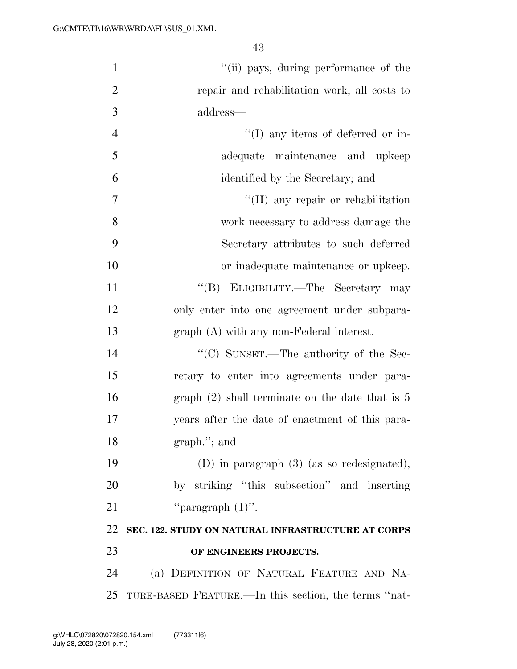| $\mathbf{1}$   | "(ii) pays, during performance of the              |
|----------------|----------------------------------------------------|
| $\overline{2}$ | repair and rehabilitation work, all costs to       |
| 3              | address-                                           |
| $\overline{4}$ | $\lq\lq$ (I) any items of deferred or in-          |
| 5              | adequate maintenance and upkeep                    |
| 6              | identified by the Secretary; and                   |
| 7              | "(II) any repair or rehabilitation                 |
| 8              | work necessary to address damage the               |
| 9              | Secretary attributes to such deferred              |
| 10             | or inadequate maintenance or upkeep.               |
| 11             | "(B) ELIGIBILITY.—The Secretary may                |
| 12             | only enter into one agreement under subpara-       |
| 13             | $graph(A)$ with any non-Federal interest.          |
| 14             | "(C) SUNSET.—The authority of the Sec-             |
| 15             | retary to enter into agreements under para-        |
| 16             | graph $(2)$ shall terminate on the date that is 5  |
| 17             | years after the date of enactment of this para-    |
| 18             | $graph.'$ ; and                                    |
| 19             | (D) in paragraph $(3)$ (as so redesignated),       |
| 20             | by striking "this subsection" and inserting        |
| 21             | "paragraph $(1)$ ".                                |
| 22             | SEC. 122. STUDY ON NATURAL INFRASTRUCTURE AT CORPS |
| 23             | OF ENGINEERS PROJECTS.                             |
| 24             | (a) DEFINITION OF NATURAL FEATURE AND NA-          |
|                |                                                    |

TURE-BASED FEATURE.—In this section, the terms ''nat-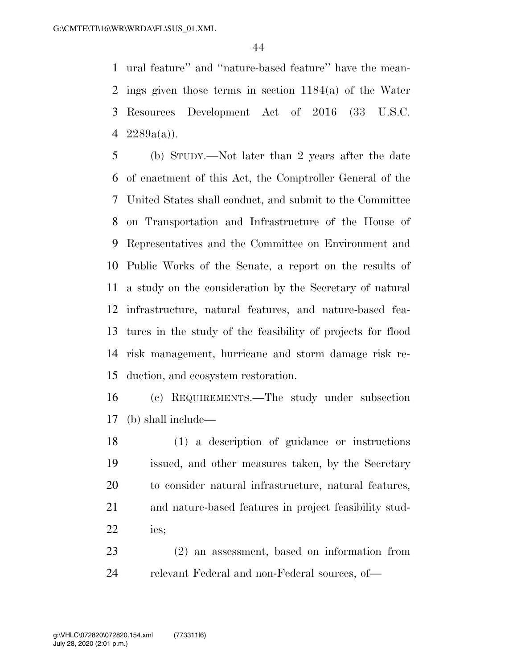ural feature'' and ''nature-based feature'' have the mean- ings given those terms in section 1184(a) of the Water Resources Development Act of 2016 (33 U.S.C.  $2289a(a)$ ).

 (b) STUDY.—Not later than 2 years after the date of enactment of this Act, the Comptroller General of the United States shall conduct, and submit to the Committee on Transportation and Infrastructure of the House of Representatives and the Committee on Environment and Public Works of the Senate, a report on the results of a study on the consideration by the Secretary of natural infrastructure, natural features, and nature-based fea- tures in the study of the feasibility of projects for flood risk management, hurricane and storm damage risk re-duction, and ecosystem restoration.

 (c) REQUIREMENTS.—The study under subsection (b) shall include—

 (1) a description of guidance or instructions issued, and other measures taken, by the Secretary to consider natural infrastructure, natural features, and nature-based features in project feasibility stud-ies;

 (2) an assessment, based on information from relevant Federal and non-Federal sources, of—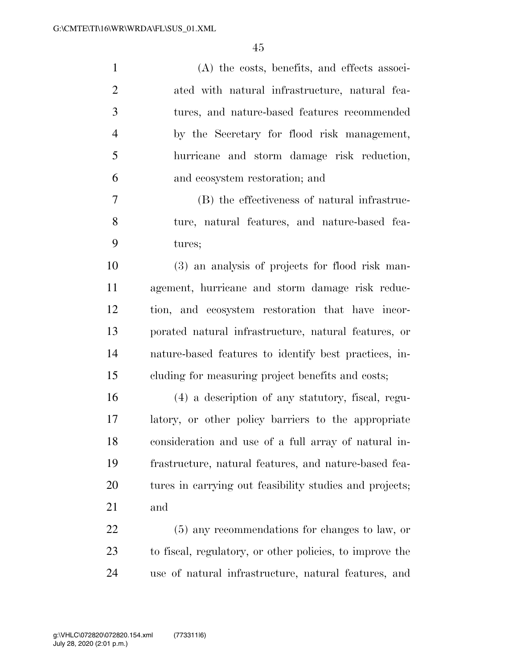| $\mathbf{1}$   | (A) the costs, benefits, and effects associ-             |
|----------------|----------------------------------------------------------|
| $\overline{2}$ | ated with natural infrastructure, natural fea-           |
| 3              | tures, and nature-based features recommended             |
| $\overline{4}$ | by the Secretary for flood risk management,              |
| 5              | hurricane and storm damage risk reduction,               |
| 6              | and ecosystem restoration; and                           |
| 7              | (B) the effectiveness of natural infrastruc-             |
| 8              | ture, natural features, and nature-based fea-            |
| 9              | tures;                                                   |
| 10             | (3) an analysis of projects for flood risk man-          |
| 11             | agement, hurricane and storm damage risk reduc-          |
| 12             | tion, and ecosystem restoration that have incor-         |
| 13             | porated natural infrastructure, natural features, or     |
| 14             | nature-based features to identify best practices, in-    |
| 15             | cluding for measuring project benefits and costs;        |
| 16             | (4) a description of any statutory, fiscal, regu-        |
| 17             | latory, or other policy barriers to the appropriate      |
| 18             | consideration and use of a full array of natural in-     |
| 19             | frastructure, natural features, and nature-based fea-    |
| 20             | tures in carrying out feasibility studies and projects;  |
| 21             | and                                                      |
| 22             | $(5)$ any recommendations for changes to law, or         |
| 23             | to fiscal, regulatory, or other policies, to improve the |
| 24             | use of natural infrastructure, natural features, and     |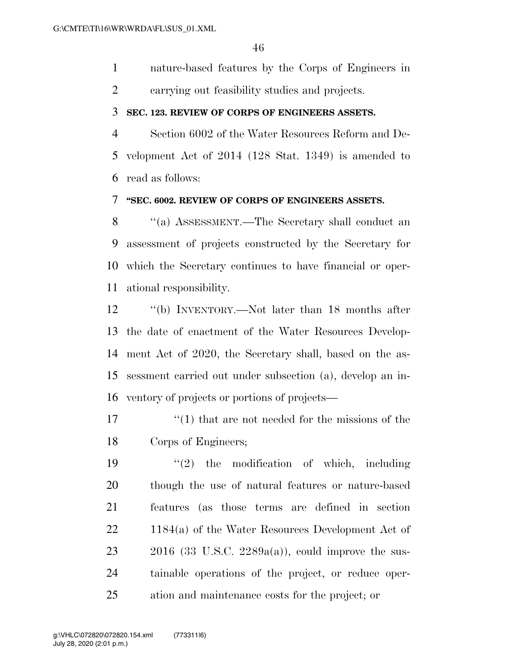nature-based features by the Corps of Engineers in

carrying out feasibility studies and projects.

#### **SEC. 123. REVIEW OF CORPS OF ENGINEERS ASSETS.**

 Section 6002 of the Water Resources Reform and De- velopment Act of 2014 (128 Stat. 1349) is amended to read as follows:

#### **''SEC. 6002. REVIEW OF CORPS OF ENGINEERS ASSETS.**

 ''(a) ASSESSMENT.—The Secretary shall conduct an assessment of projects constructed by the Secretary for which the Secretary continues to have financial or oper-ational responsibility.

 ''(b) INVENTORY.—Not later than 18 months after the date of enactment of the Water Resources Develop- ment Act of 2020, the Secretary shall, based on the as- sessment carried out under subsection (a), develop an in-ventory of projects or portions of projects—

17 ''(1) that are not needed for the missions of the Corps of Engineers;

 $(2)$  the modification of which, including though the use of natural features or nature-based features (as those terms are defined in section 22 1184(a) of the Water Resources Development Act of (33 U.S.C. 2289a(a)), could improve the sus- tainable operations of the project, or reduce oper-ation and maintenance costs for the project; or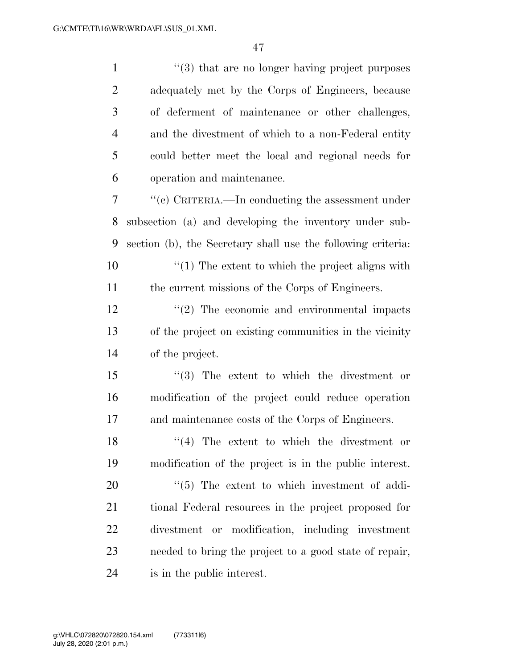| $\mathbf{1}$   | $\cdot\cdot$ (3) that are no longer having project purposes  |
|----------------|--------------------------------------------------------------|
| $\overline{2}$ | adequately met by the Corps of Engineers, because            |
| 3              | of deferment of maintenance or other challenges,             |
| $\overline{4}$ | and the divestment of which to a non-Federal entity          |
| 5              | could better meet the local and regional needs for           |
| 6              | operation and maintenance.                                   |
| 7              | $``(e)$ CRITERIA.—In conducting the assessment under         |
| 8              | subsection (a) and developing the inventory under sub-       |
| 9              | section (b), the Secretary shall use the following criteria: |
| 10             | $\lq(1)$ The extent to which the project aligns with         |
| 11             | the current missions of the Corps of Engineers.              |
| 12             | $\lq(2)$ The economic and environmental impacts              |
| 13             | of the project on existing communities in the vicinity       |
| 14             | of the project.                                              |
| 15             | $(3)$ The extent to which the divestment or                  |
| 16             | modification of the project could reduce operation           |
| 17             | and maintenance costs of the Corps of Engineers.             |
| 18             | $(4)$ The extent to which the divestment or                  |
| 19             | modification of the project is in the public interest.       |
| 20             | $\cdot\cdot$ (5) The extent to which investment of addi-     |
| 21             | tional Federal resources in the project proposed for         |
| 22             | divestment or modification, including investment             |
| 23             | needed to bring the project to a good state of repair,       |
| 24             | is in the public interest.                                   |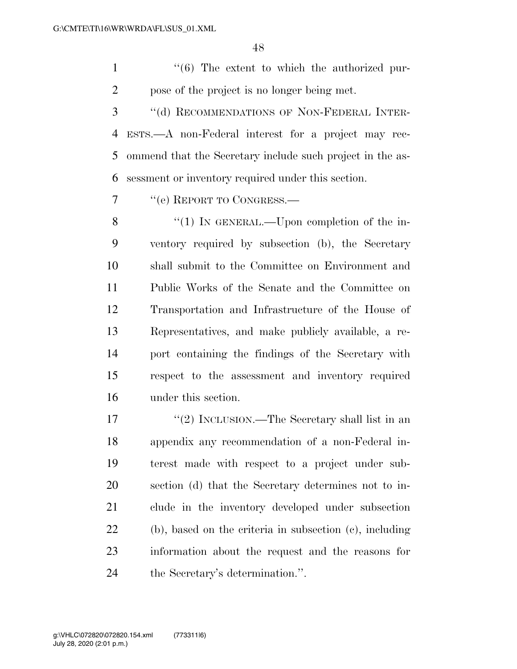1 ''(6) The extent to which the authorized pur-pose of the project is no longer being met.

 ''(d) RECOMMENDATIONS OF NON-FEDERAL INTER- ESTS.—A non-Federal interest for a project may rec- ommend that the Secretary include such project in the as-sessment or inventory required under this section.

7 "(e) REPORT TO CONGRESS.—

8 "(1) IN GENERAL.—Upon completion of the in- ventory required by subsection (b), the Secretary shall submit to the Committee on Environment and Public Works of the Senate and the Committee on Transportation and Infrastructure of the House of Representatives, and make publicly available, a re- port containing the findings of the Secretary with respect to the assessment and inventory required under this section.

17 ''(2) INCLUSION.—The Secretary shall list in an appendix any recommendation of a non-Federal in- terest made with respect to a project under sub- section (d) that the Secretary determines not to in- clude in the inventory developed under subsection (b), based on the criteria in subsection (c), including information about the request and the reasons for the Secretary's determination.''.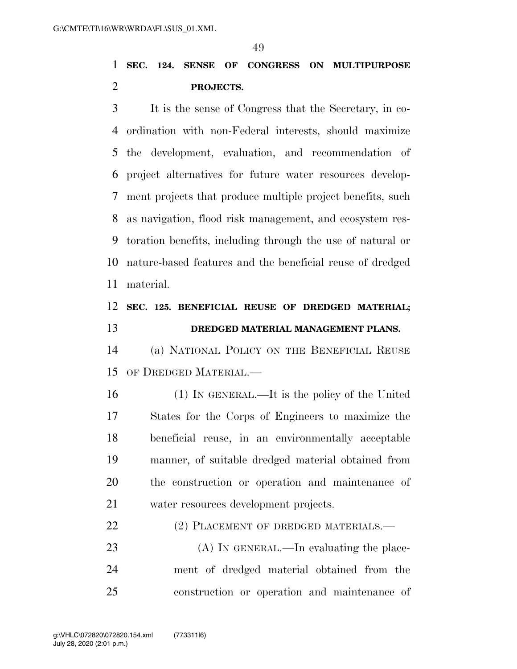# **SEC. 124. SENSE OF CONGRESS ON MULTIPURPOSE PROJECTS.**

 It is the sense of Congress that the Secretary, in co- ordination with non-Federal interests, should maximize the development, evaluation, and recommendation of project alternatives for future water resources develop- ment projects that produce multiple project benefits, such as navigation, flood risk management, and ecosystem res- toration benefits, including through the use of natural or nature-based features and the beneficial reuse of dredged material.

# **SEC. 125. BENEFICIAL REUSE OF DREDGED MATERIAL; DREDGED MATERIAL MANAGEMENT PLANS.**

 (a) NATIONAL POLICY ON THE BENEFICIAL REUSE OF DREDGED MATERIAL.—

 (1) IN GENERAL.—It is the policy of the United States for the Corps of Engineers to maximize the beneficial reuse, in an environmentally acceptable manner, of suitable dredged material obtained from the construction or operation and maintenance of water resources development projects.

## 22 (2) PLACEMENT OF DREDGED MATERIALS.—

23 (A) IN GENERAL.—In evaluating the place- ment of dredged material obtained from the construction or operation and maintenance of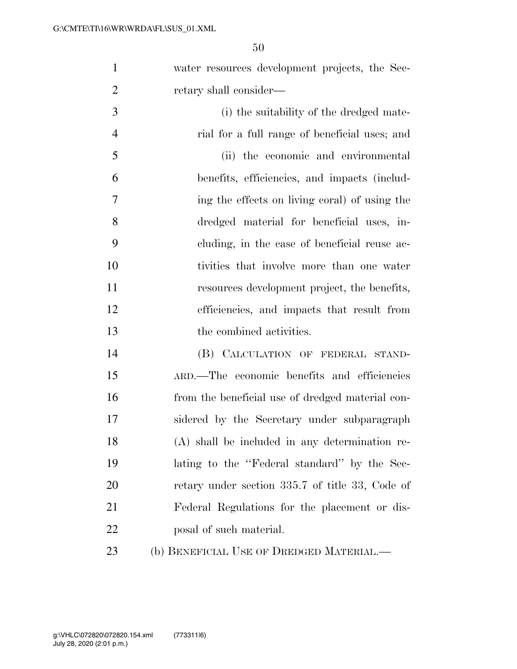|   |                        | water resources development projects, the Sec- |  |  |
|---|------------------------|------------------------------------------------|--|--|
| 2 | retary shall consider— |                                                |  |  |

 (i) the suitability of the dredged mate- rial for a full range of beneficial uses; and (ii) the economic and environmental benefits, efficiencies, and impacts (includ- ing the effects on living coral) of using the dredged material for beneficial uses, in- cluding, in the case of beneficial reuse ac- tivities that involve more than one water resources development project, the benefits, efficiencies, and impacts that result from the combined activities.

 (B) CALCULATION OF FEDERAL STAND- ARD.—The economic benefits and efficiencies from the beneficial use of dredged material con- sidered by the Secretary under subparagraph (A) shall be included in any determination re- lating to the ''Federal standard'' by the Sec- retary under section 335.7 of title 33, Code of Federal Regulations for the placement or dis-posal of such material.

23 (b) BENEFICIAL USE OF DREDGED MATERIAL.—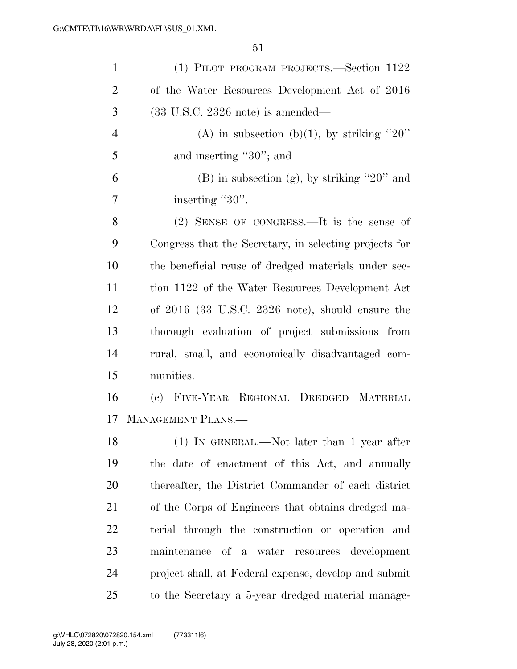| $\mathbf{1}$   | (1) PILOT PROGRAM PROJECTS.—Section 1122               |
|----------------|--------------------------------------------------------|
| $\overline{2}$ | of the Water Resources Development Act of 2016         |
| 3              | $(33 \text{ U.S.C. } 2326 \text{ note})$ is amended—   |
| $\overline{4}$ | (A) in subsection (b)(1), by striking "20"             |
| 5              | and inserting "30"; and                                |
| 6              | $(B)$ in subsection $(g)$ , by striking "20" and       |
| 7              | inserting "30".                                        |
| 8              | (2) SENSE OF CONGRESS.—It is the sense of              |
| 9              | Congress that the Secretary, in selecting projects for |
| 10             | the beneficial reuse of dredged materials under sec-   |
| 11             | tion 1122 of the Water Resources Development Act       |
| 12             | of 2016 (33 U.S.C. 2326 note), should ensure the       |
| 13             | thorough evaluation of project submissions from        |
| 14             | rural, small, and economically disadvantaged com-      |
| 15             | munities.                                              |
| 16             | (c) FIVE-YEAR REGIONAL DREDGED MATERIAL                |
| 17             | MANAGEMENT PLANS.                                      |
| 18             | (1) IN GENERAL.—Not later than 1 year after            |
| 19             | the date of enactment of this Act, and annually        |
| 20             | thereafter, the District Commander of each district    |
| 21             | of the Corps of Engineers that obtains dredged ma-     |
| 22             | terial through the construction or operation and       |
| 23             | maintenance of a water resources development           |
| 24             | project shall, at Federal expense, develop and submit  |
| 25             | to the Secretary a 5-year dredged material manage-     |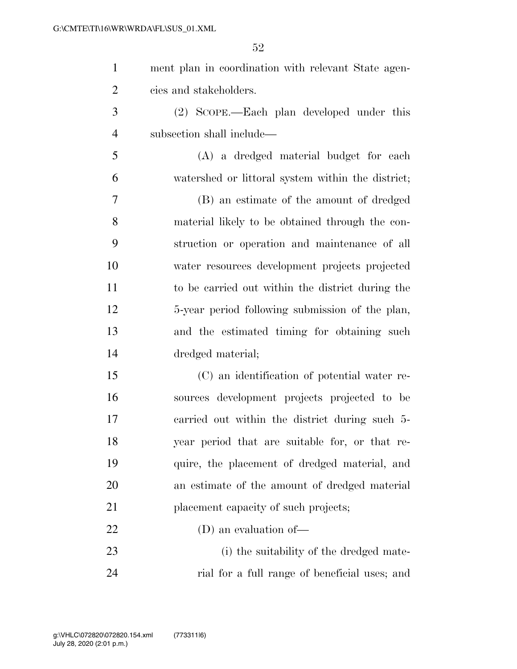| $\mathbf{1}$   | ment plan in coordination with relevant State agen- |
|----------------|-----------------------------------------------------|
| $\overline{2}$ | cies and stakeholders.                              |
| 3              | (2) SCOPE.—Each plan developed under this           |
| 4              | subsection shall include—                           |
| 5              | (A) a dredged material budget for each              |
| 6              | watershed or littoral system within the district;   |
| $\overline{7}$ | (B) an estimate of the amount of dredged            |
| 8              | material likely to be obtained through the con-     |
| 9              | struction or operation and maintenance of all       |
| 10             | water resources development projects projected      |
| 11             | to be carried out within the district during the    |
| 12             | 5-year period following submission of the plan,     |
| 13             | and the estimated timing for obtaining such         |
| 14             | dredged material;                                   |
| 15             | (C) an identification of potential water re-        |
| 16             | sources development projects projected to be        |
| 17             | carried out within the district during such 5-      |
| 18             | year period that are suitable for, or that re-      |
| 19             | quire, the placement of dredged material, and       |
| 20             | an estimate of the amount of dredged material       |
| 21             | placement capacity of such projects;                |
| 22             | $(D)$ an evaluation of —                            |
| 23             | (i) the suitability of the dredged mate-            |
| 24             | rial for a full range of beneficial uses; and       |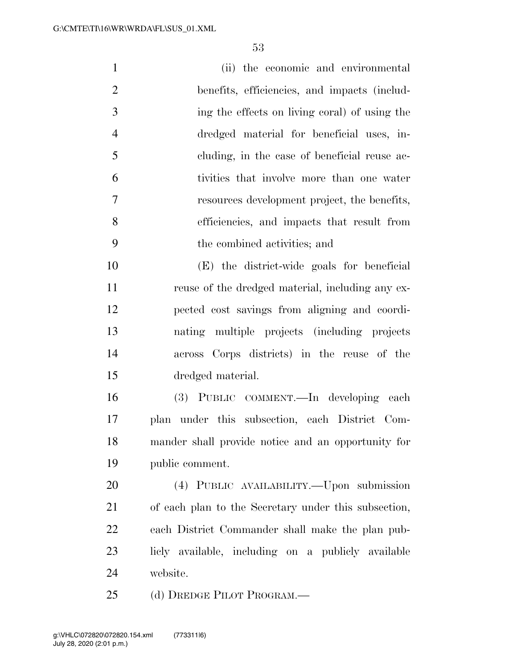(ii) the economic and environmental benefits, efficiencies, and impacts (includ- ing the effects on living coral) of using the dredged material for beneficial uses, in- cluding, in the case of beneficial reuse ac- tivities that involve more than one water resources development project, the benefits, efficiencies, and impacts that result from the combined activities; and (E) the district-wide goals for beneficial 11 reuse of the dredged material, including any ex- pected cost savings from aligning and coordi- nating multiple projects (including projects across Corps districts) in the reuse of the dredged material. (3) PUBLIC COMMENT.—In developing each plan under this subsection, each District Com-mander shall provide notice and an opportunity for

public comment.

 (4) PUBLIC AVAILABILITY.—Upon submission of each plan to the Secretary under this subsection, each District Commander shall make the plan pub- licly available, including on a publicly available website.

(d) DREDGE PILOT PROGRAM.—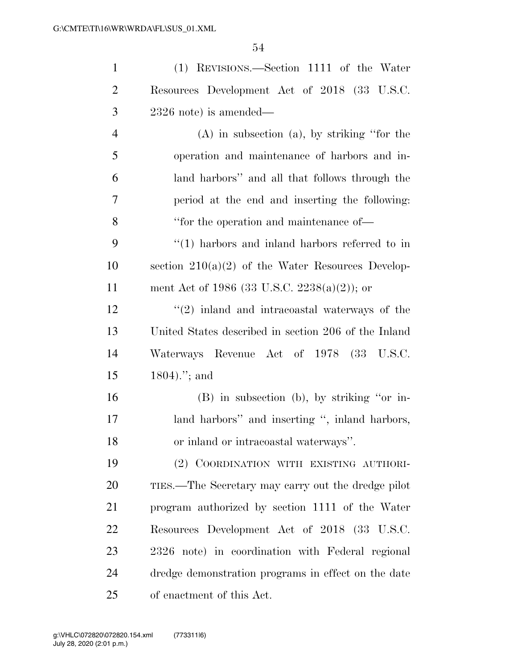| $\mathbf{1}$   | (1) REVISIONS.—Section 1111 of the Water                      |
|----------------|---------------------------------------------------------------|
| $\overline{2}$ | Resources Development Act of 2018 (33 U.S.C.                  |
| 3              | $2326$ note) is amended—                                      |
| $\overline{4}$ | $(A)$ in subsection $(a)$ , by striking "for the              |
| 5              | operation and maintenance of harbors and in-                  |
| 6              | land harbors" and all that follows through the                |
| 7              | period at the end and inserting the following:                |
| 8              | "for the operation and maintenance of—                        |
| 9              | $\lq(1)$ harbors and inland harbors referred to in            |
| 10             | section $210(a)(2)$ of the Water Resources Develop-           |
| 11             | ment Act of 1986 (33 U.S.C. 2238(a)(2)); or                   |
| 12             | $\cdot\cdot\cdot(2)$ inland and intraconstal waterways of the |
| 13             | United States described in section 206 of the Inland          |
| 14             | Waterways Revenue Act of 1978 (33 U.S.C.                      |
| 15             | $1804$ ."; and                                                |
| 16             | $(B)$ in subsection $(b)$ , by striking "or in-               |
| 17             | land harbors" and inserting ", inland harbors,                |
| 18             | or inland or intracoastal waterways".                         |
| 19             | (2) COORDINATION WITH EXISTING AUTHORI-                       |
| 20             | TIES.—The Secretary may carry out the dredge pilot            |
| 21             | program authorized by section 1111 of the Water               |
| 22             | Resources Development Act of 2018 (33 U.S.C.                  |
| 23             | 2326 note) in coordination with Federal regional              |
| 24             | dredge demonstration programs in effect on the date           |
| 25             | of enactment of this Act.                                     |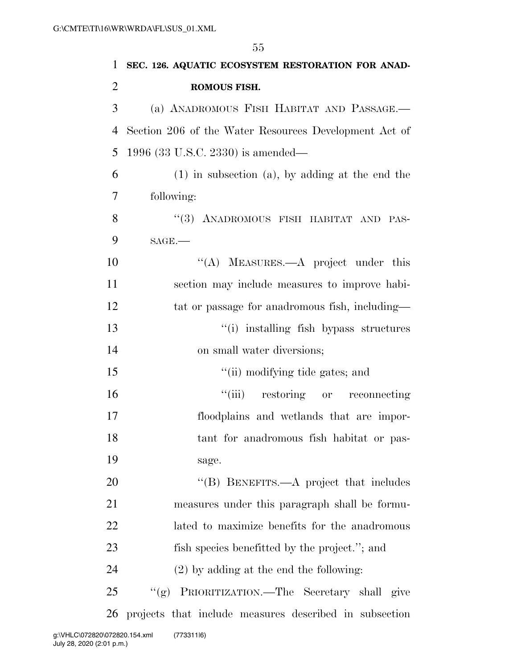| 1              | SEC. 126. AQUATIC ECOSYSTEM RESTORATION FOR ANAD-      |
|----------------|--------------------------------------------------------|
| $\overline{2}$ | <b>ROMOUS FISH.</b>                                    |
| 3              | (a) ANADROMOUS FISH HABITAT AND PASSAGE.-              |
| $\overline{4}$ | Section 206 of the Water Resources Development Act of  |
| 5              | 1996 (33 U.S.C. 2330) is amended—                      |
| 6              | $(1)$ in subsection $(a)$ , by adding at the end the   |
| 7              | following:                                             |
| 8              | "(3) ANADROMOUS FISH HABITAT AND PAS-                  |
| 9              | $SAGE$ .                                               |
| 10             | "(A) MEASURES.—A project under this                    |
| 11             | section may include measures to improve habi-          |
| 12             | tat or passage for anadromous fish, including—         |
| 13             | "(i) installing fish bypass structures                 |
| 14             | on small water diversions;                             |
| 15             | "(ii) modifying tide gates; and                        |
| 16             | "(iii) restoring or reconnecting                       |
| 17             | floodplains and wetlands that are impor-               |
| 18             | tant for anadromous fish habitat or pas-               |
| 19             | sage.                                                  |
| 20             | "(B) BENEFITS.—A project that includes                 |
| 21             | measures under this paragraph shall be formu-          |
| 22             | lated to maximize benefits for the anadromous          |
| 23             | fish species benefitted by the project."; and          |
| 24             | $(2)$ by adding at the end the following:              |
| 25             | "(g) PRIORITIZATION.—The Secretary shall give          |
| 26             | projects that include measures described in subsection |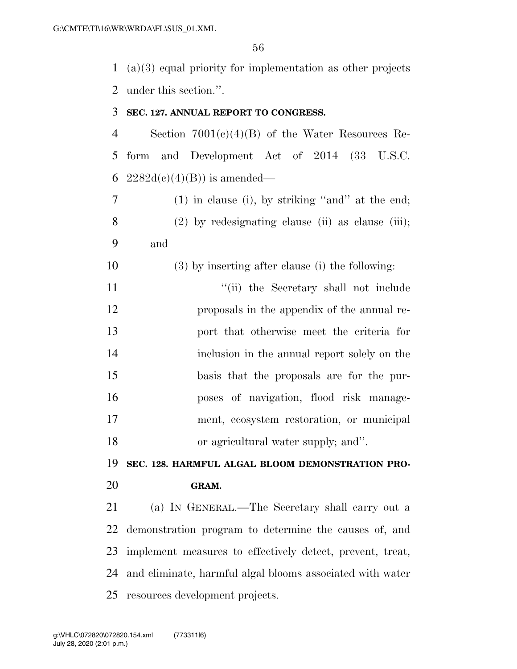(a)(3) equal priority for implementation as other projects under this section.''.

#### **SEC. 127. ANNUAL REPORT TO CONGRESS.**

 Section 7001(c)(4)(B) of the Water Resources Re- form and Development Act of 2014 (33 U.S.C. 6  $2282d(e)(4)(B)$  is amended—

 (1) in clause (i), by striking ''and'' at the end; 8 (2) by redesignating clause (ii) as clause (iii); and

(3) by inserting after clause (i) the following:

11 ''(ii) the Secretary shall not include proposals in the appendix of the annual re- port that otherwise meet the criteria for inclusion in the annual report solely on the basis that the proposals are for the pur- poses of navigation, flood risk manage- ment, ecosystem restoration, or municipal or agricultural water supply; and''.

**SEC. 128. HARMFUL ALGAL BLOOM DEMONSTRATION PRO-**

#### **GRAM.**

 (a) IN GENERAL.—The Secretary shall carry out a demonstration program to determine the causes of, and implement measures to effectively detect, prevent, treat, and eliminate, harmful algal blooms associated with water resources development projects.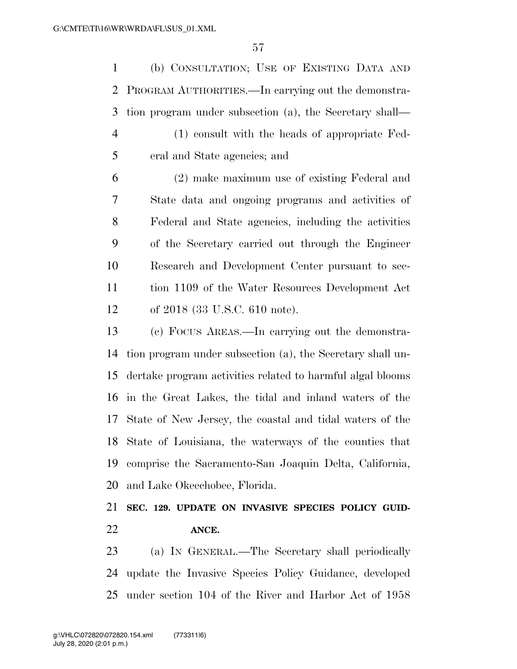(b) CONSULTATION; USE OF EXISTING DATA AND PROGRAM AUTHORITIES.—In carrying out the demonstra- tion program under subsection (a), the Secretary shall— (1) consult with the heads of appropriate Fed-

eral and State agencies; and

 (2) make maximum use of existing Federal and State data and ongoing programs and activities of Federal and State agencies, including the activities of the Secretary carried out through the Engineer Research and Development Center pursuant to sec- tion 1109 of the Water Resources Development Act of 2018 (33 U.S.C. 610 note).

 (c) FOCUS AREAS.—In carrying out the demonstra- tion program under subsection (a), the Secretary shall un- dertake program activities related to harmful algal blooms in the Great Lakes, the tidal and inland waters of the State of New Jersey, the coastal and tidal waters of the State of Louisiana, the waterways of the counties that comprise the Sacramento-San Joaquin Delta, California, and Lake Okeechobee, Florida.

 **SEC. 129. UPDATE ON INVASIVE SPECIES POLICY GUID-ANCE.** 

 (a) IN GENERAL.—The Secretary shall periodically update the Invasive Species Policy Guidance, developed under section 104 of the River and Harbor Act of 1958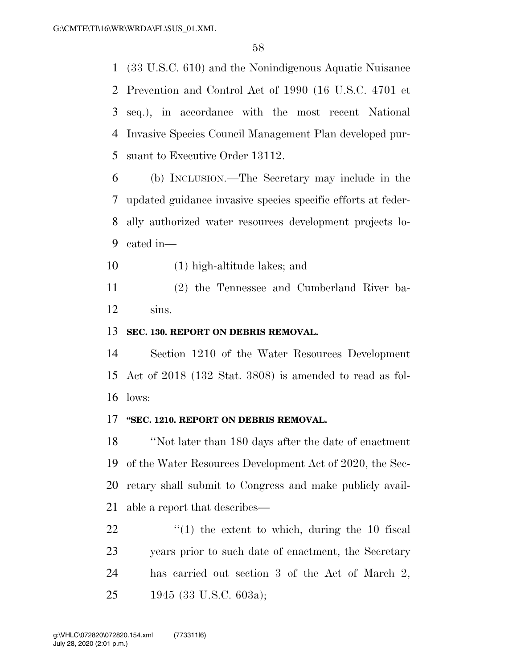(33 U.S.C. 610) and the Nonindigenous Aquatic Nuisance Prevention and Control Act of 1990 (16 U.S.C. 4701 et seq.), in accordance with the most recent National Invasive Species Council Management Plan developed pur-suant to Executive Order 13112.

 (b) INCLUSION.—The Secretary may include in the updated guidance invasive species specific efforts at feder- ally authorized water resources development projects lo-cated in—

(1) high-altitude lakes; and

 (2) the Tennessee and Cumberland River ba-sins.

### **SEC. 130. REPORT ON DEBRIS REMOVAL.**

 Section 1210 of the Water Resources Development Act of 2018 (132 Stat. 3808) is amended to read as fol-lows:

### **''SEC. 1210. REPORT ON DEBRIS REMOVAL.**

 ''Not later than 180 days after the date of enactment of the Water Resources Development Act of 2020, the Sec- retary shall submit to Congress and make publicly avail-able a report that describes—

 $\frac{1}{2}$  (1) the extent to which, during the 10 fiscal years prior to such date of enactment, the Secretary has carried out section 3 of the Act of March 2, 1945 (33 U.S.C. 603a);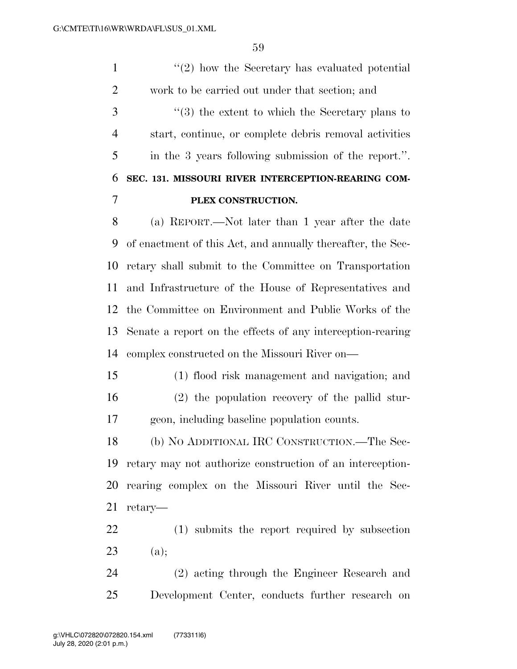1 ''(2) how the Secretary has evaluated potential work to be carried out under that section; and ''(3) the extent to which the Secretary plans to start, continue, or complete debris removal activities in the 3 years following submission of the report.''. **SEC. 131. MISSOURI RIVER INTERCEPTION-REARING COM- PLEX CONSTRUCTION.**  (a) REPORT.—Not later than 1 year after the date of enactment of this Act, and annually thereafter, the Sec- retary shall submit to the Committee on Transportation and Infrastructure of the House of Representatives and the Committee on Environment and Public Works of the Senate a report on the effects of any interception-rearing complex constructed on the Missouri River on— (1) flood risk management and navigation; and (2) the population recovery of the pallid stur- geon, including baseline population counts. (b) NO ADDITIONAL IRC CONSTRUCTION.—The Sec- retary may not authorize construction of an interception- rearing complex on the Missouri River until the Sec- retary— (1) submits the report required by subsection (a); (2) acting through the Engineer Research and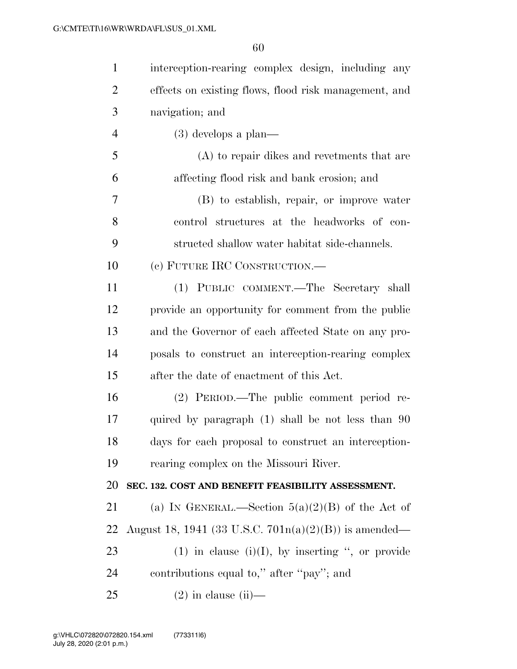| $\mathbf{1}$   | interception-rearing complex design, including any       |
|----------------|----------------------------------------------------------|
| $\overline{2}$ | effects on existing flows, flood risk management, and    |
| 3              | navigation; and                                          |
| $\overline{4}$ | $(3)$ develops a plan—                                   |
| 5              | (A) to repair dikes and reverments that are              |
| 6              | affecting flood risk and bank erosion; and               |
| 7              | (B) to establish, repair, or improve water               |
| 8              | control structures at the headworks of con-              |
| 9              | structed shallow water habitat side-channels.            |
| 10             | (c) FUTURE IRC CONSTRUCTION.—                            |
| 11             | (1) PUBLIC COMMENT.-The Secretary shall                  |
| 12             | provide an opportunity for comment from the public       |
| 13             | and the Governor of each affected State on any pro-      |
| 14             | posals to construct an interception-rearing complex      |
| 15             | after the date of enactment of this Act.                 |
| 16             | (2) PERIOD.—The public comment period re-                |
| 17             | quired by paragraph $(1)$ shall be not less than 90      |
| 18             | days for each proposal to construct an interception-     |
| 19             | rearing complex on the Missouri River.                   |
| 20             | SEC. 132. COST AND BENEFIT FEASIBILITY ASSESSMENT.       |
| 21             | (a) IN GENERAL.—Section $5(a)(2)(B)$ of the Act of       |
| 22             | August 18, 1941 (33 U.S.C. $701n(a)(2)(B)$ ) is amended— |
| 23             | $(1)$ in clause $(i)(I)$ , by inserting ", or provide    |
| 24             | contributions equal to," after "pay"; and                |
| 25             | $(2)$ in clause (ii)—                                    |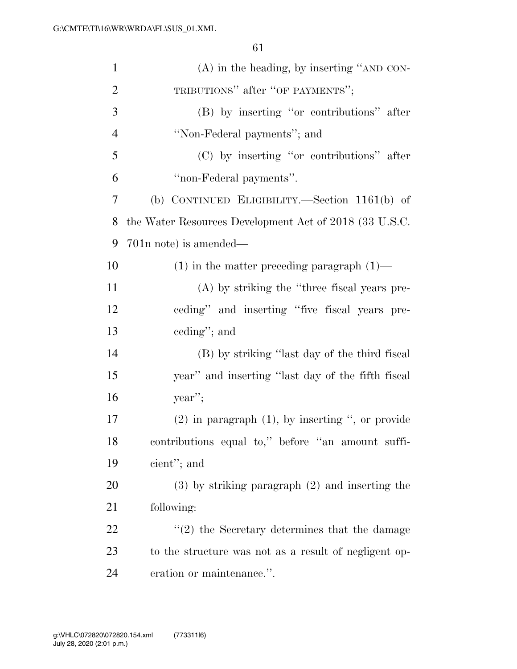| $\mathbf{1}$   | $(A)$ in the heading, by inserting "AND CON-           |
|----------------|--------------------------------------------------------|
| $\overline{2}$ | TRIBUTIONS" after "OF PAYMENTS";                       |
| 3              | (B) by inserting "or contributions" after              |
| $\overline{4}$ | "Non-Federal payments"; and                            |
| 5              | (C) by inserting "or contributions" after              |
| 6              | "non-Federal payments".                                |
| 7              | (b) CONTINUED ELIGIBILITY.—Section $1161(b)$ of        |
| 8              | the Water Resources Development Act of 2018 (33 U.S.C. |
| 9              | $701n$ note) is amended—                               |
| 10             | $(1)$ in the matter preceding paragraph $(1)$ —        |
| 11             | (A) by striking the "three fiscal years pre-           |
| 12             | ceding" and inserting "five fiscal years pre-          |
| 13             | ceding"; and                                           |
| 14             | (B) by striking "last day of the third fiscal          |
| 15             | year" and inserting "last day of the fifth fiscal      |
| 16             | year";                                                 |
| 17             | $(2)$ in paragraph $(1)$ , by inserting ", or provide  |
| 18             | contributions equal to," before "an amount suffi-      |
| 19             | cient"; and                                            |
| <b>20</b>      | $(3)$ by striking paragraph $(2)$ and inserting the    |
| 21             | following:                                             |
| 22             | $f'(2)$ the Secretary determines that the damage       |
| 23             | to the structure was not as a result of negligent op-  |
| 24             | eration or maintenance.".                              |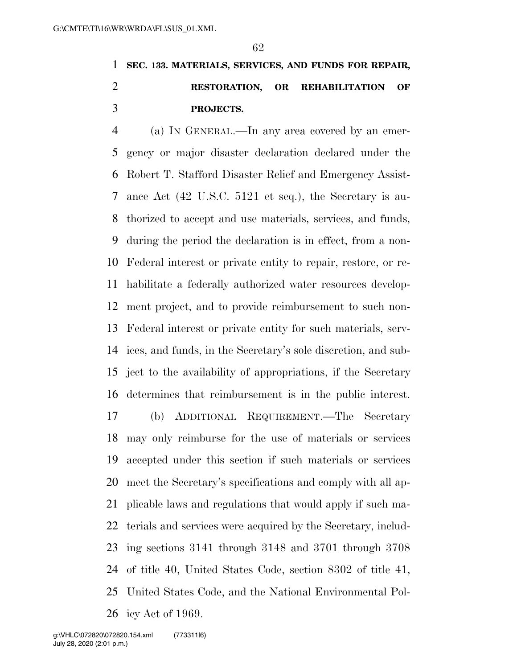# **SEC. 133. MATERIALS, SERVICES, AND FUNDS FOR REPAIR, RESTORATION, OR REHABILITATION OF PROJECTS.**

 (a) IN GENERAL.—In any area covered by an emer- gency or major disaster declaration declared under the Robert T. Stafford Disaster Relief and Emergency Assist- ance Act (42 U.S.C. 5121 et seq.), the Secretary is au- thorized to accept and use materials, services, and funds, during the period the declaration is in effect, from a non- Federal interest or private entity to repair, restore, or re- habilitate a federally authorized water resources develop- ment project, and to provide reimbursement to such non- Federal interest or private entity for such materials, serv- ices, and funds, in the Secretary's sole discretion, and sub- ject to the availability of appropriations, if the Secretary determines that reimbursement is in the public interest. (b) ADDITIONAL REQUIREMENT.—The Secretary may only reimburse for the use of materials or services accepted under this section if such materials or services meet the Secretary's specifications and comply with all ap- plicable laws and regulations that would apply if such ma- terials and services were acquired by the Secretary, includ- ing sections 3141 through 3148 and 3701 through 3708 of title 40, United States Code, section 8302 of title 41, United States Code, and the National Environmental Pol-

icy Act of 1969.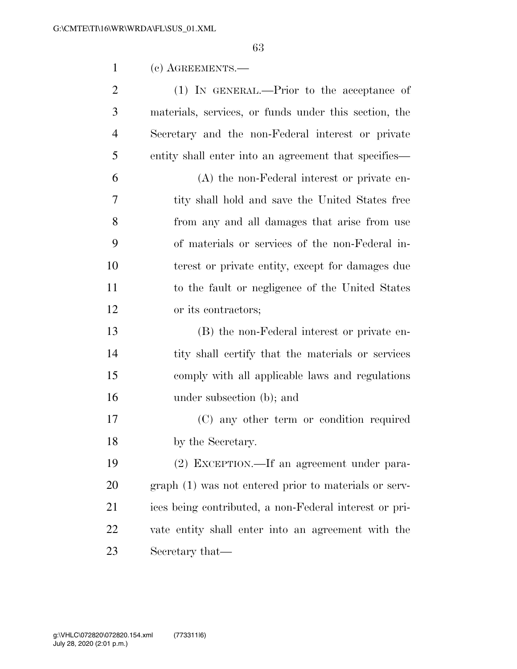(c) AGREEMENTS.—

2 (1) IN GENERAL.—Prior to the acceptance of materials, services, or funds under this section, the Secretary and the non-Federal interest or private entity shall enter into an agreement that specifies—

 (A) the non-Federal interest or private en- tity shall hold and save the United States free from any and all damages that arise from use of materials or services of the non-Federal in- terest or private entity, except for damages due to the fault or negligence of the United States or its contractors;

 (B) the non-Federal interest or private en-14 tity shall certify that the materials or services comply with all applicable laws and regulations under subsection (b); and

 (C) any other term or condition required by the Secretary.

 (2) EXCEPTION.—If an agreement under para- graph (1) was not entered prior to materials or serv- ices being contributed, a non-Federal interest or pri- vate entity shall enter into an agreement with the Secretary that—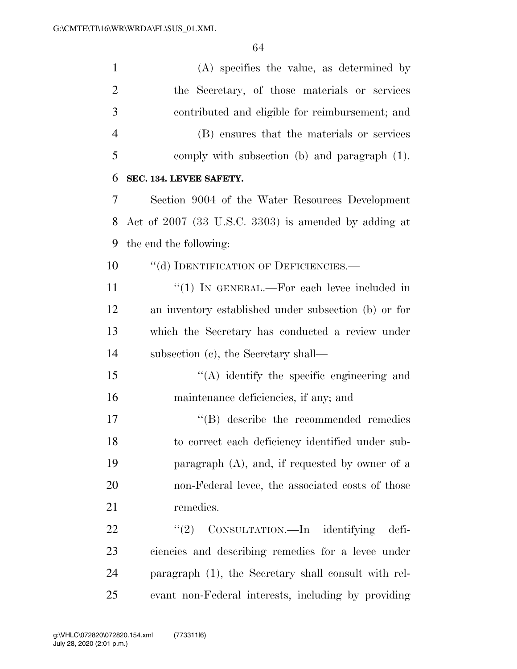| $\mathbf{1}$   | $(A)$ specifies the value, as determined by          |
|----------------|------------------------------------------------------|
| $\overline{2}$ | the Secretary, of those materials or services        |
| 3              | contributed and eligible for reimbursement; and      |
| $\overline{4}$ | (B) ensures that the materials or services           |
| 5              | comply with subsection (b) and paragraph (1).        |
| 6              | SEC. 134. LEVEE SAFETY.                              |
| 7              | Section 9004 of the Water Resources Development      |
| 8              | Act of 2007 (33 U.S.C. 3303) is amended by adding at |
| 9              | the end the following:                               |
| 10             | "(d) IDENTIFICATION OF DEFICIENCIES.—                |
| 11             | " $(1)$ IN GENERAL.—For each levee included in       |
| 12             | an inventory established under subsection (b) or for |
| 13             | which the Secretary has conducted a review under     |
| 14             | subsection (c), the Secretary shall—                 |
| 15             | $\lq\lq$ identify the specific engineering and       |
| 16             | maintenance deficiencies, if any; and                |
| 17             | $\lq\lq$ describe the recommended remedies           |
| 18             | to correct each deficiency identified under sub-     |
| 19             | paragraph $(A)$ , and, if requested by owner of a    |
| 20             | non-Federal levee, the associated costs of those     |
| 21             | remedies.                                            |
| 22             | (2)<br>$CONSULTATION. - In$ identifying<br>defi-     |
| 23             | ciencies and describing remedies for a levee under   |
| 24             | paragraph (1), the Secretary shall consult with rel- |
| 25             | evant non-Federal interests, including by providing  |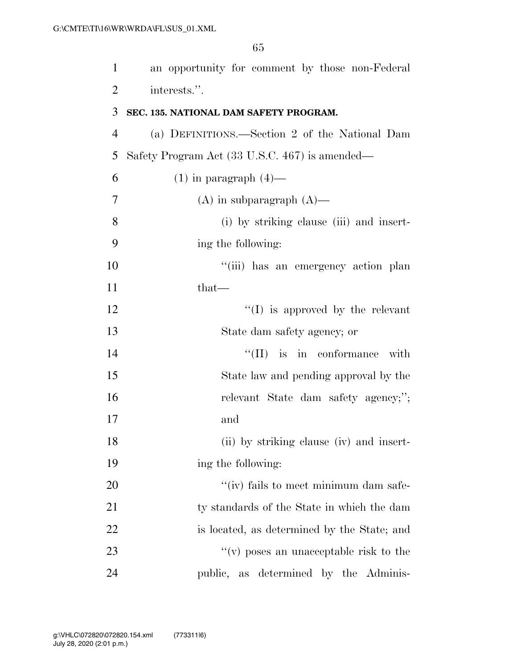| $\mathbf{1}$   | an opportunity for comment by those non-Federal |
|----------------|-------------------------------------------------|
| $\overline{2}$ | interests.".                                    |
| 3              | SEC. 135. NATIONAL DAM SAFETY PROGRAM.          |
| $\overline{4}$ | (a) DEFINITIONS.—Section 2 of the National Dam  |
| 5              | Safety Program Act (33 U.S.C. 467) is amended—  |
| 6              | $(1)$ in paragraph $(4)$ —                      |
| 7              | $(A)$ in subparagraph $(A)$ —                   |
| 8              | (i) by striking clause (iii) and insert-        |
| 9              | ing the following:                              |
| 10             | "(iii) has an emergency action plan             |
| 11             | $that-$                                         |
| 12             | $\lq\lq$ (I) is approved by the relevant        |
| 13             | State dam safety agency; or                     |
| 14             | $\lq\lq$ (II) is in conformance<br>with         |
| 15             | State law and pending approval by the           |
| 16             | relevant State dam safety agency;";             |
| 17             | and                                             |
| 18             | (ii) by striking clause (iv) and insert-        |
| 19             | ing the following:                              |
| 20             | "(iv) fails to meet minimum dam safe-           |
| 21             | ty standards of the State in which the dam      |
| 22             | is located, as determined by the State; and     |
| 23             | $f'(v)$ poses an unacceptable risk to the       |
| 24             | determined by the Adminis-<br>public, as        |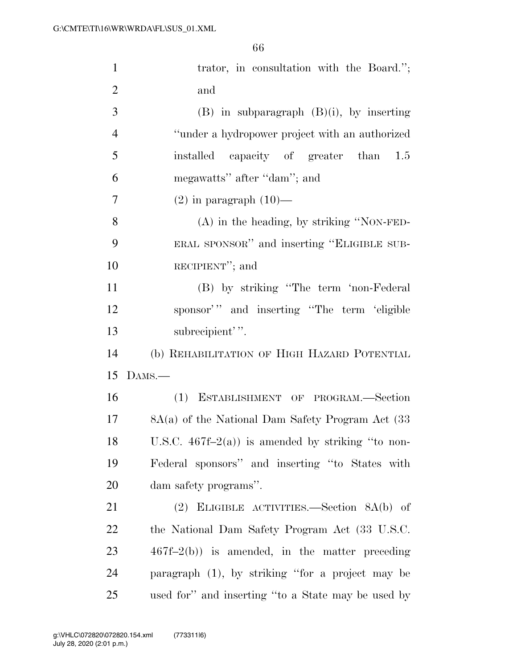| $\mathbf{1}$   | trator, in consultation with the Board.";          |
|----------------|----------------------------------------------------|
| $\overline{2}$ | and                                                |
| 3              | $(B)$ in subparagraph $(B)(i)$ , by inserting      |
| $\overline{4}$ | "under a hydropower project with an authorized     |
| 5              | installed capacity of greater than<br>1.5          |
| 6              | megawatts" after "dam"; and                        |
| 7              | $(2)$ in paragraph $(10)$ —                        |
| 8              | $(A)$ in the heading, by striking "NON-FED-        |
| 9              | ERAL SPONSOR" and inserting "ELIGIBLE SUB-         |
| 10             | RECIPIENT"; and                                    |
| 11             | (B) by striking "The term 'non-Federal             |
| 12             | sponsor'" and inserting "The term 'eligible        |
| 13             | subrecipient'".                                    |
| 14             | (b) REHABILITATION OF HIGH HAZARD POTENTIAL        |
| 15             | $DAMS$ —                                           |
| 16             | (1) ESTABLISHMENT OF PROGRAM.—Section              |
| 17             | 8A(a) of the National Dam Safety Program Act (33)  |
| 18             | U.S.C. $467f-2(a)$ is amended by striking "to non- |
| 19             | Federal sponsors" and inserting "to States with    |
| 20             | dam safety programs".                              |
| 21             | $(2)$ ELIGIBLE ACTIVITIES.—Section $8A(b)$ of      |
| 22             | the National Dam Safety Program Act (33 U.S.C.     |
| 23             | $467f-2(b)$ is amended, in the matter preceding    |
| 24             | paragraph (1), by striking "for a project may be   |
| 25             | used for" and inserting "to a State may be used by |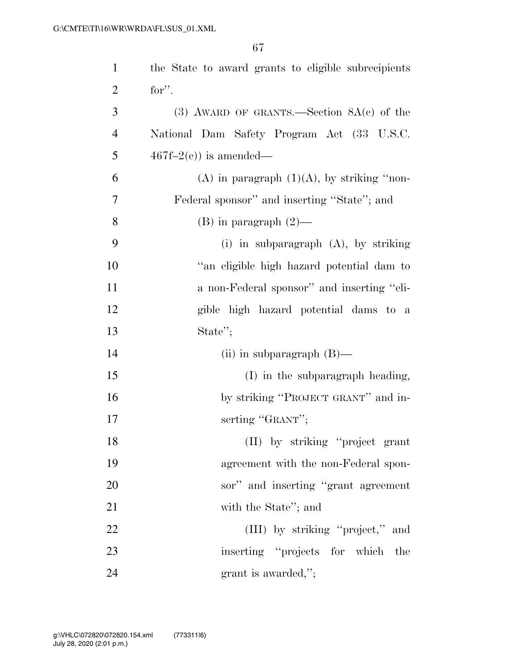| $\mathbf{1}$   | the State to award grants to eligible subrecipients |
|----------------|-----------------------------------------------------|
| $\overline{2}$ | for".                                               |
| 3              | (3) AWARD OF GRANTS.—Section $8A(c)$ of the         |
| $\overline{4}$ | National Dam Safety Program Act (33 U.S.C.          |
| 5              | $467f-2(e)$ is amended—                             |
| 6              | (A) in paragraph $(1)(A)$ , by striking "non-       |
| 7              | Federal sponsor" and inserting "State"; and         |
| 8              | $(B)$ in paragraph $(2)$ —                          |
| 9              | (i) in subparagraph $(A)$ , by striking             |
| 10             | "an eligible high hazard potential dam to           |
| 11             | a non-Federal sponsor" and inserting "eli-          |
| 12             | gible high hazard potential dams to a               |
| 13             | State";                                             |
| 14             | (ii) in subparagraph $(B)$ —                        |
| 15             | (I) in the subparagraph heading,                    |
| 16             | by striking "PROJECT GRANT" and in-                 |
| 17             | serting "GRANT";                                    |
| 18             | (II) by striking "project grant                     |
| 19             | agreement with the non-Federal spon-                |
| 20             | sor" and inserting "grant agreement"                |
| 21             | with the State"; and                                |
| 22             | (III) by striking "project," and                    |
| 23             | inserting "projects for which the                   |
| 24             | grant is awarded,";                                 |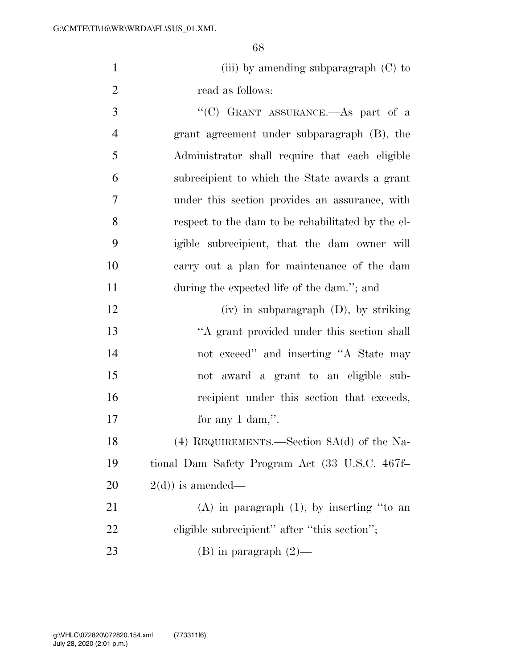1 (iii) by amending subparagraph (C) to read as follows:

 ''(C) GRANT ASSURANCE.—As part of a grant agreement under subparagraph (B), the Administrator shall require that each eligible subrecipient to which the State awards a grant under this section provides an assurance, with respect to the dam to be rehabilitated by the el- igible subrecipient, that the dam owner will carry out a plan for maintenance of the dam during the expected life of the dam.''; and

 (iv) in subparagraph (D), by striking ''A grant provided under this section shall not exceed'' and inserting ''A State may not award a grant to an eligible sub- recipient under this section that exceeds, 17 for any 1 dam,".

 (4) REQUIREMENTS.—Section 8A(d) of the Na- tional Dam Safety Program Act (33 U.S.C. 467f–  $20 \t2(d)$  is amended—

 (A) in paragraph (1), by inserting ''to an eligible subrecipient'' after ''this section''; 23 (B) in paragraph  $(2)$ —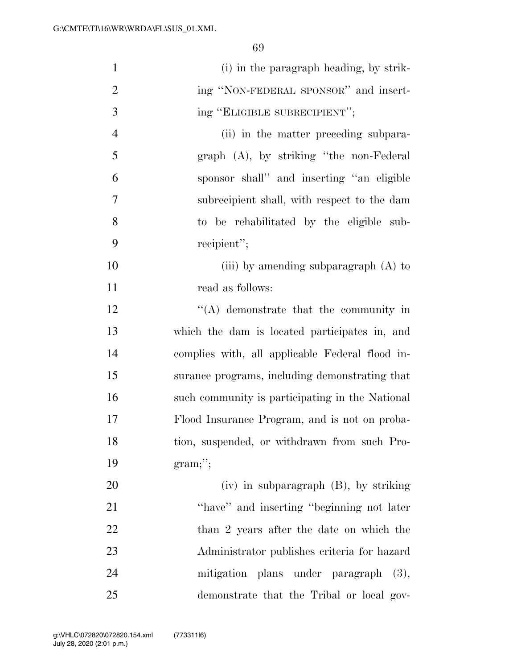| $\mathbf{1}$   | (i) in the paragraph heading, by strik-         |
|----------------|-------------------------------------------------|
| $\overline{2}$ | ing "NON-FEDERAL SPONSOR" and insert-           |
| 3              | ing "ELIGIBLE SUBRECIPIENT";                    |
| $\overline{4}$ | (ii) in the matter preceding subpara-           |
| 5              | $graph$ $(A)$ , by striking "the non-Federal"   |
| 6              | sponsor shall" and inserting "an eligible       |
| 7              | subrecipient shall, with respect to the dam     |
| 8              | to be rehabilitated by the eligible sub-        |
| 9              | recipient";                                     |
| 10             | (iii) by amending subparagraph $(A)$ to         |
| 11             | read as follows:                                |
| 12             | $\lq\lq$ demonstrate that the community in      |
| 13             | which the dam is located participates in, and   |
| 14             | complies with, all applicable Federal flood in- |
| 15             | surance programs, including demonstrating that  |
| 16             | such community is participating in the National |
| 17             | Flood Insurance Program, and is not on proba-   |
| 18             | tion, suspended, or withdrawn from such Pro-    |
| 19             | $gram;$ ";                                      |
| 20             | $(iv)$ in subparagraph $(B)$ , by striking      |
| 21             | "have" and inserting "beginning not later       |
| 22             | than 2 years after the date on which the        |
| 23             | Administrator publishes criteria for hazard     |
| 24             | mitigation plans under paragraph<br>(3),        |
| 25             | demonstrate that the Tribal or local gov-       |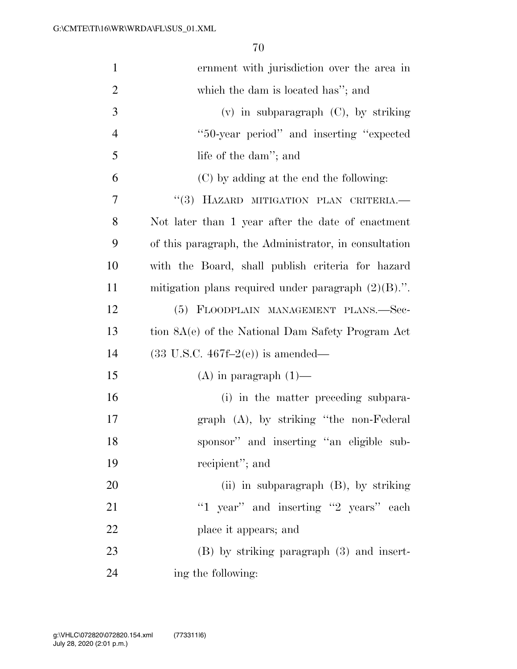| $\mathbf{1}$   | ernment with jurisdiction over the area in             |
|----------------|--------------------------------------------------------|
| $\overline{2}$ | which the dam is located has"; and                     |
| 3              | $(v)$ in subparagraph $(C)$ , by striking              |
| $\overline{4}$ | "50-year period" and inserting "expected"              |
| 5              | life of the dam"; and                                  |
| 6              | (C) by adding at the end the following:                |
| 7              | "(3) HAZARD MITIGATION PLAN CRITERIA.                  |
| 8              | Not later than 1 year after the date of enactment      |
| 9              | of this paragraph, the Administrator, in consultation  |
| 10             | with the Board, shall publish criteria for hazard      |
| 11             | mitigation plans required under paragraph $(2)(B)$ .". |
| 12             | (5) FLOODPLAIN MANAGEMENT PLANS.—Sec-                  |
| 13             | tion 8A(e) of the National Dam Safety Program Act      |
| 14             | $(33 \text{ U.S.C. } 467f-2(e))$ is amended—           |
| 15             | $(A)$ in paragraph $(1)$ —                             |
| 16             | (i) in the matter preceding subpara-                   |
| 17             | $graph$ (A), by striking "the non-Federal              |
| 18             | sponsor" and inserting "an eligible sub-               |
| 19             | recipient"; and                                        |
| 20             | (ii) in subparagraph $(B)$ , by striking               |
| 21             | "1 year" and inserting "2 years" each                  |
| 22             | place it appears; and                                  |
| 23             | $(B)$ by striking paragraph $(3)$ and insert-          |
| 24             | ing the following:                                     |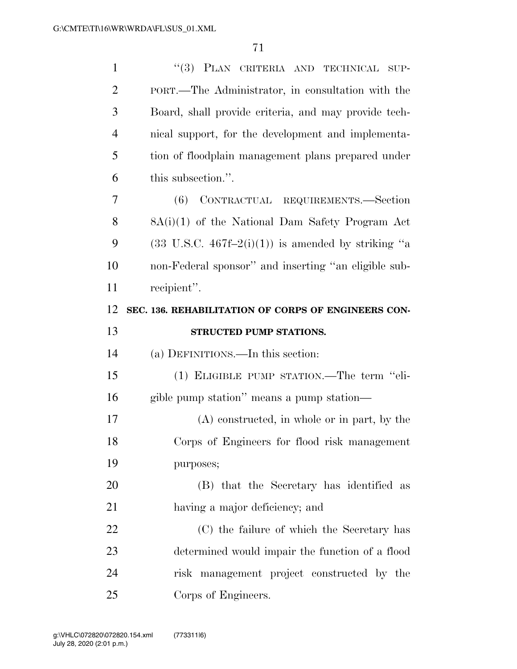| $\mathbf{1}$   | "(3) PLAN CRITERIA AND TECHNICAL SUP-                         |
|----------------|---------------------------------------------------------------|
| $\overline{2}$ | PORT.—The Administrator, in consultation with the             |
| 3              | Board, shall provide criteria, and may provide tech-          |
| $\overline{4}$ | nical support, for the development and implementa-            |
| 5              | tion of floodplain management plans prepared under            |
| 6              | this subsection.".                                            |
| 7              | CONTRACTUAL REQUIREMENTS.-Section<br>(6)                      |
| 8              | 8A(i)(1) of the National Dam Safety Program Act               |
| 9              | $(33 \text{ U.S.C. } 467f-2(i)(1))$ is amended by striking "a |
| 10             | non-Federal sponsor" and inserting "an eligible sub-          |
| 11             | recipient".                                                   |
| 12             | SEC. 136. REHABILITATION OF CORPS OF ENGINEERS CON-           |
|                |                                                               |
| 13             | STRUCTED PUMP STATIONS.                                       |
| 14             | (a) DEFINITIONS.—In this section:                             |
| 15             | (1) ELIGIBLE PUMP STATION.—The term "eli-                     |
| 16             | gible pump station" means a pump station—                     |
| 17             | $(A)$ constructed, in whole or in part, by the                |
| 18             | Corps of Engineers for flood risk management                  |
| 19             | purposes;                                                     |
| 20             | (B) that the Secretary has identified as                      |
| 21             | having a major deficiency; and                                |
| 22             | (C) the failure of which the Secretary has                    |
| 23             | determined would impair the function of a flood               |
| 24             | risk management project constructed by the                    |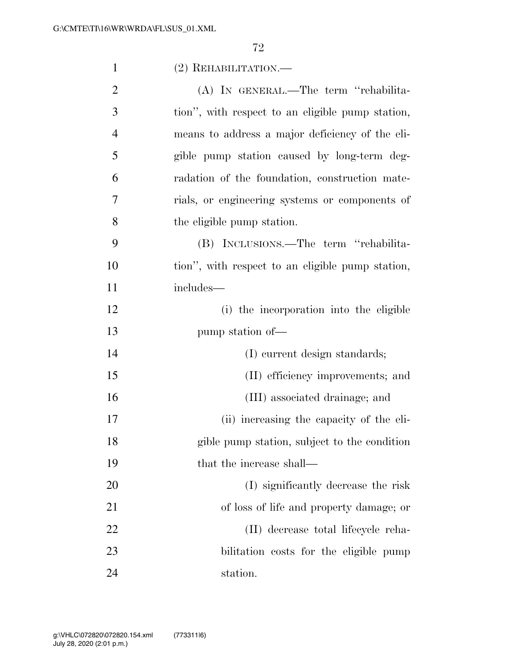| $\mathbf{1}$   | $(2)$ REHABILITATION.—                           |
|----------------|--------------------------------------------------|
| $\overline{2}$ | (A) IN GENERAL.—The term "rehabilita-            |
| 3              | tion", with respect to an eligible pump station, |
| $\overline{4}$ | means to address a major deficiency of the eli-  |
| 5              | gible pump station caused by long-term deg-      |
| 6              | radation of the foundation, construction mate-   |
| 7              | rials, or engineering systems or components of   |
| 8              | the eligible pump station.                       |
| 9              | (B) INCLUSIONS.—The term "rehabilita-            |
| 10             | tion", with respect to an eligible pump station, |
| 11             | includes—                                        |
| 12             | (i) the incorporation into the eligible          |
| 13             | pump station of—                                 |
| 14             | (I) current design standards;                    |
| 15             | (II) efficiency improvements; and                |
| 16             | (III) associated drainage; and                   |
| 17             | (ii) increasing the capacity of the eli-         |
| 18             | gible pump station, subject to the condition     |
| 19             | that the increase shall—                         |
| 20             | (I) significantly decrease the risk              |
| 21             | of loss of life and property damage; or          |
| 22             | (II) decrease total lifecycle reha-              |
| 23             | bilitation costs for the eligible pump           |
| 24             | station.                                         |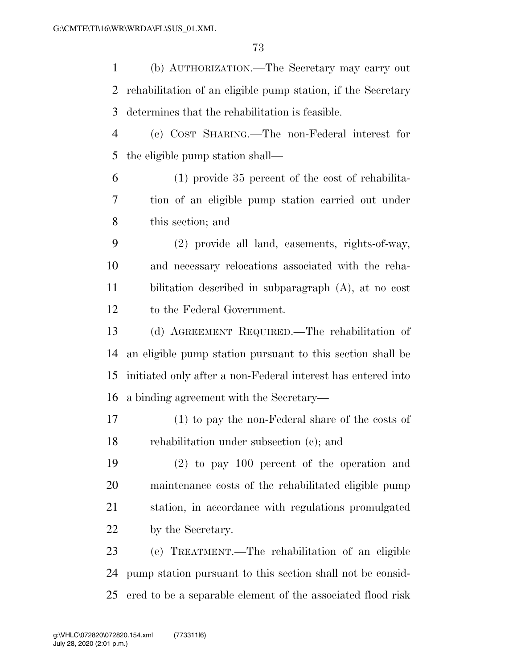(b) AUTHORIZATION.—The Secretary may carry out rehabilitation of an eligible pump station, if the Secretary determines that the rehabilitation is feasible.

 (c) COST SHARING.—The non-Federal interest for the eligible pump station shall—

 (1) provide 35 percent of the cost of rehabilita- tion of an eligible pump station carried out under this section; and

 (2) provide all land, easements, rights-of-way, and necessary relocations associated with the reha- bilitation described in subparagraph (A), at no cost to the Federal Government.

 (d) AGREEMENT REQUIRED.—The rehabilitation of an eligible pump station pursuant to this section shall be initiated only after a non-Federal interest has entered into a binding agreement with the Secretary—

 (1) to pay the non-Federal share of the costs of rehabilitation under subsection (c); and

 (2) to pay 100 percent of the operation and maintenance costs of the rehabilitated eligible pump station, in accordance with regulations promulgated by the Secretary.

 (e) TREATMENT.—The rehabilitation of an eligible pump station pursuant to this section shall not be consid-ered to be a separable element of the associated flood risk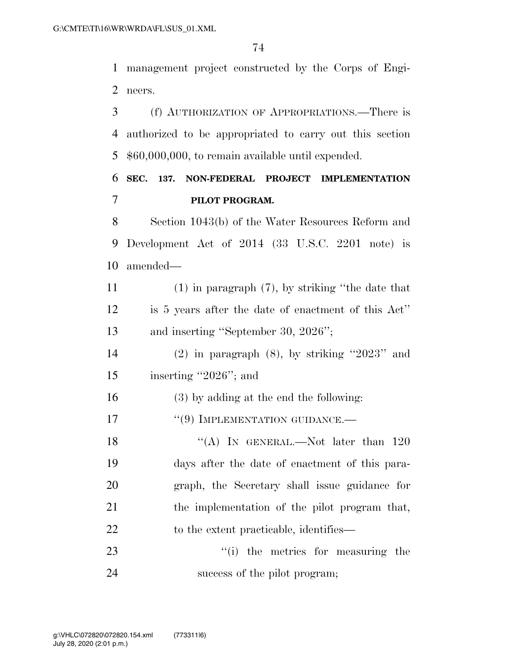management project constructed by the Corps of Engi-neers.

 (f) AUTHORIZATION OF APPROPRIATIONS.—There is authorized to be appropriated to carry out this section \$60,000,000, to remain available until expended.

# **SEC. 137. NON-FEDERAL PROJECT IMPLEMENTATION PILOT PROGRAM.**

 Section 1043(b) of the Water Resources Reform and Development Act of 2014 (33 U.S.C. 2201 note) is amended—

 (1) in paragraph (7), by striking ''the date that is 5 years after the date of enactment of this Act'' 13 and inserting "September 30, 2026";

- 14 (2) in paragraph  $(8)$ , by striking "2023" and inserting ''2026''; and
- (3) by adding at the end the following:
- 17 "(9) IMPLEMENTATION GUIDANCE.—

18 "(A) In GENERAL.—Not later than 120 days after the date of enactment of this para- graph, the Secretary shall issue guidance for 21 the implementation of the pilot program that, 22 to the extent practicable, identifies—

23 ''(i) the metrics for measuring the 24 success of the pilot program;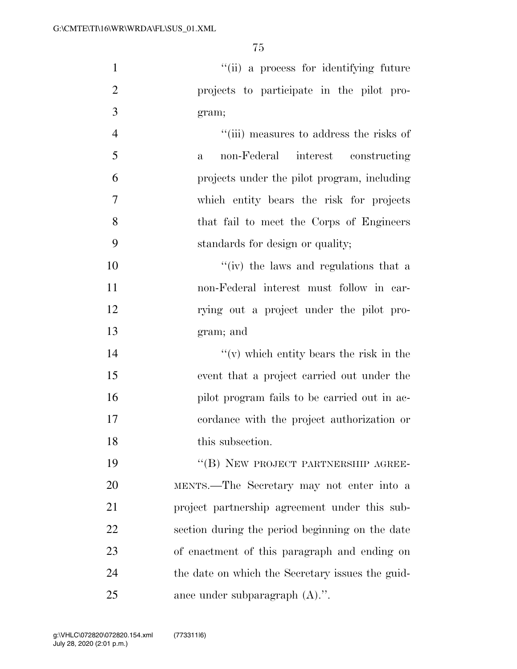''(ii) a process for identifying future projects to participate in the pilot pro- gram; ''(iii) measures to address the risks of a non-Federal interest constructing projects under the pilot program, including which entity bears the risk for projects that fail to meet the Corps of Engineers standards for design or quality; ''(iv) the laws and regulations that a non-Federal interest must follow in car- rying out a project under the pilot pro-gram; and

 ''(v) which entity bears the risk in the event that a project carried out under the 16 pilot program fails to be carried out in ac- cordance with the project authorization or 18 this subsection.

19 "(B) NEW PROJECT PARTNERSHIP AGREE- MENTS.—The Secretary may not enter into a project partnership agreement under this sub- section during the period beginning on the date of enactment of this paragraph and ending on the date on which the Secretary issues the guid-ance under subparagraph (A).''.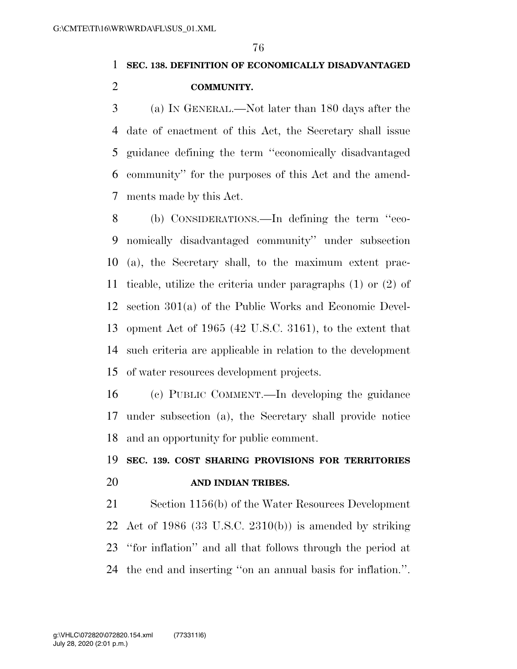# **SEC. 138. DEFINITION OF ECONOMICALLY DISADVANTAGED**

## **COMMUNITY.**

 (a) IN GENERAL.—Not later than 180 days after the date of enactment of this Act, the Secretary shall issue guidance defining the term ''economically disadvantaged community'' for the purposes of this Act and the amend-ments made by this Act.

 (b) CONSIDERATIONS.—In defining the term ''eco- nomically disadvantaged community'' under subsection (a), the Secretary shall, to the maximum extent prac- ticable, utilize the criteria under paragraphs (1) or (2) of section 301(a) of the Public Works and Economic Devel- opment Act of 1965 (42 U.S.C. 3161), to the extent that such criteria are applicable in relation to the development of water resources development projects.

 (c) PUBLIC COMMENT.—In developing the guidance under subsection (a), the Secretary shall provide notice and an opportunity for public comment.

# **SEC. 139. COST SHARING PROVISIONS FOR TERRITORIES AND INDIAN TRIBES.**

 Section 1156(b) of the Water Resources Development Act of 1986 (33 U.S.C. 2310(b)) is amended by striking ''for inflation'' and all that follows through the period at the end and inserting ''on an annual basis for inflation.''.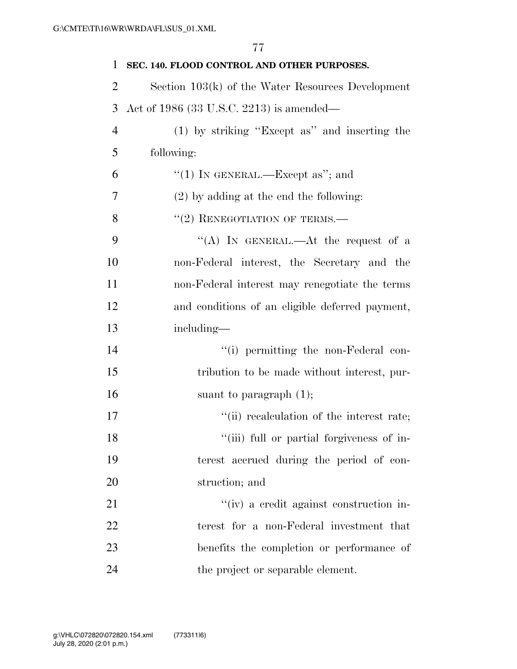| $\mathbf{1}$   | SEC. 140. FLOOD CONTROL AND OTHER PURPOSES.         |
|----------------|-----------------------------------------------------|
| $\overline{2}$ | Section $103(k)$ of the Water Resources Development |
| 3              | Act of 1986 (33 U.S.C. 2213) is amended—            |
| $\overline{4}$ | (1) by striking "Except as" and inserting the       |
| 5              | following:                                          |
| 6              | "(1) IN GENERAL.—Except as"; and                    |
| 7              | $(2)$ by adding at the end the following:           |
| 8              | $"(2)$ RENEGOTIATION OF TERMS.—                     |
| 9              | "(A) IN GENERAL.—At the request of a                |
| 10             | non-Federal interest, the Secretary and the         |
| 11             | non-Federal interest may renegotiate the terms      |
| 12             | and conditions of an eligible deferred payment,     |
| 13             | including—                                          |
| 14             | "(i) permitting the non-Federal con-                |
| 15             | tribution to be made without interest, pur-         |
| 16             | suant to paragraph $(1)$ ;                          |
| 17             | "(ii) recalculation of the interest rate;           |
| 18             | "(iii) full or partial forgiveness of in-           |
| 19             | terest accrued during the period of con-            |
| 20             | struction; and                                      |
| 21             | "(iv) a credit against construction in-             |
| 22             | terest for a non-Federal investment that            |
| 23             | benefits the completion or performance of           |
| 24             | the project or separable element.                   |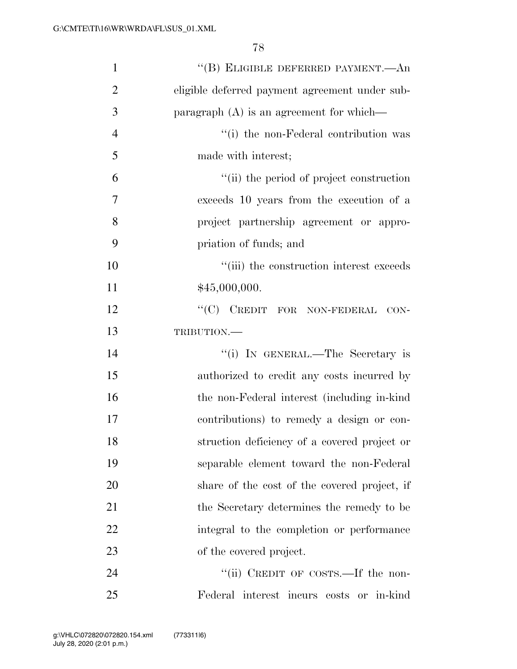| $\mathbf{1}$   | "(B) ELIGIBLE DEFERRED PAYMENT.—An             |
|----------------|------------------------------------------------|
| $\overline{2}$ | eligible deferred payment agreement under sub- |
| 3              | paragraph $(A)$ is an agreement for which—     |
| $\overline{4}$ | "(i) the non-Federal contribution was          |
| 5              | made with interest;                            |
| 6              | "(ii) the period of project construction       |
| 7              | exceeds 10 years from the execution of a       |
| 8              | project partnership agreement or appro-        |
| 9              | priation of funds; and                         |
| 10             | "(iii) the construction interest exceeds       |
| 11             | \$45,000,000.                                  |
| 12             | "(C) CREDIT FOR NON-FEDERAL<br>CON-            |
| 13             | TRIBUTION.-                                    |
| 14             | "(i) IN GENERAL.—The Secretary is              |
| 15             | authorized to credit any costs incurred by     |
| 16             | the non-Federal interest (including in-kind    |
| 17             | contributions) to remedy a design or con-      |
| 18             | struction deficiency of a covered project or   |
| 19             | separable element toward the non-Federal       |
| 20             | share of the cost of the covered project, if   |
| 21             | the Secretary determines the remedy to be      |
| 22             | integral to the completion or performance      |
| 23             | of the covered project.                        |
| 24             | "(ii) CREDIT OF COSTS.—If the non-             |
| 25             | Federal interest incurs costs or in-kind       |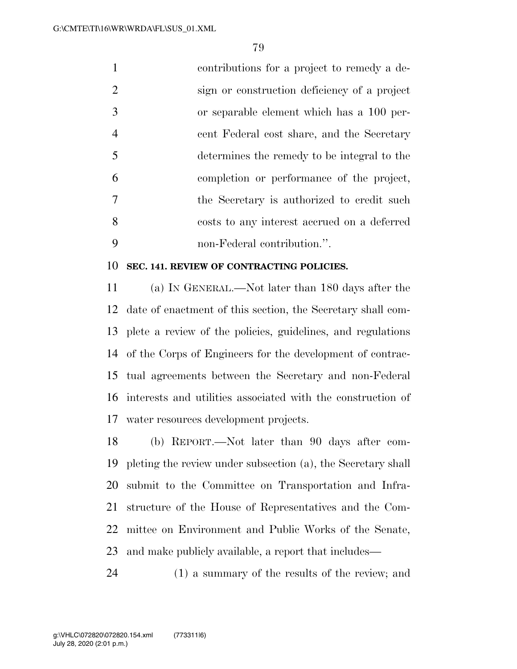| contributions for a project to remedy a de-  |
|----------------------------------------------|
| sign or construction deficiency of a project |
| or separable element which has a 100 per-    |
| cent Federal cost share, and the Secretary   |
| determines the remedy to be integral to the  |
| completion or performance of the project,    |
| the Secretary is authorized to credit such   |
| costs to any interest accrued on a deferred  |
| non-Federal contribution.".                  |
|                                              |

### **SEC. 141. REVIEW OF CONTRACTING POLICIES.**

 (a) IN GENERAL.—Not later than 180 days after the date of enactment of this section, the Secretary shall com- plete a review of the policies, guidelines, and regulations of the Corps of Engineers for the development of contrac- tual agreements between the Secretary and non-Federal interests and utilities associated with the construction of water resources development projects.

 (b) REPORT.—Not later than 90 days after com- pleting the review under subsection (a), the Secretary shall submit to the Committee on Transportation and Infra- structure of the House of Representatives and the Com- mittee on Environment and Public Works of the Senate, and make publicly available, a report that includes—

(1) a summary of the results of the review; and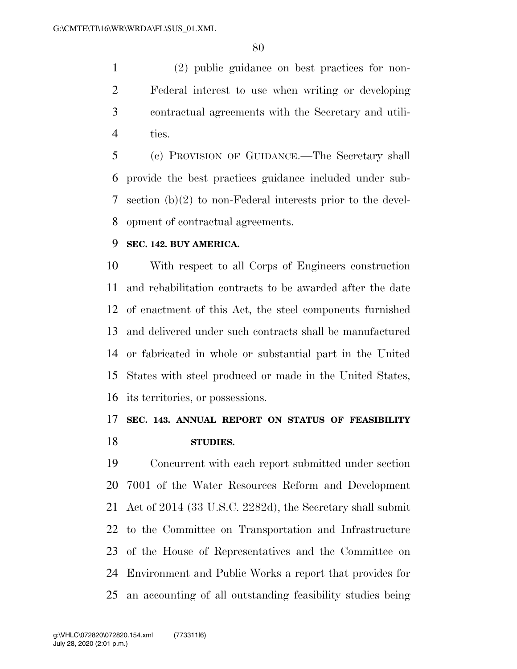(2) public guidance on best practices for non- Federal interest to use when writing or developing contractual agreements with the Secretary and utili-ties.

 (c) PROVISION OF GUIDANCE.—The Secretary shall provide the best practices guidance included under sub- section (b)(2) to non-Federal interests prior to the devel-opment of contractual agreements.

## **SEC. 142. BUY AMERICA.**

 With respect to all Corps of Engineers construction and rehabilitation contracts to be awarded after the date of enactment of this Act, the steel components furnished and delivered under such contracts shall be manufactured or fabricated in whole or substantial part in the United States with steel produced or made in the United States, its territories, or possessions.

# **SEC. 143. ANNUAL REPORT ON STATUS OF FEASIBILITY STUDIES.**

 Concurrent with each report submitted under section 7001 of the Water Resources Reform and Development Act of 2014 (33 U.S.C. 2282d), the Secretary shall submit to the Committee on Transportation and Infrastructure of the House of Representatives and the Committee on Environment and Public Works a report that provides for an accounting of all outstanding feasibility studies being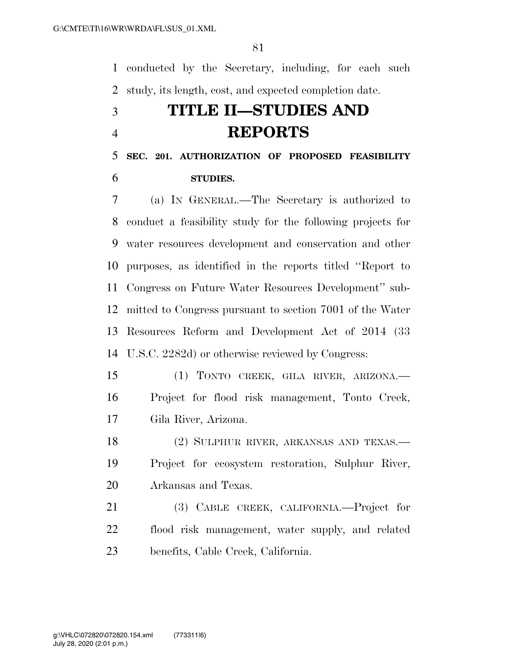conducted by the Secretary, including, for each such study, its length, cost, and expected completion date.

# **TITLE II—STUDIES AND REPORTS**

 **SEC. 201. AUTHORIZATION OF PROPOSED FEASIBILITY STUDIES.** 

 (a) IN GENERAL.—The Secretary is authorized to conduct a feasibility study for the following projects for water resources development and conservation and other purposes, as identified in the reports titled ''Report to Congress on Future Water Resources Development'' sub- mitted to Congress pursuant to section 7001 of the Water Resources Reform and Development Act of 2014 (33 U.S.C. 2282d) or otherwise reviewed by Congress:

 (1) TONTO CREEK, GILA RIVER, ARIZONA.— Project for flood risk management, Tonto Creek, Gila River, Arizona.

 (2) SULPHUR RIVER, ARKANSAS AND TEXAS.— Project for ecosystem restoration, Sulphur River, Arkansas and Texas.

 (3) CABLE CREEK, CALIFORNIA.—Project for flood risk management, water supply, and related benefits, Cable Creek, California.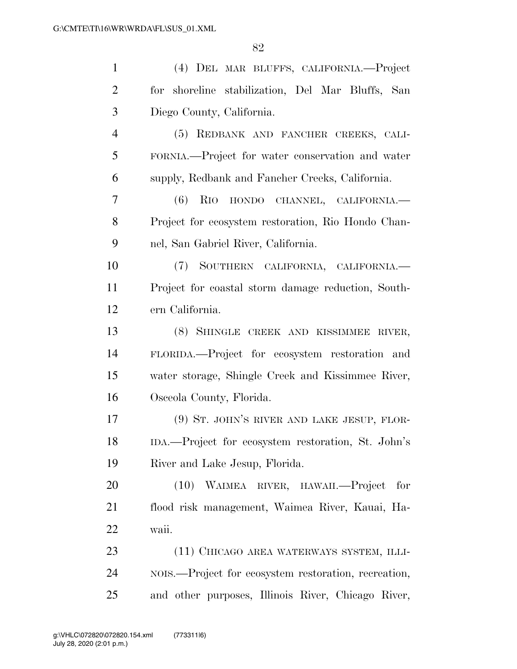| $\mathbf{1}$   | (4) DEL MAR BLUFFS, CALIFORNIA.—Project              |
|----------------|------------------------------------------------------|
| $\overline{2}$ | for shoreline stabilization, Del Mar Bluffs, San     |
| 3              | Diego County, California.                            |
| $\overline{4}$ | (5) REDBANK AND FANCHER CREEKS, CALI-                |
| 5              | FORNIA.—Project for water conservation and water     |
| 6              | supply, Redbank and Fancher Creeks, California.      |
| 7              | RIO HONDO CHANNEL, CALIFORNIA.<br>(6)                |
| 8              | Project for ecosystem restoration, Rio Hondo Chan-   |
| 9              | nel, San Gabriel River, California.                  |
| 10             | (7) SOUTHERN CALIFORNIA, CALIFORNIA.                 |
| 11             | Project for coastal storm damage reduction, South-   |
| 12             | ern California.                                      |
| 13             | (8) SHINGLE CREEK AND KISSIMMEE RIVER,               |
| 14             | FLORIDA.—Project for ecosystem restoration and       |
| 15             | water storage, Shingle Creek and Kissimmee River,    |
| 16             | Osceola County, Florida.                             |
| 17             | (9) ST. JOHN'S RIVER AND LAKE JESUP, FLOR-           |
| 18             | IDA.—Project for ecosystem restoration, St. John's   |
| 19             | River and Lake Jesup, Florida.                       |
| 20             | (10) WAIMEA RIVER, HAWAII.—Project for               |
| 21             | flood risk management, Waimea River, Kauai, Ha-      |
| 22             | waii.                                                |
| 23             | (11) CHICAGO AREA WATERWAYS SYSTEM, ILLI-            |
| 24             | NOIS.—Project for ecosystem restoration, recreation, |
| 25             | and other purposes, Illinois River, Chicago River,   |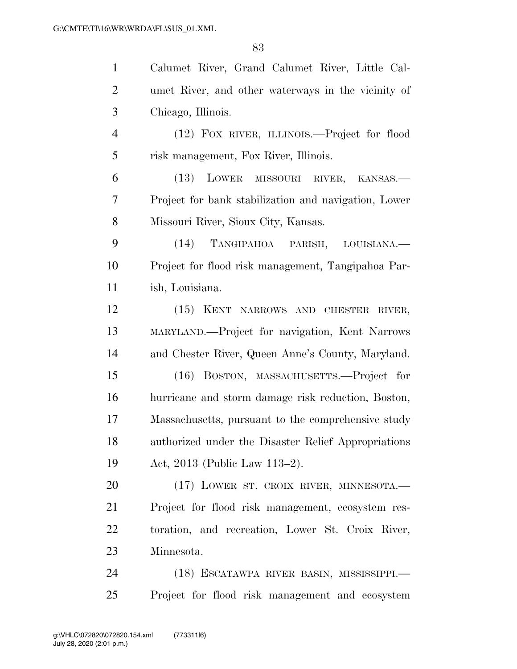| $\mathbf{1}$   | Calumet River, Grand Calumet River, Little Cal-      |
|----------------|------------------------------------------------------|
| $\overline{2}$ | umet River, and other waterways in the vicinity of   |
| 3              | Chicago, Illinois.                                   |
| $\overline{4}$ | (12) FOX RIVER, ILLINOIS.—Project for flood          |
| 5              | risk management, Fox River, Illinois.                |
| 6              | (13) LOWER MISSOURI RIVER, KANSAS.—                  |
| $\tau$         | Project for bank stabilization and navigation, Lower |
| 8              | Missouri River, Sioux City, Kansas.                  |
| 9              | TANGIPAHOA PARISH, LOUISIANA.—<br>(14)               |
| 10             | Project for flood risk management, Tangipahoa Par-   |
| 11             | ish, Louisiana.                                      |
| 12             | (15) KENT NARROWS AND CHESTER RIVER,                 |
| 13             | MARYLAND.—Project for navigation, Kent Narrows       |
| 14             | and Chester River, Queen Anne's County, Maryland.    |
| 15             | BOSTON, MASSACHUSETTS.-Project for<br>(16)           |
| 16             | hurricane and storm damage risk reduction, Boston,   |
| 17             | Massachusetts, pursuant to the comprehensive study   |
| 18             | authorized under the Disaster Relief Appropriations  |
| 19             | Act, 2013 (Public Law 113–2).                        |
| 20             | (17) LOWER ST. CROIX RIVER, MINNESOTA.—              |
| 21             | Project for flood risk management, ecosystem res-    |
| 22             | toration, and recreation, Lower St. Croix River,     |
| 23             | Minnesota.                                           |
| 24             | (18) ESCATAWPA RIVER BASIN, MISSISSIPPI.-            |
| 25             | Project for flood risk management and ecosystem      |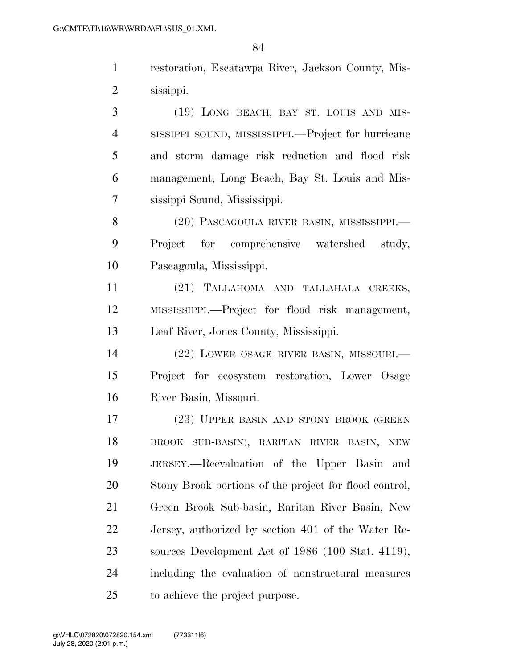|   | restoration, Escatawpa River, Jackson County, Mis- |
|---|----------------------------------------------------|
| 2 | sissippi.                                          |
| 3 | (19) LONG BEACH, BAY ST. LOUIS AND MIS-            |

 SISSIPPI SOUND, MISSISSIPPI.—Project for hurricane and storm damage risk reduction and flood risk management, Long Beach, Bay St. Louis and Mis-sissippi Sound, Mississippi.

8 (20) PASCAGOULA RIVER BASIN, MISSISSIPPI.— Project for comprehensive watershed study, Pascagoula, Mississippi.

 (21) TALLAHOMA AND TALLAHALA CREEKS, MISSISSIPPI.—Project for flood risk management, Leaf River, Jones County, Mississippi.

 (22) LOWER OSAGE RIVER BASIN, MISSOURI.— Project for ecosystem restoration, Lower Osage River Basin, Missouri.

 (23) UPPER BASIN AND STONY BROOK (GREEN BROOK SUB-BASIN), RARITAN RIVER BASIN, NEW JERSEY.—Reevaluation of the Upper Basin and Stony Brook portions of the project for flood control, Green Brook Sub-basin, Raritan River Basin, New Jersey, authorized by section 401 of the Water Re- sources Development Act of 1986 (100 Stat. 4119), including the evaluation of nonstructural measures to achieve the project purpose.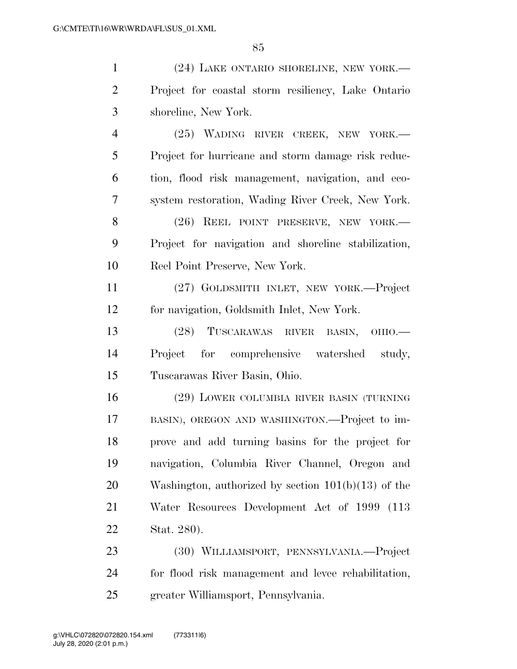(24) LAKE ONTARIO SHORELINE, NEW YORK.— Project for coastal storm resiliency, Lake Ontario shoreline, New York. (25) WADING RIVER CREEK, NEW YORK.—

 Project for hurricane and storm damage risk reduc- tion, flood risk management, navigation, and eco- system restoration, Wading River Creek, New York. 8 (26) REEL POINT PRESERVE, NEW YORK.— Project for navigation and shoreline stabilization, Reel Point Preserve, New York.

 (27) GOLDSMITH INLET, NEW YORK.—Project for navigation, Goldsmith Inlet, New York.

 (28) TUSCARAWAS RIVER BASIN, OHIO.— Project for comprehensive watershed study, Tuscarawas River Basin, Ohio.

 (29) LOWER COLUMBIA RIVER BASIN (TURNING BASIN), OREGON AND WASHINGTON.—Project to im- prove and add turning basins for the project for navigation, Columbia River Channel, Oregon and Washington, authorized by section 101(b)(13) of the Water Resources Development Act of 1999 (113 Stat. 280).

 (30) WILLIAMSPORT, PENNSYLVANIA.—Project for flood risk management and levee rehabilitation, greater Williamsport, Pennsylvania.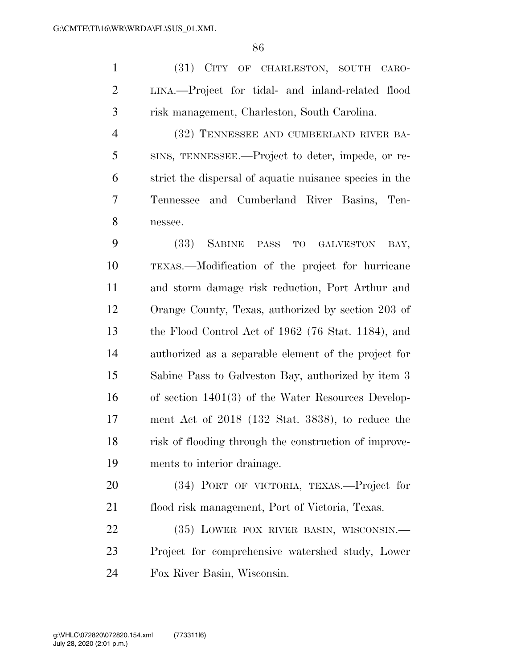(31) CITY OF CHARLESTON, SOUTH CARO- LINA.—Project for tidal- and inland-related flood risk management, Charleston, South Carolina.

 (32) TENNESSEE AND CUMBERLAND RIVER BA- SINS, TENNESSEE.—Project to deter, impede, or re- strict the dispersal of aquatic nuisance species in the Tennessee and Cumberland River Basins, Ten-nessee.

 (33) SABINE PASS TO GALVESTON BAY, TEXAS.—Modification of the project for hurricane and storm damage risk reduction, Port Arthur and Orange County, Texas, authorized by section 203 of the Flood Control Act of 1962 (76 Stat. 1184), and authorized as a separable element of the project for Sabine Pass to Galveston Bay, authorized by item 3 of section 1401(3) of the Water Resources Develop- ment Act of 2018 (132 Stat. 3838), to reduce the risk of flooding through the construction of improve-ments to interior drainage.

 (34) PORT OF VICTORIA, TEXAS.—Project for flood risk management, Port of Victoria, Texas.

22 (35) LOWER FOX RIVER BASIN, WISCONSIN.— Project for comprehensive watershed study, Lower Fox River Basin, Wisconsin.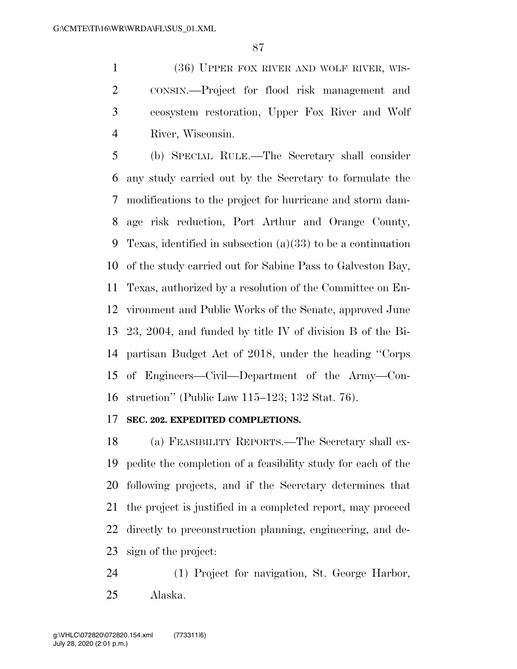(36) UPPER FOX RIVER AND WOLF RIVER, WIS- CONSIN.—Project for flood risk management and ecosystem restoration, Upper Fox River and Wolf River, Wisconsin.

 (b) SPECIAL RULE.—The Secretary shall consider any study carried out by the Secretary to formulate the modifications to the project for hurricane and storm dam- age risk reduction, Port Arthur and Orange County, Texas, identified in subsection (a)(33) to be a continuation of the study carried out for Sabine Pass to Galveston Bay, Texas, authorized by a resolution of the Committee on En- vironment and Public Works of the Senate, approved June 23, 2004, and funded by title IV of division B of the Bi- partisan Budget Act of 2018, under the heading ''Corps of Engineers—Civil—Department of the Army—Con-struction'' (Public Law 115–123; 132 Stat. 76).

## **SEC. 202. EXPEDITED COMPLETIONS.**

 (a) FEASIBILITY REPORTS.—The Secretary shall ex- pedite the completion of a feasibility study for each of the following projects, and if the Secretary determines that the project is justified in a completed report, may proceed directly to preconstruction planning, engineering, and de-sign of the project:

 (1) Project for navigation, St. George Harbor, Alaska.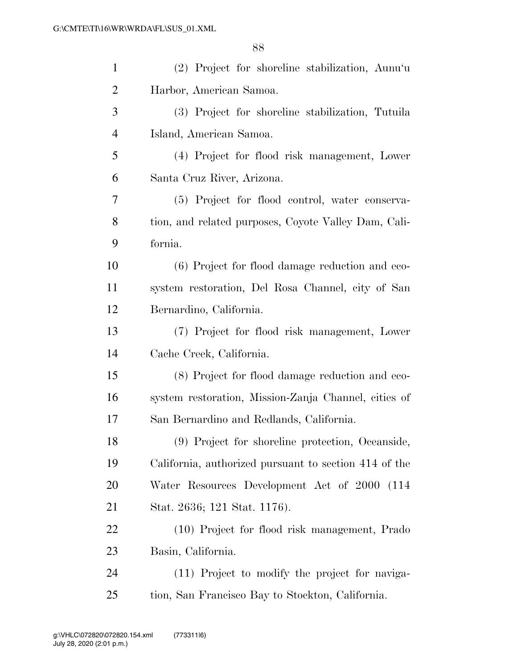| $\mathbf{1}$   | (2) Project for shoreline stabilization, Aunu'u       |
|----------------|-------------------------------------------------------|
| 2              | Harbor, American Samoa.                               |
| 3              | (3) Project for shoreline stabilization, Tutuila      |
| $\overline{4}$ | Island, American Samoa.                               |
| 5              | (4) Project for flood risk management, Lower          |
| 6              | Santa Cruz River, Arizona.                            |
| 7              | (5) Project for flood control, water conserva-        |
| 8              | tion, and related purposes, Coyote Valley Dam, Cali-  |
| 9              | fornia.                                               |
| 10             | (6) Project for flood damage reduction and eco-       |
| 11             | system restoration, Del Rosa Channel, city of San     |
| 12             | Bernardino, California.                               |
| 13             | (7) Project for flood risk management, Lower          |
| 14             | Cache Creek, California.                              |
| 15             | (8) Project for flood damage reduction and eco-       |
| 16             | system restoration, Mission-Zanja Channel, cities of  |
| 17             | San Bernardino and Redlands, California.              |
| 18             | (9) Project for shoreline protection, Oceanside,      |
| 19             | California, authorized pursuant to section 414 of the |
| 20             | Water Resources Development Act of 2000 (114          |
| 21             | Stat. 2636; 121 Stat. 1176).                          |
| <u>22</u>      | (10) Project for flood risk management, Prado         |
| 23             | Basin, California.                                    |
| 24             | (11) Project to modify the project for naviga-        |
| 25             | tion, San Francisco Bay to Stockton, California.      |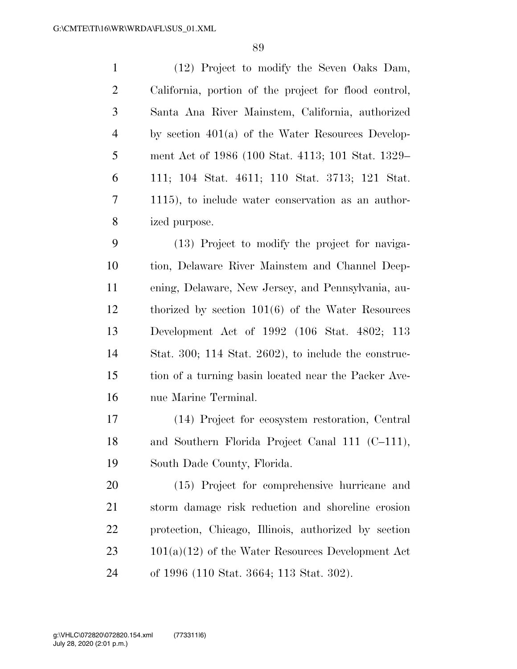| $\mathbf{1}$   | (12) Project to modify the Seven Oaks Dam,            |
|----------------|-------------------------------------------------------|
| $\overline{2}$ | California, portion of the project for flood control, |
| 3              | Santa Ana River Mainstem, California, authorized      |
| $\overline{4}$ | by section $401(a)$ of the Water Resources Develop-   |
| 5              | ment Act of 1986 (100 Stat. 4113; 101 Stat. 1329–     |
| 6              | 111; 104 Stat. 4611; 110 Stat. 3713; 121 Stat.        |
| 7              | 1115), to include water conservation as an author-    |
| 8              | ized purpose.                                         |
| 9              | (13) Project to modify the project for naviga-        |
| 10             | tion, Delaware River Mainstem and Channel Deep-       |
| 11             | ening, Delaware, New Jersey, and Pennsylvania, au-    |
| 12             | thorized by section $101(6)$ of the Water Resources   |
| 13             | Development Act of 1992 (106 Stat. 4802; 113          |
| 14             | Stat. 300; 114 Stat. 2602), to include the construc-  |
| 15             | tion of a turning basin located near the Packer Ave-  |
| 16             | nue Marine Terminal.                                  |
| 17             | (14) Project for ecosystem restoration, Central       |
| 18             | and Southern Florida Project Canal 111 (C-111),       |
| 19             | South Dade County, Florida.                           |
| 20             | (15) Project for comprehensive hurricane and          |
| 21             | storm damage risk reduction and shoreline erosion     |
| 22             | protection, Chicago, Illinois, authorized by section  |
| 23             | $101(a)(12)$ of the Water Resources Development Act   |
| 24             | of 1996 (110 Stat. 3664; 113 Stat. 302).              |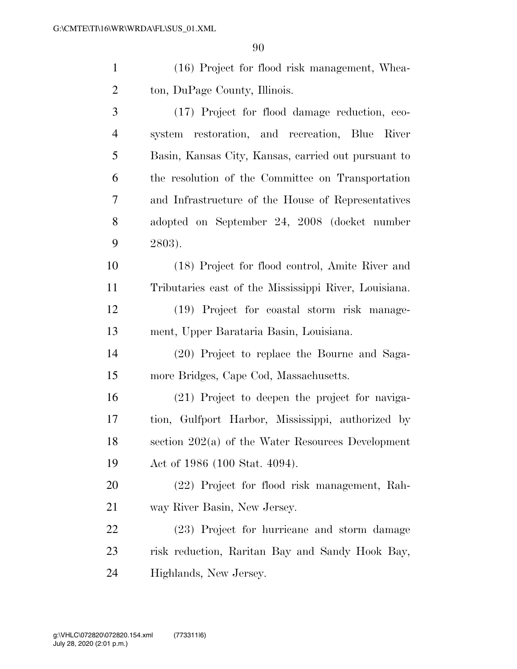| $\mathbf{1}$   | (16) Project for flood risk management, Whea-         |
|----------------|-------------------------------------------------------|
| $\overline{2}$ | ton, DuPage County, Illinois.                         |
| 3              | (17) Project for flood damage reduction, eco-         |
| $\overline{4}$ | system restoration, and recreation, Blue River        |
| 5              | Basin, Kansas City, Kansas, carried out pursuant to   |
| 6              | the resolution of the Committee on Transportation     |
| 7              | and Infrastructure of the House of Representatives    |
| 8              | adopted on September 24, 2008 (docket number          |
| 9              | 2803).                                                |
| 10             | (18) Project for flood control, Amite River and       |
| 11             | Tributaries east of the Mississippi River, Louisiana. |
| 12             | (19) Project for coastal storm risk manage-           |
| 13             | ment, Upper Barataria Basin, Louisiana.               |
| 14             | (20) Project to replace the Bourne and Saga-          |
| 15             | more Bridges, Cape Cod, Massachusetts.                |
| 16             | (21) Project to deepen the project for naviga-        |
| 17             | tion, Gulfport Harbor, Mississippi, authorized by     |
| 18             | section $202(a)$ of the Water Resources Development   |
| 19             | Act of 1986 (100 Stat. 4094).                         |
| 20             | (22) Project for flood risk management, Rah-          |
| 21             | way River Basin, New Jersey.                          |
| 22             | (23) Project for hurricane and storm damage           |
| 23             | risk reduction, Raritan Bay and Sandy Hook Bay,       |
| 24             | Highlands, New Jersey.                                |
|                |                                                       |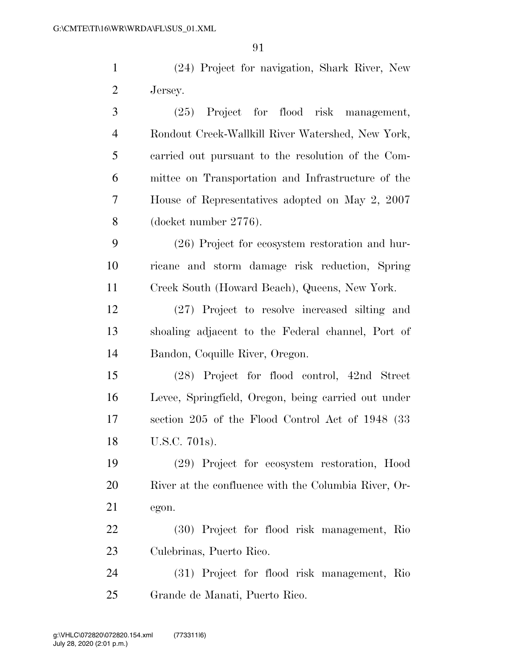(24) Project for navigation, Shark River, New Jersey.

 (25) Project for flood risk management, Rondout Creek-Wallkill River Watershed, New York, carried out pursuant to the resolution of the Com- mittee on Transportation and Infrastructure of the House of Representatives adopted on May 2, 2007 (docket number 2776). (26) Project for ecosystem restoration and hur- ricane and storm damage risk reduction, Spring Creek South (Howard Beach), Queens, New York. (27) Project to resolve increased silting and shoaling adjacent to the Federal channel, Port of Bandon, Coquille River, Oregon. (28) Project for flood control, 42nd Street Levee, Springfield, Oregon, being carried out under section 205 of the Flood Control Act of 1948 (33 U.S.C. 701s). (29) Project for ecosystem restoration, Hood River at the confluence with the Columbia River, Or- egon. (30) Project for flood risk management, Rio Culebrinas, Puerto Rico. (31) Project for flood risk management, Rio Grande de Manati, Puerto Rico.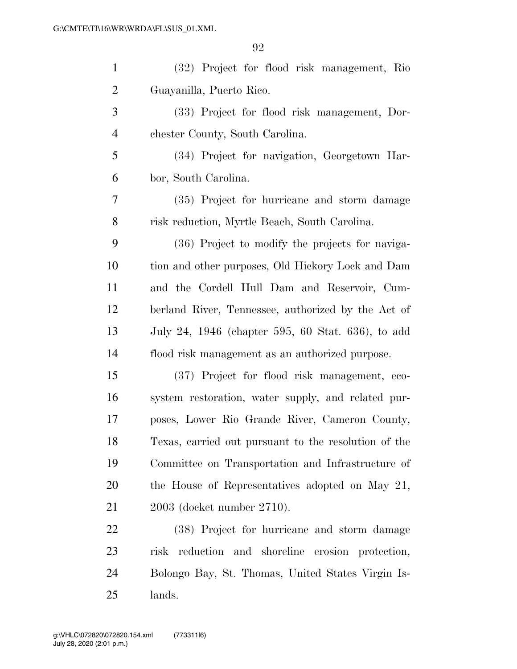| $\mathbf{1}$   | (32) Project for flood risk management, Rio          |
|----------------|------------------------------------------------------|
| $\overline{2}$ | Guayanilla, Puerto Rico.                             |
| 3              | (33) Project for flood risk management, Dor-         |
| $\overline{4}$ | chester County, South Carolina.                      |
| 5              | (34) Project for navigation, Georgetown Har-         |
| 6              | bor, South Carolina.                                 |
| 7              | (35) Project for hurricane and storm damage          |
| 8              | risk reduction, Myrtle Beach, South Carolina.        |
| 9              | (36) Project to modify the projects for naviga-      |
| 10             | tion and other purposes, Old Hickory Lock and Dam    |
| 11             | and the Cordell Hull Dam and Reservoir, Cum-         |
| 12             | berland River, Tennessee, authorized by the Act of   |
| 13             | July 24, 1946 (chapter 595, 60 Stat. 636), to add    |
| 14             | flood risk management as an authorized purpose.      |
| 15             | (37) Project for flood risk management, eco-         |
| 16             | system restoration, water supply, and related pur-   |
| 17             | poses, Lower Rio Grande River, Cameron County,       |
| 18             | Texas, carried out pursuant to the resolution of the |
| 19             | Committee on Transportation and Infrastructure of    |
| 20             | the House of Representatives adopted on May 21,      |
| 21             | 2003 (docket number 2710).                           |
| 22             | (38) Project for hurricane and storm damage          |
| 23             | risk reduction and shoreline erosion protection,     |
| 24             | Bolongo Bay, St. Thomas, United States Virgin Is-    |

lands.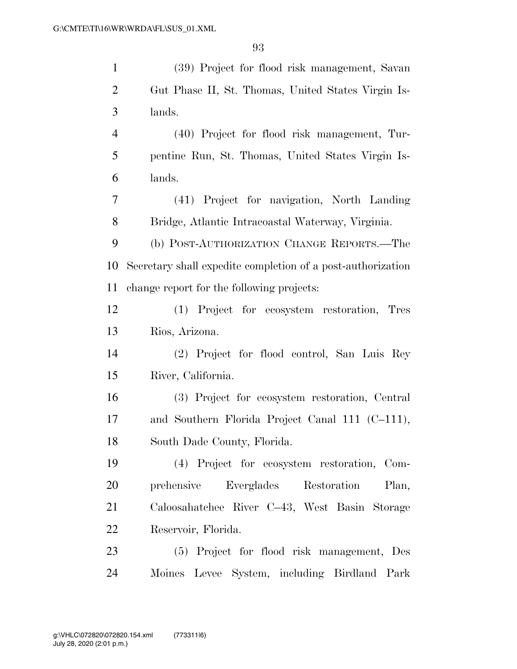| $\mathbf{1}$   | (39) Project for flood risk management, Savan               |
|----------------|-------------------------------------------------------------|
| $\overline{2}$ | Gut Phase II, St. Thomas, United States Virgin Is-          |
| 3              | lands.                                                      |
| $\overline{4}$ | (40) Project for flood risk management, Tur-                |
| 5              | pentine Run, St. Thomas, United States Virgin Is-           |
| 6              | lands.                                                      |
| 7              | (41) Project for navigation, North Landing                  |
| 8              | Bridge, Atlantic Intracoastal Waterway, Virginia.           |
| 9              | (b) POST-AUTHORIZATION CHANGE REPORTS.-The                  |
| 10             | Secretary shall expedite completion of a post-authorization |
| 11             | change report for the following projects:                   |
| 12             | (1) Project for ecosystem restoration, Tres                 |
| 13             | Rios, Arizona.                                              |
| 14             | (2) Project for flood control, San Luis Rey                 |
| 15             | River, California.                                          |
| 16             | (3) Project for ecosystem restoration, Central              |
| 17             | and Southern Florida Project Canal 111 (C-111),             |
| 18             | South Dade County, Florida.                                 |
| 19             | (4) Project for ecosystem restoration, Com-                 |
| 20             | prehensive Everglades<br>Restoration<br>Plan,               |
| 21             | Caloosahatchee River C-43, West Basin Storage               |
| 22             | Reservoir, Florida.                                         |
| 23             | (5) Project for flood risk management, Des                  |
| 24             | Moines Levee System, including Birdland Park                |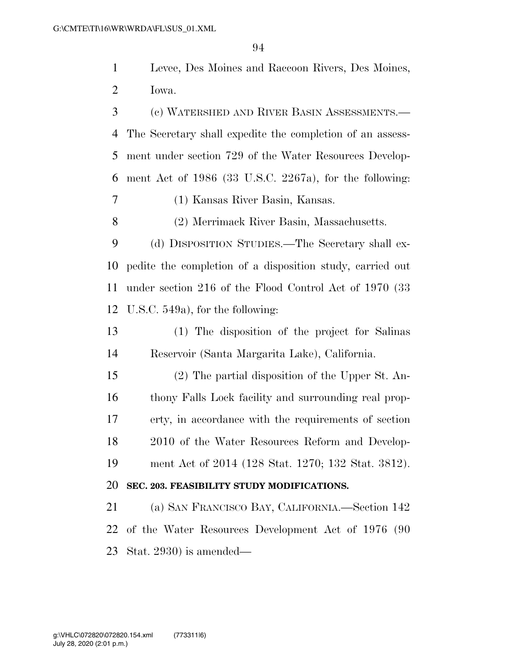|              | .94                                                       |
|--------------|-----------------------------------------------------------|
| $\mathbf{1}$ | Levee, Des Moines and Raccoon Rivers, Des Moines,         |
| 2            | Iowa.                                                     |
| 3            | (c) WATERSHED AND RIVER BASIN ASSESSMENTS.—               |
| 4            | The Secretary shall expedite the completion of an assess- |
| 5            | ment under section 729 of the Water Resources Develop-    |
| 6            | ment Act of 1986 (33 U.S.C. 2267a), for the following:    |
| 7            | (1) Kansas River Basin, Kansas.                           |
| 8            | (2) Merrimack River Basin, Massachusetts.                 |
| 9            | (d) DISPOSITION STUDIES.—The Secretary shall ex-          |
| 10           | pedite the completion of a disposition study, carried out |
| 11           | under section 216 of the Flood Control Act of 1970 (33    |
|              | 12 U.S.C. 549a), for the following:                       |
|              |                                                           |

 (1) The disposition of the project for Salinas Reservoir (Santa Margarita Lake), California.

 (2) The partial disposition of the Upper St. An- thony Falls Lock facility and surrounding real prop- erty, in accordance with the requirements of section 18 2010 of the Water Resources Reform and Develop-ment Act of 2014 (128 Stat. 1270; 132 Stat. 3812).

## **SEC. 203. FEASIBILITY STUDY MODIFICATIONS.**

 (a) SAN FRANCISCO BAY, CALIFORNIA.—Section 142 of the Water Resources Development Act of 1976 (90 Stat. 2930) is amended—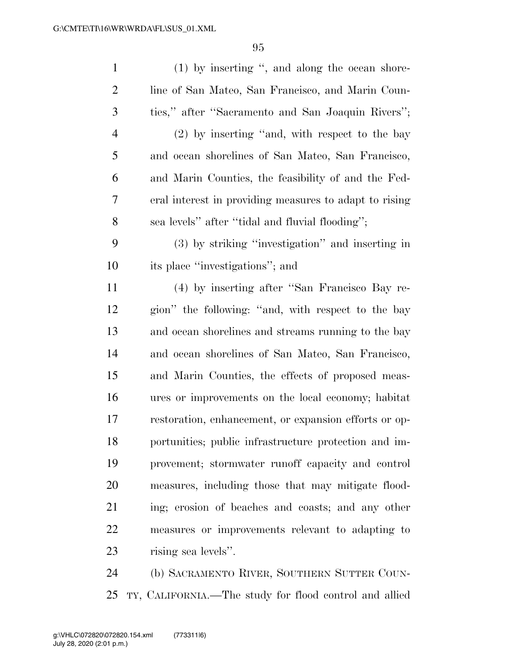| $\mathbf{1}$   | $(1)$ by inserting ", and along the ocean shore-       |
|----------------|--------------------------------------------------------|
| $\overline{2}$ | line of San Mateo, San Francisco, and Marin Coun-      |
| 3              | ties," after "Sacramento and San Joaquin Rivers";      |
| $\overline{4}$ | (2) by inserting "and, with respect to the bay         |
| 5              | and ocean shorelines of San Mateo, San Francisco,      |
| 6              | and Marin Counties, the feasibility of and the Fed-    |
| 7              | eral interest in providing measures to adapt to rising |
| 8              | sea levels" after "tidal and fluvial flooding";        |
| 9              | (3) by striking "investigation" and inserting in       |
| 10             | its place "investigations"; and                        |
| 11             | (4) by inserting after "San Francisco Bay re-          |
| 12             | gion" the following: "and, with respect to the bay     |
| 13             | and ocean shorelines and streams running to the bay    |
| 14             | and ocean shorelines of San Mateo, San Francisco,      |
| 15             | and Marin Counties, the effects of proposed meas-      |
| 16             | ures or improvements on the local economy; habitat     |
| 17             | restoration, enhancement, or expansion efforts or op-  |
| 18             | portunities; public infrastructure protection and im-  |
| 19             | provement; stormwater runoff capacity and control      |
| 20             | measures, including those that may mitigate flood-     |
| 21             | ing; erosion of beaches and coasts; and any other      |
| 22             | measures or improvements relevant to adapting to       |
| 23             | rising sea levels".                                    |
| 24             | (b) SACRAMENTO RIVER, SOUTHERN SUTTER COUN-            |

TY, CALIFORNIA.—The study for flood control and allied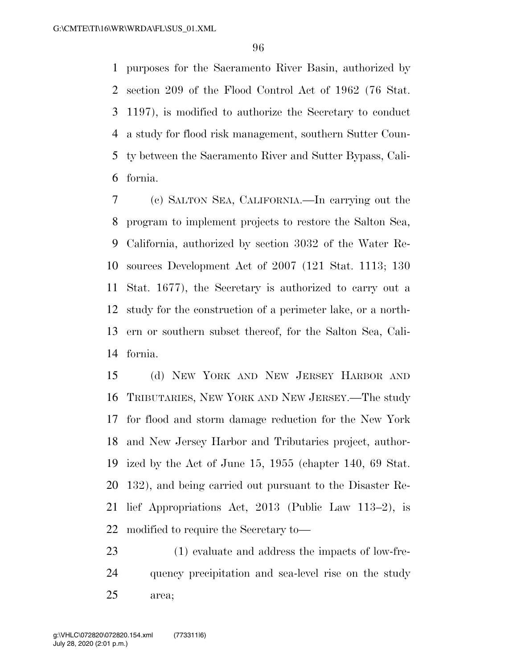purposes for the Sacramento River Basin, authorized by section 209 of the Flood Control Act of 1962 (76 Stat. 1197), is modified to authorize the Secretary to conduct a study for flood risk management, southern Sutter Coun- ty between the Sacramento River and Sutter Bypass, Cali-fornia.

 (c) SALTON SEA, CALIFORNIA.—In carrying out the program to implement projects to restore the Salton Sea, California, authorized by section 3032 of the Water Re- sources Development Act of 2007 (121 Stat. 1113; 130 Stat. 1677), the Secretary is authorized to carry out a study for the construction of a perimeter lake, or a north- ern or southern subset thereof, for the Salton Sea, Cali-fornia.

 (d) NEW YORK AND NEW JERSEY HARBOR AND TRIBUTARIES, NEW YORK AND NEW JERSEY.—The study for flood and storm damage reduction for the New York and New Jersey Harbor and Tributaries project, author- ized by the Act of June 15, 1955 (chapter 140, 69 Stat. 132), and being carried out pursuant to the Disaster Re- lief Appropriations Act, 2013 (Public Law 113–2), is modified to require the Secretary to—

 (1) evaluate and address the impacts of low-fre- quency precipitation and sea-level rise on the study area;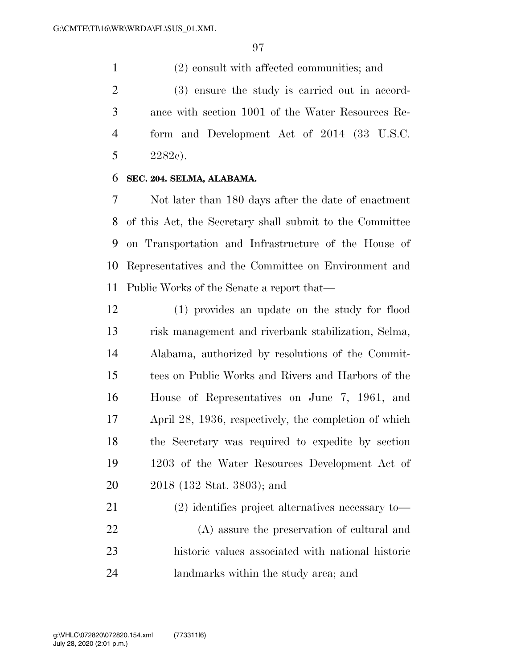(2) consult with affected communities; and (3) ensure the study is carried out in accord- ance with section 1001 of the Water Resources Re- form and Development Act of 2014 (33 U.S.C. 2282c).

### **SEC. 204. SELMA, ALABAMA.**

 Not later than 180 days after the date of enactment of this Act, the Secretary shall submit to the Committee on Transportation and Infrastructure of the House of Representatives and the Committee on Environment and Public Works of the Senate a report that—

 (1) provides an update on the study for flood risk management and riverbank stabilization, Selma, Alabama, authorized by resolutions of the Commit- tees on Public Works and Rivers and Harbors of the House of Representatives on June 7, 1961, and April 28, 1936, respectively, the completion of which the Secretary was required to expedite by section 1203 of the Water Resources Development Act of 2018 (132 Stat. 3803); and

 (2) identifies project alternatives necessary to— (A) assure the preservation of cultural and historic values associated with national historic landmarks within the study area; and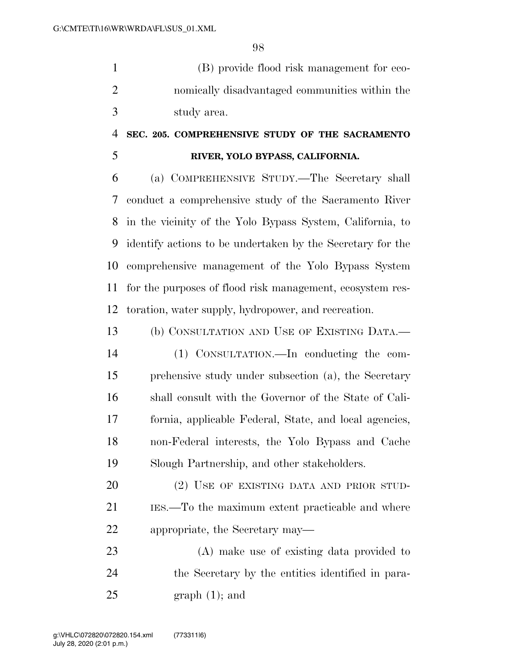(B) provide flood risk management for eco- nomically disadvantaged communities within the study area.

# **SEC. 205. COMPREHENSIVE STUDY OF THE SACRAMENTO RIVER, YOLO BYPASS, CALIFORNIA.**

 (a) COMPREHENSIVE STUDY.—The Secretary shall conduct a comprehensive study of the Sacramento River in the vicinity of the Yolo Bypass System, California, to identify actions to be undertaken by the Secretary for the comprehensive management of the Yolo Bypass System for the purposes of flood risk management, ecosystem res-toration, water supply, hydropower, and recreation.

 (b) CONSULTATION AND USE OF EXISTING DATA.— (1) CONSULTATION.—In conducting the com- prehensive study under subsection (a), the Secretary shall consult with the Governor of the State of Cali- fornia, applicable Federal, State, and local agencies, non-Federal interests, the Yolo Bypass and Cache Slough Partnership, and other stakeholders.

20 (2) USE OF EXISTING DATA AND PRIOR STUD-21 IES.—To the maximum extent practicable and where appropriate, the Secretary may—

 (A) make use of existing data provided to the Secretary by the entities identified in para-graph  $(1)$ ; and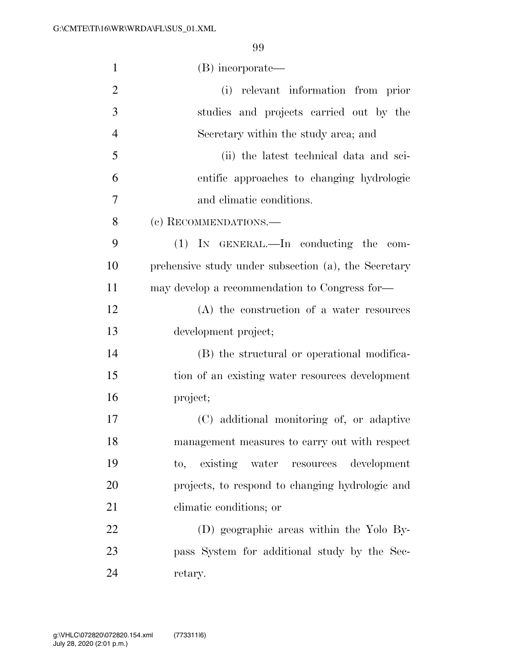| $\mathbf{1}$   | (B) incorporate—                                             |
|----------------|--------------------------------------------------------------|
| $\overline{2}$ | relevant information from prior<br>(i)                       |
| 3              | studies and projects carried out by the                      |
| $\overline{4}$ | Secretary within the study area; and                         |
| 5              | (ii) the latest technical data and sci-                      |
| 6              | entific approaches to changing hydrologic                    |
| 7              | and elimatic conditions.                                     |
| 8              | (c) RECOMMENDATIONS.—                                        |
| 9              | $(1)$ IN GENERAL.—In conducting the<br>com-                  |
| 10             | prehensive study under subsection (a), the Secretary         |
| 11             | may develop a recommendation to Congress for-                |
| 12             | (A) the construction of a water resources                    |
| 13             | development project;                                         |
| 14             | (B) the structural or operational modifica-                  |
| 15             | tion of an existing water resources development              |
| 16             | project;                                                     |
| 17             | (C) additional monitoring of, or adaptive                    |
| 18             | management measures to carry out with respect                |
| 19             | existing<br>water resources<br>development<br>$\mathrm{to},$ |
| 20             | projects, to respond to changing hydrologic and              |
| 21             | elimatic conditions; or                                      |
| 22             | (D) geographic areas within the Yolo By-                     |
| 23             | pass System for additional study by the Sec-                 |
| 24             | retary.                                                      |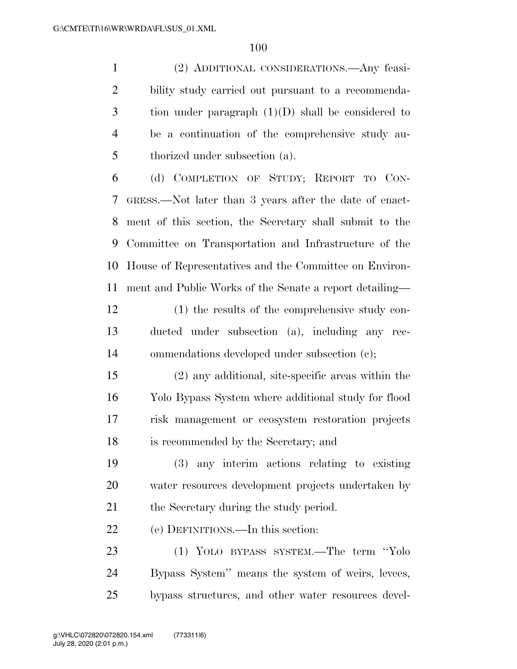(2) ADDITIONAL CONSIDERATIONS.—Any feasi- bility study carried out pursuant to a recommenda- tion under paragraph  $(1)(D)$  shall be considered to be a continuation of the comprehensive study au-thorized under subsection (a).

 (d) COMPLETION OF STUDY; REPORT TO CON- GRESS.—Not later than 3 years after the date of enact- ment of this section, the Secretary shall submit to the Committee on Transportation and Infrastructure of the House of Representatives and the Committee on Environ-ment and Public Works of the Senate a report detailing—

 (1) the results of the comprehensive study con- ducted under subsection (a), including any rec-ommendations developed under subsection (c);

 (2) any additional, site-specific areas within the Yolo Bypass System where additional study for flood risk management or ecosystem restoration projects is recommended by the Secretary; and

 (3) any interim actions relating to existing water resources development projects undertaken by 21 the Secretary during the study period.

(e) DEFINITIONS.—In this section:

 (1) YOLO BYPASS SYSTEM.—The term ''Yolo Bypass System'' means the system of weirs, levees, bypass structures, and other water resources devel-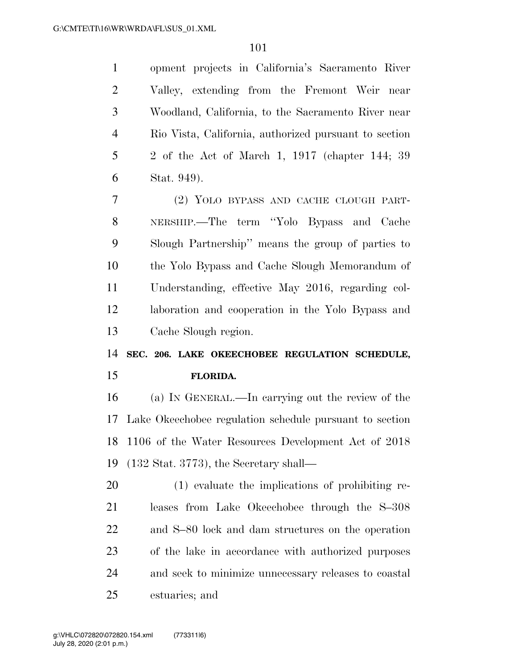opment projects in California's Sacramento River Valley, extending from the Fremont Weir near Woodland, California, to the Sacramento River near Rio Vista, California, authorized pursuant to section 2 of the Act of March 1, 1917 (chapter 144; 39 Stat. 949).

 (2) YOLO BYPASS AND CACHE CLOUGH PART- NERSHIP.—The term ''Yolo Bypass and Cache Slough Partnership'' means the group of parties to the Yolo Bypass and Cache Slough Memorandum of Understanding, effective May 2016, regarding col- laboration and cooperation in the Yolo Bypass and Cache Slough region.

**SEC. 206. LAKE OKEECHOBEE REGULATION SCHEDULE,** 

#### **FLORIDA.**

 (a) IN GENERAL.—In carrying out the review of the Lake Okeechobee regulation schedule pursuant to section 1106 of the Water Resources Development Act of 2018 (132 Stat. 3773), the Secretary shall—

 (1) evaluate the implications of prohibiting re- leases from Lake Okeechobee through the S–308 and S–80 lock and dam structures on the operation of the lake in accordance with authorized purposes and seek to minimize unnecessary releases to coastal estuaries; and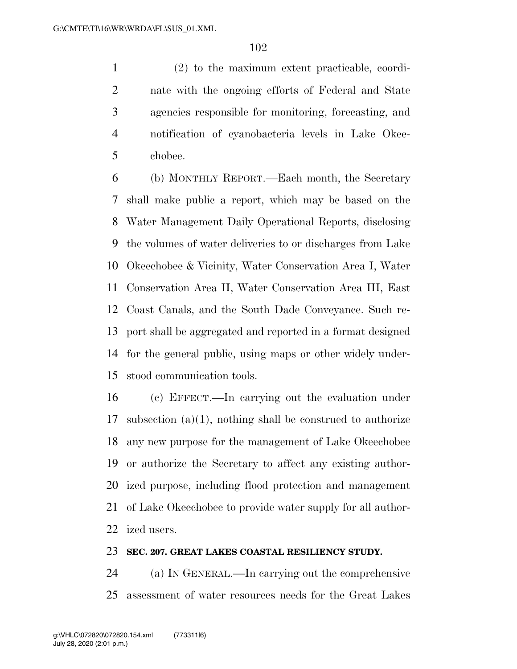(2) to the maximum extent practicable, coordi- nate with the ongoing efforts of Federal and State agencies responsible for monitoring, forecasting, and notification of cyanobacteria levels in Lake Okee-chobee.

 (b) MONTHLY REPORT.—Each month, the Secretary shall make public a report, which may be based on the Water Management Daily Operational Reports, disclosing the volumes of water deliveries to or discharges from Lake Okeechobee & Vicinity, Water Conservation Area I, Water Conservation Area II, Water Conservation Area III, East Coast Canals, and the South Dade Conveyance. Such re- port shall be aggregated and reported in a format designed for the general public, using maps or other widely under-stood communication tools.

 (c) EFFECT.—In carrying out the evaluation under 17 subsection  $(a)(1)$ , nothing shall be construed to authorize any new purpose for the management of Lake Okeechobee or authorize the Secretary to affect any existing author- ized purpose, including flood protection and management of Lake Okeechobee to provide water supply for all author-ized users.

#### **SEC. 207. GREAT LAKES COASTAL RESILIENCY STUDY.**

 (a) IN GENERAL.—In carrying out the comprehensive assessment of water resources needs for the Great Lakes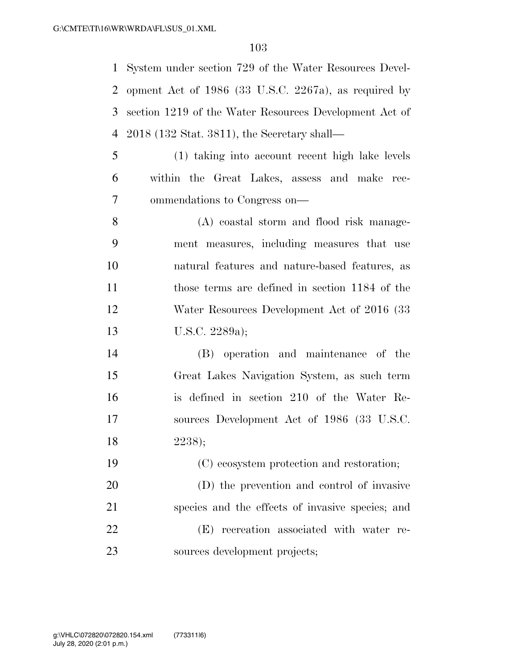System under section 729 of the Water Resources Devel- opment Act of 1986 (33 U.S.C. 2267a), as required by section 1219 of the Water Resources Development Act of 2018 (132 Stat. 3811), the Secretary shall—

 (1) taking into account recent high lake levels within the Great Lakes, assess and make rec-ommendations to Congress on—

 (A) coastal storm and flood risk manage- ment measures, including measures that use natural features and nature-based features, as those terms are defined in section 1184 of the 12 Water Resources Development Act of 2016 (33 U.S.C. 2289a);

 (B) operation and maintenance of the Great Lakes Navigation System, as such term is defined in section 210 of the Water Re- sources Development Act of 1986 (33 U.S.C. 2238);

 (C) ecosystem protection and restoration; (D) the prevention and control of invasive species and the effects of invasive species; and (E) recreation associated with water re-23 sources development projects;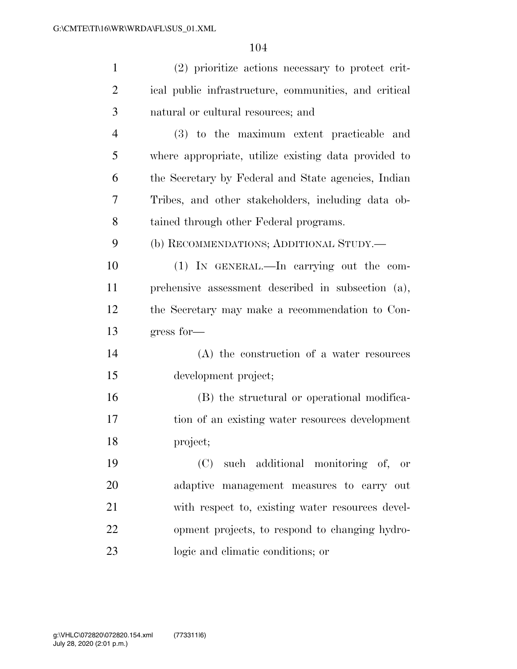| $\mathbf{1}$   | (2) prioritize actions necessary to protect crit-     |
|----------------|-------------------------------------------------------|
| $\overline{2}$ | ical public infrastructure, communities, and critical |
| 3              | natural or cultural resources; and                    |
| $\overline{4}$ | (3) to the maximum extent practicable and             |
| 5              | where appropriate, utilize existing data provided to  |
| 6              | the Secretary by Federal and State agencies, Indian   |
| 7              | Tribes, and other stakeholders, including data ob-    |
| 8              | tained through other Federal programs.                |
| 9              | (b) RECOMMENDATIONS; ADDITIONAL STUDY.—               |
| 10             | (1) IN GENERAL.—In carrying out the com-              |
| 11             | prehensive assessment described in subsection (a),    |
| 12             | the Secretary may make a recommendation to Con-       |
| 13             | gress for-                                            |
| 14             | (A) the construction of a water resources             |
| 15             | development project;                                  |
| 16             | (B) the structural or operational modifica-           |
| 17             | tion of an existing water resources development       |
| 18             | project;                                              |
| 19             | (C)<br>such additional monitoring of, or              |
| 20             | adaptive management measures to carry out             |
| 21             | with respect to, existing water resources devel-      |
| 22             | opment projects, to respond to changing hydro-        |
| 23             | logic and elimatic conditions; or                     |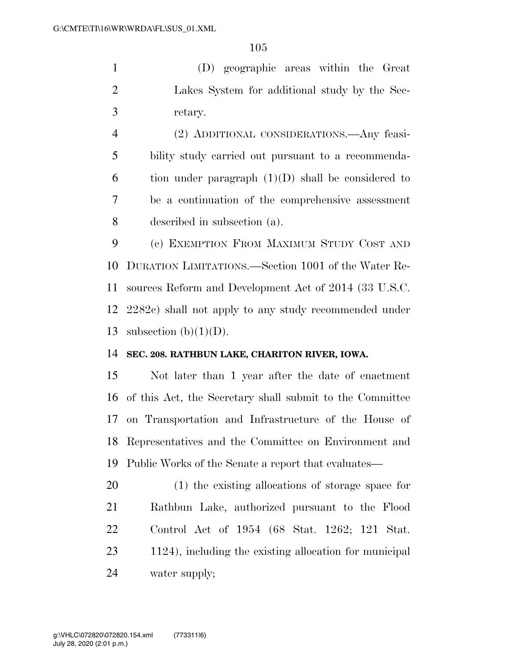(D) geographic areas within the Great Lakes System for additional study by the Sec-retary.

 (2) ADDITIONAL CONSIDERATIONS.—Any feasi- bility study carried out pursuant to a recommenda-6 tion under paragraph  $(1)(D)$  shall be considered to be a continuation of the comprehensive assessment described in subsection (a).

 (c) EXEMPTION FROM MAXIMUM STUDY COST AND DURATION LIMITATIONS.—Section 1001 of the Water Re- sources Reform and Development Act of 2014 (33 U.S.C. 2282c) shall not apply to any study recommended under 13 subsection  $(b)(1)(D)$ .

## **SEC. 208. RATHBUN LAKE, CHARITON RIVER, IOWA.**

 Not later than 1 year after the date of enactment of this Act, the Secretary shall submit to the Committee on Transportation and Infrastructure of the House of Representatives and the Committee on Environment and Public Works of the Senate a report that evaluates—

 (1) the existing allocations of storage space for Rathbun Lake, authorized pursuant to the Flood Control Act of 1954 (68 Stat. 1262; 121 Stat. 1124), including the existing allocation for municipal water supply;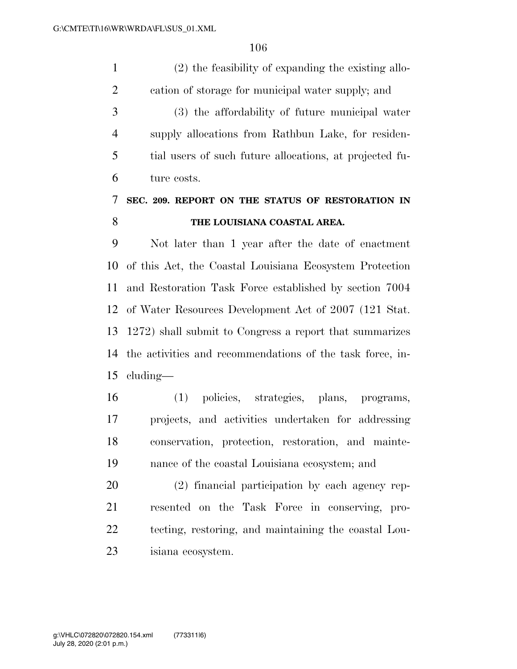(2) the feasibility of expanding the existing allo- cation of storage for municipal water supply; and (3) the affordability of future municipal water supply allocations from Rathbun Lake, for residen- tial users of such future allocations, at projected fu-ture costs.

# **SEC. 209. REPORT ON THE STATUS OF RESTORATION IN THE LOUISIANA COASTAL AREA.**

 Not later than 1 year after the date of enactment of this Act, the Coastal Louisiana Ecosystem Protection and Restoration Task Force established by section 7004 of Water Resources Development Act of 2007 (121 Stat. 1272) shall submit to Congress a report that summarizes the activities and recommendations of the task force, in-cluding—

 (1) policies, strategies, plans, programs, projects, and activities undertaken for addressing conservation, protection, restoration, and mainte-nance of the coastal Louisiana ecosystem; and

 (2) financial participation by each agency rep- resented on the Task Force in conserving, pro- tecting, restoring, and maintaining the coastal Lou-isiana ecosystem.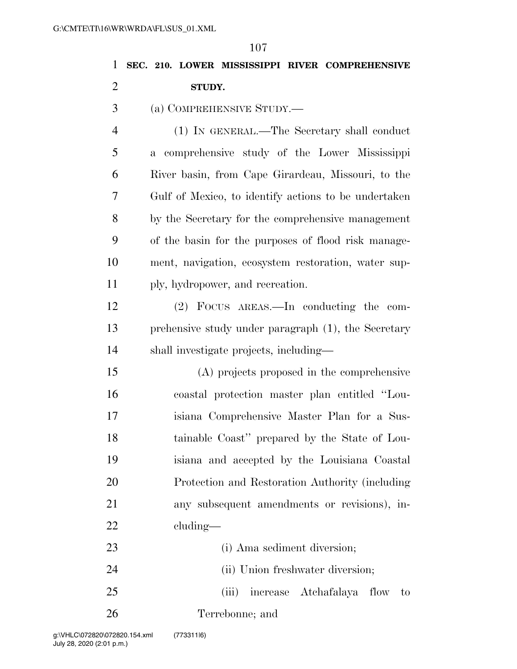|                | 0\WN\WNDA\FL\303 \UI.AML                             |
|----------------|------------------------------------------------------|
|                | 107                                                  |
| $\mathbf{1}$   | SEC. 210. LOWER MISSISSIPPI RIVER COMPREHENSIVE      |
| $\overline{2}$ | STUDY.                                               |
| 3              | (a) COMPREHENSIVE STUDY.—                            |
| $\overline{4}$ | (1) IN GENERAL.—The Secretary shall conduct          |
| 5              | a comprehensive study of the Lower Mississippi       |
| 6              | River basin, from Cape Girardeau, Missouri, to the   |
| 7              | Gulf of Mexico, to identify actions to be undertaken |
| 8              | by the Secretary for the comprehensive management    |
| 9              | of the basin for the purposes of flood risk manage-  |
| 10             | ment, navigation, ecosystem restoration, water sup-  |
| 11             | ply, hydropower, and recreation.                     |
| 12             | (2) FOCUS AREAS.—In conducting the com-              |
| 13             | prehensive study under paragraph (1), the Secretary  |
| 14             | shall investigate projects, including—               |
| 15             | (A) projects proposed in the comprehensive           |
| 16             | coastal protection master plan entitled "Lou-        |
| 17             | isiana Comprehensive Master Plan for a Sus-          |
| 18             | tainable Coast" prepared by the State of Lou-        |
| 19             | isiana and accepted by the Louisiana Coastal         |
| 20             | Protection and Restoration Authority (including      |
| 21             | any subsequent amendments or revisions), in-         |

cluding—

 (i) Ama sediment diversion; 24 (ii) Union freshwater diversion; (iii) increase Atchafalaya flow to

Terrebonne; and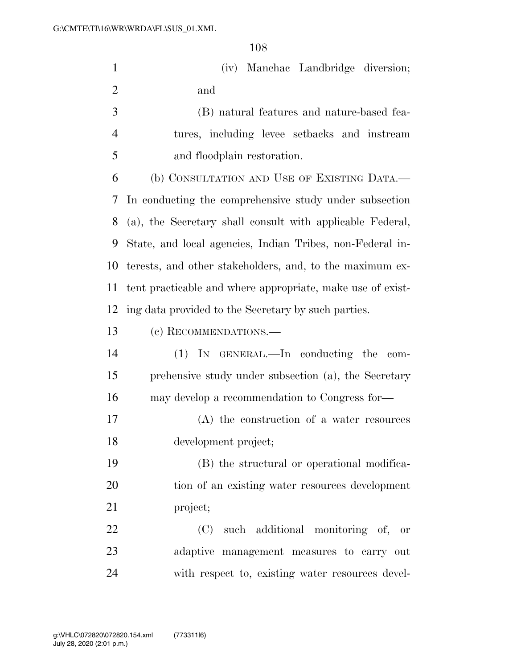(iv) Manchac Landbridge diversion; and

 (B) natural features and nature-based fea- tures, including levee setbacks and instream and floodplain restoration.

 (b) CONSULTATION AND USE OF EXISTING DATA.— In conducting the comprehensive study under subsection (a), the Secretary shall consult with applicable Federal, State, and local agencies, Indian Tribes, non-Federal in- terests, and other stakeholders, and, to the maximum ex- tent practicable and where appropriate, make use of exist-ing data provided to the Secretary by such parties.

## (c) RECOMMENDATIONS.—

 (1) IN GENERAL.—In conducting the com- prehensive study under subsection (a), the Secretary may develop a recommendation to Congress for—

 (A) the construction of a water resources development project;

 (B) the structural or operational modifica- tion of an existing water resources development project;

 (C) such additional monitoring of, or adaptive management measures to carry out with respect to, existing water resources devel-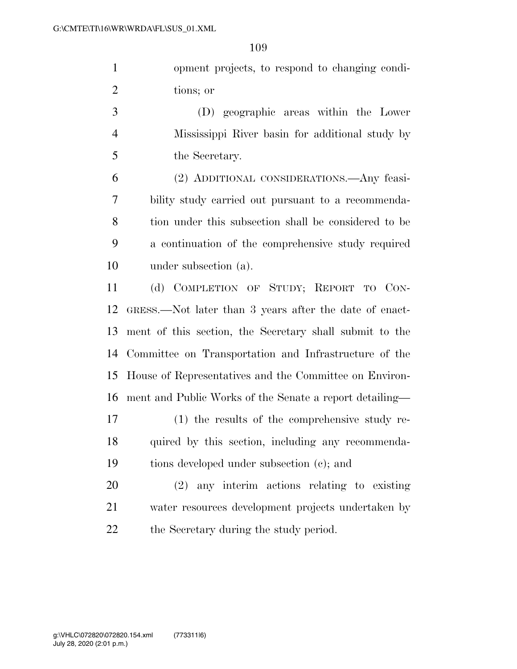opment projects, to respond to changing condi-tions; or

 (D) geographic areas within the Lower Mississippi River basin for additional study by the Secretary.

 (2) ADDITIONAL CONSIDERATIONS.—Any feasi- bility study carried out pursuant to a recommenda- tion under this subsection shall be considered to be a continuation of the comprehensive study required under subsection (a).

 (d) COMPLETION OF STUDY; REPORT TO CON- GRESS.—Not later than 3 years after the date of enact- ment of this section, the Secretary shall submit to the Committee on Transportation and Infrastructure of the House of Representatives and the Committee on Environ-ment and Public Works of the Senate a report detailing—

 (1) the results of the comprehensive study re- quired by this section, including any recommenda-tions developed under subsection (c); and

 (2) any interim actions relating to existing water resources development projects undertaken by 22 the Secretary during the study period.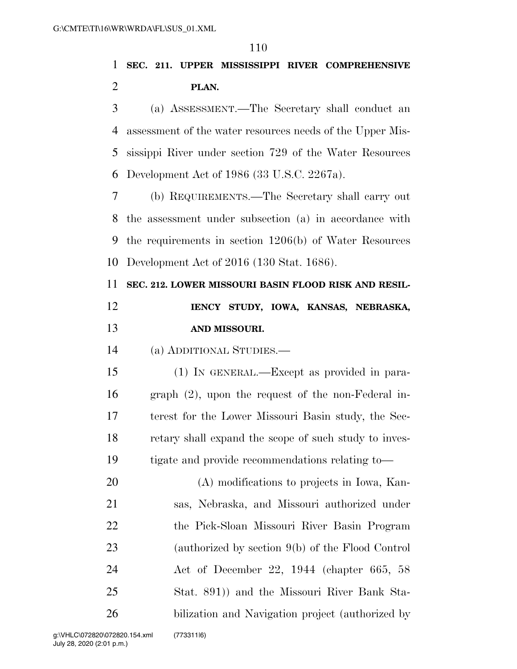# **SEC. 211. UPPER MISSISSIPPI RIVER COMPREHENSIVE PLAN.**

 (a) ASSESSMENT.—The Secretary shall conduct an assessment of the water resources needs of the Upper Mis- sissippi River under section 729 of the Water Resources Development Act of 1986 (33 U.S.C. 2267a).

 (b) REQUIREMENTS.—The Secretary shall carry out the assessment under subsection (a) in accordance with the requirements in section 1206(b) of Water Resources Development Act of 2016 (130 Stat. 1686).

**SEC. 212. LOWER MISSOURI BASIN FLOOD RISK AND RESIL-**

 **IENCY STUDY, IOWA, KANSAS, NEBRASKA, AND MISSOURI.** 

(a) ADDITIONAL STUDIES.—

 (1) IN GENERAL.—Except as provided in para- graph (2), upon the request of the non-Federal in- terest for the Lower Missouri Basin study, the Sec- retary shall expand the scope of such study to inves-tigate and provide recommendations relating to—

 (A) modifications to projects in Iowa, Kan- sas, Nebraska, and Missouri authorized under the Pick-Sloan Missouri River Basin Program (authorized by section 9(b) of the Flood Control Act of December 22, 1944 (chapter 665, 58 Stat. 891)) and the Missouri River Bank Sta-bilization and Navigation project (authorized by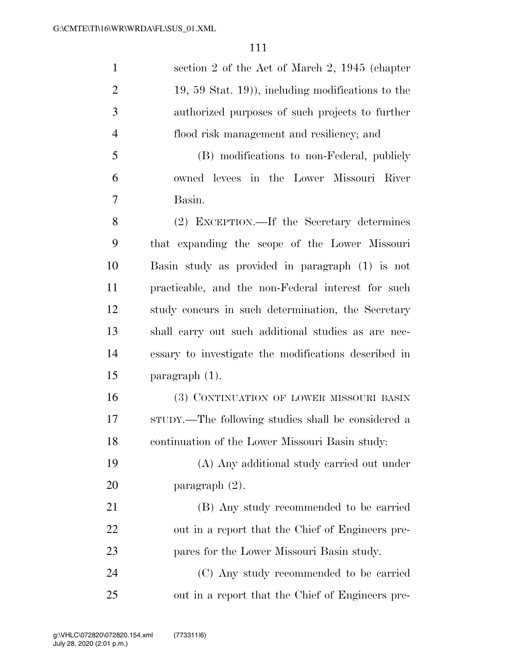| $\mathbf{1}$   | section 2 of the Act of March 2, 1945 (chapter                |
|----------------|---------------------------------------------------------------|
| $\overline{2}$ | $(19, 59 \text{ Stat. } 19)$ , including modifications to the |
| 3              | authorized purposes of such projects to further               |
| $\overline{4}$ | flood risk management and resiliency; and                     |
| 5              | (B) modifications to non-Federal, publicly                    |
| 6              | owned levees in the Lower Missouri River                      |
| 7              | Basin.                                                        |
| 8              | (2) EXCEPTION.—If the Secretary determines                    |
| 9              | that expanding the scope of the Lower Missouri                |
| 10             | Basin study as provided in paragraph (1) is not               |
| 11             | practicable, and the non-Federal interest for such            |
| 12             | study concurs in such determination, the Secretary            |
| 13             | shall carry out such additional studies as are nec-           |
| 14             | essary to investigate the modifications described in          |
| 15             | $\frac{1}{2}$ paragraph $(1)$ .                               |
| 16             | (3) CONTINUATION OF LOWER MISSOURI BASIN                      |
| 17             | strupy.—The following studies shall be considered a           |
| 18             | continuation of the Lower Missouri Basin study:               |
| 19             | (A) Any additional study carried out under                    |
| 20             | paragraph $(2)$ .                                             |
| 21             | (B) Any study recommended to be carried                       |
| 22             | out in a report that the Chief of Engineers pre-              |
| 23             | pares for the Lower Missouri Basin study.                     |
| 24             | (C) Any study recommended to be carried                       |
| 25             | out in a report that the Chief of Engineers pre-              |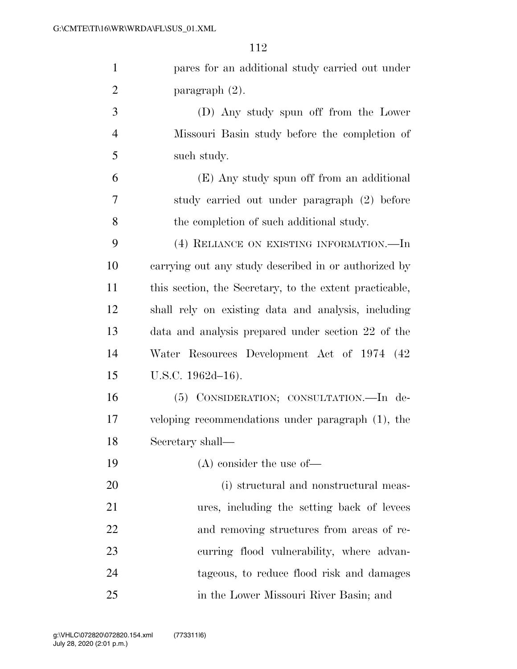| $\mathbf{1}$   | pares for an additional study carried out under         |
|----------------|---------------------------------------------------------|
| $\overline{2}$ | paragraph $(2)$ .                                       |
| 3              | (D) Any study spun off from the Lower                   |
| $\overline{4}$ | Missouri Basin study before the completion of           |
| 5              | such study.                                             |
| 6              | (E) Any study spun off from an additional               |
| 7              | study carried out under paragraph (2) before            |
| 8              | the completion of such additional study.                |
| 9              | (4) RELIANCE ON EXISTING INFORMATION.—In                |
| 10             | carrying out any study described in or authorized by    |
| 11             | this section, the Secretary, to the extent practicable, |
| 12             | shall rely on existing data and analysis, including     |
| 13             | data and analysis prepared under section 22 of the      |
| 14             | Water Resources Development Act of 1974 (42)            |
| 15             | U.S.C. $1962d-16$ ).                                    |
| 16             | (5) CONSIDERATION; CONSULTATION.—In de-                 |
| 17             | veloping recommendations under paragraph $(1)$ , the    |
| 18             | Secretary shall-                                        |
| 19             | $(A)$ consider the use of —                             |
| 20             | (i) structural and nonstructural meas-                  |
| 21             | ures, including the setting back of levees              |
| 22             | and removing structures from areas of re-               |
| 23             | curring flood vulnerability, where advan-               |
| 24             | tageous, to reduce flood risk and damages               |
| 25             | in the Lower Missouri River Basin; and                  |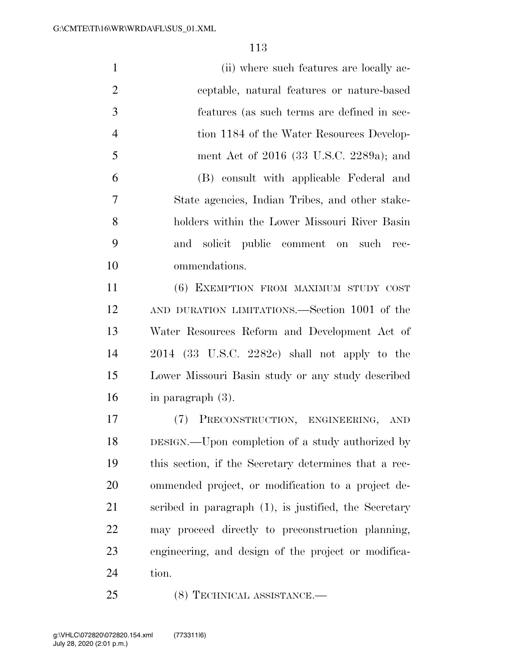| $\mathbf{1}$   | (ii) where such features are locally ac-              |
|----------------|-------------------------------------------------------|
| $\overline{2}$ | ceptable, natural features or nature-based            |
| 3              | features (as such terms are defined in sec-           |
| $\overline{4}$ | tion 1184 of the Water Resources Develop-             |
| 5              | ment Act of 2016 (33 U.S.C. 2289a); and               |
| 6              | (B) consult with applicable Federal and               |
| 7              | State agencies, Indian Tribes, and other stake-       |
| 8              | holders within the Lower Missouri River Basin         |
| 9              | and solicit public comment on such rec-               |
| 10             | ommendations.                                         |
| 11             | (6) EXEMPTION FROM MAXIMUM STUDY COST                 |
| 12             | AND DURATION LIMITATIONS.—Section 1001 of the         |
| 13             | Water Resources Reform and Development Act of         |
| 14             | $2014$ (33 U.S.C. 2282c) shall not apply to the       |
| 15             | Lower Missouri Basin study or any study described     |
| 16             | in paragraph (3).                                     |
| 17             | (7) PRECONSTRUCTION, ENGINEERING, AND                 |
| 18             | DESIGN.—Upon completion of a study authorized by      |
| 19             | this section, if the Secretary determines that a rec- |
| 20             | ommended project, or modification to a project de-    |
| 21             | scribed in paragraph (1), is justified, the Secretary |
| 22             | may proceed directly to preconstruction planning,     |
| 23             | engineering, and design of the project or modifica-   |
| 24             | tion.                                                 |
| 25             | (8) TECHNICAL ASSISTANCE.—                            |

July 28, 2020 (2:01 p.m.) g:\VHLC\072820\072820.154.xml (773311|6)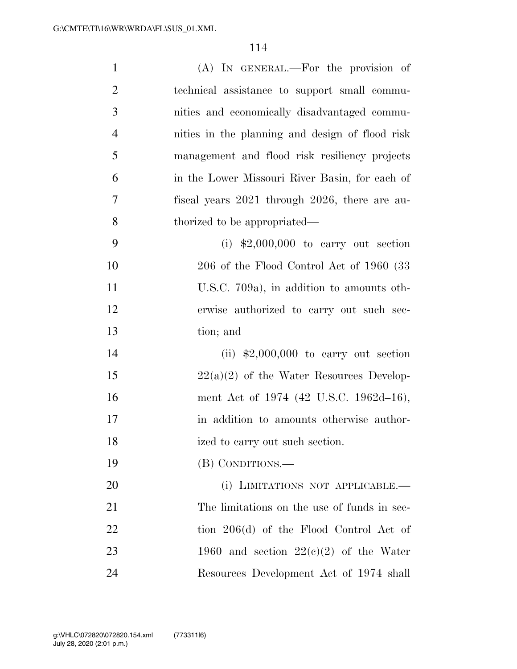| $\mathbf{1}$   | (A) IN GENERAL.—For the provision of            |
|----------------|-------------------------------------------------|
| $\overline{2}$ | technical assistance to support small commu-    |
| 3              | nities and economically disadvantaged commu-    |
| $\overline{4}$ | nities in the planning and design of flood risk |
| 5              | management and flood risk resiliency projects   |
| 6              | in the Lower Missouri River Basin, for each of  |
| $\tau$         | fiscal years 2021 through 2026, there are au-   |
| 8              | thorized to be appropriated—                    |
| 9              | (i) $$2,000,000$ to carry out section           |
| 10             | 206 of the Flood Control Act of 1960 (33        |
| 11             | U.S.C. 709a), in addition to amounts oth-       |
| 12             | erwise authorized to carry out such sec-        |
| 13             | tion; and                                       |
| 14             | (ii) $$2,000,000$ to carry out section          |
| 15             | $22(a)(2)$ of the Water Resources Develop-      |
| 16             | ment Act of 1974 (42 U.S.C. 1962d–16),          |
| 17             | in addition to amounts otherwise author-        |
| 18             | ized to carry out such section.                 |
| 19             | (B) CONDITIONS.—                                |
| 20             | (i) LIMITATIONS NOT APPLICABLE.—                |
| 21             | The limitations on the use of funds in sec-     |
| 22             | tion $206(d)$ of the Flood Control Act of       |
| 23             | 1960 and section $22(c)(2)$ of the Water        |
| 24             | Resources Development Act of 1974 shall         |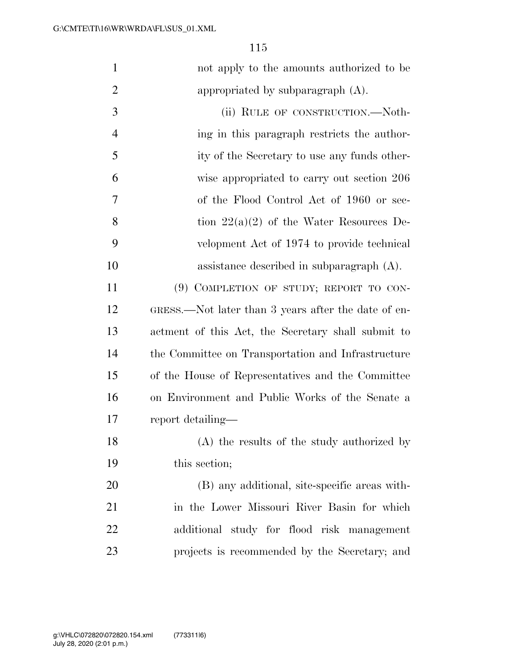| $\mathbf{1}$   | not apply to the amounts authorized to be           |
|----------------|-----------------------------------------------------|
| $\overline{2}$ | appropriated by subparagraph $(A)$ .                |
| 3              | (ii) RULE OF CONSTRUCTION.-Noth-                    |
| $\overline{4}$ | ing in this paragraph restricts the author-         |
| 5              | ity of the Secretary to use any funds other-        |
| 6              | wise appropriated to carry out section 206          |
| 7              | of the Flood Control Act of 1960 or sec-            |
| 8              | tion $22(a)(2)$ of the Water Resources De-          |
| 9              | velopment Act of 1974 to provide technical          |
| 10             | assistance described in subparagraph $(A)$ .        |
| 11             | (9) COMPLETION OF STUDY; REPORT TO CON-             |
| 12             | GRESS.—Not later than 3 years after the date of en- |
| 13             | actment of this Act, the Secretary shall submit to  |
| 14             | the Committee on Transportation and Infrastructure  |
| 15             | of the House of Representatives and the Committee   |
| 16             | on Environment and Public Works of the Senate a     |
| 17             | report detailing—                                   |
| 18             | (A) the results of the study authorized by          |
| 19             | this section;                                       |
| 20             | (B) any additional, site-specific areas with-       |
| 21             | in the Lower Missouri River Basin for which         |
| 22             | additional study for flood risk management          |
| 23             | projects is recommended by the Secretary; and       |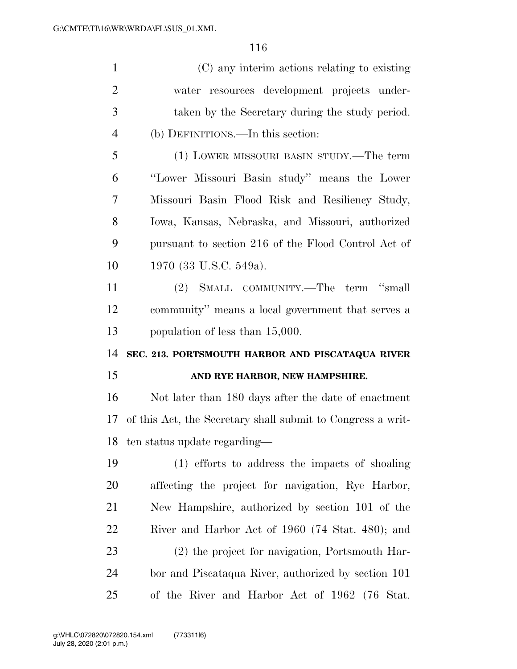| $\mathbf{1}$   | (C) any interim actions relating to existing                |
|----------------|-------------------------------------------------------------|
| $\overline{2}$ | water resources development projects under-                 |
| 3              | taken by the Secretary during the study period.             |
| $\overline{4}$ | (b) DEFINITIONS.—In this section:                           |
| 5              | (1) LOWER MISSOURI BASIN STUDY.—The term                    |
| 6              | "Lower Missouri Basin study" means the Lower                |
| 7              | Missouri Basin Flood Risk and Resiliency Study,             |
| 8              | Iowa, Kansas, Nebraska, and Missouri, authorized            |
| 9              | pursuant to section 216 of the Flood Control Act of         |
| 10             | 1970 (33 U.S.C. 549a).                                      |
| 11             | (2) SMALL COMMUNITY.—The term "small                        |
| 12             | community" means a local government that serves a           |
| 13             | population of less than 15,000.                             |
| 14             | SEC. 213. PORTSMOUTH HARBOR AND PISCATAQUA RIVER            |
| 15             |                                                             |
|                | AND RYE HARBOR, NEW HAMPSHIRE.                              |
| 16             | Not later than 180 days after the date of enactment         |
| 17             | of this Act, the Secretary shall submit to Congress a writ- |
| 18             | ten status update regarding-                                |
| 19             | (1) efforts to address the impacts of shoaling              |
| 20             | affecting the project for navigation, Rye Harbor,           |
| 21             | New Hampshire, authorized by section 101 of the             |
| 22             | River and Harbor Act of 1960 (74 Stat. 480); and            |
| 23             | (2) the project for navigation, Portsmouth Har-             |
| 24             | bor and Piscataqua River, authorized by section 101         |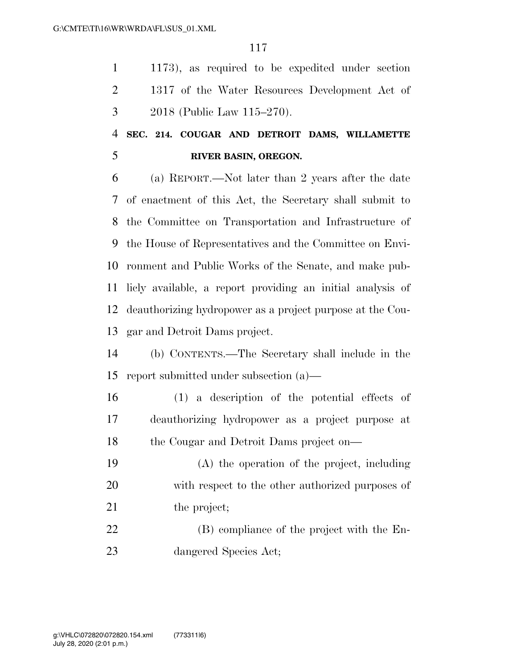1173), as required to be expedited under section 2 1317 of the Water Resources Development Act of 2018 (Public Law 115–270).

## **SEC. 214. COUGAR AND DETROIT DAMS, WILLAMETTE RIVER BASIN, OREGON.**

 (a) REPORT.—Not later than 2 years after the date of enactment of this Act, the Secretary shall submit to the Committee on Transportation and Infrastructure of the House of Representatives and the Committee on Envi- ronment and Public Works of the Senate, and make pub- licly available, a report providing an initial analysis of deauthorizing hydropower as a project purpose at the Cou-gar and Detroit Dams project.

 (b) CONTENTS.—The Secretary shall include in the report submitted under subsection (a)—

 (1) a description of the potential effects of deauthorizing hydropower as a project purpose at 18 the Cougar and Detroit Dams project on—

 (A) the operation of the project, including with respect to the other authorized purposes of 21 the project;

 (B) compliance of the project with the En-dangered Species Act;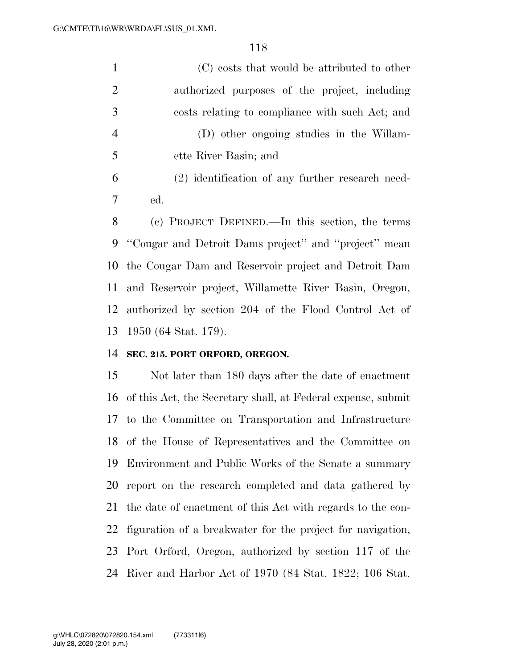(C) costs that would be attributed to other authorized purposes of the project, including costs relating to compliance with such Act; and (D) other ongoing studies in the Willam- ette River Basin; and (2) identification of any further research need-ed.

 (c) PROJECT DEFINED.—In this section, the terms ''Cougar and Detroit Dams project'' and ''project'' mean the Cougar Dam and Reservoir project and Detroit Dam and Reservoir project, Willamette River Basin, Oregon, authorized by section 204 of the Flood Control Act of 1950 (64 Stat. 179).

#### **SEC. 215. PORT ORFORD, OREGON.**

 Not later than 180 days after the date of enactment of this Act, the Secretary shall, at Federal expense, submit to the Committee on Transportation and Infrastructure of the House of Representatives and the Committee on Environment and Public Works of the Senate a summary report on the research completed and data gathered by the date of enactment of this Act with regards to the con- figuration of a breakwater for the project for navigation, Port Orford, Oregon, authorized by section 117 of the River and Harbor Act of 1970 (84 Stat. 1822; 106 Stat.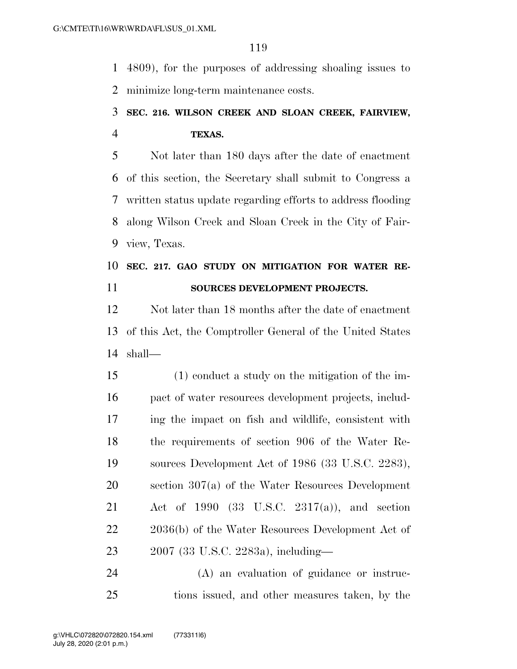4809), for the purposes of addressing shoaling issues to minimize long-term maintenance costs.

# **SEC. 216. WILSON CREEK AND SLOAN CREEK, FAIRVIEW, TEXAS.**

 Not later than 180 days after the date of enactment of this section, the Secretary shall submit to Congress a written status update regarding efforts to address flooding along Wilson Creek and Sloan Creek in the City of Fair-view, Texas.

### **SEC. 217. GAO STUDY ON MITIGATION FOR WATER RE-SOURCES DEVELOPMENT PROJECTS.**

 Not later than 18 months after the date of enactment of this Act, the Comptroller General of the United States shall—

 (1) conduct a study on the mitigation of the im- pact of water resources development projects, includ- ing the impact on fish and wildlife, consistent with the requirements of section 906 of the Water Re- sources Development Act of 1986 (33 U.S.C. 2283), section 307(a) of the Water Resources Development Act of 1990 (33 U.S.C. 2317(a)), and section 22 2036(b) of the Water Resources Development Act of 2007 (33 U.S.C. 2283a), including—

 (A) an evaluation of guidance or instruc-tions issued, and other measures taken, by the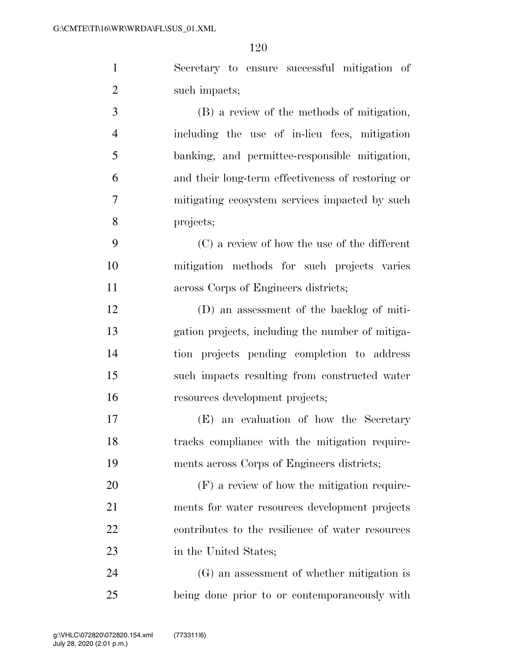Secretary to ensure successful mitigation of 2 such impacts;

 (B) a review of the methods of mitigation, including the use of in-lieu fees, mitigation banking, and permittee-responsible mitigation, and their long-term effectiveness of restoring or mitigating ecosystem services impacted by such projects;

 (C) a review of how the use of the different mitigation methods for such projects varies across Corps of Engineers districts;

 (D) an assessment of the backlog of miti- gation projects, including the number of mitiga- tion projects pending completion to address such impacts resulting from constructed water resources development projects;

 (E) an evaluation of how the Secretary tracks compliance with the mitigation require-ments across Corps of Engineers districts;

 (F) a review of how the mitigation require- ments for water resources development projects contributes to the resilience of water resources 23 in the United States;

 (G) an assessment of whether mitigation is being done prior to or contemporaneously with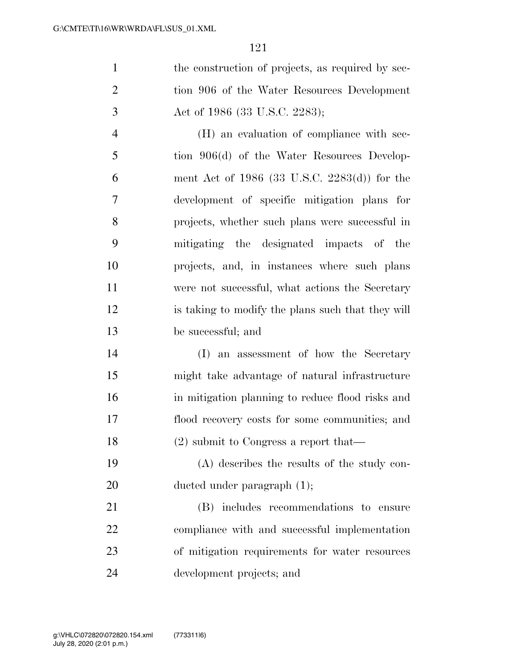1 the construction of projects, as required by sec- tion 906 of the Water Resources Development Act of 1986 (33 U.S.C. 2283);

 (H) an evaluation of compliance with sec-5 tion 906(d) of the Water Resources Develop- ment Act of 1986 (33 U.S.C. 2283(d)) for the development of specific mitigation plans for projects, whether such plans were successful in mitigating the designated impacts of the projects, and, in instances where such plans were not successful, what actions the Secretary is taking to modify the plans such that they will be successful; and

 (I) an assessment of how the Secretary might take advantage of natural infrastructure in mitigation planning to reduce flood risks and flood recovery costs for some communities; and (2) submit to Congress a report that—

 (A) describes the results of the study con-20 ducted under paragraph  $(1)$ ;

 (B) includes recommendations to ensure compliance with and successful implementation of mitigation requirements for water resources development projects; and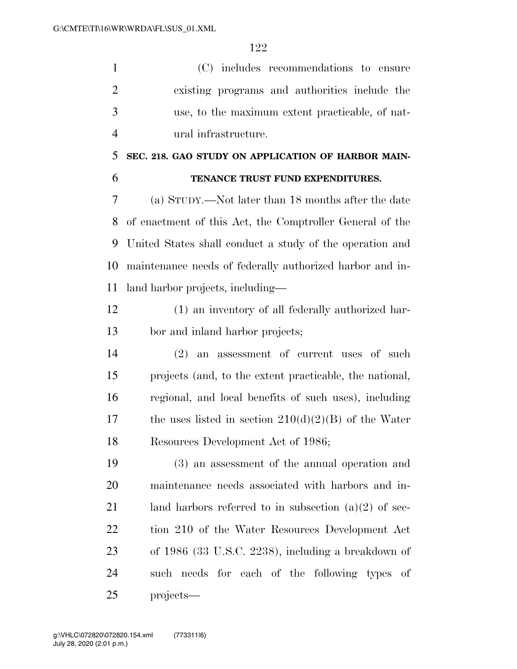(C) includes recommendations to ensure existing programs and authorities include the use, to the maximum extent practicable, of nat-ural infrastructure.

#### **SEC. 218. GAO STUDY ON APPLICATION OF HARBOR MAIN-TENANCE TRUST FUND EXPENDITURES.**

 (a) STUDY.—Not later than 18 months after the date of enactment of this Act, the Comptroller General of the United States shall conduct a study of the operation and maintenance needs of federally authorized harbor and in-land harbor projects, including—

 (1) an inventory of all federally authorized har-bor and inland harbor projects;

 (2) an assessment of current uses of such projects (and, to the extent practicable, the national, regional, and local benefits of such uses), including 17 the uses listed in section  $210(d)(2)(B)$  of the Water 18 Resources Development Act of 1986;

 (3) an assessment of the annual operation and maintenance needs associated with harbors and in-21 land harbors referred to in subsection  $(a)(2)$  of sec- tion 210 of the Water Resources Development Act of 1986 (33 U.S.C. 2238), including a breakdown of such needs for each of the following types of projects—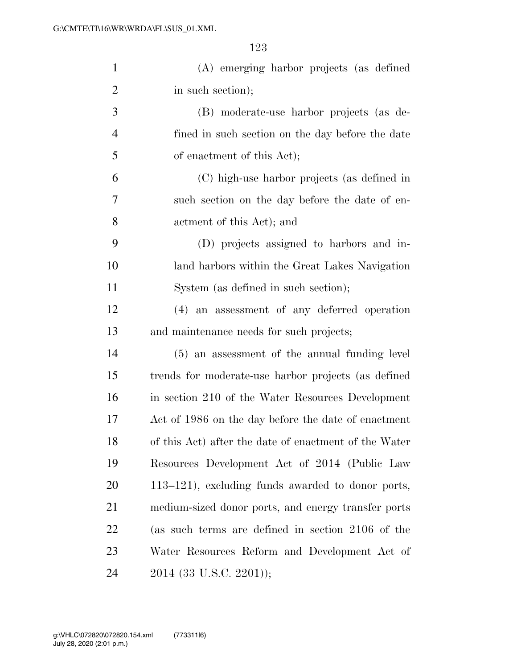| $\mathbf{1}$   | (A) emerging harbor projects (as defined              |
|----------------|-------------------------------------------------------|
| $\overline{2}$ | in such section);                                     |
| 3              | (B) moderate-use harbor projects (as de-              |
| $\overline{4}$ | fined in such section on the day before the date      |
| 5              | of enactment of this Act);                            |
| 6              | (C) high-use harbor projects (as defined in           |
| 7              | such section on the day before the date of en-        |
| 8              | actment of this Act); and                             |
| 9              | (D) projects assigned to harbors and in-              |
| 10             | land harbors within the Great Lakes Navigation        |
| 11             | System (as defined in such section);                  |
| 12             | (4) an assessment of any deferred operation           |
| 13             | and maintenance needs for such projects;              |
| 14             | (5) an assessment of the annual funding level         |
| 15             | trends for moderate-use harbor projects (as defined   |
| 16             | in section 210 of the Water Resources Development     |
| 17             | Act of 1986 on the day before the date of enactment   |
| 18             | of this Act) after the date of enactment of the Water |
| 19             | Resources Development Act of 2014 (Public Law         |
| 20             | $113-121$ , excluding funds awarded to donor ports,   |
| 21             | medium-sized donor ports, and energy transfer ports   |
| 22             | (as such terms are defined in section 2106 of the     |
| 23             | Water Resources Reform and Development Act of         |
| 24             | 2014 (33 U.S.C. 2201));                               |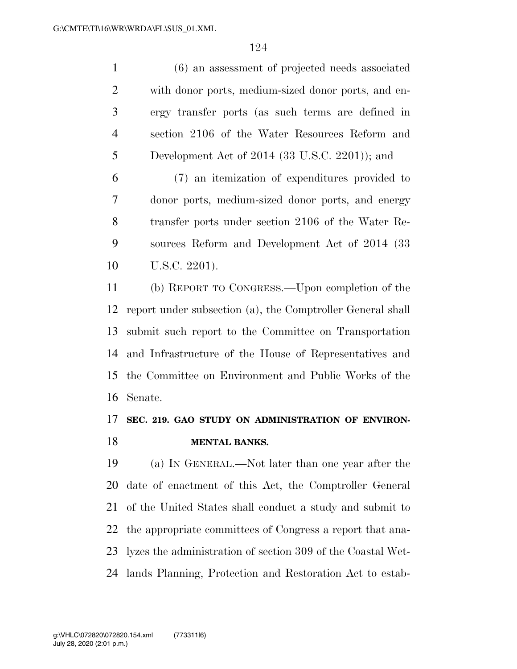(6) an assessment of projected needs associated with donor ports, medium-sized donor ports, and en- ergy transfer ports (as such terms are defined in section 2106 of the Water Resources Reform and Development Act of 2014 (33 U.S.C. 2201)); and (7) an itemization of expenditures provided to donor ports, medium-sized donor ports, and energy transfer ports under section 2106 of the Water Re- sources Reform and Development Act of 2014 (33 U.S.C. 2201). (b) REPORT TO CONGRESS.—Upon completion of the

 report under subsection (a), the Comptroller General shall submit such report to the Committee on Transportation and Infrastructure of the House of Representatives and the Committee on Environment and Public Works of the Senate.

## **SEC. 219. GAO STUDY ON ADMINISTRATION OF ENVIRON-MENTAL BANKS.**

 (a) IN GENERAL.—Not later than one year after the date of enactment of this Act, the Comptroller General of the United States shall conduct a study and submit to the appropriate committees of Congress a report that ana- lyzes the administration of section 309 of the Coastal Wet-lands Planning, Protection and Restoration Act to estab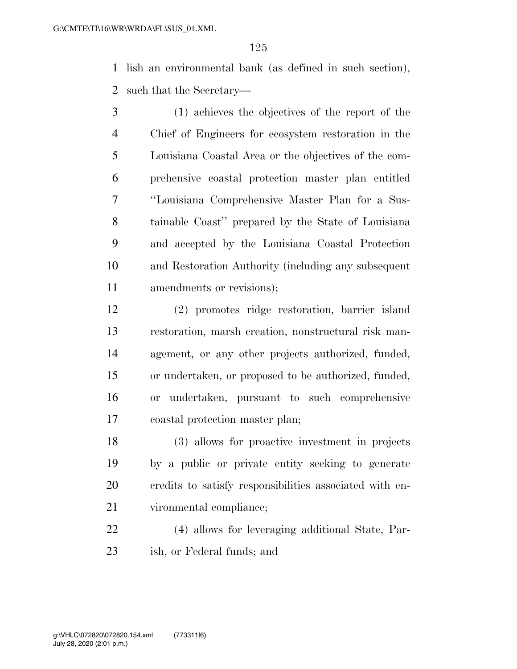lish an environmental bank (as defined in such section), such that the Secretary—

- (1) achieves the objectives of the report of the Chief of Engineers for ecosystem restoration in the Louisiana Coastal Area or the objectives of the com- prehensive coastal protection master plan entitled ''Louisiana Comprehensive Master Plan for a Sus- tainable Coast'' prepared by the State of Louisiana and accepted by the Louisiana Coastal Protection and Restoration Authority (including any subsequent amendments or revisions);
- (2) promotes ridge restoration, barrier island restoration, marsh creation, nonstructural risk man- agement, or any other projects authorized, funded, or undertaken, or proposed to be authorized, funded, or undertaken, pursuant to such comprehensive coastal protection master plan;
- (3) allows for proactive investment in projects by a public or private entity seeking to generate credits to satisfy responsibilities associated with en-vironmental compliance;
- (4) allows for leveraging additional State, Par-ish, or Federal funds; and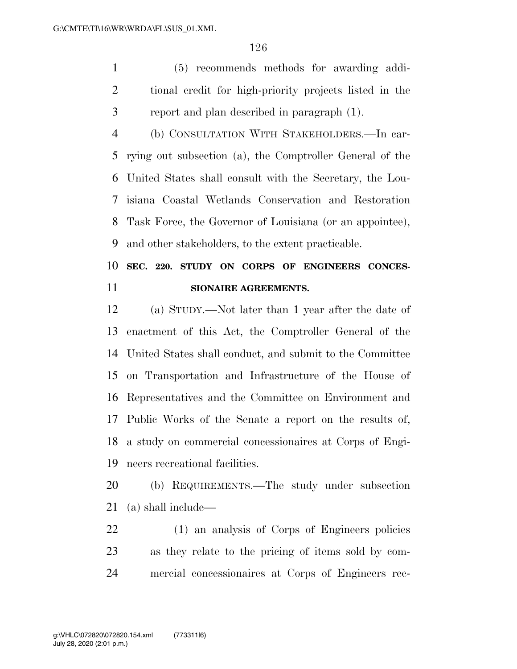(5) recommends methods for awarding addi- tional credit for high-priority projects listed in the report and plan described in paragraph (1).

 (b) CONSULTATION WITH STAKEHOLDERS.—In car- rying out subsection (a), the Comptroller General of the United States shall consult with the Secretary, the Lou- isiana Coastal Wetlands Conservation and Restoration Task Force, the Governor of Louisiana (or an appointee), and other stakeholders, to the extent practicable.

### **SEC. 220. STUDY ON CORPS OF ENGINEERS CONCES-SIONAIRE AGREEMENTS.**

 (a) STUDY.—Not later than 1 year after the date of enactment of this Act, the Comptroller General of the United States shall conduct, and submit to the Committee on Transportation and Infrastructure of the House of Representatives and the Committee on Environment and Public Works of the Senate a report on the results of, a study on commercial concessionaires at Corps of Engi-neers recreational facilities.

 (b) REQUIREMENTS.—The study under subsection (a) shall include—

 (1) an analysis of Corps of Engineers policies as they relate to the pricing of items sold by com-mercial concessionaires at Corps of Engineers rec-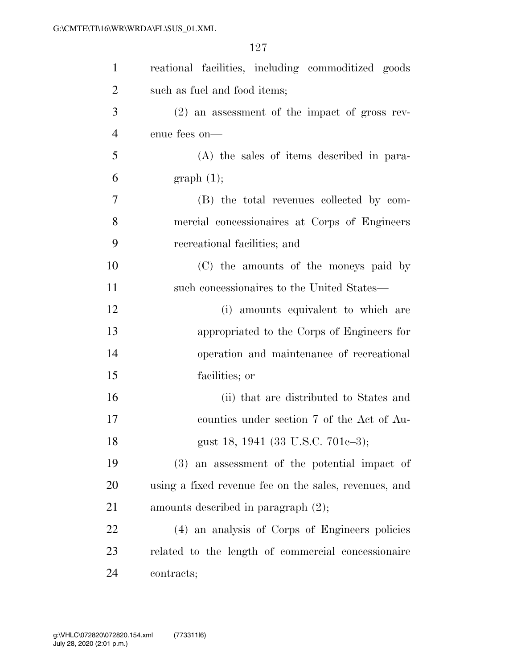| $\mathbf{1}$   | reational facilities, including commoditized goods    |
|----------------|-------------------------------------------------------|
| $\overline{2}$ | such as fuel and food items;                          |
| 3              | $(2)$ an assessment of the impact of gross rev-       |
| 4              | enue fees on-                                         |
| 5              | (A) the sales of items described in para-             |
| 6              | graph(1);                                             |
| 7              | (B) the total revenues collected by com-              |
| 8              | mercial concessionaires at Corps of Engineers         |
| 9              | recreational facilities; and                          |
| 10             | (C) the amounts of the moneys paid by                 |
| 11             | such concessionaires to the United States—            |
| 12             | (i) amounts equivalent to which are                   |
| 13             | appropriated to the Corps of Engineers for            |
| 14             | operation and maintenance of recreational             |
| 15             | facilities; or                                        |
| 16             | (ii) that are distributed to States and               |
| 17             | counties under section 7 of the Act of Au-            |
| 18             | gust 18, 1941 (33 U.S.C. 701e-3);                     |
| 19             | (3) an assessment of the potential impact of          |
| 20             | using a fixed revenue fee on the sales, revenues, and |
| 21             | amounts described in paragraph $(2)$ ;                |
| 22             | (4) an analysis of Corps of Engineers policies        |
| 23             | related to the length of commercial concessionaire    |
| 24             | contracts;                                            |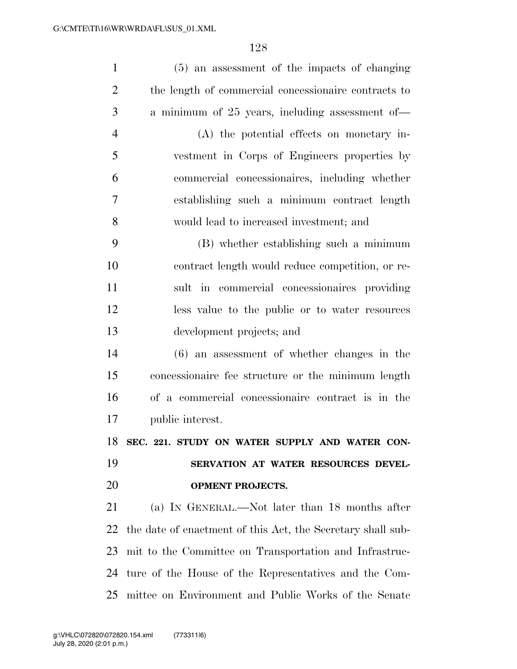| $\mathbf{1}$   | (5) an assessment of the impacts of changing                |
|----------------|-------------------------------------------------------------|
| $\overline{2}$ | the length of commercial concessionaire contracts to        |
| 3              | a minimum of 25 years, including assessment of-             |
| $\overline{4}$ | $(A)$ the potential effects on monetary in-                 |
| 5              | vestment in Corps of Engineers properties by                |
| 6              | commercial concessionaires, including whether               |
| $\overline{7}$ | establishing such a minimum contract length                 |
| 8              | would lead to increased investment; and                     |
| 9              | (B) whether establishing such a minimum                     |
| 10             | contract length would reduce competition, or re-            |
| 11             | sult in commercial concessionaires providing                |
| 12             | less value to the public or to water resources              |
| 13             | development projects; and                                   |
| 14             | $(6)$ an assessment of whether changes in the               |
| 15             | concessionaire fee structure or the minimum length          |
| 16             | of a commercial concessionaire contract is in the           |
| 17             | public interest.                                            |
| 18             | SEC. 221. STUDY ON WATER SUPPLY AND WATER CON-              |
| 19             | SERVATION AT WATER RESOURCES DEVEL-                         |
| 20             | <b>OPMENT PROJECTS.</b>                                     |
| 21             | (a) IN GENERAL.—Not later than 18 months after              |
| 22             | the date of enactment of this Act, the Secretary shall sub- |
| 23             | mit to the Committee on Transportation and Infrastruc-      |
| 24             | ture of the House of the Representatives and the Com-       |
|                | 25 mittee on Environment and Public Works of the Senate     |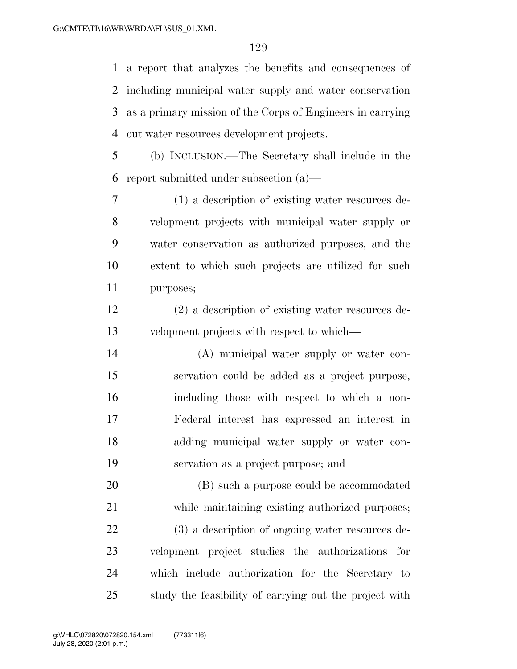a report that analyzes the benefits and consequences of including municipal water supply and water conservation as a primary mission of the Corps of Engineers in carrying out water resources development projects.

 (b) INCLUSION.—The Secretary shall include in the report submitted under subsection (a)—

 (1) a description of existing water resources de- velopment projects with municipal water supply or water conservation as authorized purposes, and the extent to which such projects are utilized for such purposes;

 (2) a description of existing water resources de-velopment projects with respect to which—

 (A) municipal water supply or water con- servation could be added as a project purpose, including those with respect to which a non- Federal interest has expressed an interest in adding municipal water supply or water con-servation as a project purpose; and

 (B) such a purpose could be accommodated while maintaining existing authorized purposes; (3) a description of ongoing water resources de- velopment project studies the authorizations for which include authorization for the Secretary to study the feasibility of carrying out the project with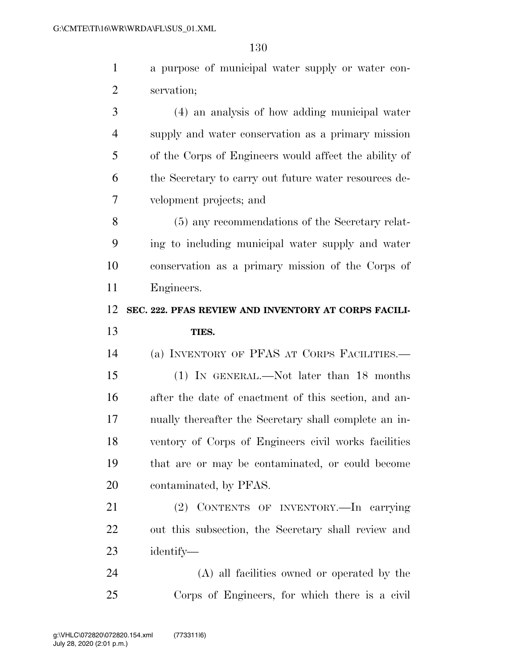a purpose of municipal water supply or water con-servation;

 (4) an analysis of how adding municipal water supply and water conservation as a primary mission of the Corps of Engineers would affect the ability of the Secretary to carry out future water resources de-velopment projects; and

 (5) any recommendations of the Secretary relat- ing to including municipal water supply and water conservation as a primary mission of the Corps of Engineers.

#### **SEC. 222. PFAS REVIEW AND INVENTORY AT CORPS FACILI-TIES.**

(a) INVENTORY OF PFAS AT CORPS FACILITIES.—

 (1) IN GENERAL.—Not later than 18 months after the date of enactment of this section, and an- nually thereafter the Secretary shall complete an in- ventory of Corps of Engineers civil works facilities that are or may be contaminated, or could become contaminated, by PFAS.

 (2) CONTENTS OF INVENTORY.—In carrying out this subsection, the Secretary shall review and identify—

 (A) all facilities owned or operated by the Corps of Engineers, for which there is a civil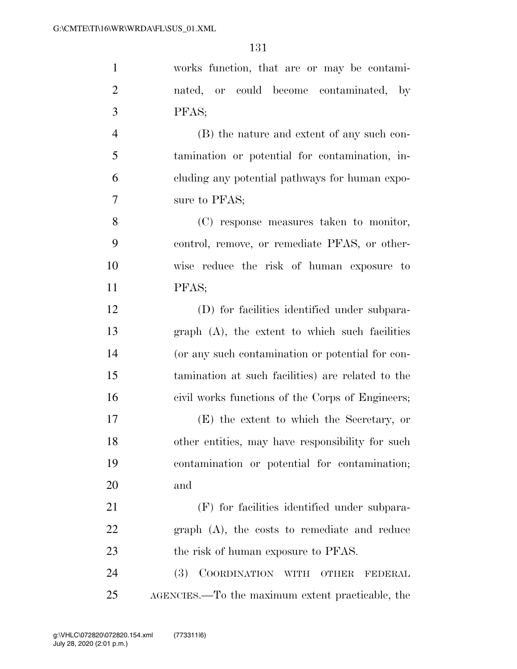| $\mathbf{1}$   | works function, that are or may be contami-                                        |
|----------------|------------------------------------------------------------------------------------|
| $\overline{2}$ | nated, or could become contaminated, by                                            |
| 3              | PFAS;                                                                              |
| $\overline{4}$ | (B) the nature and extent of any such con-                                         |
| 5              | tamination or potential for contamination, in-                                     |
| 6              | eluding any potential pathways for human expo-                                     |
| 7              | sure to PFAS;                                                                      |
| 8              | (C) response measures taken to monitor,                                            |
| 9              | control, remove, or remediate PFAS, or other-                                      |
| 10             | wise reduce the risk of human exposure to                                          |
| 11             | PFAS;                                                                              |
| 12             | (D) for facilities identified under subpara-                                       |
| 13             | graph (A), the extent to which such facilities                                     |
| 14             | (or any such contamination or potential for con-                                   |
| 15             | tamination at such facilities) are related to the                                  |
| 16             | civil works functions of the Corps of Engineers;                                   |
| 17             | (E) the extent to which the Secretary, or                                          |
| 18             | other entities, may have responsibility for such                                   |
| 19             | contamination or potential for contamination;                                      |
| 20             | and                                                                                |
| 21             | (F) for facilities identified under subpara-                                       |
| 22             | $graph$ $(A)$ , the costs to remediate and reduce                                  |
| 23             | the risk of human exposure to PFAS.                                                |
| 24             | <b>COORDINATION</b><br><b>(3)</b><br><b>WITH</b><br><b>OTHER</b><br><b>FEDERAL</b> |
| 25             | AGENCIES.—To the maximum extent practicable, the                                   |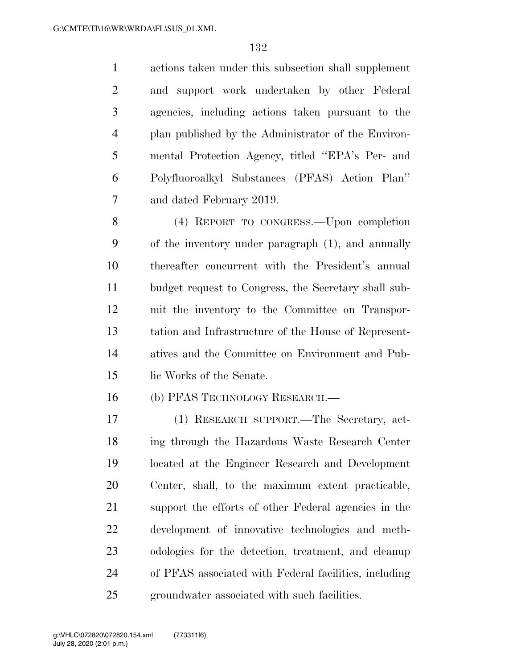actions taken under this subsection shall supplement and support work undertaken by other Federal agencies, including actions taken pursuant to the plan published by the Administrator of the Environ- mental Protection Agency, titled ''EPA's Per- and Polyfluoroalkyl Substances (PFAS) Action Plan'' and dated February 2019.

 (4) REPORT TO CONGRESS.—Upon completion of the inventory under paragraph (1), and annually thereafter concurrent with the President's annual budget request to Congress, the Secretary shall sub- mit the inventory to the Committee on Transpor- tation and Infrastructure of the House of Represent- atives and the Committee on Environment and Pub-lic Works of the Senate.

(b) PFAS TECHNOLOGY RESEARCH.—

 (1) RESEARCH SUPPORT.—The Secretary, act- ing through the Hazardous Waste Research Center located at the Engineer Research and Development Center, shall, to the maximum extent practicable, support the efforts of other Federal agencies in the development of innovative technologies and meth- odologies for the detection, treatment, and cleanup of PFAS associated with Federal facilities, including groundwater associated with such facilities.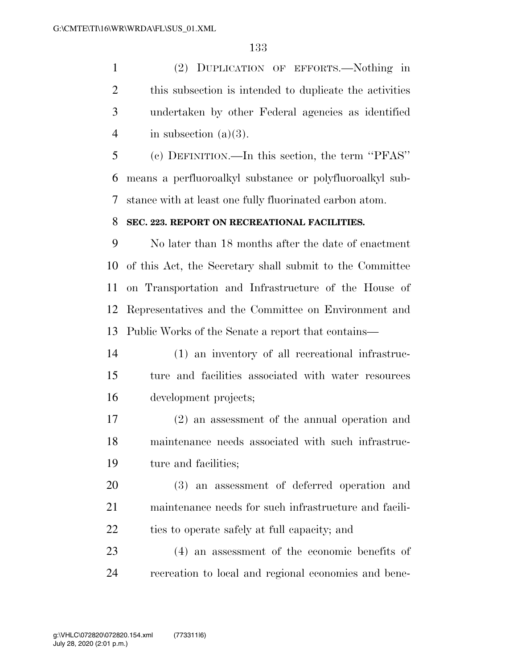(2) DUPLICATION OF EFFORTS.—Nothing in this subsection is intended to duplicate the activities undertaken by other Federal agencies as identified 4 in subsection  $(a)(3)$ .

 (c) DEFINITION.—In this section, the term ''PFAS'' means a perfluoroalkyl substance or polyfluoroalkyl sub-stance with at least one fully fluorinated carbon atom.

#### **SEC. 223. REPORT ON RECREATIONAL FACILITIES.**

 No later than 18 months after the date of enactment of this Act, the Secretary shall submit to the Committee on Transportation and Infrastructure of the House of Representatives and the Committee on Environment and Public Works of the Senate a report that contains—

 (1) an inventory of all recreational infrastruc- ture and facilities associated with water resources development projects;

 (2) an assessment of the annual operation and maintenance needs associated with such infrastruc-ture and facilities;

 (3) an assessment of deferred operation and maintenance needs for such infrastructure and facili-ties to operate safely at full capacity; and

 (4) an assessment of the economic benefits of recreation to local and regional economies and bene-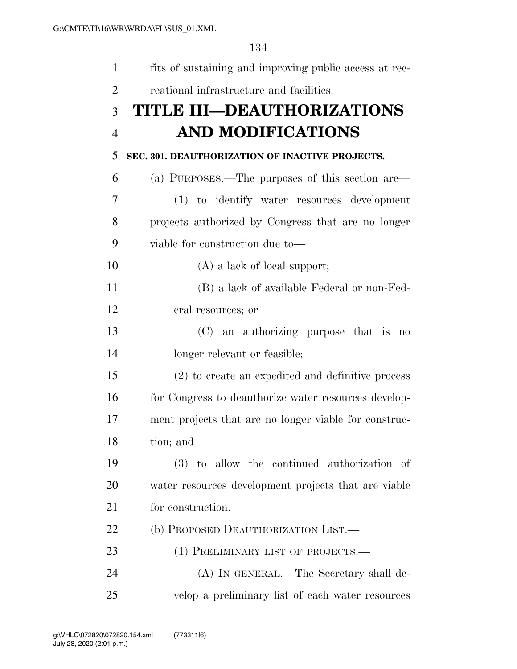| $\mathbf{1}$   | fits of sustaining and improving public access at rec- |
|----------------|--------------------------------------------------------|
| $\overline{2}$ | reational infrastructure and facilities.               |
| 3              | <b>TITLE III-DEAUTHORIZATIONS</b>                      |
| $\overline{4}$ | <b>AND MODIFICATIONS</b>                               |
| 5              | SEC. 301. DEAUTHORIZATION OF INACTIVE PROJECTS.        |
| 6              | (a) PURPOSES.—The purposes of this section are—        |
| 7              | (1) to identify water resources development            |
| 8              | projects authorized by Congress that are no longer     |
| 9              | viable for construction due to-                        |
| 10             | $(A)$ a lack of local support;                         |
| 11             | (B) a lack of available Federal or non-Fed-            |
| 12             | eral resources; or                                     |
| 13             | (C) an authorizing purpose that is no                  |
| 14             | longer relevant or feasible;                           |
| 15             | (2) to create an expedited and definitive process      |
| 16             | for Congress to deauthorize water resources develop-   |
| 17             | ment projects that are no longer viable for construc-  |
| 18             | tion; and                                              |
| 19             | (3) to allow the continued authorization of            |
| 20             | water resources development projects that are viable   |
| 21             | for construction.                                      |
| 22             | (b) PROPOSED DEAUTHORIZATION LIST.                     |
| 23             | (1) PRELIMINARY LIST OF PROJECTS.—                     |
| 24             | (A) IN GENERAL.—The Secretary shall de-                |
| 25             | velop a preliminary list of each water resources       |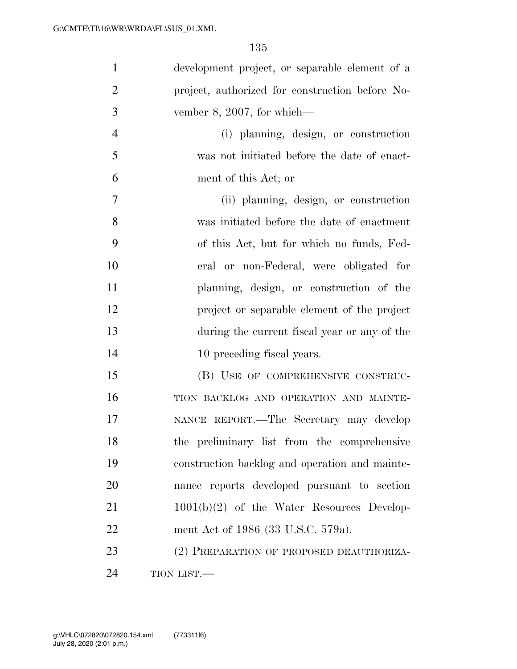| $\mathbf{1}$   | development project, or separable element of a  |
|----------------|-------------------------------------------------|
| $\overline{2}$ | project, authorized for construction before No- |
| 3              | vember 8, 2007, for which—                      |
| $\overline{4}$ | (i) planning, design, or construction           |
| 5              | was not initiated before the date of enact-     |
| 6              | ment of this Act; or                            |
| 7              | (ii) planning, design, or construction          |
| 8              | was initiated before the date of enactment      |
| 9              | of this Act, but for which no funds, Fed-       |
| 10             | eral or non-Federal, were obligated for         |
| 11             | planning, design, or construction of the        |
| 12             | project or separable element of the project     |
| 13             | during the current fiscal year or any of the    |
| 14             | 10 preceding fiscal years.                      |
| 15             | (B) USE OF COMPREHENSIVE CONSTRUC-              |
| 16             | TION BACKLOG AND OPERATION AND MAINTE-          |
| 17             | NANCE REPORT.—The Secretary may develop         |
| 18             | the preliminary list from the comprehensive     |
| 19             | construction backlog and operation and mainte-  |
| 20             | nance reports developed pursuant to section     |
| 21             | $1001(b)(2)$ of the Water Resources Develop-    |
| 22             | ment Act of 1986 (33 U.S.C. 579a).              |
| 23             | (2) PREPARATION OF PROPOSED DEAUTHORIZA-        |
| 24             | TION LIST.                                      |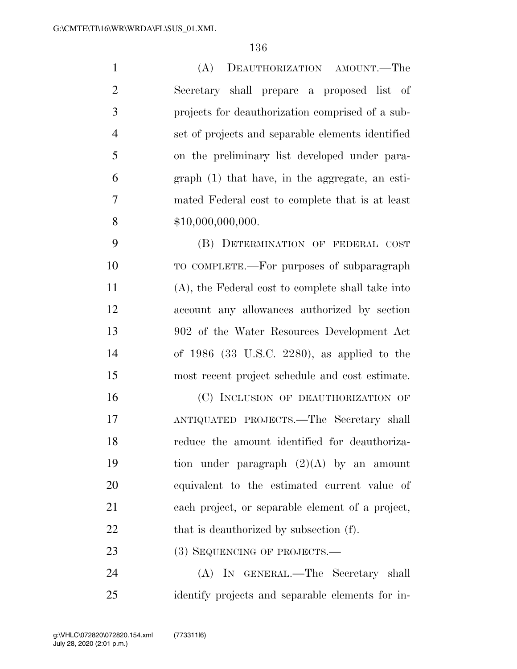(A) DEAUTHORIZATION AMOUNT.—The Secretary shall prepare a proposed list of projects for deauthorization comprised of a sub- set of projects and separable elements identified on the preliminary list developed under para- graph (1) that have, in the aggregate, an esti- mated Federal cost to complete that is at least \$10,000,000,000. (B) DETERMINATION OF FEDERAL COST TO COMPLETE.—For purposes of subparagraph (A), the Federal cost to complete shall take into account any allowances authorized by section 902 of the Water Resources Development Act of 1986 (33 U.S.C. 2280), as applied to the most recent project schedule and cost estimate. 16 (C) INCLUSION OF DEAUTHORIZATION OF ANTIQUATED PROJECTS.—The Secretary shall

 reduce the amount identified for deauthoriza- tion under paragraph (2)(A) by an amount equivalent to the estimated current value of each project, or separable element of a project, 22 that is deauthorized by subsection (f).

23 (3) SEQUENCING OF PROJECTS.—

 (A) IN GENERAL.—The Secretary shall identify projects and separable elements for in-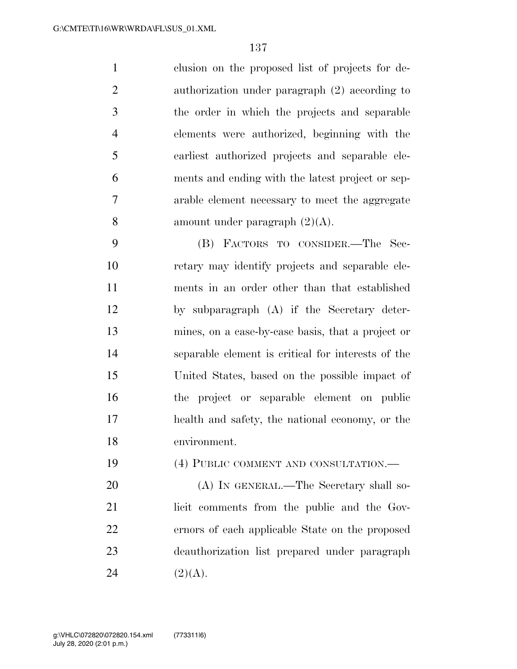clusion on the proposed list of projects for de- authorization under paragraph (2) according to the order in which the projects and separable elements were authorized, beginning with the earliest authorized projects and separable ele- ments and ending with the latest project or sep- arable element necessary to meet the aggregate 8 amount under paragraph  $(2)(A)$ .

 (B) FACTORS TO CONSIDER.—The Sec- retary may identify projects and separable ele- ments in an order other than that established by subparagraph (A) if the Secretary deter- mines, on a case-by-case basis, that a project or separable element is critical for interests of the United States, based on the possible impact of the project or separable element on public health and safety, the national economy, or the environment.

(4) PUBLIC COMMENT AND CONSULTATION.—

20 (A) IN GENERAL.—The Secretary shall so- licit comments from the public and the Gov- ernors of each applicable State on the proposed deauthorization list prepared under paragraph 24  $(2)(A)$ .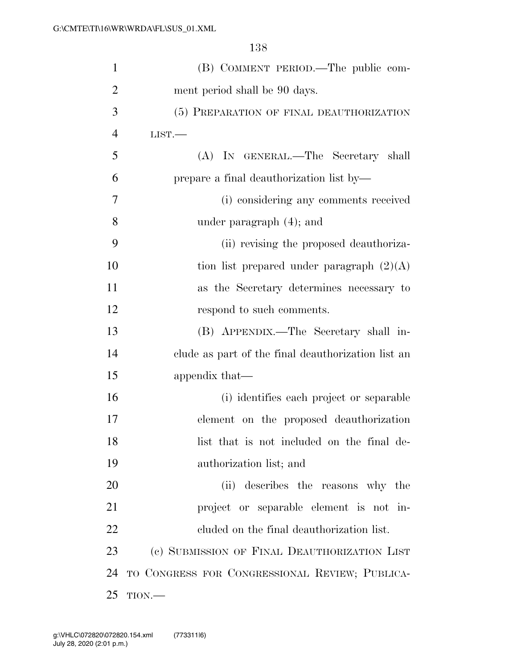| $\mathbf{1}$   | (B) COMMENT PERIOD.—The public com-                |
|----------------|----------------------------------------------------|
| $\overline{2}$ | ment period shall be 90 days.                      |
| 3              | (5) PREPARATION OF FINAL DEAUTHORIZATION           |
| $\overline{4}$ | LIST.                                              |
| 5              | (A) IN GENERAL.—The Secretary shall                |
| 6              | prepare a final deauthorization list by—           |
| 7              | (i) considering any comments received              |
| 8              | under paragraph $(4)$ ; and                        |
| 9              | (ii) revising the proposed deauthoriza-            |
| 10             | tion list prepared under paragraph $(2)(A)$        |
| 11             | as the Secretary determines necessary to           |
| 12             | respond to such comments.                          |
| 13             | (B) APPENDIX.—The Secretary shall in-              |
| 14             | clude as part of the final deauthorization list an |
| 15             | appendix that—                                     |
| 16             | (i) identifies each project or separable           |
| 17             | element on the proposed deauthorization            |
| 18             | list that is not included on the final de-         |
| 19             | authorization list; and                            |
| 20             | (ii) describes the reasons why the                 |
| 21             | project or separable element is not in-            |
| 22             | eluded on the final deauthorization list.          |
| 23             | (c) SUBMISSION OF FINAL DEAUTHORIZATION LIST       |
| 24             | TO CONGRESS FOR CONGRESSIONAL REVIEW; PUBLICA-     |
| 25             | TION.                                              |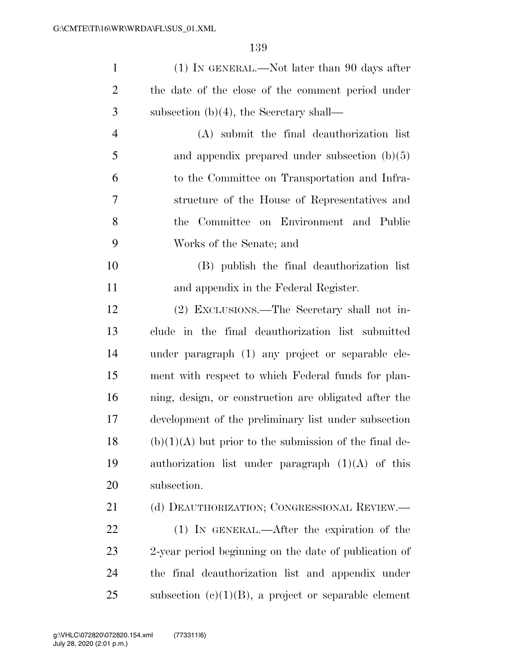| $\mathbf{1}$   | $(1)$ In GENERAL.—Not later than 90 days after           |
|----------------|----------------------------------------------------------|
| $\overline{2}$ | the date of the close of the comment period under        |
| 3              | subsection (b) $(4)$ , the Secretary shall—              |
| $\overline{4}$ | (A) submit the final deauthorization list                |
| 5              | and appendix prepared under subsection $(b)(5)$          |
| 6              | to the Committee on Transportation and Infra-            |
| 7              | structure of the House of Representatives and            |
| 8              | the Committee on Environment and Public                  |
| 9              | Works of the Senate; and                                 |
| 10             | (B) publish the final deauthorization list               |
| 11             | and appendix in the Federal Register.                    |
| 12             | (2) EXCLUSIONS.—The Secretary shall not in-              |
| 13             | clude in the final deauthorization list submitted        |
| 14             | under paragraph (1) any project or separable ele-        |
| 15             | ment with respect to which Federal funds for plan-       |
| 16             | ning, design, or construction are obligated after the    |
| 17             | development of the preliminary list under subsection     |
| 18             | $(b)(1)(A)$ but prior to the submission of the final de- |
| 19             | authorization list under paragraph $(1)(A)$ of this      |
| 20             | subsection.                                              |
| 21             | (d) DEAUTHORIZATION; CONGRESSIONAL REVIEW.—              |
| 22             | $(1)$ IN GENERAL.—After the expiration of the            |
| 23             | 2-year period beginning on the date of publication of    |
| 24             | the final deauthorization list and appendix under        |
| 25             | subsection $(c)(1)(B)$ , a project or separable element  |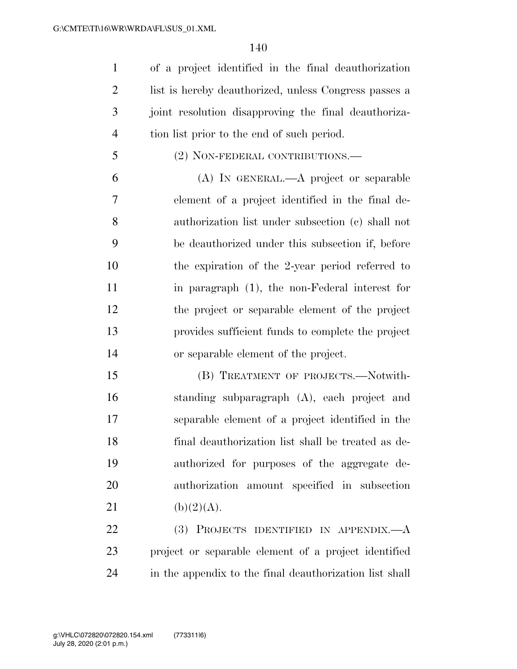of a project identified in the final deauthorization list is hereby deauthorized, unless Congress passes a joint resolution disapproving the final deauthoriza-tion list prior to the end of such period.

(2) NON-FEDERAL CONTRIBUTIONS.—

 (A) IN GENERAL.—A project or separable element of a project identified in the final de- authorization list under subsection (c) shall not be deauthorized under this subsection if, before the expiration of the 2-year period referred to in paragraph (1), the non-Federal interest for the project or separable element of the project provides sufficient funds to complete the project or separable element of the project.

 (B) TREATMENT OF PROJECTS.—Notwith- standing subparagraph (A), each project and separable element of a project identified in the final deauthorization list shall be treated as de- authorized for purposes of the aggregate de- authorization amount specified in subsection 21 (b)(2)(A).

 (3) PROJECTS IDENTIFIED IN APPENDIX.—A project or separable element of a project identified in the appendix to the final deauthorization list shall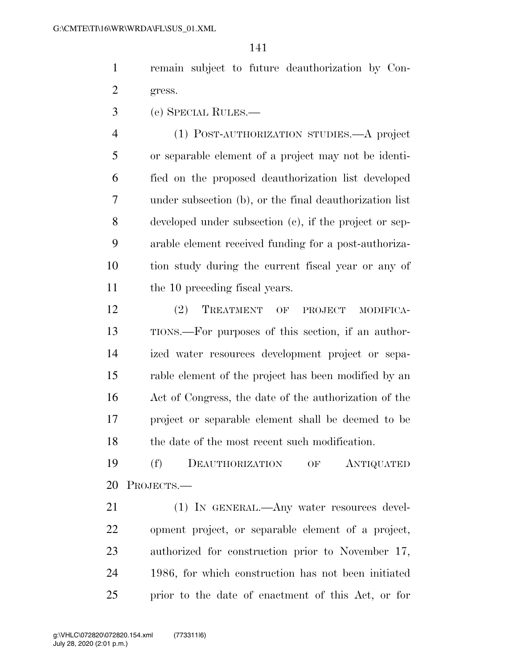- remain subject to future deauthorization by Con-gress.
- (e) SPECIAL RULES.—

 (1) POST-AUTHORIZATION STUDIES.—A project or separable element of a project may not be identi- fied on the proposed deauthorization list developed under subsection (b), or the final deauthorization list developed under subsection (c), if the project or sep- arable element received funding for a post-authoriza- tion study during the current fiscal year or any of the 10 preceding fiscal years.

 (2) TREATMENT OF PROJECT MODIFICA- TIONS.—For purposes of this section, if an author- ized water resources development project or sepa- rable element of the project has been modified by an Act of Congress, the date of the authorization of the project or separable element shall be deemed to be 18 the date of the most recent such modification.

 (f) DEAUTHORIZATION OF ANTIQUATED PROJECTS.—

21 (1) IN GENERAL.—Any water resources devel- opment project, or separable element of a project, authorized for construction prior to November 17, 1986, for which construction has not been initiated prior to the date of enactment of this Act, or for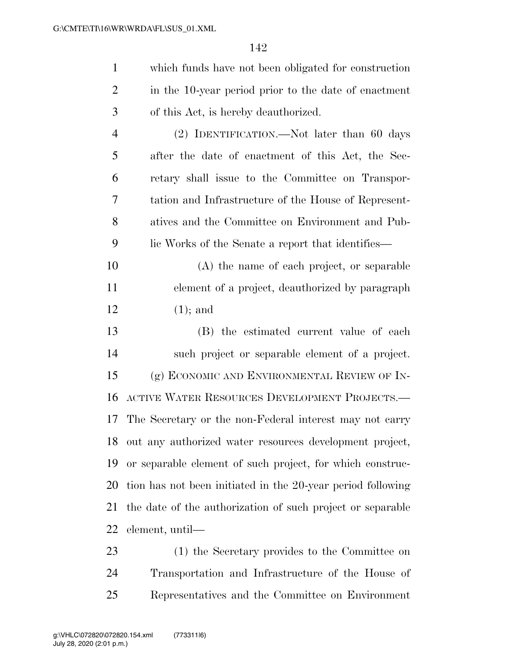| $\mathbf{1}$   | which funds have not been obligated for construction        |
|----------------|-------------------------------------------------------------|
| $\overline{2}$ | in the 10-year period prior to the date of enactment        |
| 3              | of this Act, is hereby deauthorized.                        |
| $\overline{4}$ | (2) IDENTIFICATION.—Not later than 60 days                  |
| 5              | after the date of enactment of this Act, the Sec-           |
| 6              | retary shall issue to the Committee on Transpor-            |
| 7              | tation and Infrastructure of the House of Represent-        |
| 8              | atives and the Committee on Environment and Pub-            |
| 9              | lic Works of the Senate a report that identifies—           |
| 10             | (A) the name of each project, or separable                  |
| 11             | element of a project, deauthorized by paragraph             |
| 12             | $(1)$ ; and                                                 |
| 13             | (B) the estimated current value of each                     |
| 14             | such project or separable element of a project.             |
| 15             | (g) ECONOMIC AND ENVIRONMENTAL REVIEW OF IN-                |
| 16             | ACTIVE WATER RESOURCES DEVELOPMENT PROJECTS.-               |
| 17             | The Secretary or the non-Federal interest may not carry     |
|                | 18 out any authorized water resources development project,  |
| 19             | or separable element of such project, for which construc-   |
| 20             | tion has not been initiated in the 20-year period following |
| 21             | the date of the authorization of such project or separable  |
| 22             | element, until—                                             |
| 23             | (1) the Secretary provides to the Committee on              |
|                |                                                             |

 Transportation and Infrastructure of the House of Representatives and the Committee on Environment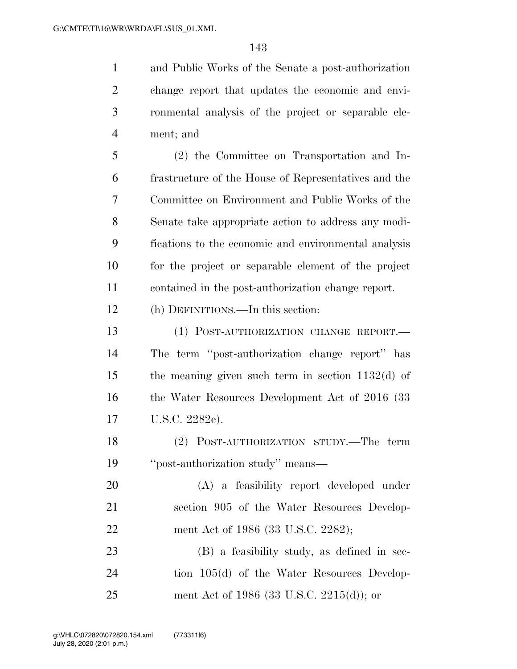and Public Works of the Senate a post-authorization change report that updates the economic and envi- ronmental analysis of the project or separable ele-ment; and

 (2) the Committee on Transportation and In- frastructure of the House of Representatives and the Committee on Environment and Public Works of the Senate take appropriate action to address any modi- fications to the economic and environmental analysis for the project or separable element of the project contained in the post-authorization change report.

#### (h) DEFINITIONS.—In this section:

 (1) POST-AUTHORIZATION CHANGE REPORT.— The term ''post-authorization change report'' has the meaning given such term in section 1132(d) of 16 the Water Resources Development Act of 2016 (33 U.S.C. 2282e).

 (2) POST-AUTHORIZATION STUDY.—The term ''post-authorization study'' means—

 (A) a feasibility report developed under section 905 of the Water Resources Develop-22 ment Act of 1986 (33 U.S.C. 2282);

 (B) a feasibility study, as defined in sec-24 tion 105(d) of the Water Resources Develop-ment Act of 1986 (33 U.S.C. 2215(d)); or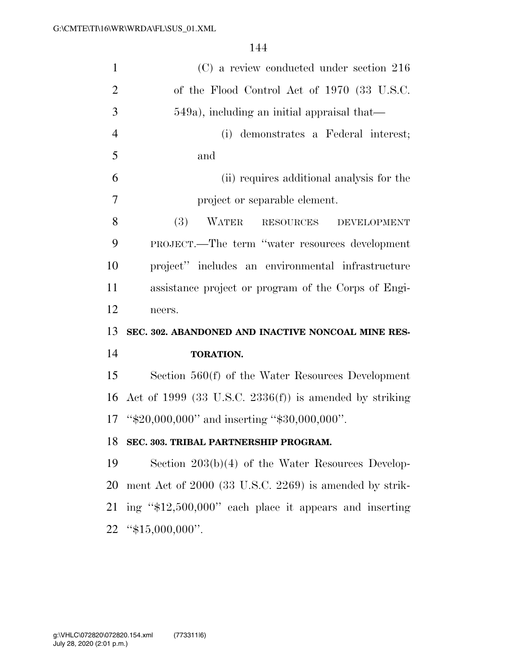| $\mathbf{1}$   | (C) a review conducted under section 216                   |
|----------------|------------------------------------------------------------|
| $\overline{2}$ | of the Flood Control Act of 1970 (33 U.S.C.                |
| 3              |                                                            |
|                | 549a), including an initial appraisal that—                |
| $\overline{4}$ | (i) demonstrates a Federal interest;                       |
| 5              | and                                                        |
| 6              | (ii) requires additional analysis for the                  |
| 7              | project or separable element.                              |
| 8              | (3)<br>WATER RESOURCES<br>DEVELOPMENT                      |
| 9              | PROJECT.—The term "water resources development             |
| 10             | project" includes an environmental infrastructure          |
| 11             | assistance project or program of the Corps of Engi-        |
| 12             |                                                            |
|                | neers.                                                     |
| 13             | SEC. 302. ABANDONED AND INACTIVE NONCOAL MINE RES-         |
| 14             | <b>TORATION.</b>                                           |
| 15             | Section $560(f)$ of the Water Resources Development        |
| 16             | Act of 1999 (33 U.S.C. 2336 $(f)$ ) is amended by striking |
|                | 17 "\$20,000,000" and inserting "\$30,000,000".            |
| 18             | SEC. 303. TRIBAL PARTNERSHIP PROGRAM.                      |
|                | Section $203(b)(4)$ of the Water Resources Develop-        |
| 19<br>20       | ment Act of 2000 (33 U.S.C. 2269) is amended by strik-     |
| 21             | ing "\$12,500,000" each place it appears and inserting     |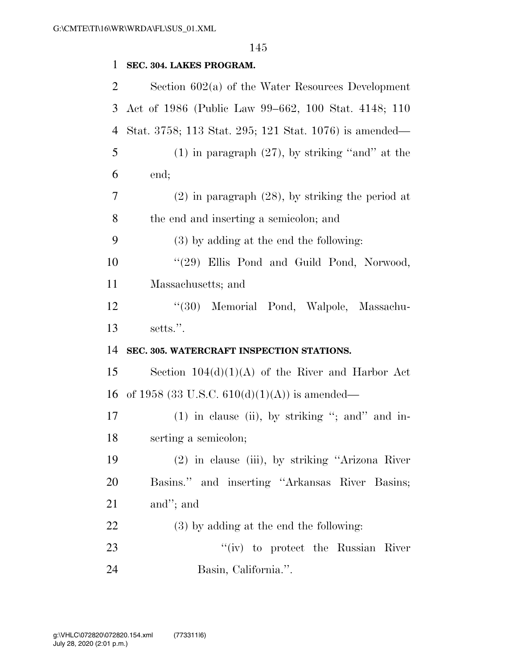## **SEC. 304. LAKES PROGRAM.**

| 2  | Section $602(a)$ of the Water Resources Development    |
|----|--------------------------------------------------------|
| 3  | Act of 1986 (Public Law 99–662, 100 Stat. 4148; 110    |
| 4  | Stat. 3758; 113 Stat. 295; 121 Stat. 1076) is amended— |
| 5  | $(1)$ in paragraph $(27)$ , by striking "and" at the   |
| 6  | end;                                                   |
| 7  | $(2)$ in paragraph $(28)$ , by striking the period at  |
| 8  | the end and inserting a semicolon; and                 |
| 9  | $(3)$ by adding at the end the following:              |
| 10 | "(29) Ellis Pond and Guild Pond, Norwood,              |
| 11 | Massachusetts; and                                     |
| 12 | "(30) Memorial Pond, Walpole, Massachu-                |
| 13 | setts.".                                               |
| 14 | SEC. 305. WATERCRAFT INSPECTION STATIONS.              |
| 15 | Section $104(d)(1)(A)$ of the River and Harbor Act     |
| 16 | of 1958 (33 U.S.C. $610(d)(1)(A)$ ) is amended—        |
| 17 | $(1)$ in clause (ii), by striking "; and " and in-     |
| 18 | serting a semicolon;                                   |
| 19 | (2) in clause (iii), by striking "Arizona River        |
| 20 | Basins." and inserting "Arkansas River Basins;         |
| 21 | and"; and                                              |
| 22 | $(3)$ by adding at the end the following:              |
| 23 | "(iv) to protect the Russian River                     |
| 24 | Basin, California.".                                   |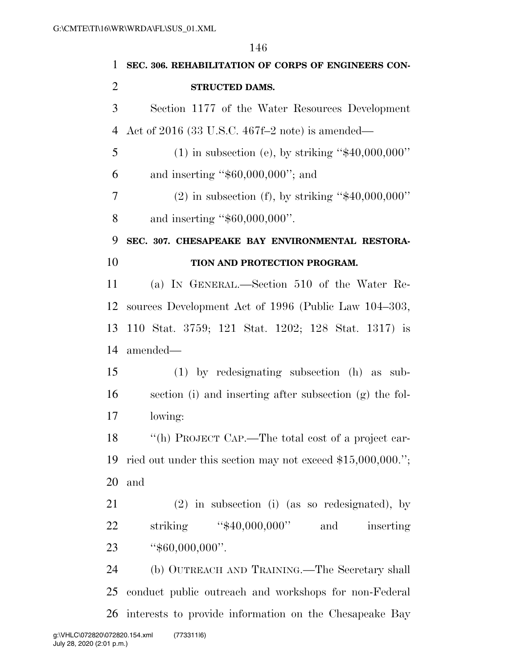**SEC. 306. REHABILITATION OF CORPS OF ENGINEERS CON- STRUCTED DAMS.**  Section 1177 of the Water Resources Development Act of 2016 (33 U.S.C. 467f–2 note) is amended— 5 (1) in subsection (e), by striking " $$40,000,000"$  and inserting ''\$60,000,000''; and 7 (2) in subsection (f), by striking " $$40,000,000"$ 8 and inserting "\$60,000,000". **SEC. 307. CHESAPEAKE BAY ENVIRONMENTAL RESTORA- TION AND PROTECTION PROGRAM.**  (a) IN GENERAL.—Section 510 of the Water Re- sources Development Act of 1996 (Public Law 104–303, 110 Stat. 3759; 121 Stat. 1202; 128 Stat. 1317) is amended— (1) by redesignating subsection (h) as sub- section (i) and inserting after subsection (g) the fol- lowing: ''(h) PROJECT CAP.—The total cost of a project car- ried out under this section may not exceed \$15,000,000.''; and (2) in subsection (i) (as so redesignated), by 22 striking "\$40,000,000" and inserting ''\$60,000,000''. (b) OUTREACH AND TRAINING.—The Secretary shall conduct public outreach and workshops for non-Federal interests to provide information on the Chesapeake Bay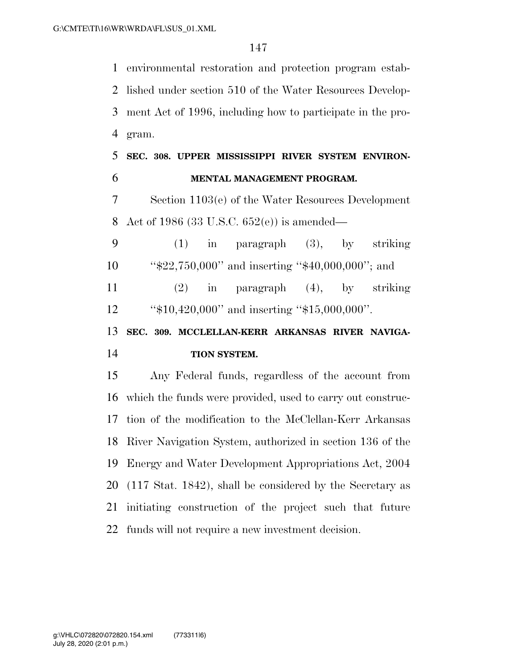environmental restoration and protection program estab- lished under section 510 of the Water Resources Develop- ment Act of 1996, including how to participate in the pro- gram. **SEC. 308. UPPER MISSISSIPPI RIVER SYSTEM ENVIRON- MENTAL MANAGEMENT PROGRAM.**  Section 1103(e) of the Water Resources Development Act of 1986 (33 U.S.C. 652(e)) is amended— (1) in paragraph (3), by striking ''\$22,750,000'' and inserting ''\$40,000,000''; and (2) in paragraph (4), by striking ''\$10,420,000'' and inserting ''\$15,000,000''. **SEC. 309. MCCLELLAN-KERR ARKANSAS RIVER NAVIGA- TION SYSTEM.**  Any Federal funds, regardless of the account from which the funds were provided, used to carry out construc- tion of the modification to the McClellan-Kerr Arkansas River Navigation System, authorized in section 136 of the Energy and Water Development Appropriations Act, 2004 (117 Stat. 1842), shall be considered by the Secretary as initiating construction of the project such that future

funds will not require a new investment decision.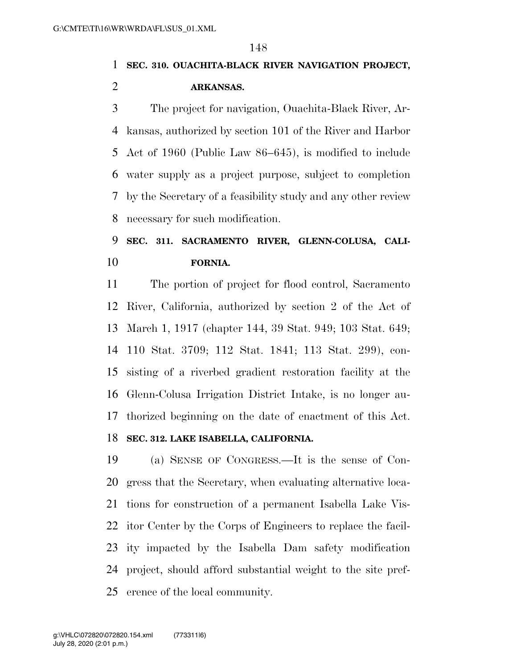## **SEC. 310. OUACHITA-BLACK RIVER NAVIGATION PROJECT, ARKANSAS.**

 The project for navigation, Ouachita-Black River, Ar- kansas, authorized by section 101 of the River and Harbor Act of 1960 (Public Law 86–645), is modified to include water supply as a project purpose, subject to completion by the Secretary of a feasibility study and any other review necessary for such modification.

# **SEC. 311. SACRAMENTO RIVER, GLENN-COLUSA, CALI-FORNIA.**

 The portion of project for flood control, Sacramento River, California, authorized by section 2 of the Act of March 1, 1917 (chapter 144, 39 Stat. 949; 103 Stat. 649; 110 Stat. 3709; 112 Stat. 1841; 113 Stat. 299), con- sisting of a riverbed gradient restoration facility at the Glenn-Colusa Irrigation District Intake, is no longer au-thorized beginning on the date of enactment of this Act.

### **SEC. 312. LAKE ISABELLA, CALIFORNIA.**

 (a) SENSE OF CONGRESS.—It is the sense of Con- gress that the Secretary, when evaluating alternative loca- tions for construction of a permanent Isabella Lake Vis- itor Center by the Corps of Engineers to replace the facil- ity impacted by the Isabella Dam safety modification project, should afford substantial weight to the site pref-erence of the local community.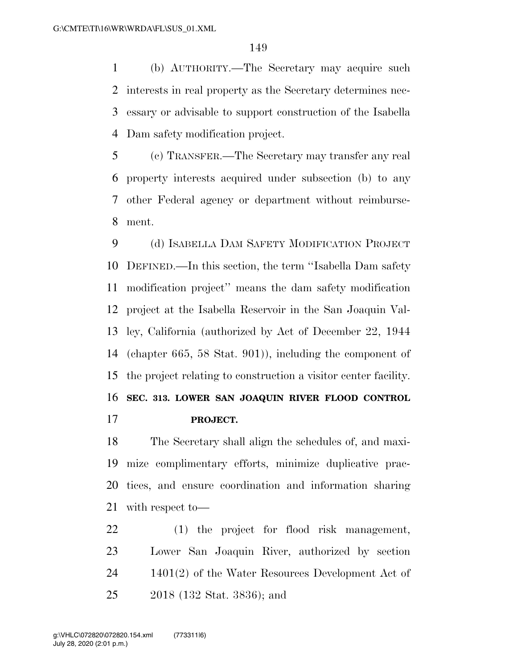(b) AUTHORITY.—The Secretary may acquire such interests in real property as the Secretary determines nec- essary or advisable to support construction of the Isabella Dam safety modification project.

 (c) TRANSFER.—The Secretary may transfer any real property interests acquired under subsection (b) to any other Federal agency or department without reimburse-ment.

 (d) ISABELLA DAM SAFETY MODIFICATION PROJECT DEFINED.—In this section, the term ''Isabella Dam safety modification project'' means the dam safety modification project at the Isabella Reservoir in the San Joaquin Val- ley, California (authorized by Act of December 22, 1944 (chapter 665, 58 Stat. 901)), including the component of the project relating to construction a visitor center facility. **SEC. 313. LOWER SAN JOAQUIN RIVER FLOOD CONTROL PROJECT.** 

 The Secretary shall align the schedules of, and maxi- mize complimentary efforts, minimize duplicative prac- tices, and ensure coordination and information sharing with respect to—

 (1) the project for flood risk management, Lower San Joaquin River, authorized by section 24 1401(2) of the Water Resources Development Act of 2018 (132 Stat. 3836); and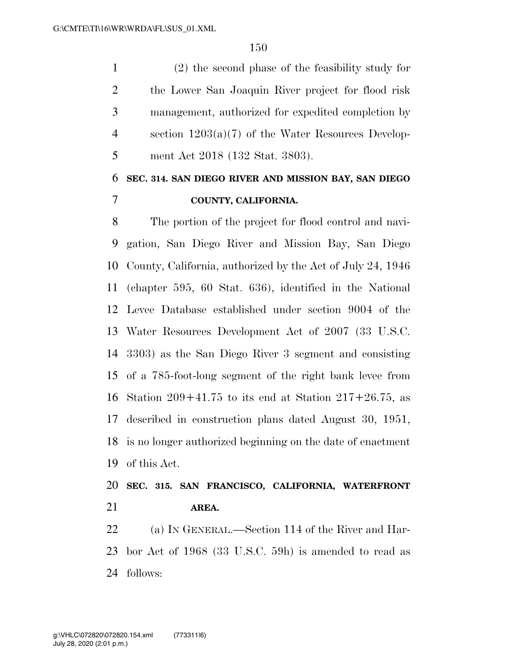(2) the second phase of the feasibility study for the Lower San Joaquin River project for flood risk management, authorized for expedited completion by section 1203(a)(7) of the Water Resources Develop-ment Act 2018 (132 Stat. 3803).

# **SEC. 314. SAN DIEGO RIVER AND MISSION BAY, SAN DIEGO COUNTY, CALIFORNIA.**

 The portion of the project for flood control and navi- gation, San Diego River and Mission Bay, San Diego County, California, authorized by the Act of July 24, 1946 (chapter 595, 60 Stat. 636), identified in the National Levee Database established under section 9004 of the Water Resources Development Act of 2007 (33 U.S.C. 3303) as the San Diego River 3 segment and consisting of a 785-foot-long segment of the right bank levee from Station 209+41.75 to its end at Station 217+26.75, as described in construction plans dated August 30, 1951, is no longer authorized beginning on the date of enactment of this Act.

# **SEC. 315. SAN FRANCISCO, CALIFORNIA, WATERFRONT AREA.**

 (a) IN GENERAL.—Section 114 of the River and Har- bor Act of 1968 (33 U.S.C. 59h) is amended to read as follows: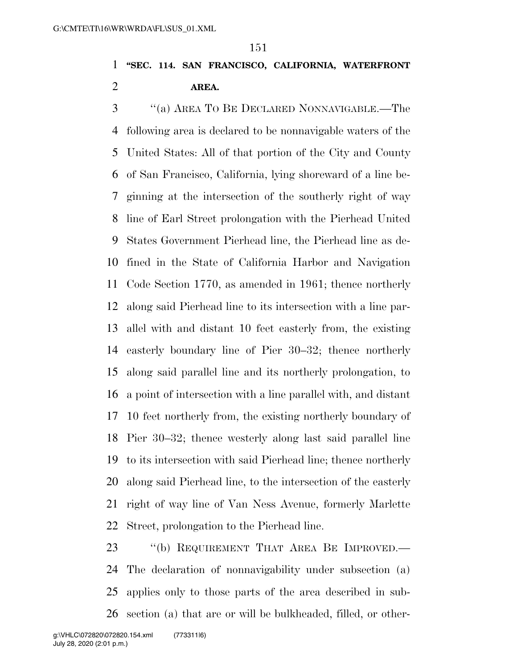# **''SEC. 114. SAN FRANCISCO, CALIFORNIA, WATERFRONT AREA.**

 ''(a) AREA TO BE DECLARED NONNAVIGABLE.—The following area is declared to be nonnavigable waters of the United States: All of that portion of the City and County of San Francisco, California, lying shoreward of a line be- ginning at the intersection of the southerly right of way line of Earl Street prolongation with the Pierhead United States Government Pierhead line, the Pierhead line as de- fined in the State of California Harbor and Navigation Code Section 1770, as amended in 1961; thence northerly along said Pierhead line to its intersection with a line par- allel with and distant 10 feet easterly from, the existing easterly boundary line of Pier 30–32; thence northerly along said parallel line and its northerly prolongation, to a point of intersection with a line parallel with, and distant 10 feet northerly from, the existing northerly boundary of Pier 30–32; thence westerly along last said parallel line to its intersection with said Pierhead line; thence northerly along said Pierhead line, to the intersection of the easterly right of way line of Van Ness Avenue, formerly Marlette Street, prolongation to the Pierhead line.

23 "(b) REQUIREMENT THAT AREA BE IMPROVED.— The declaration of nonnavigability under subsection (a) applies only to those parts of the area described in sub-section (a) that are or will be bulkheaded, filled, or other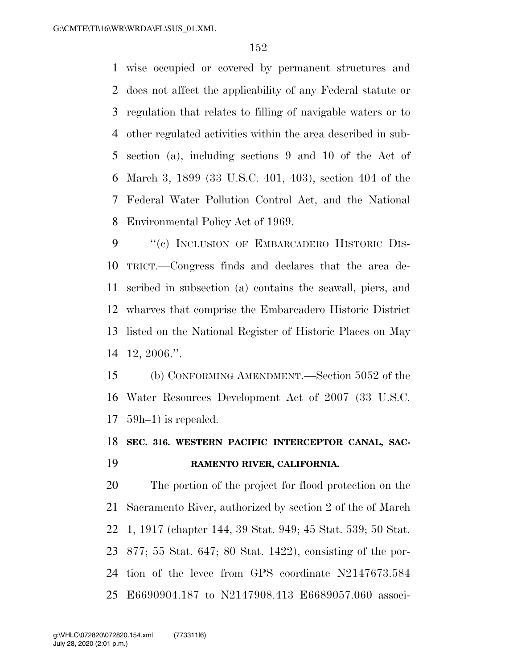wise occupied or covered by permanent structures and does not affect the applicability of any Federal statute or regulation that relates to filling of navigable waters or to other regulated activities within the area described in sub- section (a), including sections 9 and 10 of the Act of March 3, 1899 (33 U.S.C. 401, 403), section 404 of the Federal Water Pollution Control Act, and the National Environmental Policy Act of 1969.

9 "(e) INCLUSION OF EMBARCADERO HISTORIC DIS- TRICT.—Congress finds and declares that the area de- scribed in subsection (a) contains the seawall, piers, and wharves that comprise the Embarcadero Historic District listed on the National Register of Historic Places on May 12, 2006.''.

 (b) CONFORMING AMENDMENT.—Section 5052 of the Water Resources Development Act of 2007 (33 U.S.C. 59h–1) is repealed.

## **SEC. 316. WESTERN PACIFIC INTERCEPTOR CANAL, SAC-RAMENTO RIVER, CALIFORNIA.**

 The portion of the project for flood protection on the Sacramento River, authorized by section 2 of the of March 1, 1917 (chapter 144, 39 Stat. 949; 45 Stat. 539; 50 Stat. 877; 55 Stat. 647; 80 Stat. 1422), consisting of the por- tion of the levee from GPS coordinate N2147673.584 E6690904.187 to N2147908.413 E6689057.060 associ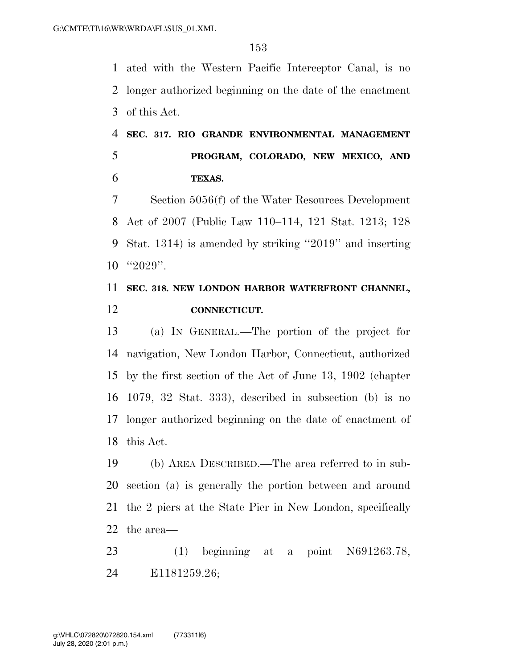ated with the Western Pacific Interceptor Canal, is no longer authorized beginning on the date of the enactment of this Act.

 **SEC. 317. RIO GRANDE ENVIRONMENTAL MANAGEMENT PROGRAM, COLORADO, NEW MEXICO, AND TEXAS.** 

 Section 5056(f) of the Water Resources Development Act of 2007 (Public Law 110–114, 121 Stat. 1213; 128 Stat. 1314) is amended by striking ''2019'' and inserting ''2029''.

## **SEC. 318. NEW LONDON HARBOR WATERFRONT CHANNEL, CONNECTICUT.**

 (a) IN GENERAL.—The portion of the project for navigation, New London Harbor, Connecticut, authorized by the first section of the Act of June 13, 1902 (chapter 1079, 32 Stat. 333), described in subsection (b) is no longer authorized beginning on the date of enactment of this Act.

 (b) AREA DESCRIBED.—The area referred to in sub- section (a) is generally the portion between and around the 2 piers at the State Pier in New London, specifically the area—

 (1) beginning at a point N691263.78, E1181259.26;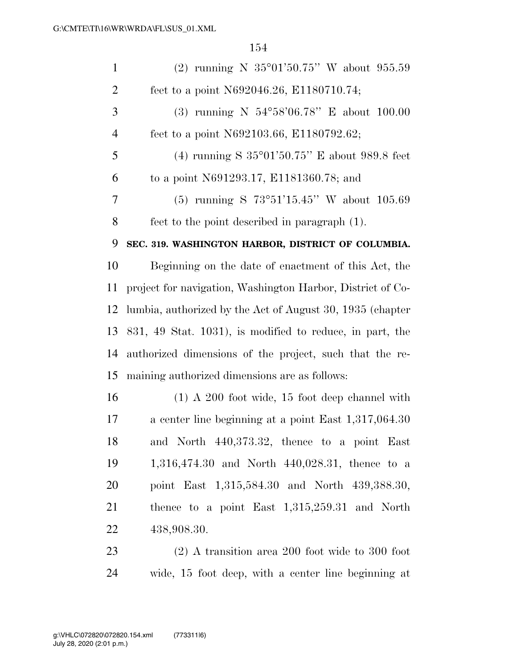| $\mathbf{1}$   | (2) running N $35^{\circ}01'50.75''$ W about $955.59$      |
|----------------|------------------------------------------------------------|
| $\overline{2}$ | feet to a point N692046.26, E1180710.74;                   |
| 3              | (3) running N $54^{\circ}58'06.78"$ E about 100.00         |
| $\overline{4}$ | feet to a point N692103.66, E1180792.62;                   |
| 5              | (4) running S $35^{\circ}01'50.75''$ E about 989.8 feet    |
| 6              | to a point N691293.17, E1181360.78; and                    |
| 7              | $(5)$ running S $73^{\circ}51'15.45''$ W about 105.69      |
| $8\,$          | feet to the point described in paragraph (1).              |
| 9              | SEC. 319. WASHINGTON HARBOR, DISTRICT OF COLUMBIA.         |
| 10             | Beginning on the date of enactment of this Act, the        |
| 11             | project for navigation, Washington Harbor, District of Co- |
| 12             | lumbia, authorized by the Act of August 30, 1935 (chapter  |
| 13             | 831, 49 Stat. 1031), is modified to reduce, in part, the   |
| 14             | authorized dimensions of the project, such that the re-    |
| 15             | maining authorized dimensions are as follows:              |
| 16             | $(1)$ A 200 foot wide, 15 foot deep channel with           |
| 17             | a center line beginning at a point East 1,317,064.30       |
| 18             | and North 440,373.32, thence to a point East               |
| 19             | 1,316,474.30 and North 440,028.31, thence to a             |
| 20             | point East 1,315,584.30 and North 439,388.30,              |
| 21             | thence to a point East $1,315,259.31$ and North            |
| 22             | 438,908.30.                                                |
| 23             | $(2)$ A transition area 200 foot wide to 300 foot          |

wide, 15 foot deep, with a center line beginning at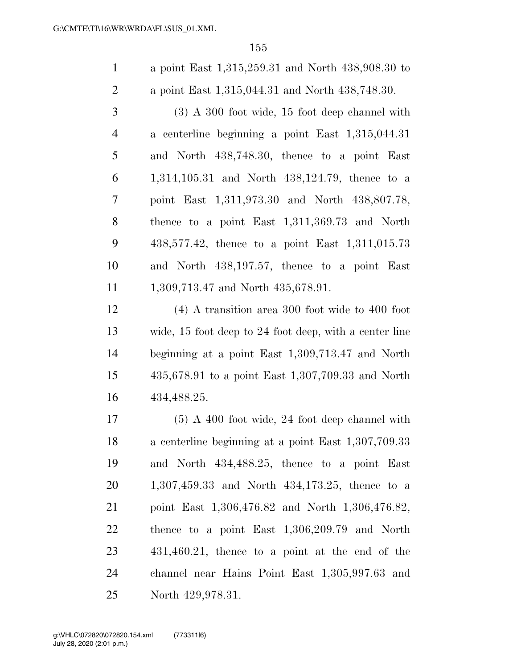a point East 1,315,259.31 and North 438,908.30 to a point East 1,315,044.31 and North 438,748.30. (3) A 300 foot wide, 15 foot deep channel with a centerline beginning a point East 1,315,044.31 and North 438,748.30, thence to a point East 1,314,105.31 and North 438,124.79, thence to a point East 1,311,973.30 and North 438,807.78, thence to a point East 1,311,369.73 and North 438,577.42, thence to a point East 1,311,015.73 and North 438,197.57, thence to a point East 11 1,309,713.47 and North 435,678.91. (4) A transition area 300 foot wide to 400 foot wide, 15 foot deep to 24 foot deep, with a center line beginning at a point East 1,309,713.47 and North 435,678.91 to a point East 1,307,709.33 and North 434,488.25. (5) A 400 foot wide, 24 foot deep channel with a centerline beginning at a point East 1,307,709.33

 and North 434,488.25, thence to a point East 1,307,459.33 and North 434,173.25, thence to a point East 1,306,476.82 and North 1,306,476.82, thence to a point East 1,306,209.79 and North 431,460.21, thence to a point at the end of the channel near Hains Point East 1,305,997.63 and North 429,978.31.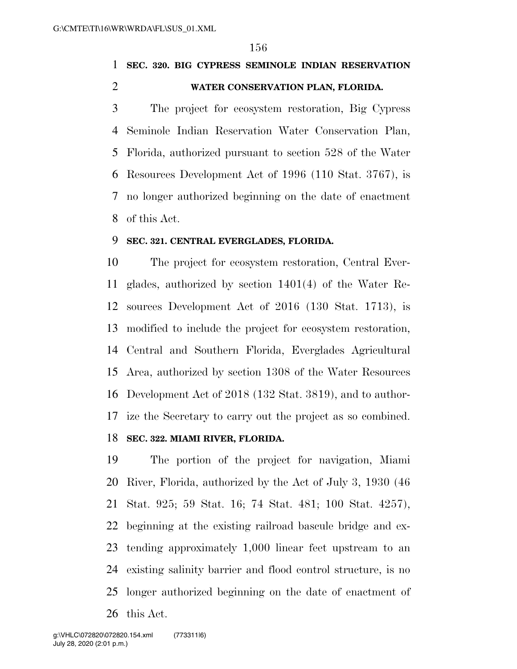## **SEC. 320. BIG CYPRESS SEMINOLE INDIAN RESERVATION WATER CONSERVATION PLAN, FLORIDA.**

 The project for ecosystem restoration, Big Cypress Seminole Indian Reservation Water Conservation Plan, Florida, authorized pursuant to section 528 of the Water Resources Development Act of 1996 (110 Stat. 3767), is no longer authorized beginning on the date of enactment of this Act.

#### **SEC. 321. CENTRAL EVERGLADES, FLORIDA.**

 The project for ecosystem restoration, Central Ever- glades, authorized by section 1401(4) of the Water Re- sources Development Act of 2016 (130 Stat. 1713), is modified to include the project for ecosystem restoration, Central and Southern Florida, Everglades Agricultural Area, authorized by section 1308 of the Water Resources Development Act of 2018 (132 Stat. 3819), and to author-ize the Secretary to carry out the project as so combined.

## **SEC. 322. MIAMI RIVER, FLORIDA.**

 The portion of the project for navigation, Miami River, Florida, authorized by the Act of July 3, 1930 (46 Stat. 925; 59 Stat. 16; 74 Stat. 481; 100 Stat. 4257), beginning at the existing railroad bascule bridge and ex- tending approximately 1,000 linear feet upstream to an existing salinity barrier and flood control structure, is no longer authorized beginning on the date of enactment of this Act.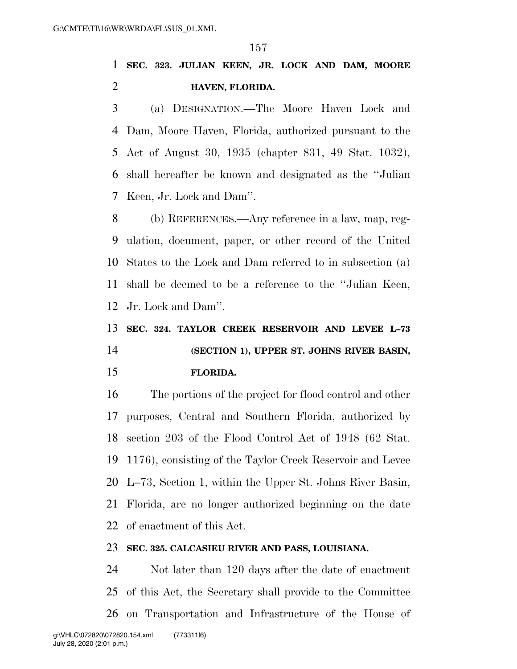# **SEC. 323. JULIAN KEEN, JR. LOCK AND DAM, MOORE HAVEN, FLORIDA.**

 (a) DESIGNATION.—The Moore Haven Lock and Dam, Moore Haven, Florida, authorized pursuant to the Act of August 30, 1935 (chapter 831, 49 Stat. 1032), shall hereafter be known and designated as the ''Julian Keen, Jr. Lock and Dam''.

 (b) REFERENCES.—Any reference in a law, map, reg- ulation, document, paper, or other record of the United States to the Lock and Dam referred to in subsection (a) shall be deemed to be a reference to the ''Julian Keen, Jr. Lock and Dam''.

# **SEC. 324. TAYLOR CREEK RESERVOIR AND LEVEE L–73 (SECTION 1), UPPER ST. JOHNS RIVER BASIN, FLORIDA.**

 The portions of the project for flood control and other purposes, Central and Southern Florida, authorized by section 203 of the Flood Control Act of 1948 (62 Stat. 1176), consisting of the Taylor Creek Reservoir and Levee L–73, Section 1, within the Upper St. Johns River Basin, Florida, are no longer authorized beginning on the date of enactment of this Act.

## **SEC. 325. CALCASIEU RIVER AND PASS, LOUISIANA.**

 Not later than 120 days after the date of enactment of this Act, the Secretary shall provide to the Committee on Transportation and Infrastructure of the House of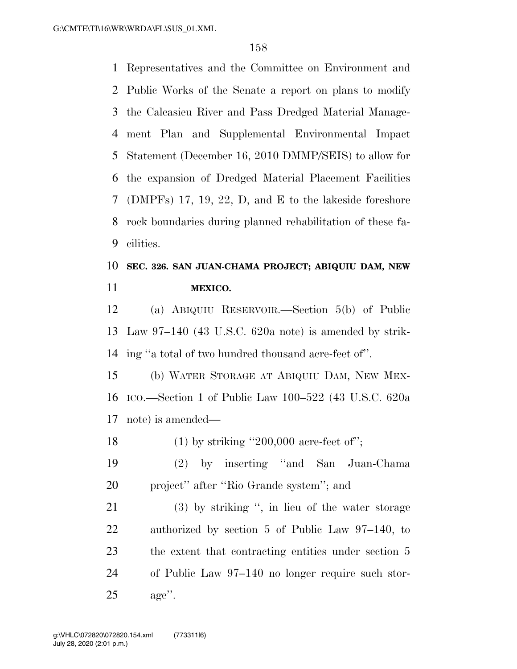Representatives and the Committee on Environment and Public Works of the Senate a report on plans to modify the Calcasieu River and Pass Dredged Material Manage- ment Plan and Supplemental Environmental Impact Statement (December 16, 2010 DMMP/SEIS) to allow for the expansion of Dredged Material Placement Facilities (DMPFs) 17, 19, 22, D, and E to the lakeside foreshore rock boundaries during planned rehabilitation of these fa-cilities.

# **SEC. 326. SAN JUAN-CHAMA PROJECT; ABIQUIU DAM, NEW MEXICO.**

 (a) ABIQUIU RESERVOIR.—Section 5(b) of Public Law 97–140 (43 U.S.C. 620a note) is amended by strik-ing ''a total of two hundred thousand acre-feet of''.

 (b) WATER STORAGE AT ABIQUIU DAM, NEW MEX- ICO.—Section 1 of Public Law 100–522 (43 U.S.C. 620a note) is amended—

18  $(1)$  by striking "200,000 acre-feet of";

 (2) by inserting ''and San Juan-Chama project'' after ''Rio Grande system''; and

 (3) by striking '', in lieu of the water storage authorized by section 5 of Public Law 97–140, to the extent that contracting entities under section 5 of Public Law 97–140 no longer require such stor-age''.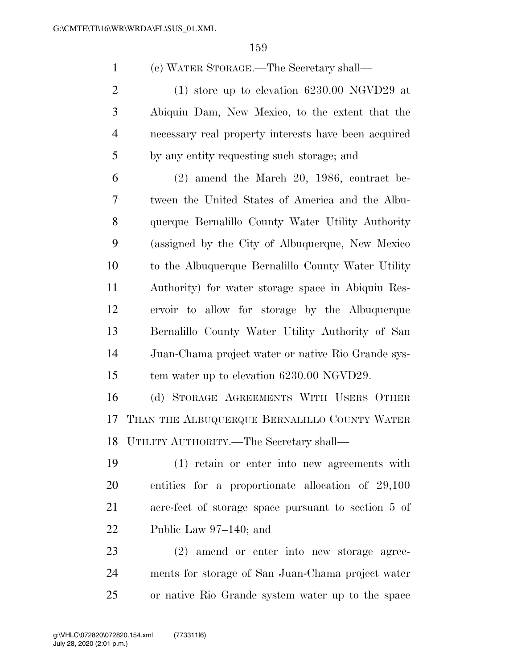(c) WATER STORAGE.—The Secretary shall—

 (1) store up to elevation 6230.00 NGVD29 at Abiquiu Dam, New Mexico, to the extent that the necessary real property interests have been acquired by any entity requesting such storage; and

 (2) amend the March 20, 1986, contract be- tween the United States of America and the Albu- querque Bernalillo County Water Utility Authority (assigned by the City of Albuquerque, New Mexico to the Albuquerque Bernalillo County Water Utility Authority) for water storage space in Abiquiu Res- ervoir to allow for storage by the Albuquerque Bernalillo County Water Utility Authority of San Juan-Chama project water or native Rio Grande sys-tem water up to elevation 6230.00 NGVD29.

 (d) STORAGE AGREEMENTS WITH USERS OTHER THAN THE ALBUQUERQUE BERNALILLO COUNTY WATER UTILITY AUTHORITY.—The Secretary shall—

 (1) retain or enter into new agreements with entities for a proportionate allocation of 29,100 acre-feet of storage space pursuant to section 5 of Public Law 97–140; and

 (2) amend or enter into new storage agree- ments for storage of San Juan-Chama project water or native Rio Grande system water up to the space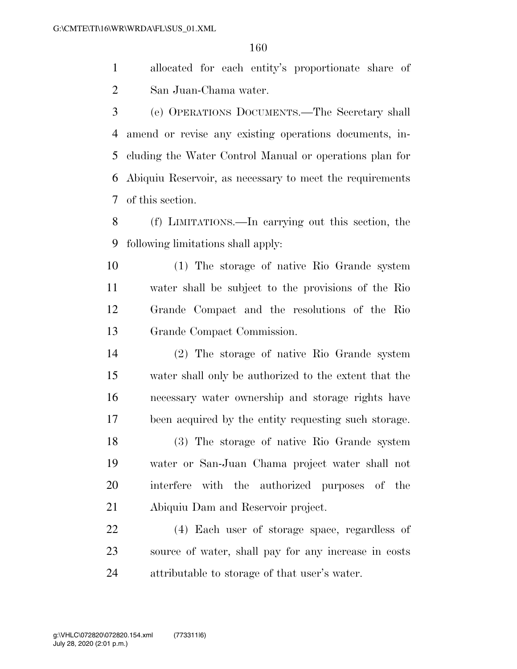allocated for each entity's proportionate share of San Juan-Chama water.

 (e) OPERATIONS DOCUMENTS.—The Secretary shall amend or revise any existing operations documents, in- cluding the Water Control Manual or operations plan for Abiquiu Reservoir, as necessary to meet the requirements of this section.

 (f) LIMITATIONS.—In carrying out this section, the following limitations shall apply:

 (1) The storage of native Rio Grande system water shall be subject to the provisions of the Rio Grande Compact and the resolutions of the Rio Grande Compact Commission.

 (2) The storage of native Rio Grande system water shall only be authorized to the extent that the necessary water ownership and storage rights have been acquired by the entity requesting such storage.

 (3) The storage of native Rio Grande system water or San-Juan Chama project water shall not interfere with the authorized purposes of the Abiquiu Dam and Reservoir project.

 (4) Each user of storage space, regardless of source of water, shall pay for any increase in costs attributable to storage of that user's water.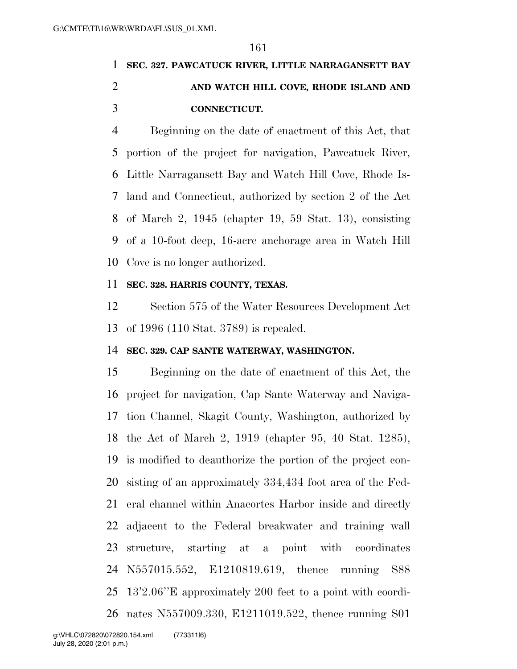# **SEC. 327. PAWCATUCK RIVER, LITTLE NARRAGANSETT BAY AND WATCH HILL COVE, RHODE ISLAND AND CONNECTICUT.**

 Beginning on the date of enactment of this Act, that portion of the project for navigation, Pawcatuck River, Little Narragansett Bay and Watch Hill Cove, Rhode Is- land and Connecticut, authorized by section 2 of the Act of March 2, 1945 (chapter 19, 59 Stat. 13), consisting of a 10-foot deep, 16-acre anchorage area in Watch Hill Cove is no longer authorized.

### **SEC. 328. HARRIS COUNTY, TEXAS.**

 Section 575 of the Water Resources Development Act of 1996 (110 Stat. 3789) is repealed.

## **SEC. 329. CAP SANTE WATERWAY, WASHINGTON.**

 Beginning on the date of enactment of this Act, the project for navigation, Cap Sante Waterway and Naviga- tion Channel, Skagit County, Washington, authorized by the Act of March 2, 1919 (chapter 95, 40 Stat. 1285), is modified to deauthorize the portion of the project con- sisting of an approximately 334,434 foot area of the Fed- eral channel within Anacortes Harbor inside and directly adjacent to the Federal breakwater and training wall structure, starting at a point with coordinates N557015.552, E1210819.619, thence running S88 13'2.06''E approximately 200 feet to a point with coordi-nates N557009.330, E1211019.522, thence running S01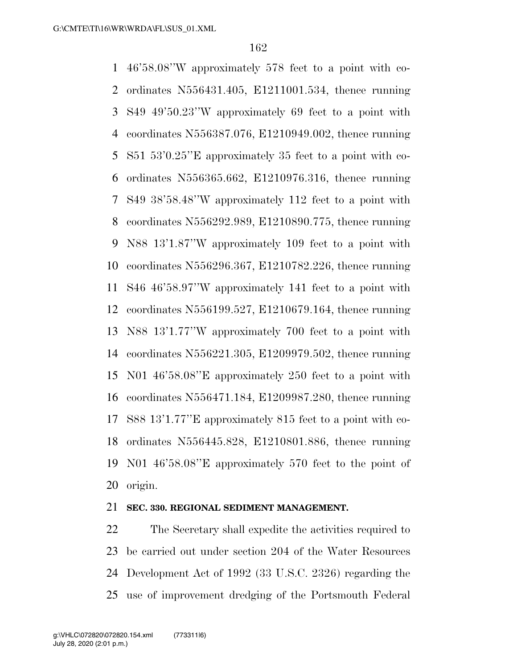46'58.08''W approximately 578 feet to a point with co- ordinates N556431.405, E1211001.534, thence running S49 49'50.23''W approximately 69 feet to a point with coordinates N556387.076, E1210949.002, thence running S51 53'0.25''E approximately 35 feet to a point with co- ordinates N556365.662, E1210976.316, thence running S49 38'58.48''W approximately 112 feet to a point with coordinates N556292.989, E1210890.775, thence running N88 13'1.87''W approximately 109 feet to a point with coordinates N556296.367, E1210782.226, thence running S46 46'58.97''W approximately 141 feet to a point with coordinates N556199.527, E1210679.164, thence running N88 13'1.77''W approximately 700 feet to a point with coordinates N556221.305, E1209979.502, thence running N01 46'58.08''E approximately 250 feet to a point with coordinates N556471.184, E1209987.280, thence running S88 13'1.77''E approximately 815 feet to a point with co- ordinates N556445.828, E1210801.886, thence running N01 46'58.08''E approximately 570 feet to the point of origin.

### **SEC. 330. REGIONAL SEDIMENT MANAGEMENT.**

 The Secretary shall expedite the activities required to be carried out under section 204 of the Water Resources Development Act of 1992 (33 U.S.C. 2326) regarding the use of improvement dredging of the Portsmouth Federal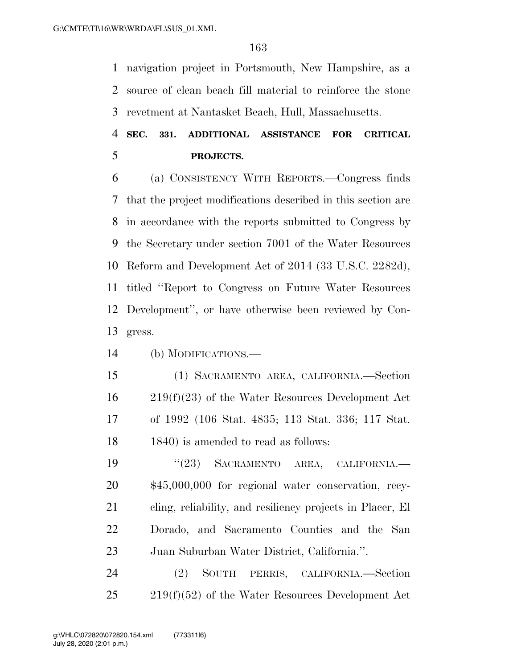navigation project in Portsmouth, New Hampshire, as a source of clean beach fill material to reinforce the stone revetment at Nantasket Beach, Hull, Massachusetts.

# **SEC. 331. ADDITIONAL ASSISTANCE FOR CRITICAL PROJECTS.**

 (a) CONSISTENCY WITH REPORTS.—Congress finds that the project modifications described in this section are in accordance with the reports submitted to Congress by the Secretary under section 7001 of the Water Resources Reform and Development Act of 2014 (33 U.S.C. 2282d), titled ''Report to Congress on Future Water Resources Development'', or have otherwise been reviewed by Con-gress.

(b) MODIFICATIONS.—

 (1) SACRAMENTO AREA, CALIFORNIA.—Section 219(f)(23) of the Water Resources Development Act of 1992 (106 Stat. 4835; 113 Stat. 336; 117 Stat. 18 1840) is amended to read as follows:

19 "(23) SACRAMENTO AREA, CALIFORNIA. \$45,000,000 for regional water conservation, recy- cling, reliability, and resiliency projects in Placer, El Dorado, and Sacramento Counties and the San Juan Suburban Water District, California.''.

 (2) SOUTH PERRIS, CALIFORNIA.—Section 219(f)(52) of the Water Resources Development Act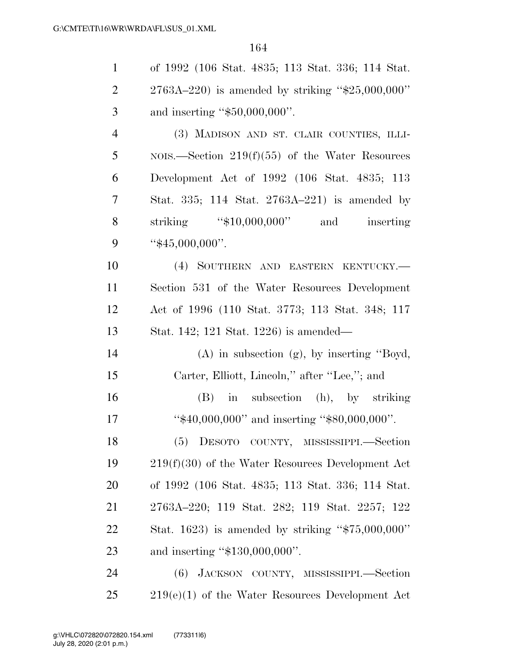| $\mathbf{1}$   | of 1992 (106 Stat. 4835; 113 Stat. 336; 114 Stat.    |
|----------------|------------------------------------------------------|
| $\overline{2}$ | $2763A - 220$ is amended by striking "\$25,000,000"  |
| 3              | and inserting " $$50,000,000$ ".                     |
| 4              | (3) MADISON AND ST. CLAIR COUNTIES, ILLI-            |
| 5              | NOIS.—Section $219(f)(55)$ of the Water Resources    |
| 6              | Development Act of 1992 (106 Stat. 4835; 113         |
| 7              | Stat. 335; 114 Stat. $2763A-221$ is amended by       |
| 8              | striking "\$10,000,000" and inserting                |
| 9              | " $$45,000,000$ ".                                   |
| 10             | (4) SOUTHERN AND EASTERN KENTUCKY.                   |
| 11             | Section 531 of the Water Resources Development       |
| 12             | Act of 1996 (110 Stat. 3773; 113 Stat. 348; 117      |
| 13             | Stat. 142; 121 Stat. 1226) is amended—               |
| 14             | $(A)$ in subsection $(g)$ , by inserting "Boyd,      |
| 15             | Carter, Elliott, Lincoln," after "Lee,"; and         |
| 16             | $(B)$ in subsection $(h)$ , by striking              |
| 17             | "\$40,000,000" and inserting "\$80,000,000".         |
| 18             | (5) DESOTO COUNTY, MISSISSIPPI.—Section              |
| 19             | $219(f)(30)$ of the Water Resources Development Act  |
| 20             | of 1992 (106 Stat. 4835; 113 Stat. 336; 114 Stat.    |
| 21             | 2763A-220; 119 Stat. 282; 119 Stat. 2257; 122        |
| 22             | Stat. 1623) is amended by striking " $$75,000,000$ " |
| 23             | and inserting "\$130,000,000".                       |
| 24             | (6) JACKSON COUNTY, MISSISSIPPI.-Section             |

25 219(e)(1) of the Water Resources Development Act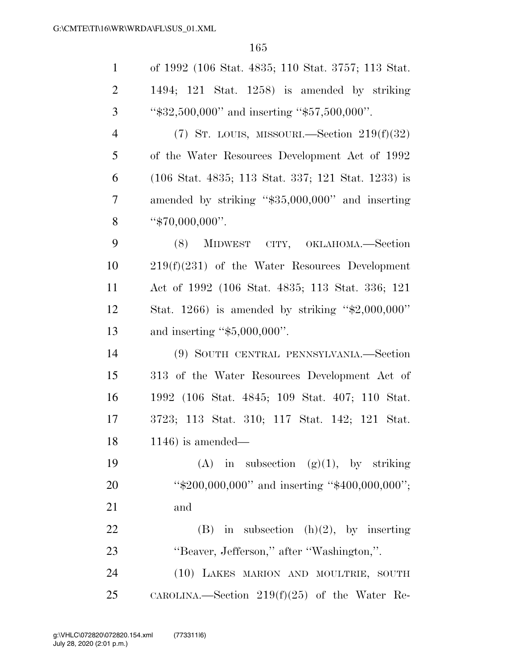| $\mathbf{1}$   | of 1992 (106 Stat. 4835; 110 Stat. 3757; 113 Stat.         |
|----------------|------------------------------------------------------------|
| $\overline{2}$ | 1494; 121 Stat. 1258) is amended by striking               |
| 3              | " $\$32,500,000"$ and inserting " $\$57,500,000"$ .        |
| $\overline{4}$ | $(7)$ ST. LOUIS, MISSOURI.—Section $219(f)(32)$            |
| 5              | of the Water Resources Development Act of 1992             |
| 6              | (106 Stat. 4835; 113 Stat. 337; 121 Stat. 1233) is         |
| $\tau$         | amended by striking "\$35,000,000" and inserting           |
| 8              | " $$70,000,000$ ".                                         |
| 9              | (8) MIDWEST CITY, OKLAHOMA.-Section                        |
| 10             | $219(f)(231)$ of the Water Resources Development           |
| 11             | Act of 1992 (106 Stat. 4835; 113 Stat. 336; 121            |
| 12             | Stat. 1266) is amended by striking " $\text{$}2,000,000$ " |
| 13             | and inserting " $$5,000,000$ ".                            |
| 14             | (9) SOUTH CENTRAL PENNSYLVANIA.—Section                    |
| 15             | 313 of the Water Resources Development Act of              |
| 16             | 1992 (106 Stat. 4845; 109 Stat. 407; 110 Stat.             |
| 17             | 3723; 113 Stat. 310; 117 Stat. 142; 121 Stat.              |
| 18             | $1146$ ) is amended—                                       |
| 19             | (A) in subsection $(g)(1)$ , by striking                   |
| 20             | " $$200,000,000"$ and inserting " $$400,000,000"$ ;        |
| 21             | and                                                        |
| 22             | (B) in subsection $(h)(2)$ , by inserting                  |
| 23             | "Beaver, Jefferson," after "Washington,".                  |
| 24             | (10) LAKES MARION AND MOULTRIE, SOUTH                      |
| 25             | CAROLINA.—Section $219(f)(25)$ of the Water Re-            |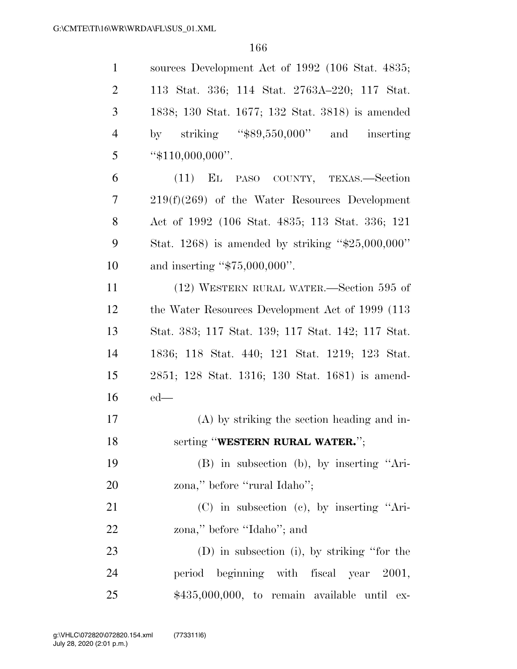| $\mathbf{1}$   | sources Development Act of 1992 (106 Stat. 4835;     |
|----------------|------------------------------------------------------|
| $\overline{2}$ | 113 Stat. 336; 114 Stat. 2763A-220; 117 Stat.        |
| 3              | 1838; 130 Stat. 1677; 132 Stat. 3818) is amended     |
| $\overline{4}$ | striking " $$89,550,000"$ and inserting<br>by        |
| 5              | " $$110,000,000$ ".                                  |
| 6              | (11) EL PASO COUNTY, TEXAS.—Section                  |
| 7              | $219(f)(269)$ of the Water Resources Development     |
| 8              | Act of 1992 (106 Stat. 4835; 113 Stat. 336; 121      |
| 9              | Stat. 1268) is amended by striking " $$25,000,000$ " |
| 10             | and inserting " $$75,000,000$ ".                     |
| 11             | (12) WESTERN RURAL WATER.—Section 595 of             |
| 12             | the Water Resources Development Act of 1999 (113)    |
| 13             | Stat. 383; 117 Stat. 139; 117 Stat. 142; 117 Stat.   |
| 14             | 1836; 118 Stat. 440; 121 Stat. 1219; 123 Stat.       |
| 15             | 2851; 128 Stat. 1316; 130 Stat. 1681) is amend-      |
| 16             | $ed$ —                                               |
| 17             | (A) by striking the section heading and in-          |
| 18             | serting "WESTERN RURAL WATER.";                      |
| 19             | (B) in subsection (b), by inserting "Ari-            |
| 20             | zona," before "rural Idaho";                         |
| 21             | $(C)$ in subsection $(c)$ , by inserting "Ari-       |
| 22             | zona," before "Idaho"; and                           |
| 23             | (D) in subsection (i), by striking "for the          |
| 24             | period beginning with fiscal year 2001,              |
| 25             | $$435,000,000$ , to remain available until ex-       |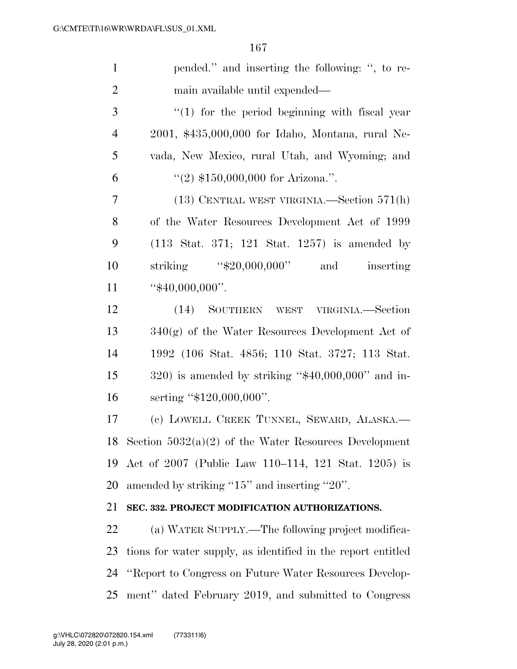| $\mathbf{1}$   | pended." and inserting the following: ", to re-                   |
|----------------|-------------------------------------------------------------------|
| $\overline{2}$ | main available until expended—                                    |
| $\mathfrak{Z}$ | $\lq(1)$ for the period beginning with fiscal year                |
| $\overline{4}$ | 2001, \$435,000,000 for Idaho, Montana, rural Ne-                 |
| 5              | vada, New Mexico, rural Utah, and Wyoming; and                    |
| 6              | $\lq(2)$ \$150,000,000 for Arizona.".                             |
| 7              | $(13)$ CENTRAL WEST VIRGINIA.—Section $571(h)$                    |
| 8              | of the Water Resources Development Act of 1999                    |
| 9              | $(113 \text{ Stat. } 371; 121 \text{ Stat. } 1257)$ is amended by |
| 10             | striking $4\frac{1}{2}0,000,000$ "<br>and<br>inserting            |
| 11             | " $$40,000,000$ ".                                                |
| 12             | (14) SOUTHERN WEST VIRGINIA.—Section                              |
| 13             | $340(g)$ of the Water Resources Development Act of                |
| 14             | 1992 (106 Stat. 4856; 110 Stat. 3727; 113 Stat.                   |
| 15             | $320$ ) is amended by striking "\$40,000,000" and in-             |
| 16             | serting "\$120,000,000".                                          |
| 17             | (c) LOWELL CREEK TUNNEL, SEWARD, ALASKA.—                         |
|                | 18 Section $5032(a)(2)$ of the Water Resources Development        |
| 19             | Act of 2007 (Public Law 110–114, 121 Stat. 1205) is               |
| 20             | amended by striking "15" and inserting "20".                      |
| 21             | SEC. 332. PROJECT MODIFICATION AUTHORIZATIONS.                    |
| 22             | (a) WATER SUPPLY.—The following project modifica-                 |
| 23             | tions for water supply, as identified in the report entitled      |
| 24             | "Report to Congress on Future Water Resources Develop-            |
| 25             | ment" dated February 2019, and submitted to Congress              |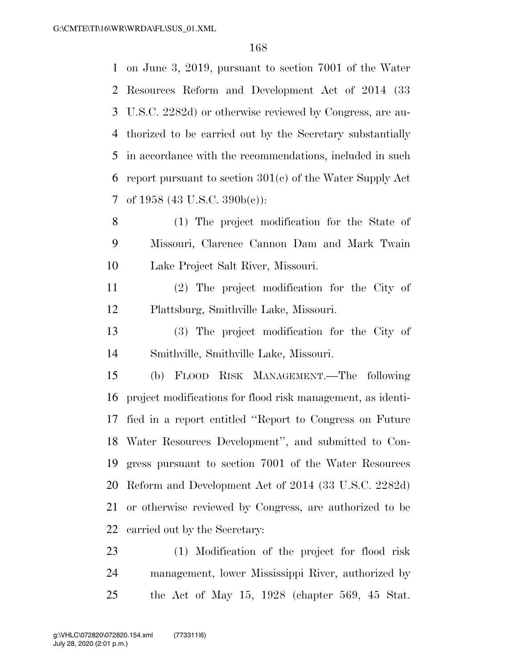on June 3, 2019, pursuant to section 7001 of the Water Resources Reform and Development Act of 2014 (33 U.S.C. 2282d) or otherwise reviewed by Congress, are au- thorized to be carried out by the Secretary substantially in accordance with the recommendations, included in such report pursuant to section 301(c) of the Water Supply Act of 1958 (43 U.S.C. 390b(c)):

 (1) The project modification for the State of Missouri, Clarence Cannon Dam and Mark Twain Lake Project Salt River, Missouri.

 (2) The project modification for the City of Plattsburg, Smithville Lake, Missouri.

 (3) The project modification for the City of Smithville, Smithville Lake, Missouri.

 (b) FLOOD RISK MANAGEMENT.—The following project modifications for flood risk management, as identi- fied in a report entitled ''Report to Congress on Future Water Resources Development'', and submitted to Con- gress pursuant to section 7001 of the Water Resources Reform and Development Act of 2014 (33 U.S.C. 2282d) or otherwise reviewed by Congress, are authorized to be carried out by the Secretary:

 (1) Modification of the project for flood risk management, lower Mississippi River, authorized by the Act of May 15, 1928 (chapter 569, 45 Stat.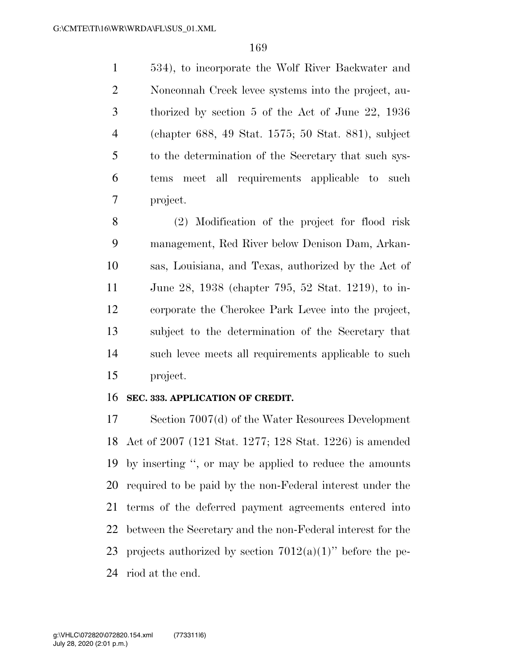534), to incorporate the Wolf River Backwater and Nonconnah Creek levee systems into the project, au- thorized by section 5 of the Act of June 22, 1936 (chapter 688, 49 Stat. 1575; 50 Stat. 881), subject to the determination of the Secretary that such sys- tems meet all requirements applicable to such project.

 (2) Modification of the project for flood risk management, Red River below Denison Dam, Arkan- sas, Louisiana, and Texas, authorized by the Act of June 28, 1938 (chapter 795, 52 Stat. 1219), to in- corporate the Cherokee Park Levee into the project, subject to the determination of the Secretary that such levee meets all requirements applicable to such project.

#### **SEC. 333. APPLICATION OF CREDIT.**

 Section 7007(d) of the Water Resources Development Act of 2007 (121 Stat. 1277; 128 Stat. 1226) is amended by inserting '', or may be applied to reduce the amounts required to be paid by the non-Federal interest under the terms of the deferred payment agreements entered into between the Secretary and the non-Federal interest for the 23 projects authorized by section  $7012(a)(1)$ " before the pe-riod at the end.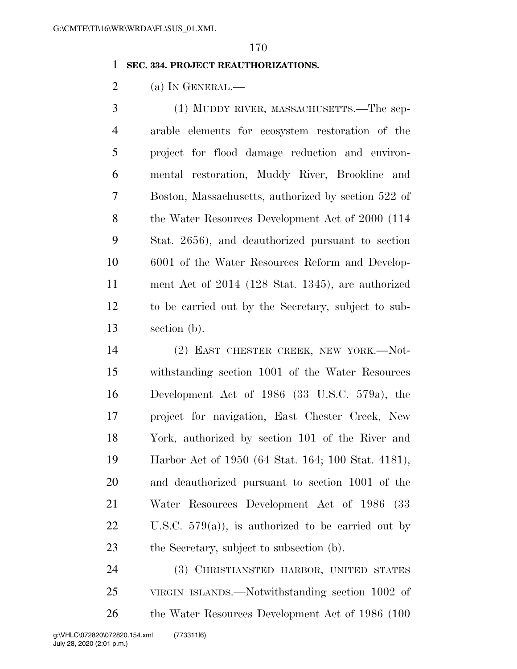#### **SEC. 334. PROJECT REAUTHORIZATIONS.**

2 (a) IN GENERAL.—

 (1) MUDDY RIVER, MASSACHUSETTS.—The sep- arable elements for ecosystem restoration of the project for flood damage reduction and environ- mental restoration, Muddy River, Brookline and Boston, Massachusetts, authorized by section 522 of 8 the Water Resources Development Act of 2000 (114 Stat. 2656), and deauthorized pursuant to section 6001 of the Water Resources Reform and Develop- ment Act of 2014 (128 Stat. 1345), are authorized to be carried out by the Secretary, subject to sub-section (b).

14 (2) EAST CHESTER CREEK, NEW YORK.—Not- withstanding section 1001 of the Water Resources Development Act of 1986 (33 U.S.C. 579a), the project for navigation, East Chester Creek, New York, authorized by section 101 of the River and Harbor Act of 1950 (64 Stat. 164; 100 Stat. 4181), and deauthorized pursuant to section 1001 of the Water Resources Development Act of 1986 (33 22 U.S.C.  $579(a)$ , is authorized to be carried out by 23 the Secretary, subject to subsection (b).

 (3) CHRISTIANSTED HARBOR, UNITED STATES VIRGIN ISLANDS.—Notwithstanding section 1002 of 26 the Water Resources Development Act of 1986 (100)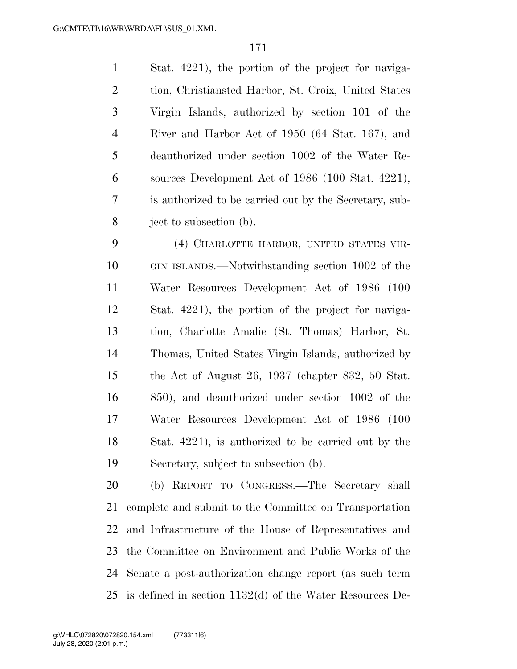Stat. 4221), the portion of the project for naviga- tion, Christiansted Harbor, St. Croix, United States Virgin Islands, authorized by section 101 of the River and Harbor Act of 1950 (64 Stat. 167), and deauthorized under section 1002 of the Water Re- sources Development Act of 1986 (100 Stat. 4221), is authorized to be carried out by the Secretary, sub-ject to subsection (b).

 (4) CHARLOTTE HARBOR, UNITED STATES VIR- GIN ISLANDS.—Notwithstanding section 1002 of the Water Resources Development Act of 1986 (100 Stat. 4221), the portion of the project for naviga- tion, Charlotte Amalie (St. Thomas) Harbor, St. Thomas, United States Virgin Islands, authorized by the Act of August 26, 1937 (chapter 832, 50 Stat. 850), and deauthorized under section 1002 of the Water Resources Development Act of 1986 (100 Stat. 4221), is authorized to be carried out by the Secretary, subject to subsection (b).

 (b) REPORT TO CONGRESS.—The Secretary shall complete and submit to the Committee on Transportation and Infrastructure of the House of Representatives and the Committee on Environment and Public Works of the Senate a post-authorization change report (as such term is defined in section 1132(d) of the Water Resources De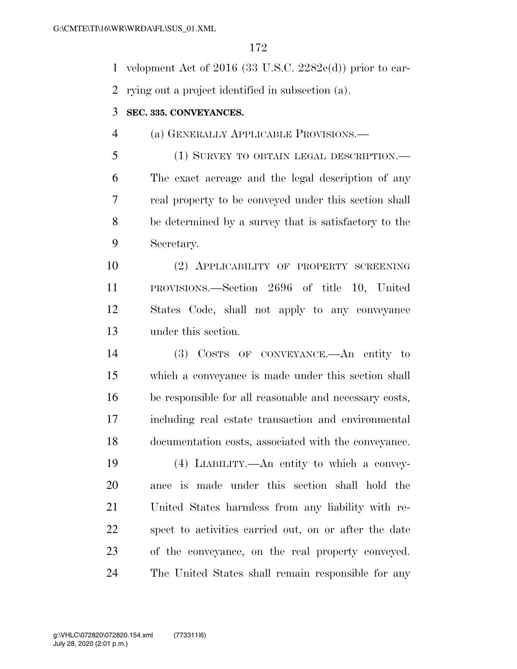velopment Act of 2016 (33 U.S.C. 2282e(d)) prior to car-

rying out a project identified in subsection (a).

### **SEC. 335. CONVEYANCES.**

(a) GENERALLY APPLICABLE PROVISIONS.—

 (1) SURVEY TO OBTAIN LEGAL DESCRIPTION.— The exact acreage and the legal description of any real property to be conveyed under this section shall be determined by a survey that is satisfactory to the Secretary.

 (2) APPLICABILITY OF PROPERTY SCREENING PROVISIONS.—Section 2696 of title 10, United States Code, shall not apply to any conveyance under this section.

 (3) COSTS OF CONVEYANCE.—An entity to which a conveyance is made under this section shall be responsible for all reasonable and necessary costs, including real estate transaction and environmental documentation costs, associated with the conveyance.

 (4) LIABILITY.—An entity to which a convey- ance is made under this section shall hold the United States harmless from any liability with re- spect to activities carried out, on or after the date of the conveyance, on the real property conveyed. The United States shall remain responsible for any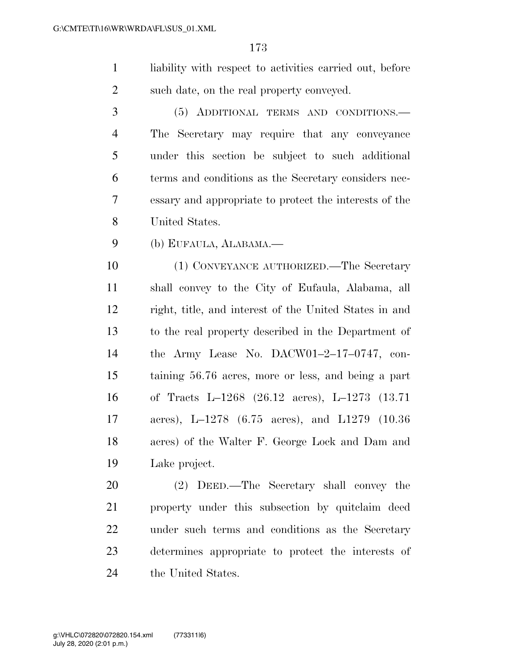liability with respect to activities carried out, before 2 such date, on the real property conveyed.

 (5) ADDITIONAL TERMS AND CONDITIONS.— The Secretary may require that any conveyance under this section be subject to such additional terms and conditions as the Secretary considers nec- essary and appropriate to protect the interests of the United States.

(b) EUFAULA, ALABAMA.—

 (1) CONVEYANCE AUTHORIZED.—The Secretary shall convey to the City of Eufaula, Alabama, all right, title, and interest of the United States in and to the real property described in the Department of the Army Lease No. DACW01–2–17–0747, con- taining 56.76 acres, more or less, and being a part of Tracts L–1268 (26.12 acres), L–1273 (13.71 acres), L–1278 (6.75 acres), and L1279 (10.36 acres) of the Walter F. George Lock and Dam and Lake project.

 (2) DEED.—The Secretary shall convey the property under this subsection by quitclaim deed under such terms and conditions as the Secretary determines appropriate to protect the interests of 24 the United States.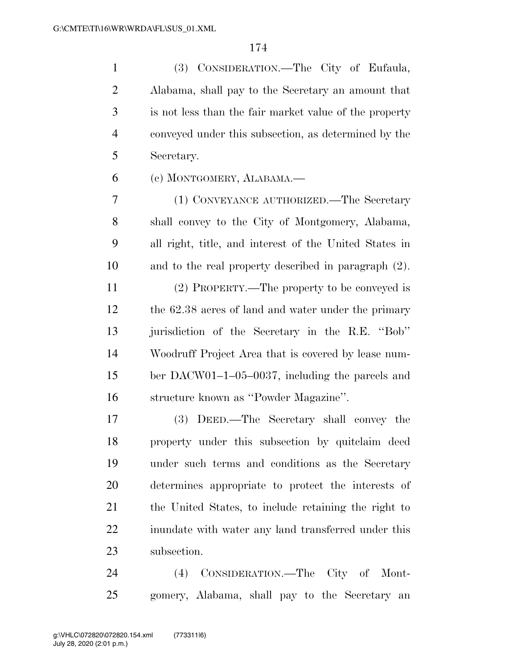(3) CONSIDERATION.—The City of Eufaula, Alabama, shall pay to the Secretary an amount that is not less than the fair market value of the property conveyed under this subsection, as determined by the Secretary.

(c) MONTGOMERY, ALABAMA.—

 (1) CONVEYANCE AUTHORIZED.—The Secretary shall convey to the City of Montgomery, Alabama, all right, title, and interest of the United States in and to the real property described in paragraph (2).

 (2) PROPERTY.—The property to be conveyed is 12 the 62.38 acres of land and water under the primary 13 jurisdiction of the Secretary in the R.E. "Bob" Woodruff Project Area that is covered by lease num- ber DACW01–1–05–0037, including the parcels and structure known as ''Powder Magazine''.

 (3) DEED.—The Secretary shall convey the property under this subsection by quitclaim deed under such terms and conditions as the Secretary determines appropriate to protect the interests of the United States, to include retaining the right to inundate with water any land transferred under this subsection.

 (4) CONSIDERATION.—The City of Mont-gomery, Alabama, shall pay to the Secretary an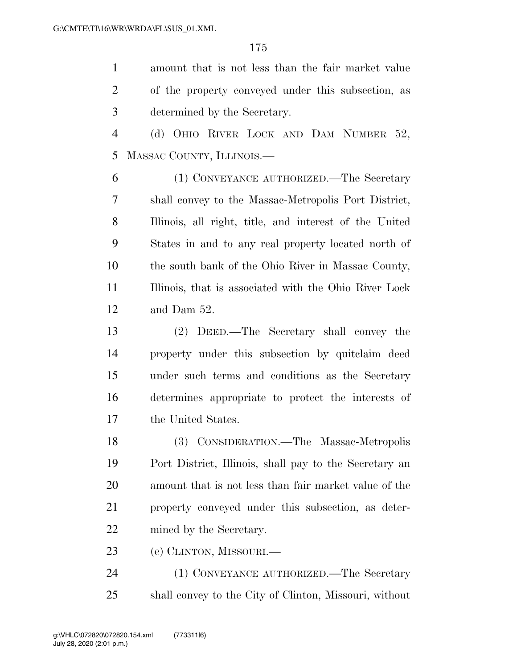amount that is not less than the fair market value of the property conveyed under this subsection, as determined by the Secretary.

 (d) OHIO RIVER LOCK AND DAM NUMBER 52, MASSAC COUNTY, ILLINOIS.—

 (1) CONVEYANCE AUTHORIZED.—The Secretary shall convey to the Massac-Metropolis Port District, Illinois, all right, title, and interest of the United States in and to any real property located north of the south bank of the Ohio River in Massac County, Illinois, that is associated with the Ohio River Lock and Dam 52.

 (2) DEED.—The Secretary shall convey the property under this subsection by quitclaim deed under such terms and conditions as the Secretary determines appropriate to protect the interests of the United States.

 (3) CONSIDERATION.—The Massac-Metropolis Port District, Illinois, shall pay to the Secretary an amount that is not less than fair market value of the property conveyed under this subsection, as deter-mined by the Secretary.

(e) CLINTON, MISSOURI.—

 (1) CONVEYANCE AUTHORIZED.—The Secretary shall convey to the City of Clinton, Missouri, without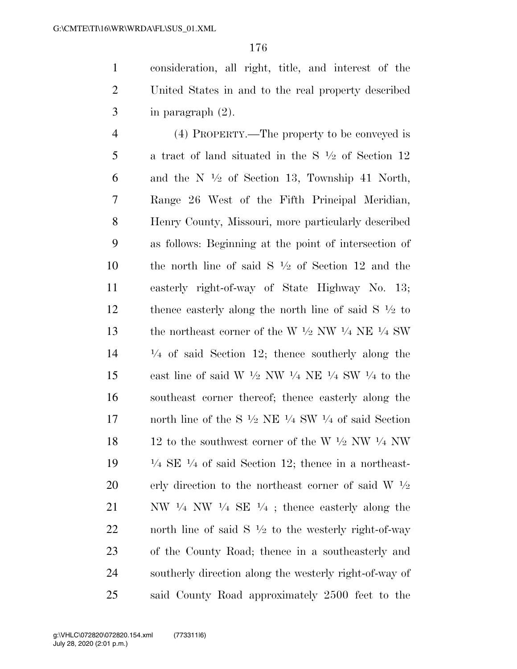1 consideration, all right, title, and interest of the 2 United States in and to the real property described 3 in paragraph (2).

4 (4) PROPERTY.—The property to be conveyed is 5 a tract of land situated in the S  $\frac{1}{2}$  of Section 12 6 and the N  $\frac{1}{2}$  of Section 13, Township 41 North, 7 Range 26 West of the Fifth Principal Meridian, 8 Henry County, Missouri, more particularly described 9 as follows: Beginning at the point of intersection of 10 the north line of said  $S<sup>1</sup>/2$  of Section 12 and the 11 easterly right-of-way of State Highway No. 13; 12 thence easterly along the north line of said  $S<sup>1</sup>/2$  to 13 the northeast corner of the W  $\frac{1}{2}$  NW  $\frac{1}{4}$  NE  $\frac{1}{4}$  SW  $14 \t 1/4$  of said Section 12; thence southerly along the 15 east line of said W  $\frac{1}{2}$  NW  $\frac{1}{4}$  NE  $\frac{1}{4}$  SW  $\frac{1}{4}$  to the 16 southeast corner thereof; thence easterly along the 17 north line of the S  $\frac{1}{2}$  NE  $\frac{1}{4}$  SW  $\frac{1}{4}$  of said Section 18 12 to the southwest corner of the W  $\frac{1}{2}$  NW  $\frac{1}{4}$  NW 19  $\frac{1}{4}$  SE  $\frac{1}{4}$  of said Section 12; thence in a northeast-20 erly direction to the northeast corner of said W  $\frac{1}{2}$ 21 NW  $\frac{1}{4}$  NW  $\frac{1}{4}$  SE  $\frac{1}{4}$ ; thence easterly along the 22 north line of said  $S \frac{1}{2}$  to the westerly right-of-way 23 of the County Road; thence in a southeasterly and 24 southerly direction along the westerly right-of-way of 25 said County Road approximately 2500 feet to the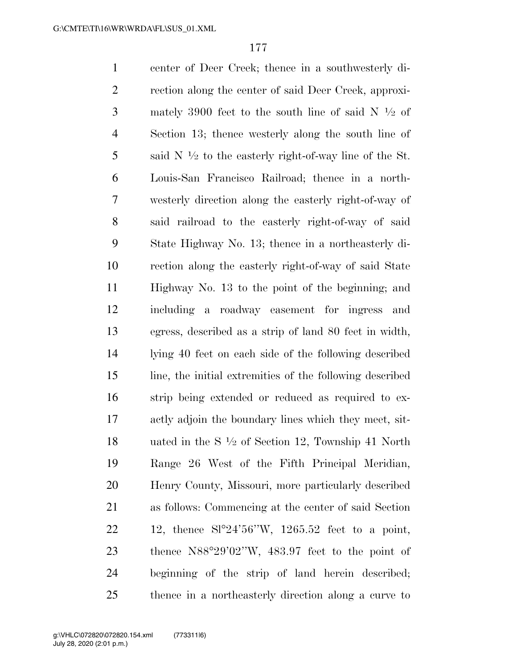center of Deer Creek; thence in a southwesterly di- rection along the center of said Deer Creek, approxi-3 mately 3900 feet to the south line of said N  $\frac{1}{2}$  of Section 13; thence westerly along the south line of 5 said N  $\frac{1}{2}$  to the easterly right-of-way line of the St. Louis-San Francisco Railroad; thence in a north- westerly direction along the easterly right-of-way of said railroad to the easterly right-of-way of said State Highway No. 13; thence in a northeasterly di- rection along the easterly right-of-way of said State Highway No. 13 to the point of the beginning; and including a roadway easement for ingress and egress, described as a strip of land 80 feet in width, lying 40 feet on each side of the following described line, the initial extremities of the following described strip being extended or reduced as required to ex- actly adjoin the boundary lines which they meet, sit-18 and 18 uated in the S  $\frac{1}{2}$  of Section 12, Township 41 North Range 26 West of the Fifth Principal Meridian, Henry County, Missouri, more particularly described as follows: Commencing at the center of said Section 12, thence Sl°24'56''W, 1265.52 feet to a point, thence N88°29'02''W, 483.97 feet to the point of beginning of the strip of land herein described; thence in a northeasterly direction along a curve to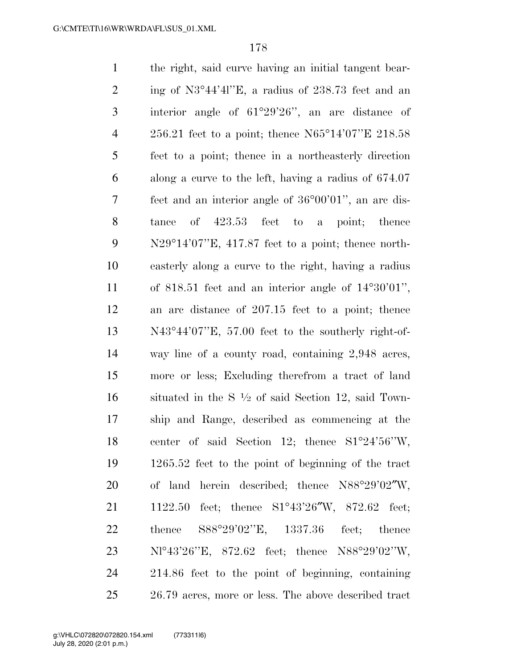the right, said curve having an initial tangent bear- ing of N3°44'4l''E, a radius of 238.73 feet and an interior angle of 61°29'26'', an arc distance of 256.21 feet to a point; thence N65°14'07''E 218.58 feet to a point; thence in a northeasterly direction along a curve to the left, having a radius of 674.07 feet and an interior angle of 36°00'01'', an arc dis- tance of 423.53 feet to a point; thence N29°14'07''E, 417.87 feet to a point; thence north- easterly along a curve to the right, having a radius of 818.51 feet and an interior angle of 14°30'01'', an arc distance of 207.15 feet to a point; thence N43°44'07''E, 57.00 feet to the southerly right-of- way line of a county road, containing 2,948 acres, more or less; Excluding therefrom a tract of land 16 situated in the S  $\frac{1}{2}$  of said Section 12, said Town- ship and Range, described as commencing at the center of said Section 12; thence S1°24'56''W, 1265.52 feet to the point of beginning of the tract of land herein described; thence N88°29'02″W, 1122.50 feet; thence S1°43'26″W, 872.62 feet; thence S88°29'02''E, 1337.36 feet; thence Nl°43'26''E, 872.62 feet; thence N88°29'02''W, 214.86 feet to the point of beginning, containing 26.79 acres, more or less. The above described tract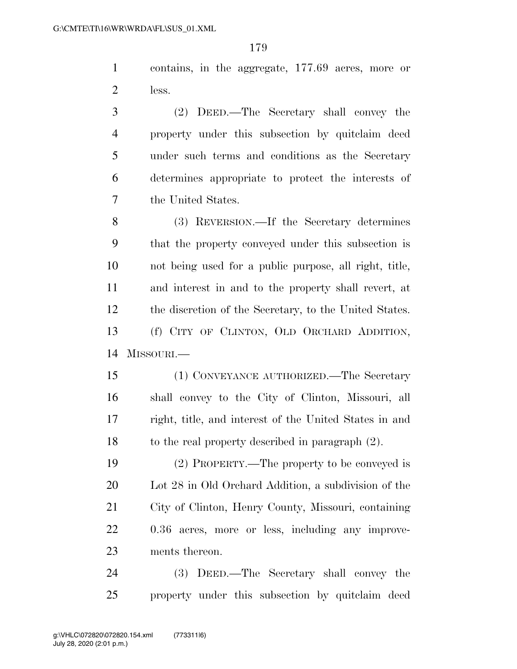contains, in the aggregate, 177.69 acres, more or less.

 (2) DEED.—The Secretary shall convey the property under this subsection by quitclaim deed under such terms and conditions as the Secretary determines appropriate to protect the interests of the United States.

 (3) REVERSION.—If the Secretary determines that the property conveyed under this subsection is not being used for a public purpose, all right, title, and interest in and to the property shall revert, at the discretion of the Secretary, to the United States. (f) CITY OF CLINTON, OLD ORCHARD ADDITION, MISSOURI.—

 (1) CONVEYANCE AUTHORIZED.—The Secretary shall convey to the City of Clinton, Missouri, all right, title, and interest of the United States in and to the real property described in paragraph (2).

 (2) PROPERTY.—The property to be conveyed is Lot 28 in Old Orchard Addition, a subdivision of the City of Clinton, Henry County, Missouri, containing 0.36 acres, more or less, including any improve-ments thereon.

 (3) DEED.—The Secretary shall convey the property under this subsection by quitclaim deed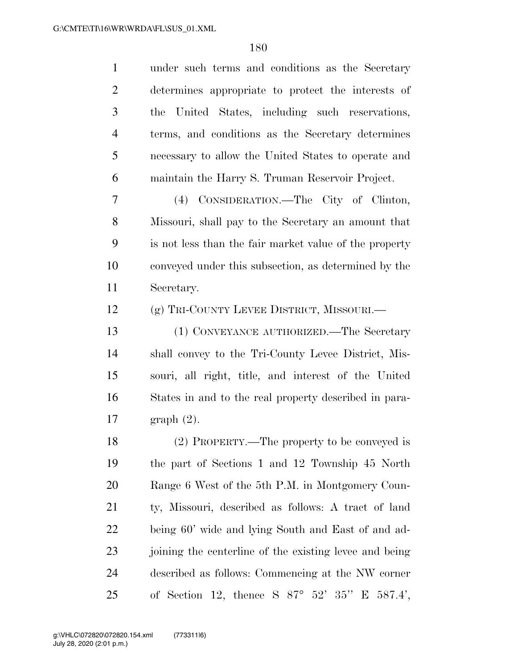| $\mathbf{1}$   | under such terms and conditions as the Secretary       |
|----------------|--------------------------------------------------------|
| $\overline{2}$ | determines appropriate to protect the interests of     |
| 3              | United States, including such reservations,<br>the     |
| 4              | terms, and conditions as the Secretary determines      |
| 5              | necessary to allow the United States to operate and    |
| 6              | maintain the Harry S. Truman Reservoir Project.        |
| 7              | CONSIDERATION.—The City of Clinton,<br>(4)             |
| 8              | Missouri, shall pay to the Secretary an amount that    |
| 9              | is not less than the fair market value of the property |
| 10             | conveyed under this subsection, as determined by the   |
| 11             | Secretary.                                             |
| 12             | (g) TRI-COUNTY LEVEE DISTRICT, MISSOURI.—              |
| 13             | (1) CONVEYANCE AUTHORIZED.—The Secretary               |
| 14             | shall convey to the Tri-County Levee District, Mis-    |
| 15             | souri, all right, title, and interest of the United    |
| 16             | States in and to the real property described in para-  |
| 17             | graph(2).                                              |
| 18             | $(2)$ PROPERTY.—The property to be conveyed is         |
| 19             | the part of Sections 1 and 12 Township 45 North        |
| 20             | Range 6 West of the 5th P.M. in Montgomery Coun-       |
| 21             | ty, Missouri, described as follows: A tract of land    |
| 22             | being 60' wide and lying South and East of and ad-     |
| 23             | joining the centerline of the existing levee and being |
| 24             | described as follows: Commencing at the NW corner      |
| 25             | of Section 12, thence S $87^{\circ}$ 52' 35" E 587.4', |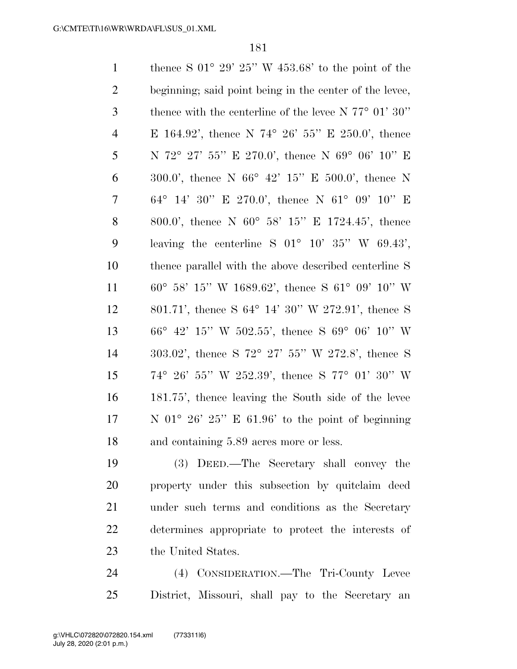| $\mathbf{1}$   | thence S $01^{\circ}$ 29' 25" W 453.68' to the point of the       |
|----------------|-------------------------------------------------------------------|
| $\overline{2}$ | beginning; said point being in the center of the levee,           |
| 3              | thence with the centerline of the levee N $77^{\circ}$ 01' 30"    |
| $\overline{4}$ | E 164.92', thence N 74° 26' 55" E 250.0', thence                  |
| 5              | N 72° 27' 55" E 270.0', thence N 69° 06' 10" E                    |
| 6              | 300.0', thence N $66^{\circ}$ 42' 15" E 500.0', thence N          |
| 7              | 64° 14' 30" E 270.0', thence N 61° 09' 10" E                      |
| 8              | 800.0', thence N $60^{\circ}$ 58' 15" E 1724.45', thence          |
| 9              | leaving the centerline S $01^{\circ}$ 10' 35" W 69.43',           |
| 10             | thence parallel with the above described centerline S             |
| 11             | $60^{\circ}$ 58' 15" W 1689.62', thence S 61° 09' 10" W           |
| 12             | 801.71', thence S 64° 14' 30" W 272.91', thence S                 |
| 13             | 66° 42' 15" W 502.55', thence S 69° 06' 10" W                     |
| 14             | 303.02', thence S $72^{\circ}$ $27'$ $55''$ W $272.8'$ , thence S |
| 15             | $74^{\circ}$ 26' 55" W 252.39', thence S 77° 01' 30" W            |
| 16             | 181.75', thence leaving the South side of the levee               |
| 17             | N $01^{\circ}$ 26' 25" E 61.96' to the point of beginning         |
| 18             | and containing 5.89 acres more or less.                           |
| 19             | (3) DEED.—The Secretary shall convey the                          |
|                |                                                                   |

 property under this subsection by quitclaim deed under such terms and conditions as the Secretary determines appropriate to protect the interests of the United States.

 (4) CONSIDERATION.—The Tri-County Levee District, Missouri, shall pay to the Secretary an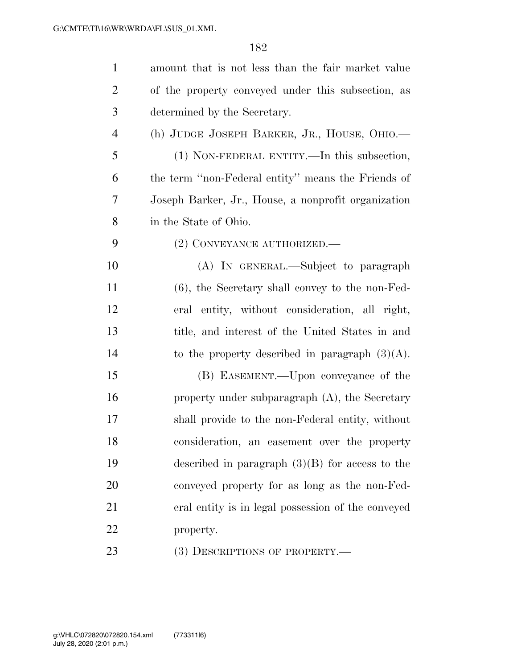| $\mathbf{1}$   | amount that is not less than the fair market value  |  |  |  |  |
|----------------|-----------------------------------------------------|--|--|--|--|
| $\overline{2}$ | of the property conveyed under this subsection, as  |  |  |  |  |
| 3              | determined by the Secretary.                        |  |  |  |  |
| $\overline{4}$ | (h) JUDGE JOSEPH BARKER, JR., HOUSE, OHIO.—         |  |  |  |  |
| 5              | (1) NON-FEDERAL ENTITY.—In this subsection,         |  |  |  |  |
| 6              | the term "non-Federal entity" means the Friends of  |  |  |  |  |
| 7              | Joseph Barker, Jr., House, a nonprofit organization |  |  |  |  |
| 8              | in the State of Ohio.                               |  |  |  |  |
| 9              | (2) CONVEYANCE AUTHORIZED.—                         |  |  |  |  |
| 10             | (A) IN GENERAL.—Subject to paragraph                |  |  |  |  |
| 11             | $(6)$ , the Secretary shall convey to the non-Fed-  |  |  |  |  |
| 12             | eral entity, without consideration, all right,      |  |  |  |  |
| 13             | title, and interest of the United States in and     |  |  |  |  |
| 14             | to the property described in paragraph $(3)(A)$ .   |  |  |  |  |
| 15             | (B) EASEMENT.—Upon conveyance of the                |  |  |  |  |
| 16             | property under subparagraph $(A)$ , the Secretary   |  |  |  |  |
| 17             | shall provide to the non-Federal entity, without    |  |  |  |  |
| 18             | consideration, an easement over the property        |  |  |  |  |
| 19             | described in paragraph $(3)(B)$ for access to the   |  |  |  |  |
| 20             | conveyed property for as long as the non-Fed-       |  |  |  |  |
| 21             | eral entity is in legal possession of the conveyed  |  |  |  |  |
| 22             | property.                                           |  |  |  |  |
| 23             | (3) DESCRIPTIONS OF PROPERTY.—                      |  |  |  |  |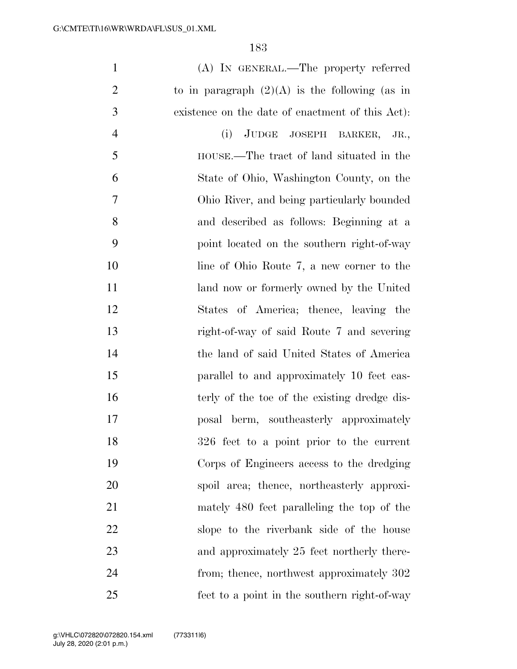| $\mathbf{1}$   | (A) IN GENERAL.—The property referred            |
|----------------|--------------------------------------------------|
| $\overline{2}$ | to in paragraph $(2)(A)$ is the following (as in |
| 3              | existence on the date of enactment of this Act): |
| $\overline{4}$ | (i)<br>JUDGE JOSEPH BARKER, JR.,                 |
| 5              | HOUSE.—The tract of land situated in the         |
| 6              | State of Ohio, Washington County, on the         |
| $\tau$         | Ohio River, and being particularly bounded       |
| 8              | and described as follows: Beginning at a         |
| 9              | point located on the southern right-of-way       |
| 10             | line of Ohio Route 7, a new corner to the        |
| 11             | land now or formerly owned by the United         |
| 12             | States of America; thence, leaving the           |
| 13             | right-of-way of said Route 7 and severing        |
| 14             | the land of said United States of America        |
| 15             | parallel to and approximately 10 feet eas-       |
| 16             | terly of the toe of the existing dredge dis-     |
| 17             | posal berm, southeasterly approximately          |
| 18             | 326 feet to a point prior to the current         |
| 19             | Corps of Engineers access to the dredging        |
| 20             | spoil area; thence, northeasterly approxi-       |
| 21             | mately 480 feet paralleling the top of the       |
| 22             | slope to the riverbank side of the house         |
| 23             | and approximately 25 feet northerly there-       |
| 24             | from; thence, northwest approximately 302        |
| 25             | feet to a point in the southern right-of-way     |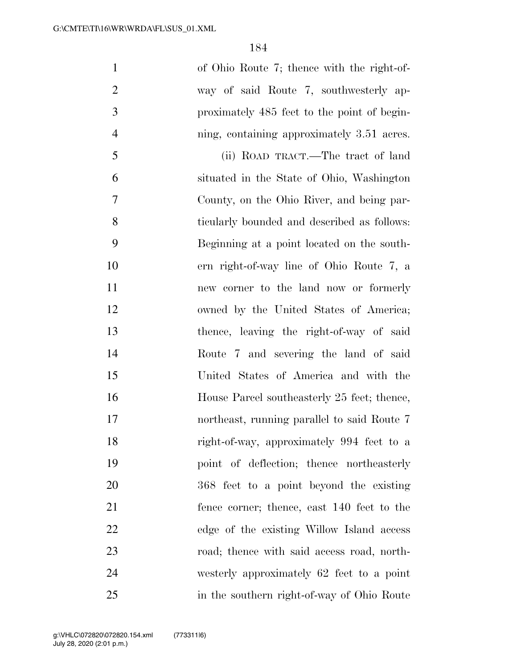| $\mathbf{1}$   | of Ohio Route 7; thence with the right-of-  |
|----------------|---------------------------------------------|
| $\overline{2}$ | way of said Route 7, southwesterly ap-      |
| 3              | proximately 485 feet to the point of begin- |
| $\overline{4}$ | ning, containing approximately 3.51 acres.  |
| 5              | (ii) ROAD TRACT.—The tract of land          |
| 6              | situated in the State of Ohio, Washington   |
| 7              | County, on the Ohio River, and being par-   |
| 8              | ticularly bounded and described as follows: |
| 9              | Beginning at a point located on the south-  |
| 10             | ern right-of-way line of Ohio Route 7, a    |
| 11             | new corner to the land now or formerly      |
| 12             | owned by the United States of America;      |
| 13             | thence, leaving the right-of-way of said    |
| 14             | Route 7 and severing the land of said       |
| 15             | United States of America and with the       |
| 16             | House Parcel southeasterly 25 feet; thence, |
| 17             | northeast, running parallel to said Route 7 |
| 18             | right-of-way, approximately 994 feet to a   |
| 19             | point of deflection; thence northeasterly   |
| 20             | 368 feet to a point beyond the existing     |
| 21             | fence corner; thence, east 140 feet to the  |
| 22             | edge of the existing Willow Island access   |
| 23             | road; thence with said access road, north-  |
| 24             | westerly approximately 62 feet to a point   |
| 25             | in the southern right-of-way of Ohio Route  |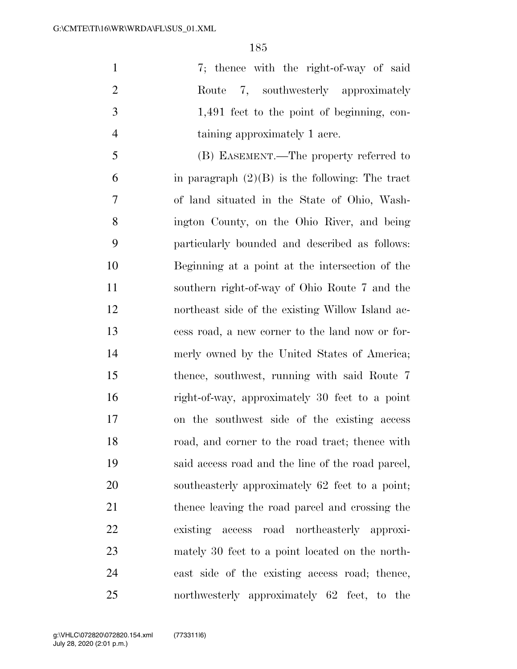1 7; thence with the right-of-way of said 2 Route 7, southwesterly approximately 1,491 feet to the point of beginning, con-taining approximately 1 acre.

 (B) EASEMENT.—The property referred to 6 in paragraph  $(2)(B)$  is the following: The tract of land situated in the State of Ohio, Wash- ington County, on the Ohio River, and being particularly bounded and described as follows: Beginning at a point at the intersection of the southern right-of-way of Ohio Route 7 and the northeast side of the existing Willow Island ac- cess road, a new corner to the land now or for- merly owned by the United States of America; thence, southwest, running with said Route 7 right-of-way, approximately 30 feet to a point on the southwest side of the existing access road, and corner to the road tract; thence with said access road and the line of the road parcel, southeasterly approximately 62 feet to a point; thence leaving the road parcel and crossing the existing access road northeasterly approxi- mately 30 feet to a point located on the north- east side of the existing access road; thence, northwesterly approximately 62 feet, to the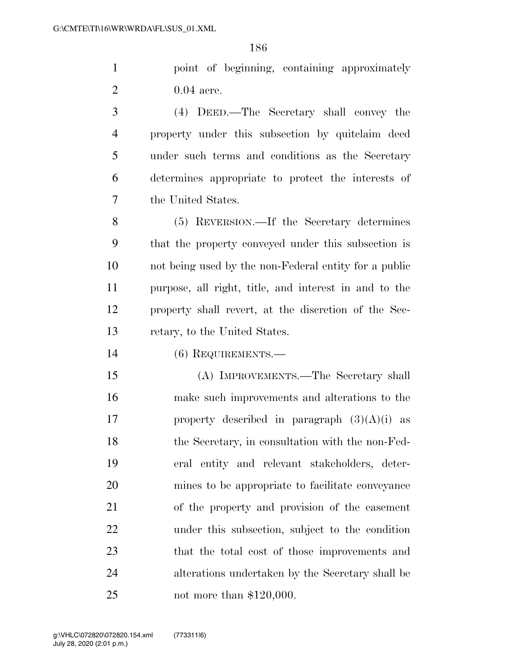point of beginning, containing approximately 0.04 acre.

 (4) DEED.—The Secretary shall convey the property under this subsection by quitclaim deed under such terms and conditions as the Secretary determines appropriate to protect the interests of the United States.

 (5) REVERSION.—If the Secretary determines that the property conveyed under this subsection is not being used by the non-Federal entity for a public purpose, all right, title, and interest in and to the property shall revert, at the discretion of the Sec-retary, to the United States.

(6) REQUIREMENTS.—

 (A) IMPROVEMENTS.—The Secretary shall make such improvements and alterations to the 17 property described in paragraph  $(3)(A)(i)$  as 18 the Secretary, in consultation with the non-Fed- eral entity and relevant stakeholders, deter- mines to be appropriate to facilitate conveyance of the property and provision of the easement under this subsection, subject to the condition that the total cost of those improvements and alterations undertaken by the Secretary shall be not more than \$120,000.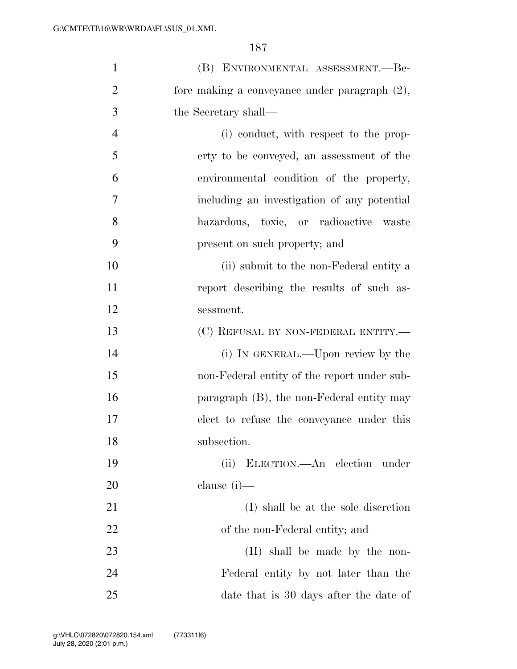| $\mathbf{1}$   | (B) ENVIRONMENTAL ASSESSMENT.--Be-            |  |  |  |  |  |
|----------------|-----------------------------------------------|--|--|--|--|--|
| $\overline{2}$ | fore making a conveyance under paragraph (2), |  |  |  |  |  |
| 3              | the Secretary shall—                          |  |  |  |  |  |
| $\overline{4}$ | (i) conduct, with respect to the prop-        |  |  |  |  |  |
| 5              | erty to be conveyed, an assessment of the     |  |  |  |  |  |
| 6              | environmental condition of the property,      |  |  |  |  |  |
| 7              | including an investigation of any potential   |  |  |  |  |  |
| 8              | hazardous, toxic, or radioactive waste        |  |  |  |  |  |
| 9              | present on such property; and                 |  |  |  |  |  |
| 10             | (ii) submit to the non-Federal entity a       |  |  |  |  |  |
| 11             | report describing the results of such as-     |  |  |  |  |  |
| 12             | sessment.                                     |  |  |  |  |  |
| 13             | (C) REFUSAL BY NON-FEDERAL ENTITY.-           |  |  |  |  |  |
| 14             | (i) IN GENERAL.—Upon review by the            |  |  |  |  |  |
| 15             | non-Federal entity of the report under sub-   |  |  |  |  |  |
| 16             | paragraph (B), the non-Federal entity may     |  |  |  |  |  |
| 17             | elect to refuse the conveyance under this     |  |  |  |  |  |
| 18             | subsection.                                   |  |  |  |  |  |
| 19             | ELECTION.—An election under<br>(ii)           |  |  |  |  |  |
| 20             | clause $(i)$ —                                |  |  |  |  |  |
| 21             | (I) shall be at the sole discretion           |  |  |  |  |  |
| 22             | of the non-Federal entity; and                |  |  |  |  |  |
| 23             | (II) shall be made by the non-                |  |  |  |  |  |
| 24             | Federal entity by not later than the          |  |  |  |  |  |
| 25             | date that is 30 days after the date of        |  |  |  |  |  |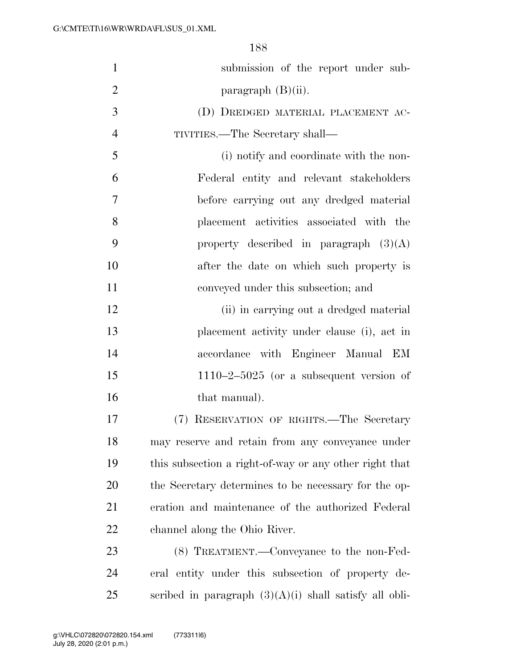| $\mathbf{1}$   | submission of the report under sub-                      |  |  |  |  |  |
|----------------|----------------------------------------------------------|--|--|--|--|--|
| $\overline{2}$ | paragraph $(B)(ii)$ .                                    |  |  |  |  |  |
| 3              | (D) DREDGED MATERIAL PLACEMENT AC-                       |  |  |  |  |  |
| $\overline{4}$ | TIVITIES.—The Secretary shall—                           |  |  |  |  |  |
| 5              | (i) notify and coordinate with the non-                  |  |  |  |  |  |
| 6              | Federal entity and relevant stakeholders                 |  |  |  |  |  |
| 7              | before carrying out any dredged material                 |  |  |  |  |  |
| 8              | placement activities associated with the                 |  |  |  |  |  |
| 9              | property described in paragraph $(3)(A)$                 |  |  |  |  |  |
| 10             | after the date on which such property is                 |  |  |  |  |  |
| 11             | conveyed under this subsection; and                      |  |  |  |  |  |
| 12             | (ii) in carrying out a dredged material                  |  |  |  |  |  |
| 13             | placement activity under clause (i), act in              |  |  |  |  |  |
| 14             | accordance with Engineer Manual EM                       |  |  |  |  |  |
| 15             | $1110-2-5025$ (or a subsequent version of                |  |  |  |  |  |
| 16             | that manual).                                            |  |  |  |  |  |
| 17             | (7) RESERVATION OF RIGHTS.—The Secretary                 |  |  |  |  |  |
| 18             | may reserve and retain from any conveyance under         |  |  |  |  |  |
| 19             | this subsection a right-of-way or any other right that   |  |  |  |  |  |
| 20             | the Secretary determines to be necessary for the op-     |  |  |  |  |  |
| 21             | eration and maintenance of the authorized Federal        |  |  |  |  |  |
| 22             | channel along the Ohio River.                            |  |  |  |  |  |
| 23             | (8) TREATMENT.—Conveyance to the non-Fed-                |  |  |  |  |  |
| 24             | eral entity under this subsection of property de-        |  |  |  |  |  |
| 25             | scribed in paragraph $(3)(A)(i)$ shall satisfy all obli- |  |  |  |  |  |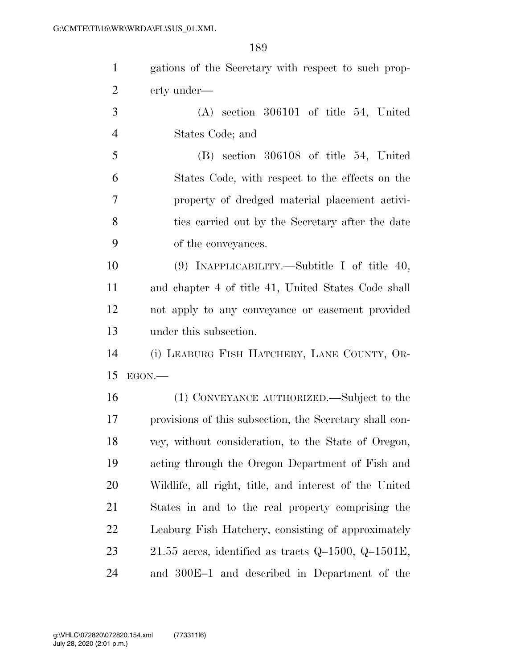| gations of the Secretary with respect to such prop-      |  |  |  |  |  |
|----------------------------------------------------------|--|--|--|--|--|
| erty under—                                              |  |  |  |  |  |
| $(A)$ section 306101 of title 54, United                 |  |  |  |  |  |
| States Code; and                                         |  |  |  |  |  |
| $(B)$ section 306108 of title 54, United                 |  |  |  |  |  |
| States Code, with respect to the effects on the          |  |  |  |  |  |
| property of dredged material placement activi-           |  |  |  |  |  |
| ties carried out by the Secretary after the date         |  |  |  |  |  |
| 9<br>of the conveyances.                                 |  |  |  |  |  |
| 10<br>(9) INAPPLICABILITY.—Subtitle I of title 40,       |  |  |  |  |  |
| and chapter 4 of title 41, United States Code shall      |  |  |  |  |  |
| not apply to any conveyance or easement provided         |  |  |  |  |  |
| under this subsection.                                   |  |  |  |  |  |
| 14<br>(i) LEABURG FISH HATCHERY, LANE COUNTY, OR-        |  |  |  |  |  |
| $EGON$ .                                                 |  |  |  |  |  |
| (1) CONVEYANCE AUTHORIZED.—Subject to the                |  |  |  |  |  |
| provisions of this subsection, the Secretary shall con-  |  |  |  |  |  |
| vey, without consideration, to the State of Oregon,      |  |  |  |  |  |
| acting through the Oregon Department of Fish and         |  |  |  |  |  |
| Wildlife, all right, title, and interest of the United   |  |  |  |  |  |
| States in and to the real property comprising the        |  |  |  |  |  |
|                                                          |  |  |  |  |  |
| Leaburg Fish Hatchery, consisting of approximately       |  |  |  |  |  |
| 21.55 acres, identified as tracts $Q-1500$ , $Q-1501E$ , |  |  |  |  |  |
|                                                          |  |  |  |  |  |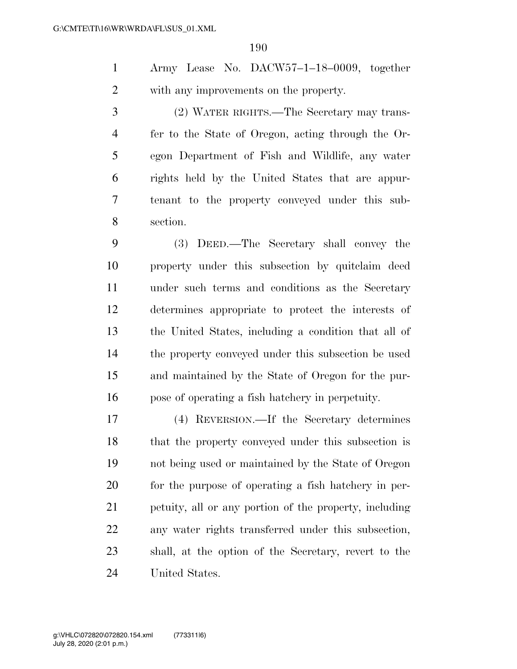Army Lease No. DACW57–1–18–0009, together with any improvements on the property.

 (2) WATER RIGHTS.—The Secretary may trans- fer to the State of Oregon, acting through the Or- egon Department of Fish and Wildlife, any water rights held by the United States that are appur- tenant to the property conveyed under this sub-section.

 (3) DEED.—The Secretary shall convey the property under this subsection by quitclaim deed under such terms and conditions as the Secretary determines appropriate to protect the interests of the United States, including a condition that all of the property conveyed under this subsection be used and maintained by the State of Oregon for the pur-pose of operating a fish hatchery in perpetuity.

 (4) REVERSION.—If the Secretary determines that the property conveyed under this subsection is not being used or maintained by the State of Oregon for the purpose of operating a fish hatchery in per- petuity, all or any portion of the property, including any water rights transferred under this subsection, shall, at the option of the Secretary, revert to the United States.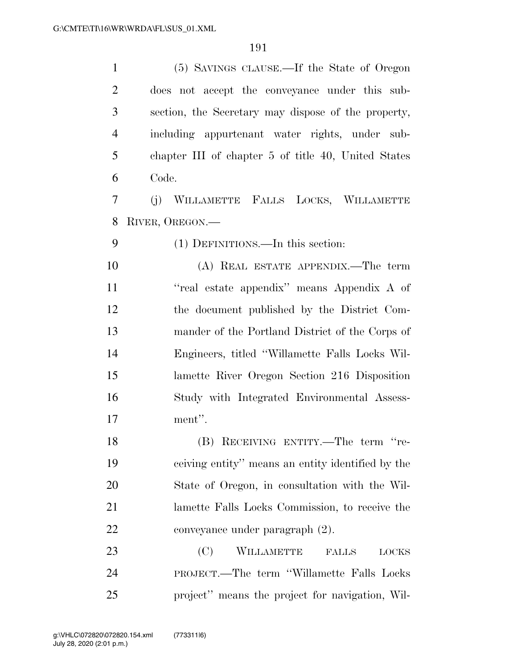| $\mathbf{1}$   | (5) SAVINGS CLAUSE.—If the State of Oregon          |  |  |  |  |  |
|----------------|-----------------------------------------------------|--|--|--|--|--|
| $\overline{2}$ | does not accept the conveyance under this sub-      |  |  |  |  |  |
| 3              | section, the Secretary may dispose of the property, |  |  |  |  |  |
| $\overline{4}$ | including appurtenant water rights, under sub-      |  |  |  |  |  |
| 5              | chapter III of chapter 5 of title 40, United States |  |  |  |  |  |
| 6              | Code.                                               |  |  |  |  |  |
| $\overline{7}$ | (j) WILLAMETTE FALLS LOCKS, WILLAMETTE              |  |  |  |  |  |
| 8              | RIVER, OREGON.                                      |  |  |  |  |  |
| 9              | (1) DEFINITIONS.—In this section:                   |  |  |  |  |  |
| 10             | (A) REAL ESTATE APPENDIX.—The term                  |  |  |  |  |  |
| 11             | "real estate appendix" means Appendix A of          |  |  |  |  |  |
| 12             | the document published by the District Com-         |  |  |  |  |  |
| 13             | mander of the Portland District of the Corps of     |  |  |  |  |  |
| 14             | Engineers, titled "Willamette Falls Locks Wil-      |  |  |  |  |  |
| 15             | lamette River Oregon Section 216 Disposition        |  |  |  |  |  |
| 16             | Study with Integrated Environmental Assess-         |  |  |  |  |  |
| 17             | ment".                                              |  |  |  |  |  |
| 18             | (B) RECEIVING ENTITY.—The term<br>$``re-$           |  |  |  |  |  |
| 19             | ceiving entity" means an entity identified by the   |  |  |  |  |  |
| 20             | State of Oregon, in consultation with the Wil-      |  |  |  |  |  |
| 21             | lamette Falls Locks Commission, to receive the      |  |  |  |  |  |
| 22             | conveyance under paragraph (2).                     |  |  |  |  |  |
| 23             | WILLAMETTE<br>(C)<br><b>FALLS</b><br><b>LOCKS</b>   |  |  |  |  |  |
| 24             | PROJECT.—The term "Willamette Falls Locks"          |  |  |  |  |  |
| 25             | project" means the project for navigation, Wil-     |  |  |  |  |  |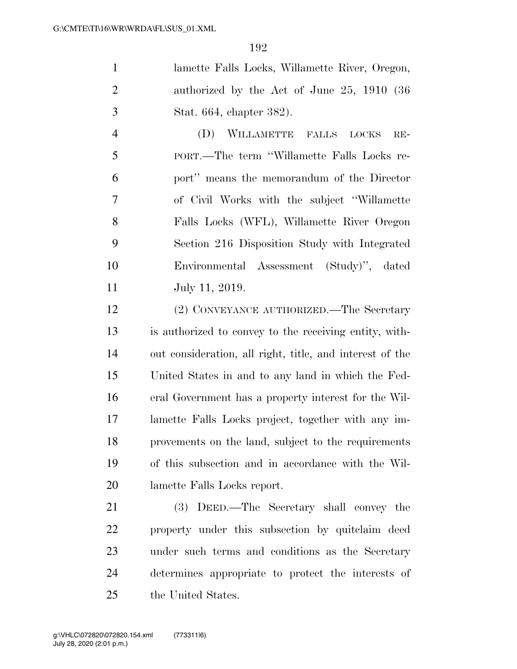lamette Falls Locks, Willamette River, Oregon, 2 authorized by the Act of June 25, 1910 (36 Stat. 664, chapter 382).

 (D) WILLAMETTE FALLS LOCKS RE- PORT.—The term ''Willamette Falls Locks re- port'' means the memorandum of the Director of Civil Works with the subject ''Willamette Falls Locks (WFL), Willamette River Oregon Section 216 Disposition Study with Integrated Environmental Assessment (Study)'', dated July 11, 2019.

 (2) CONVEYANCE AUTHORIZED.—The Secretary is authorized to convey to the receiving entity, with- out consideration, all right, title, and interest of the United States in and to any land in which the Fed- eral Government has a property interest for the Wil- lamette Falls Locks project, together with any im- provements on the land, subject to the requirements of this subsection and in accordance with the Wil-lamette Falls Locks report.

 (3) DEED.—The Secretary shall convey the property under this subsection by quitclaim deed under such terms and conditions as the Secretary determines appropriate to protect the interests of the United States.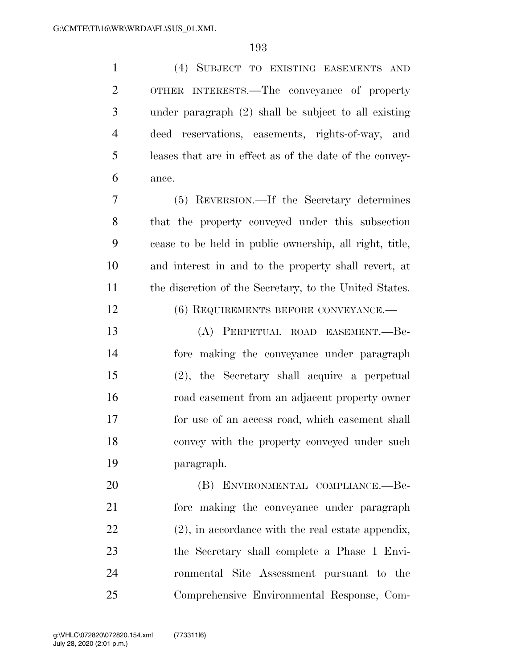| $\mathbf{1}$   | (4) SUBJECT TO EXISTING EASEMENTS AND                   |
|----------------|---------------------------------------------------------|
| $\overline{2}$ | OTHER INTERESTS.—The conveyance of property             |
| 3              | under paragraph $(2)$ shall be subject to all existing  |
| $\overline{4}$ | deed reservations, easements, rights-of-way, and        |
| 5              | leases that are in effect as of the date of the convey- |
| 6              | ance.                                                   |
| 7              | (5) REVERSION.—If the Secretary determines              |
| 8              | that the property conveyed under this subsection        |
| 9              | cease to be held in public ownership, all right, title, |
| 10             | and interest in and to the property shall revert, at    |
| 11             | the discretion of the Secretary, to the United States.  |
| 12             | $(6)$ REQUIREMENTS BEFORE CONVEYANCE.—                  |
| 13             | (A) PERPETUAL ROAD EASEMENT.—Be-                        |
| 14             | fore making the conveyance under paragraph              |
| 15             | (2), the Secretary shall acquire a perpetual            |
| 16             | road easement from an adjacent property owner           |
| 17             | for use of an access road, which easement shall         |
| 18             | convey with the property conveyed under such            |
| 19             | paragraph.                                              |
| 20             | (B) ENVIRONMENTAL COMPLIANCE.--Be-                      |
| 21             | fore making the conveyance under paragraph              |
| 22             | $(2)$ , in accordance with the real estate appendix,    |
| 23             | the Secretary shall complete a Phase 1 Envi-            |
| 24             | ronmental Site Assessment pursuant to the               |
| 25             | Comprehensive Environmental Response, Com-              |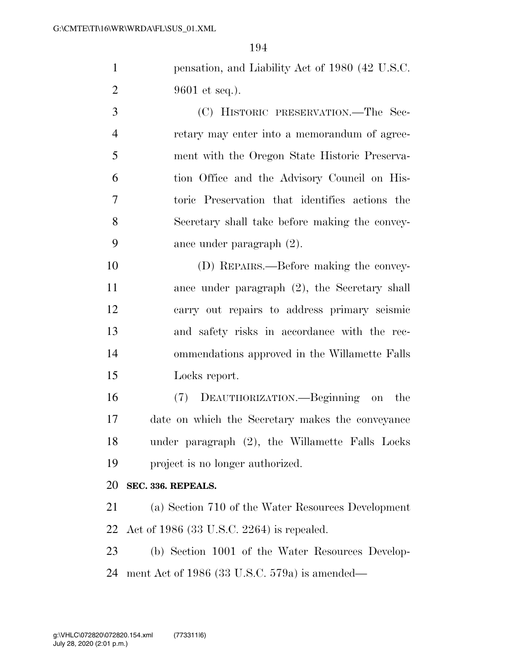pensation, and Liability Act of 1980 (42 U.S.C. 2 9601 et seq.).

 (C) HISTORIC PRESERVATION.—The Sec- retary may enter into a memorandum of agree- ment with the Oregon State Historic Preserva- tion Office and the Advisory Council on His- toric Preservation that identifies actions the Secretary shall take before making the convey-ance under paragraph (2).

 (D) REPAIRS.—Before making the convey- ance under paragraph (2), the Secretary shall carry out repairs to address primary seismic and safety risks in accordance with the rec- ommendations approved in the Willamette Falls Locks report.

 (7) DEAUTHORIZATION.—Beginning on the date on which the Secretary makes the conveyance under paragraph (2), the Willamette Falls Locks project is no longer authorized.

#### **SEC. 336. REPEALS.**

 (a) Section 710 of the Water Resources Development Act of 1986 (33 U.S.C. 2264) is repealed.

 (b) Section 1001 of the Water Resources Develop-ment Act of 1986 (33 U.S.C. 579a) is amended—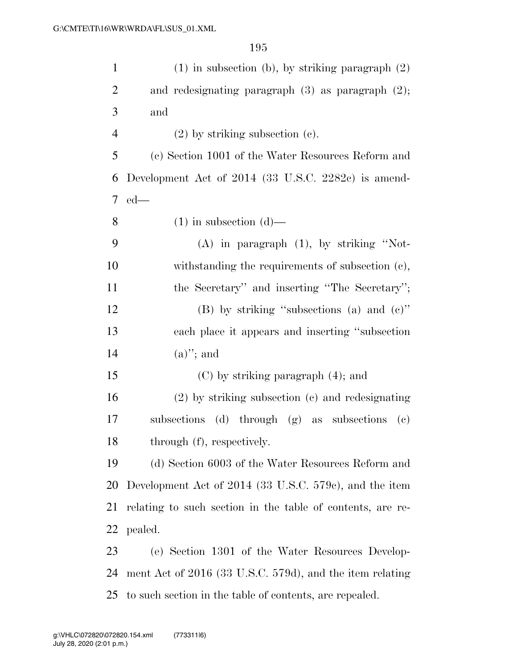| $\mathbf{1}$   | $(1)$ in subsection (b), by striking paragraph $(2)$                          |
|----------------|-------------------------------------------------------------------------------|
| $\overline{2}$ | and redesignating paragraph $(3)$ as paragraph $(2)$ ;                        |
| 3              | and                                                                           |
| $\overline{4}$ | $(2)$ by striking subsection $(e)$ .                                          |
| 5              | (c) Section 1001 of the Water Resources Reform and                            |
| 6              | Development Act of 2014 (33 U.S.C. 2282c) is amend-                           |
| 7              | $ed$ —                                                                        |
| 8              | $(1)$ in subsection $(d)$ —                                                   |
| 9              | $(A)$ in paragraph $(1)$ , by striking "Not-                                  |
| 10             | withstanding the requirements of subsection (c),                              |
| 11             | the Secretary" and inserting "The Secretary";                                 |
| 12             | (B) by striking "subsections (a) and $(e)$ "                                  |
| 13             | each place it appears and inserting "subsection"                              |
| 14             | $(a)$ "; and                                                                  |
| 15             | $(C)$ by striking paragraph $(4)$ ; and                                       |
| 16             | $(2)$ by striking subsection $(e)$ and redesignating                          |
| 17             | subsections<br>(d) through $(g)$ as subsections<br>$\left( \mathrm{e}\right)$ |
| 18             | through (f), respectively.                                                    |
| 19             | (d) Section 6003 of the Water Resources Reform and                            |
| 20             | Development Act of 2014 (33 U.S.C. 579c), and the item                        |
| 21             | relating to such section in the table of contents, are re-                    |
| 22             | pealed.                                                                       |
| 23             | (e) Section 1301 of the Water Resources Develop-                              |
| 24             | ment Act of 2016 (33 U.S.C. 579d), and the item relating                      |
| 25             | to such section in the table of contents, are repealed.                       |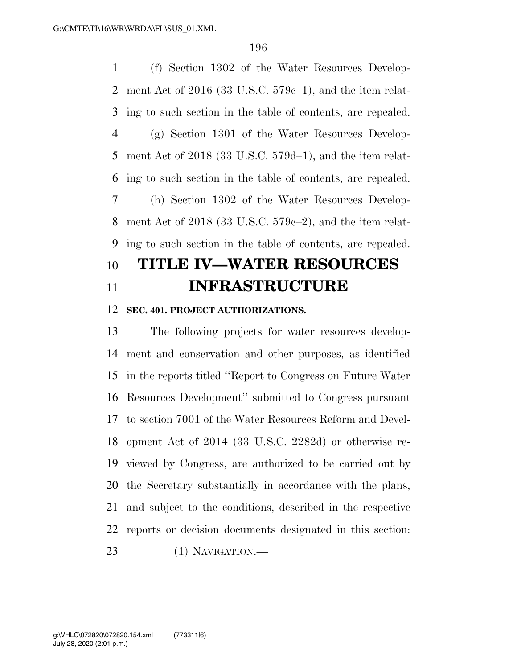(f) Section 1302 of the Water Resources Develop- ment Act of 2016 (33 U.S.C. 579c–1), and the item relat- ing to such section in the table of contents, are repealed. (g) Section 1301 of the Water Resources Develop- ment Act of 2018 (33 U.S.C. 579d–1), and the item relat- ing to such section in the table of contents, are repealed. (h) Section 1302 of the Water Resources Develop- ment Act of 2018 (33 U.S.C. 579c–2), and the item relat-ing to such section in the table of contents, are repealed.

# **TITLE IV—WATER RESOURCES INFRASTRUCTURE**

#### **SEC. 401. PROJECT AUTHORIZATIONS.**

 The following projects for water resources develop- ment and conservation and other purposes, as identified in the reports titled ''Report to Congress on Future Water Resources Development'' submitted to Congress pursuant to section 7001 of the Water Resources Reform and Devel- opment Act of 2014 (33 U.S.C. 2282d) or otherwise re- viewed by Congress, are authorized to be carried out by the Secretary substantially in accordance with the plans, and subject to the conditions, described in the respective reports or decision documents designated in this section: (1) NAVIGATION.—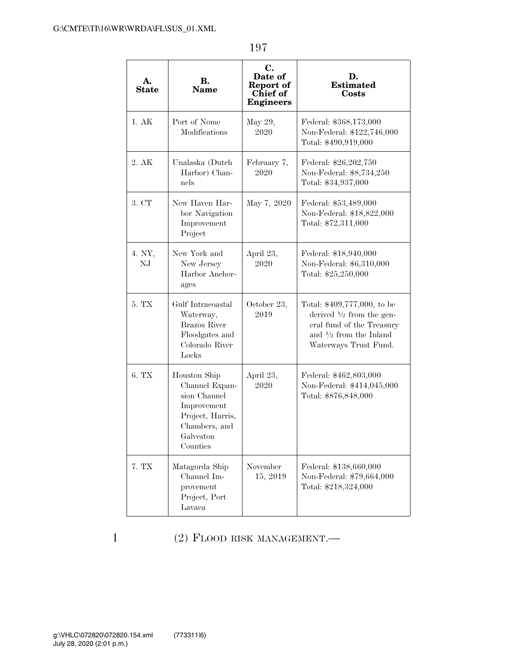| А.<br><b>State</b> | В.<br><b>Name</b>                                                                                                           | C.<br>Date of<br>Report of<br>Chief of<br><b>Engineers</b> | D.<br><b>Estimated</b><br>Costs                                                                                                                               |
|--------------------|-----------------------------------------------------------------------------------------------------------------------------|------------------------------------------------------------|---------------------------------------------------------------------------------------------------------------------------------------------------------------|
| $1.$ $\rm AK$      | Port of Nome<br>Modifications                                                                                               | May 29,<br>2020                                            | Federal: \$368,173,000<br>Non-Federal: \$122,746,000<br>Total: \$490,919,000                                                                                  |
| 2. AK              | Unalaska (Dutch<br>Harbor) Chan-<br>nels                                                                                    | February 7,<br>2020                                        | Federal: \$26,202,750<br>Non-Federal: \$8,734,250<br>Total: \$34,937,000                                                                                      |
| 3. CT              | New Haven Har-<br>bor Navigation<br>Improvement<br>Project                                                                  | May 7, 2020                                                | Federal: \$53,489,000<br>Non-Federal: \$18,822,000<br>Total: \$72,311,000                                                                                     |
| 4. NY,<br>NJ       | New York and<br>New Jersey<br>Harbor Anchor-<br>ages                                                                        | April 23,<br>2020                                          | Federal: \$18,940,000<br>Non-Federal: \$6,310,000<br>Total: \$25,250,000                                                                                      |
| 5. TX              | Gulf Intracoastal<br>Waterway,<br><b>Brazos River</b><br>Floodgates and<br>Colorado River<br>Locks                          | October 23,<br>2019                                        | Total: \$409,777,000, to be<br>derived $\frac{1}{2}$ from the gen-<br>eral fund of the Treasury<br>and $\frac{1}{2}$ from the Inland<br>Waterways Trust Fund. |
| 6. TX              | Houston Ship<br>Channel Expan-<br>sion Channel<br>Improvement<br>Project, Harris,<br>Chambers, and<br>Galveston<br>Counties | April 23,<br>2020                                          | Federal: \$462,803,000<br>Non-Federal: \$414,045,000<br>Total: \$876,848,000                                                                                  |
| 7. TX              | Matagorda Ship<br>Channel Im-<br>provement<br>Project, Port<br>Lavaca                                                       | November<br>15, 2019                                       | Federal: \$138,660,000<br>Non-Federal: \$79,664,000<br>Total: \$218,324,000                                                                                   |

## 1 (2) FLOOD RISK MANAGEMENT.—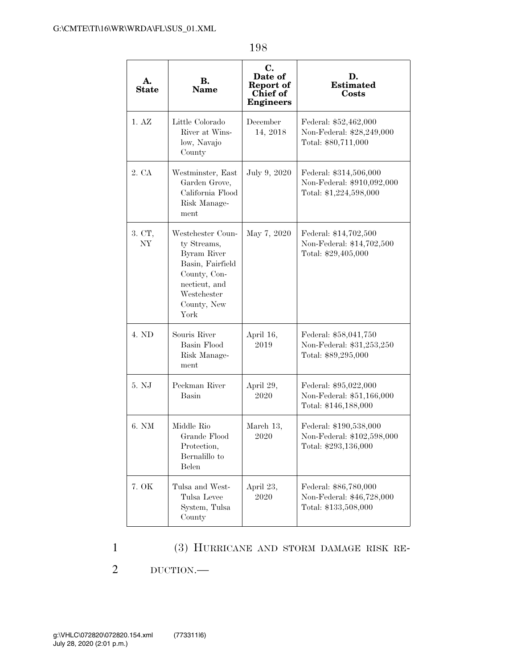**A. State** 

3. CT, NY

**B. Name** 

River at Winslow, Navajo **County** 

Garden Grove, California Flood Risk Manage-

Westchester County Streams, Byram River Basin, Fairfield County, Connecticut, and Westchester

1. AZ Little Colorado

2. CA Westminster, East

ment

|                                   |          | County, New<br>York                                                 |                   |                                                                              |
|-----------------------------------|----------|---------------------------------------------------------------------|-------------------|------------------------------------------------------------------------------|
|                                   | 4. ND    | Souris River<br><b>Basin Flood</b><br>Risk Manage-<br>ment          | April 16,<br>2019 | Federal: \$58,041,750<br>Non-Federal: \$31,253,250<br>Total: \$89,295,000    |
|                                   | 5. NJ    | Peckman River<br>Basin                                              | April 29,<br>2020 | Federal: \$95,022,000<br>Non-Federal: \$51,166,000<br>Total: \$146,188,000   |
|                                   | 6. NM    | Middle Rio<br>Grande Flood<br>Protection,<br>Bernalillo to<br>Belen | March 13,<br>2020 | Federal: \$190,538,000<br>Non-Federal: \$102,598,000<br>Total: \$293,136,000 |
|                                   | 7. OK    | Tulsa and West-<br>Tulsa Levee<br>System, Tulsa<br>County           | April 23,<br>2020 | Federal: \$86,780,000<br>Non-Federal: \$46,728,000<br>Total: \$133,508,000   |
| 1                                 |          |                                                                     |                   | (3) HURRICANE AND STORM DAMAGE RISK RE-                                      |
| 2                                 | DUCTION. |                                                                     |                   |                                                                              |
|                                   |          |                                                                     |                   |                                                                              |
| 320\072820.154.xml<br>(2:01 p.m.) |          | (773311 6)                                                          |                   |                                                                              |

198

**C. Date of Report of Chief of Engineers** 

December 14, 2018

**D. Estimated Costs** 

Federal: \$52,462,000 Non-Federal: \$28,249,000 Total: \$80,711,000

Non-Federal: \$910,092,000 Total: \$1,224,598,000

Non-Federal: \$14,702,500 Total: \$29,405,000

July 9, 2020 Federal: \$314,506,000

May 7, 2020 | Federal: \$14,702,500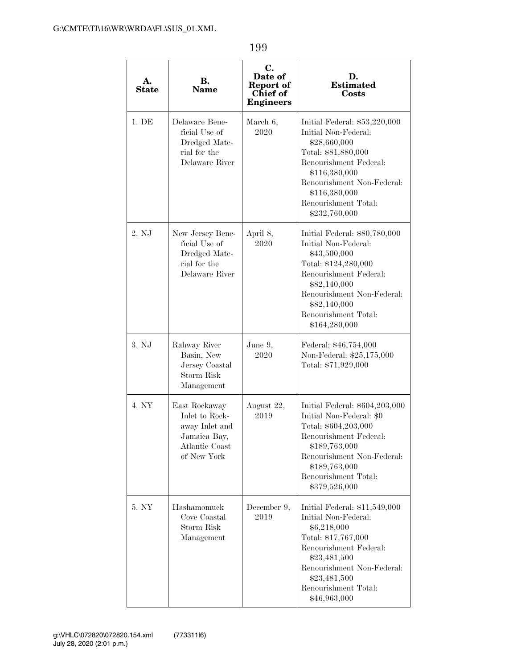| А.<br><b>State</b> | В.<br><b>Name</b>                                                                                  | C.<br>Date of<br>Report of<br>Chief of<br><b>Engineers</b> | D.<br><b>Estimated</b><br>Costs                                                                                                                                                                                                 |
|--------------------|----------------------------------------------------------------------------------------------------|------------------------------------------------------------|---------------------------------------------------------------------------------------------------------------------------------------------------------------------------------------------------------------------------------|
| 1. DE              | Delaware Bene-<br>ficial Use of<br>Dredged Mate-<br>rial for the<br>Delaware River                 | March 6,<br>2020                                           | Initial Federal: \$53,220,000<br>Initial Non-Federal:<br>\$28,660,000<br>Total: \$81,880,000<br>Renourishment Federal:<br>\$116,380,000<br>Renourishment Non-Federal:<br>\$116,380,000<br>Renourishment Total:<br>\$232,760,000 |
| 2. NJ              | New Jersey Bene-<br>ficial Use of<br>Dredged Mate-<br>rial for the<br>Delaware River               | April 8,<br>2020                                           | Initial Federal: \$80,780,000<br>Initial Non-Federal:<br>\$43,500,000<br>Total: \$124,280,000<br>Renourishment Federal:<br>\$82,140,000<br>Renourishment Non-Federal:<br>\$82,140,000<br>Renourishment Total:<br>\$164,280,000  |
| 3. NJ              | Rahway River<br>Basin, New<br>Jersey Coastal<br>Storm Risk<br>Management                           | June 9,<br>2020                                            | Federal: \$46,754,000<br>Non-Federal: \$25,175,000<br>Total: \$71,929,000                                                                                                                                                       |
| 4. NY              | East Rockaway<br>Inlet to Rock-<br>away Inlet and<br>Jamaica Bay,<br>Atlantic Coast<br>of New York | August 22,<br>2019                                         | Initial Federal: \$604,203,000<br>Initial Non-Federal: \$0<br>Total: \$604,203,000<br>Renourishment Federal:<br>\$189,763,000<br>Renourishment Non-Federal:<br>\$189,763,000<br>Renourishment Total:<br>\$379,526,000           |
| 5. NY              | Hashamomuck<br>Cove Coastal<br>Storm Risk<br>Management                                            | December 9,<br>2019                                        | Initial Federal: \$11,549,000<br>Initial Non-Federal:<br>\$6,218,000<br>Total: \$17,767,000<br>Renourishment Federal:<br>\$23,481,500<br>Renourishment Non-Federal:<br>\$23,481,500<br>Renourishment Total:<br>\$46,963,000     |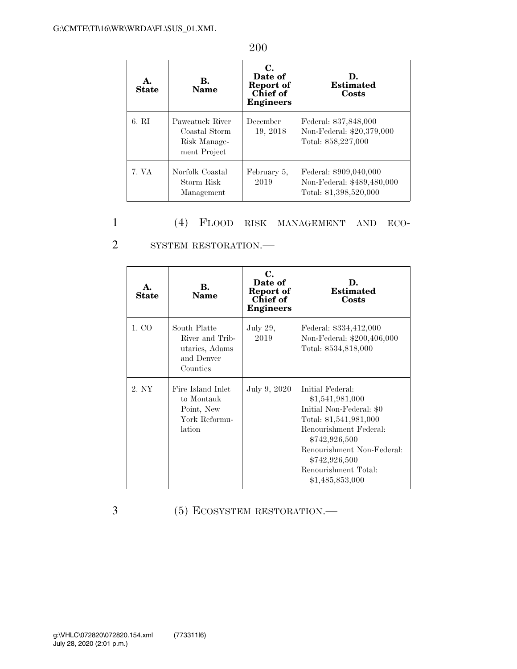| А.<br><b>State</b> | В.<br><b>Name</b>                                                | C.<br>Date of<br>Report of<br>Chief of<br><b>Engineers</b> | D.<br><b>Estimated</b><br>Costs                                                |
|--------------------|------------------------------------------------------------------|------------------------------------------------------------|--------------------------------------------------------------------------------|
| 6. RI              | Paweatuck River<br>Coastal Storm<br>Risk Manage-<br>ment Project | December<br>19, 2018                                       | Federal: \$37,848,000<br>Non-Federal: \$20,379,000<br>Total: \$58,227,000      |
| 7. VA              | Norfolk Coastal<br>Storm Risk<br>Management                      | February 5,<br>2019                                        | Federal: \$909,040,000<br>Non-Federal: \$489,480,000<br>Total: \$1,398,520,000 |

### 1 (4) FLOOD RISK MANAGEMENT AND ECO-

#### 2 SYSTEM RESTORATION.—

| <b>State</b> | В.<br><b>Name</b>                                                           | $\mathbf{C}$ .<br>Date of<br>Report of<br>Chief of<br><b>Engineers</b> | D.<br><b>Estimated</b><br>Costs                                                                                                                                                                                                |
|--------------|-----------------------------------------------------------------------------|------------------------------------------------------------------------|--------------------------------------------------------------------------------------------------------------------------------------------------------------------------------------------------------------------------------|
| 1. CO        | South Platte<br>River and Trib-<br>utaries, Adams<br>and Denver<br>Counties | July 29,<br>2019                                                       | Federal: \$334,412,000<br>Non-Federal: \$200,406,000<br>Total: \$534,818,000                                                                                                                                                   |
| 2. NY        | Fire Island Inlet<br>to Montauk<br>Point, New<br>York Reformu-<br>lation    | July 9, 2020                                                           | Initial Federal:<br>\$1,541,981,000<br>Initial Non-Federal: \$0<br>Total: \$1,541,981,000<br>Renourishment Federal:<br>\$742,926,500<br>Renourishment Non-Federal:<br>\$742,926,500<br>Renourishment Total:<br>\$1,485,853,000 |

3 (5) ECOSYSTEM RESTORATION.—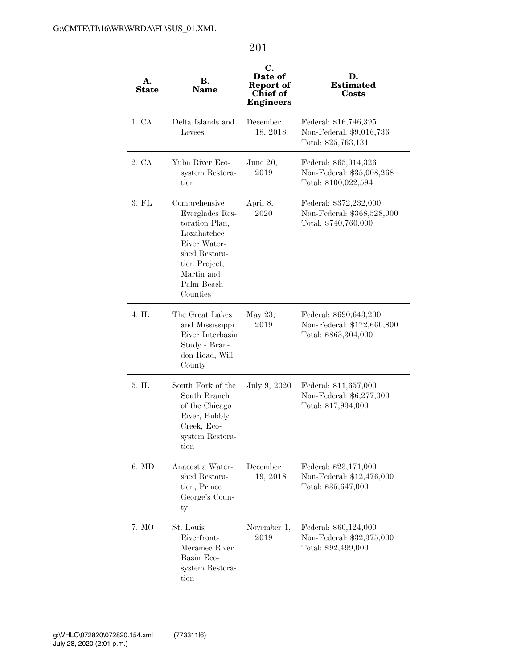| А.<br><b>State</b> | <b>B.</b><br><b>Name</b>                                                                                                                                    | C.<br>Date of<br>Report of<br>Chief of<br><b>Engineers</b> | D.<br><b>Estimated</b><br>Costs                                              |
|--------------------|-------------------------------------------------------------------------------------------------------------------------------------------------------------|------------------------------------------------------------|------------------------------------------------------------------------------|
| 1. CA              | Delta Islands and<br>Levees                                                                                                                                 | December<br>18, 2018                                       | Federal: \$16,746,395<br>Non-Federal: \$9,016,736<br>Total: \$25,763,131     |
| 2. CA              | Yuba River Eco-<br>system Restora-<br>tion                                                                                                                  | June 20,<br>2019                                           | Federal: \$65,014,326<br>Non-Federal: \$35,008,268<br>Total: \$100,022,594   |
| $3.$ FL            | Comprehensive<br>Everglades Res-<br>toration Plan,<br>Loxahatchee<br>River Water-<br>shed Restora-<br>tion Project,<br>Martin and<br>Palm Beach<br>Counties | April 8,<br>2020                                           | Federal: \$372,232,000<br>Non-Federal: \$368,528,000<br>Total: \$740,760,000 |
| $4.$ IL            | The Great Lakes<br>and Mississippi<br>River Interbasin<br>Study - Bran-<br>don Road, Will<br>County                                                         | May 23,<br>2019                                            | Federal: \$690,643,200<br>Non-Federal: \$172,660,800<br>Total: \$863,304,000 |
| $5.$ IL            | South Fork of the<br>South Branch<br>of the Chicago<br>River, Bubbly<br>Creek, Eco-<br>system Restora-<br>tion                                              | July 9, 2020                                               | Federal: \$11,657,000<br>Non-Federal: \$6,277,000<br>Total: \$17,934,000     |
| 6. MD              | Anacostia Water-<br>shed Restora-<br>tion, Prince<br>George's Coun-<br>ty                                                                                   | December<br>19, 2018                                       | Federal: \$23,171,000<br>Non-Federal: \$12,476,000<br>Total: \$35,647,000    |
| 7. MO              | St. Louis<br>Riverfront-<br>Meramec River<br>Basin Eco-<br>system Restora-<br>tion                                                                          | November 1,<br>2019                                        | Federal: \$60,124,000<br>Non-Federal: \$32,375,000<br>Total: \$92,499,000    |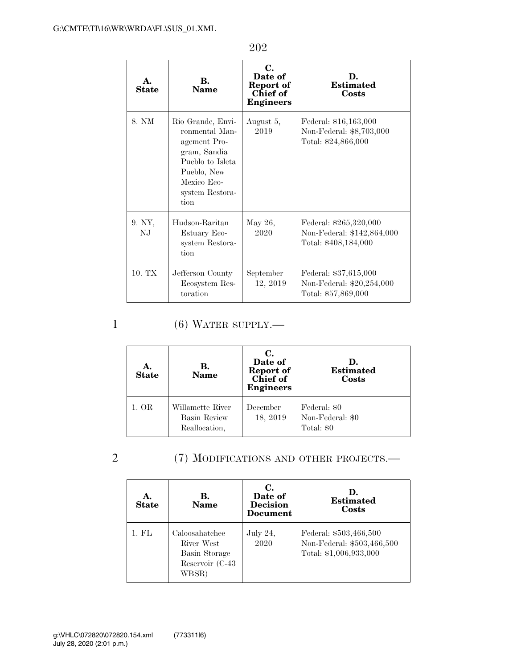| A.<br><b>State</b> | В.<br><b>Name</b>                                                                                                                                | C.<br>Date of<br>Report of<br>Chief of<br><b>Engineers</b> | D.<br><b>Estimated</b><br>Costs                                              |
|--------------------|--------------------------------------------------------------------------------------------------------------------------------------------------|------------------------------------------------------------|------------------------------------------------------------------------------|
| 8. NM              | Rio Grande, Envi-<br>ronmental Man-<br>agement Pro-<br>gram, Sandia<br>Pueblo to Isleta<br>Pueblo, New<br>Mexico Eco-<br>system Restora-<br>tion | August 5,<br>2019                                          | Federal: \$16,163,000<br>Non-Federal: \$8,703,000<br>Total: \$24,866,000     |
| 9. NY,<br>NJ.      | Hudson-Raritan<br>Estuary Eco-<br>system Restora-<br>tion                                                                                        | May 26,<br>2020                                            | Federal: \$265,320,000<br>Non-Federal: \$142,864,000<br>Total: \$408,184,000 |
| 10. TX             | Jefferson County<br>Ecosystem Res-<br>toration                                                                                                   | September<br>12, 2019                                      | Federal: \$37,615,000<br>Non-Federal: \$20,254,000<br>Total: \$57,869,000    |

### 1 (6) WATER SUPPLY.—

| <b>State</b> | В.<br><b>Name</b>                                 | С.<br>Date of<br>Report of<br>Chief of<br><b>Engineers</b> | D.<br><b>Estimated</b><br>Costs                |
|--------------|---------------------------------------------------|------------------------------------------------------------|------------------------------------------------|
| 1. OR        | Willamette River<br>Basin Review<br>Reallocation. | December<br>18, 2019                                       | Federal: \$0<br>Non-Federal: \$0<br>Total: \$0 |

## 2 (7) MODIFICATIONS AND OTHER PROJECTS.—

| <b>State</b> | В.<br><b>Name</b>                                                         | C.<br>Date of<br><b>Decision</b><br><b>Document</b> | D.<br><b>Estimated</b><br>Costs                                                |
|--------------|---------------------------------------------------------------------------|-----------------------------------------------------|--------------------------------------------------------------------------------|
| 1. FL        | Caloosahatchee<br>River West<br>Basin Storage<br>Reservoir (C-43<br>WBSR) | July 24,<br>2020                                    | Federal: \$503,466,500<br>Non-Federal: \$503,466,500<br>Total: \$1,006,933,000 |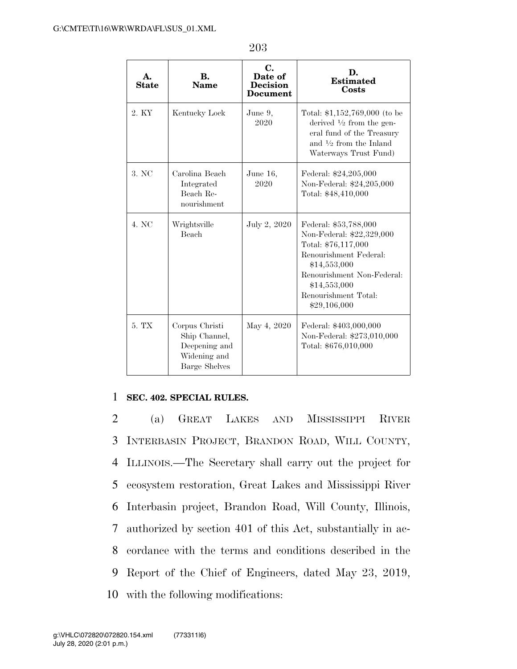| A.<br><b>State</b> | B.<br><b>Name</b>                                                                        | C.<br>Date of<br><b>Decision</b><br><b>Document</b> | D.<br><b>Estimated</b><br>Costs                                                                                                                                                                           |
|--------------------|------------------------------------------------------------------------------------------|-----------------------------------------------------|-----------------------------------------------------------------------------------------------------------------------------------------------------------------------------------------------------------|
| 2. KY              | Kentucky Lock                                                                            | June 9,<br>2020                                     | Total: $$1,152,769,000$ (to be<br>derived $\frac{1}{2}$ from the gen-<br>eral fund of the Treasury<br>and $\frac{1}{2}$ from the Inland<br>Waterways Trust Fund)                                          |
| 3. NC              | Carolina Beach<br>Integrated<br>Beach Re-<br>nourishment                                 | June 16,<br>2020                                    | Federal: \$24,205,000<br>Non-Federal: \$24,205,000<br>Total: \$48,410,000                                                                                                                                 |
| 4. NC              | Wrightsville<br>Beach                                                                    | July 2, 2020                                        | Federal: \$53,788,000<br>Non-Federal: \$22,329,000<br>Total: \$76,117,000<br>Renourishment Federal:<br>\$14,553,000<br>Renourishment Non-Federal:<br>\$14,553,000<br>Renourishment Total:<br>\$29,106,000 |
| 5. TX              | Corpus Christi<br>Ship Channel,<br>Deepening and<br>Widening and<br><b>Barge Shelves</b> | May 4, 2020                                         | Federal: \$403,000,000<br>Non-Federal: \$273,010,000<br>Total: \$676,010,000                                                                                                                              |

#### 1 **SEC. 402. SPECIAL RULES.**

 (a) GREAT LAKES AND MISSISSIPPI RIVER INTERBASIN PROJECT, BRANDON ROAD, WILL COUNTY, ILLINOIS.—The Secretary shall carry out the project for ecosystem restoration, Great Lakes and Mississippi River Interbasin project, Brandon Road, Will County, Illinois, authorized by section 401 of this Act, substantially in ac- cordance with the terms and conditions described in the Report of the Chief of Engineers, dated May 23, 2019, with the following modifications: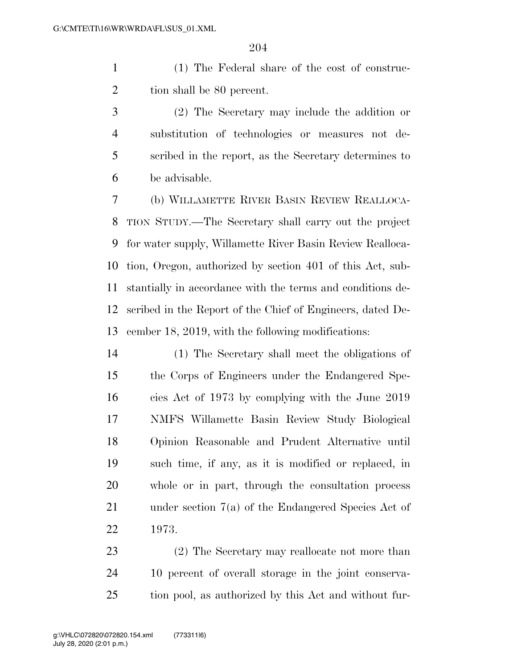(1) The Federal share of the cost of construc-tion shall be 80 percent.

 (2) The Secretary may include the addition or substitution of technologies or measures not de- scribed in the report, as the Secretary determines to be advisable.

 (b) WILLAMETTE RIVER BASIN REVIEW REALLOCA- TION STUDY.—The Secretary shall carry out the project for water supply, Willamette River Basin Review Realloca- tion, Oregon, authorized by section 401 of this Act, sub- stantially in accordance with the terms and conditions de- scribed in the Report of the Chief of Engineers, dated De-cember 18, 2019, with the following modifications:

 (1) The Secretary shall meet the obligations of the Corps of Engineers under the Endangered Spe- cies Act of 1973 by complying with the June 2019 NMFS Willamette Basin Review Study Biological Opinion Reasonable and Prudent Alternative until such time, if any, as it is modified or replaced, in whole or in part, through the consultation process under section 7(a) of the Endangered Species Act of 1973.

 (2) The Secretary may reallocate not more than 10 percent of overall storage in the joint conserva-tion pool, as authorized by this Act and without fur-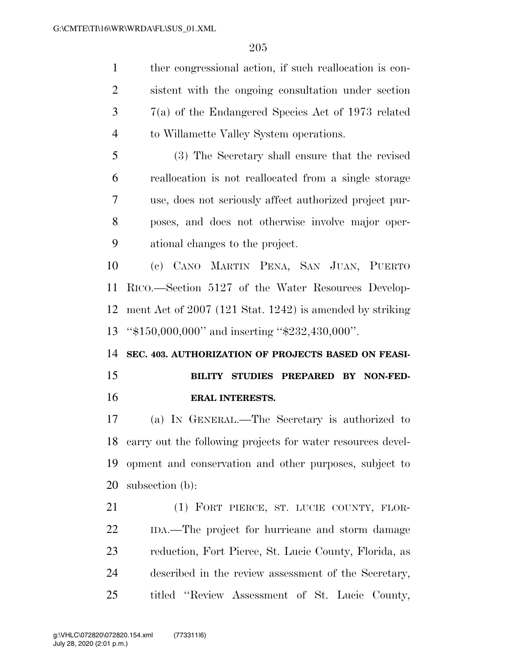ther congressional action, if such reallocation is con- sistent with the ongoing consultation under section 7(a) of the Endangered Species Act of 1973 related to Willamette Valley System operations.

 (3) The Secretary shall ensure that the revised reallocation is not reallocated from a single storage use, does not seriously affect authorized project pur- poses, and does not otherwise involve major oper-ational changes to the project.

 (c) CANO MARTIN PENA, SAN JUAN, PUERTO RICO.—Section 5127 of the Water Resources Develop- ment Act of 2007 (121 Stat. 1242) is amended by striking ''\$150,000,000'' and inserting ''\$232,430,000''.

 **SEC. 403. AUTHORIZATION OF PROJECTS BASED ON FEASI- BILITY STUDIES PREPARED BY NON-FED-ERAL INTERESTS.** 

 (a) IN GENERAL.—The Secretary is authorized to carry out the following projects for water resources devel- opment and conservation and other purposes, subject to subsection (b):

21 (1) FORT PIERCE, ST. LUCIE COUNTY, FLOR- IDA.—The project for hurricane and storm damage reduction, Fort Pierce, St. Lucie County, Florida, as described in the review assessment of the Secretary, titled ''Review Assessment of St. Lucie County,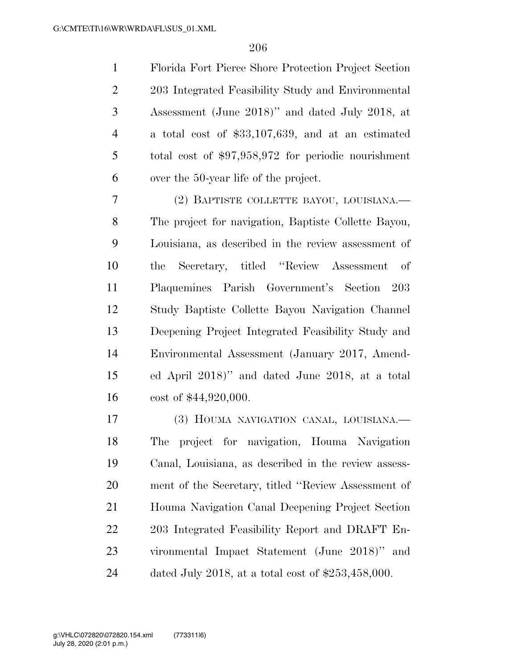Florida Fort Pierce Shore Protection Project Section 203 Integrated Feasibility Study and Environmental Assessment (June 2018)'' and dated July 2018, at a total cost of \$33,107,639, and at an estimated total cost of \$97,958,972 for periodic nourishment over the 50-year life of the project.

 (2) BAPTISTE COLLETTE BAYOU, LOUISIANA.— The project for navigation, Baptiste Collette Bayou, Louisiana, as described in the review assessment of the Secretary, titled ''Review Assessment of Plaquemines Parish Government's Section 203 Study Baptiste Collette Bayou Navigation Channel Deepening Project Integrated Feasibility Study and Environmental Assessment (January 2017, Amend- ed April 2018)'' and dated June 2018, at a total cost of \$44,920,000.

 (3) HOUMA NAVIGATION CANAL, LOUISIANA.— The project for navigation, Houma Navigation Canal, Louisiana, as described in the review assess- ment of the Secretary, titled ''Review Assessment of Houma Navigation Canal Deepening Project Section 203 Integrated Feasibility Report and DRAFT En- vironmental Impact Statement (June 2018)'' and dated July 2018, at a total cost of \$253,458,000.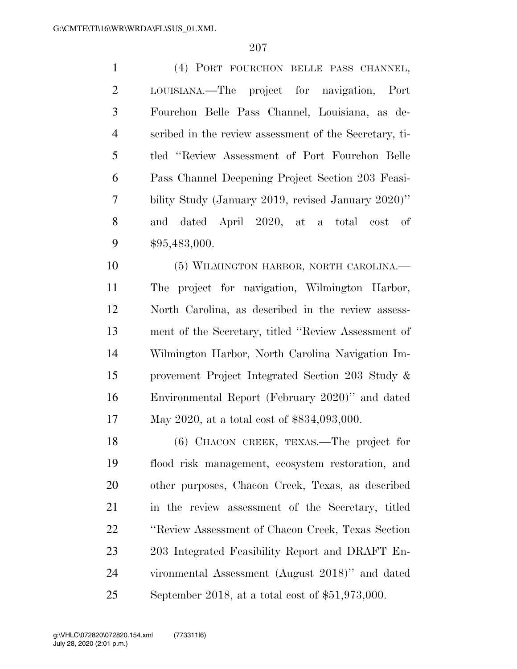(4) PORT FOURCHON BELLE PASS CHANNEL, LOUISIANA.—The project for navigation, Port Fourchon Belle Pass Channel, Louisiana, as de- scribed in the review assessment of the Secretary, ti- tled ''Review Assessment of Port Fourchon Belle Pass Channel Deepening Project Section 203 Feasi- bility Study (January 2019, revised January 2020)'' and dated April 2020, at a total cost of \$95,483,000. 10 (5) WILMINGTON HARBOR, NORTH CAROLINA. The project for navigation, Wilmington Harbor, North Carolina, as described in the review assess- ment of the Secretary, titled ''Review Assessment of Wilmington Harbor, North Carolina Navigation Im- provement Project Integrated Section 203 Study & Environmental Report (February 2020)'' and dated May 2020, at a total cost of \$834,093,000. (6) CHACON CREEK, TEXAS.—The project for flood risk management, ecosystem restoration, and other purposes, Chacon Creek, Texas, as described

 in the review assessment of the Secretary, titled ''Review Assessment of Chacon Creek, Texas Section 203 Integrated Feasibility Report and DRAFT En- vironmental Assessment (August 2018)'' and dated September 2018, at a total cost of \$51,973,000.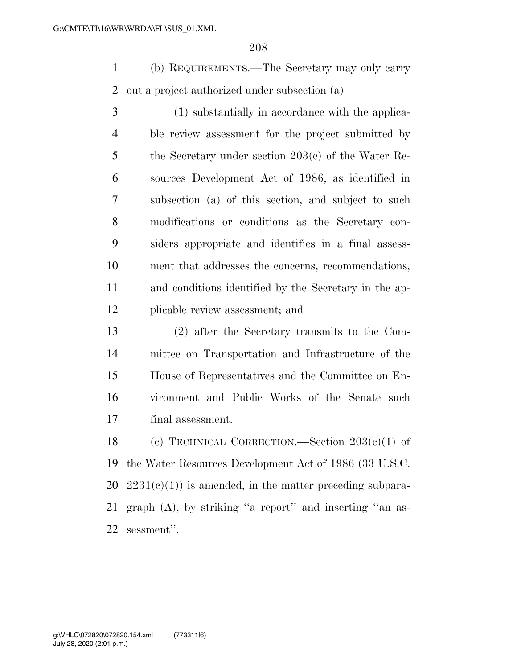(b) REQUIREMENTS.—The Secretary may only carry out a project authorized under subsection (a)—

- (1) substantially in accordance with the applica- ble review assessment for the project submitted by the Secretary under section 203(c) of the Water Re- sources Development Act of 1986, as identified in subsection (a) of this section, and subject to such modifications or conditions as the Secretary con- siders appropriate and identifies in a final assess- ment that addresses the concerns, recommendations, and conditions identified by the Secretary in the ap-plicable review assessment; and
- (2) after the Secretary transmits to the Com- mittee on Transportation and Infrastructure of the House of Representatives and the Committee on En- vironment and Public Works of the Senate such final assessment.
- (c) TECHNICAL CORRECTION.—Section 203(c)(1) of the Water Resources Development Act of 1986 (33 U.S.C. 20  $2231(c)(1)$  is amended, in the matter preceding subpara- graph (A), by striking ''a report'' and inserting ''an as-sessment''.